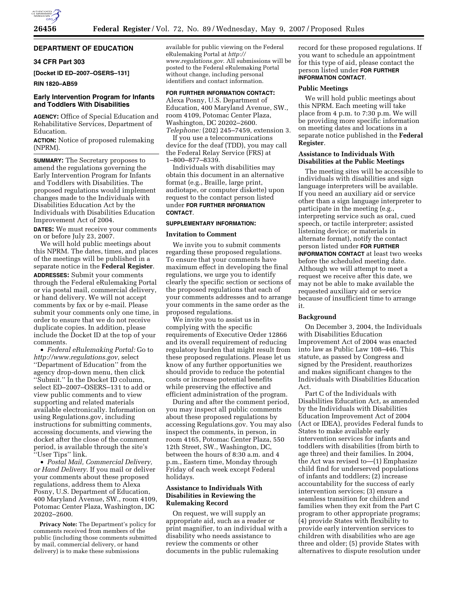

# **DEPARTMENT OF EDUCATION**

## **34 CFR Part 303**

**[Docket ID ED–2007–OSERS–131]** 

**RIN 1820–AB59** 

## **Early Intervention Program for Infants and Toddlers With Disabilities**

**AGENCY:** Office of Special Education and Rehabilitative Services, Department of Education.

**ACTION:** Notice of proposed rulemaking (NPRM).

**SUMMARY:** The Secretary proposes to amend the regulations governing the Early Intervention Program for Infants and Toddlers with Disabilities. The proposed regulations would implement changes made to the Individuals with Disabilities Education Act by the Individuals with Disabilities Education Improvement Act of 2004.

**DATES:** We must receive your comments on or before July 23, 2007.

We will hold public meetings about this NPRM. The dates, times, and places of the meetings will be published in a separate notice in the **Federal Register**.

**ADDRESSES:** Submit your comments through the Federal eRulemaking Portal or via postal mail, commercial delivery, or hand delivery. We will not accept comments by fax or by e-mail. Please submit your comments only one time, in order to ensure that we do not receive duplicate copies. In addition, please include the Docket ID at the top of your comments.

• *Federal eRulemaking Portal:* Go to *http://www.regulations.gov*, select ''Department of Education'' from the agency drop-down menu, then click ''Submit.'' In the Docket ID column, select ED–2007–OSERS–131 to add or view public comments and to view supporting and related materials available electronically. Information on using Regulations.gov, including instructions for submitting comments, accessing documents, and viewing the docket after the close of the comment period, is available through the site's ''User Tips'' link.

• *Postal Mail, Commercial Delivery, or Hand Delivery*. If you mail or deliver your comments about these proposed regulations, address them to Alexa Posny, U.S. Department of Education, 400 Maryland Avenue, SW., room 4109, Potomac Center Plaza, Washington, DC 20202–2600.

**Privacy Note:** The Department's policy for comments received from members of the public (including those comments submitted by mail, commercial delivery, or hand delivery) is to make these submissions

available for public viewing on the Federal eRulemaking Portal at *http:// www.regulations.gov*. All submissions will be posted to the Federal eRulemaking Portal without change, including personal identifiers and contact information.

## **FOR FURTHER INFORMATION CONTACT:**

Alexa Posny, U.S. Department of Education, 400 Maryland Avenue, SW., room 4109, Potomac Center Plaza, Washington, DC 20202–2600. *Telephone:* (202) 245–7459, extension 3.

If you use a telecommunications device for the deaf (TDD), you may call the Federal Relay Service (FRS) at 1–800–877–8339.

Individuals with disabilities may obtain this document in an alternative format (e.g., Braille, large print, audiotape, or computer diskette) upon request to the contact person listed under **FOR FURTHER INFORMATION CONTACT**.

#### **SUPPLEMENTARY INFORMATION:**

#### **Invitation to Comment**

We invite you to submit comments regarding these proposed regulations. To ensure that your comments have maximum effect in developing the final regulations, we urge you to identify clearly the specific section or sections of the proposed regulations that each of your comments addresses and to arrange your comments in the same order as the proposed regulations.

We invite you to assist us in complying with the specific requirements of Executive Order 12866 and its overall requirement of reducing regulatory burden that might result from these proposed regulations. Please let us know of any further opportunities we should provide to reduce the potential costs or increase potential benefits while preserving the effective and efficient administration of the program.

During and after the comment period, you may inspect all public comments about these proposed regulations by accessing Regulations.gov. You may also inspect the comments, in person, in room 4165, Potomac Center Plaza, 550 12th Street, SW., Washington, DC, between the hours of 8:30 a.m. and 4 p.m., Eastern time, Monday through Friday of each week except Federal holidays.

## **Assistance to Individuals With Disabilities in Reviewing the Rulemaking Record**

On request, we will supply an appropriate aid, such as a reader or print magnifier, to an individual with a disability who needs assistance to review the comments or other documents in the public rulemaking

record for these proposed regulations. If you want to schedule an appointment for this type of aid, please contact the person listed under **FOR FURTHER INFORMATION CONTACT**.

### **Public Meetings**

We will hold public meetings about this NPRM. Each meeting will take place from 4 p.m. to 7:30 p.m. We will be providing more specific information on meeting dates and locations in a separate notice published in the **Federal Register**.

## **Assistance to Individuals With Disabilities at the Public Meetings**

The meeting sites will be accessible to individuals with disabilities and sign language interpreters will be available. If you need an auxiliary aid or service other than a sign language interpreter to participate in the meeting (e.g., interpreting service such as oral, cued speech, or tactile interpreter; assisted listening device; or materials in alternate format), notify the contact person listed under **FOR FURTHER INFORMATION CONTACT** at least two weeks before the scheduled meeting date. Although we will attempt to meet a request we receive after this date, we may not be able to make available the requested auxiliary aid or service because of insufficient time to arrange it.

## **Background**

On December 3, 2004, the Individuals with Disabilities Education Improvement Act of 2004 was enacted into law as Public Law 108–446. This statute, as passed by Congress and signed by the President, reauthorizes and makes significant changes to the Individuals with Disabilities Education Act.

Part C of the Individuals with Disabilities Education Act, as amended by the Individuals with Disabilities Education Improvement Act of 2004 (Act or IDEA), provides Federal funds to States to make available early intervention services for infants and toddlers with disabilities (from birth to age three) and their families. In 2004, the Act was revised to—(1) Emphasize child find for underserved populations of infants and toddlers; (2) increase accountability for the success of early intervention services; (3) ensure a seamless transition for children and families when they exit from the Part C program to other appropriate programs; (4) provide States with flexibility to provide early intervention services to children with disabilities who are age three and older; (5) provide States with alternatives to dispute resolution under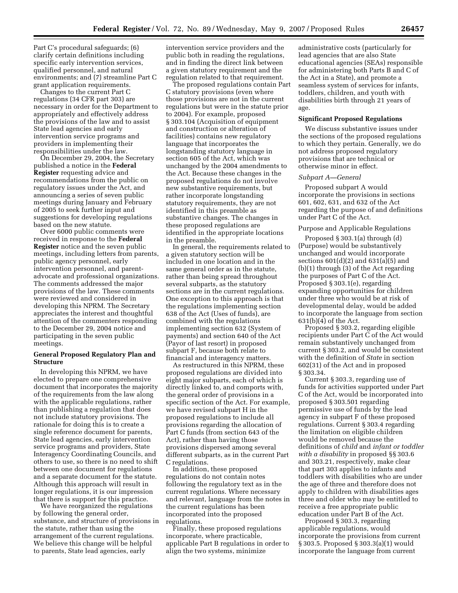Part C's procedural safeguards; (6) clarify certain definitions including specific early intervention services, qualified personnel, and natural environments; and (7) streamline Part C grant application requirements.

Changes to the current Part C regulations (34 CFR part 303) are necessary in order for the Department to appropriately and effectively address the provisions of the law and to assist State lead agencies and early intervention service programs and providers in implementing their responsibilities under the law.

On December 29, 2004, the Secretary published a notice in the **Federal Register** requesting advice and recommendations from the public on regulatory issues under the Act, and announcing a series of seven public meetings during January and February of 2005 to seek further input and suggestions for developing regulations based on the new statute.

Over 6000 public comments were received in response to the **Federal Register** notice and the seven public meetings, including letters from parents, public agency personnel, early intervention personnel, and parentadvocate and professional organizations. The comments addressed the major provisions of the law. These comments were reviewed and considered in developing this NPRM. The Secretary appreciates the interest and thoughtful attention of the commenters responding to the December 29, 2004 notice and participating in the seven public meetings.

## **General Proposed Regulatory Plan and Structure**

In developing this NPRM, we have elected to prepare one comprehensive document that incorporates the majority of the requirements from the law along with the applicable regulations, rather than publishing a regulation that does not include statutory provisions. The rationale for doing this is to create a single reference document for parents, State lead agencies, early intervention service programs and providers, State Interagency Coordinating Councils, and others to use, so there is no need to shift between one document for regulations and a separate document for the statute. Although this approach will result in longer regulations, it is our impression that there is support for this practice.

We have reorganized the regulations by following the general order, substance, and structure of provisions in the statute, rather than using the arrangement of the current regulations. We believe this change will be helpful to parents, State lead agencies, early

intervention service providers and the public both in reading the regulations, and in finding the direct link between a given statutory requirement and the regulation related to that requirement.

The proposed regulations contain Part C statutory provisions (even where those provisions are not in the current regulations but were in the statute prior to 2004). For example, proposed § 303.104 (Acquisition of equipment and construction or alteration of facilities) contains new regulatory language that incorporates the longstanding statutory language in section 605 of the Act, which was unchanged by the 2004 amendments to the Act. Because these changes in the proposed regulations do not involve new substantive requirements, but rather incorporate longstanding statutory requirements, they are not identified in this preamble as substantive changes. The changes in these proposed regulations are identified in the appropriate locations in the preamble.

In general, the requirements related to a given statutory section will be included in one location and in the same general order as in the statute, rather than being spread throughout several subparts, as the statutory sections are in the current regulations. One exception to this approach is that the regulations implementing section 638 of the Act (Uses of funds), are combined with the regulations implementing section 632 (System of payments) and section 640 of the Act (Payor of last resort) in proposed subpart F, because both relate to financial and interagency matters.

As restructured in this NPRM, these proposed regulations are divided into eight major subparts, each of which is directly linked to, and comports with, the general order of provisions in a specific section of the Act. For example, we have revised subpart H in the proposed regulations to include all provisions regarding the allocation of Part C funds (from section 643 of the Act), rather than having those provisions dispersed among several different subparts, as in the current Part C regulations.

In addition, these proposed regulations do not contain notes following the regulatory text as in the current regulations. Where necessary and relevant, language from the notes in the current regulations has been incorporated into the proposed regulations.

Finally, these proposed regulations incorporate, where practicable, applicable Part B regulations in order to align the two systems, minimize

administrative costs (particularly for lead agencies that are also State educational agencies (SEAs) responsible for administering both Parts B and C of the Act in a State), and promote a seamless system of services for infants, toddlers, children, and youth with disabilities birth through 21 years of age.

## **Significant Proposed Regulations**

We discuss substantive issues under the sections of the proposed regulations to which they pertain. Generally, we do not address proposed regulatory provisions that are technical or otherwise minor in effect.

### *Subpart A—General*

Proposed subpart A would incorporate the provisions in sections 601, 602, 631, and 632 of the Act regarding the purpose of and definitions under Part C of the Act.

### Purpose and Applicable Regulations

Proposed § 303.1(a) through (d) (Purpose) would be substantively unchanged and would incorporate sections 601(d)(2) and 631(a)(5) and (b)(1) through (3) of the Act regarding the purposes of Part C of the Act. Proposed § 303.1(e), regarding expanding opportunities for children under three who would be at risk of developmental delay, would be added to incorporate the language from section 631(b)(4) of the Act.

Proposed § 303.2, regarding eligible recipients under Part C of the Act would remain substantively unchanged from current § 303.2, and would be consistent with the definition of *State* in section 602(31) of the Act and in proposed § 303.34.

Current § 303.3, regarding use of funds for activities supported under Part C of the Act, would be incorporated into proposed § 303.501 regarding permissive use of funds by the lead agency in subpart F of these proposed regulations. Current § 303.4 regarding the limitation on eligible children would be removed because the definitions of *child* and *infant or toddler with a disability* in proposed §§ 303.6 and 303.21, respectively, make clear that part 303 applies to infants and toddlers with disabilities who are under the age of three and therefore does not apply to children with disabilities ages three and older who may be entitled to receive a free appropriate public education under Part B of the Act.

Proposed § 303.3, regarding applicable regulations, would incorporate the provisions from current § 303.5. Proposed § 303.3(a)(1) would incorporate the language from current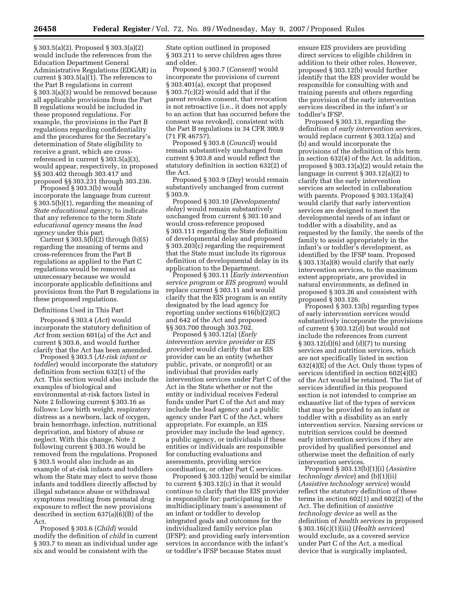§ 303.5(a)(2). Proposed § 303.3(a)(2) would include the references from the Education Department General Administrative Regulations (EDGAR) in current § 303.5(a)(1). The references to the Part B regulations in current § 303.3(a)(3) would be removed because all applicable provisions from the Part B regulations would be included in these proposed regulations. For example, the provisions in the Part B regulations regarding confidentiality and the procedures for the Secretary's determination of State eligibility to receive a grant, which are crossreferenced in current § 303.5(a)(3), would appear, respectively, in proposed §§ 303.402 through 303.417 and proposed §§ 303.231 through 303.236.

Proposed § 303.3(b) would incorporate the language from current § 303.5(b)(1), regarding the meaning of *State educational agency,* to indicate that any reference to the term *State educational agency* means the *lead agency* under this part.

Current § 303.5(b)(2) through (b)(5) regarding the meaning of terms and cross-references from the Part B regulations as applied to the Part C regulations would be removed as unnecessary because we would incorporate applicable definitions and provisions from the Part B regulations in these proposed regulations.

#### Definitions Used in This Part

Proposed § 303.4 (*Act*) would incorporate the statutory definition of *Act* from section 601(a) of the Act and current § 303.6, and would further clarify that the Act has been amended.

Proposed § 303.5 (*At-risk infant or toddler*) would incorporate the statutory definition from section 632(1) of the Act. This section would also include the examples of biological and environmental at-risk factors listed in Note 2 following current § 303.16 as follows: Low birth weight, respiratory distress as a newborn, lack of oxygen, brain hemorrhage, infection, nutritional deprivation, and history of abuse or neglect. With this change, Note 2 following current § 303.16 would be removed from the regulations. Proposed § 303.5 would also include as an example of at-risk infants and toddlers whom the State may elect to serve those infants and toddlers directly affected by illegal substance abuse or withdrawal symptoms resulting from prenatal drug exposure to reflect the new provisions described in section  $637(a)(\bar{6})(B)$  of the Act.

Proposed § 303.6 (*Child*) would modify the definition of *child* in current § 303.7 to mean an individual under age six and would be consistent with the

State option outlined in proposed § 303.211 to serve children ages three and older.

Proposed § 303.7 (*Consent*) would incorporate the provisions of current § 303.401(a), except that proposed § 303.7(c)(2) would add that if the parent revokes consent, that revocation is not retroactive (i.e., it does not apply to an action that has occurred before the consent was revoked), consistent with the Part B regulations in 34 CFR 300.9 (71 FR 46757).

Proposed § 303.8 (*Council*) would remain substantively unchanged from current § 303.8 and would reflect the statutory definition in section 632(2) of the Act.

Proposed § 303.9 (*Day*) would remain substantively unchanged from current § 303.9.

Proposed § 303.10 (*Developmental delay*) would remain substantively unchanged from current § 303.10 and would cross-reference proposed § 303.111 regarding the State definition of developmental delay and proposed § 303.203(c) regarding the requirement that the State must include its rigorous definition of developmental delay in its application to the Department.

Proposed § 303.11 (*Early intervention service program* or *EIS program*) would replace current § 303.11 and would clarify that the EIS program is an entity designated by the lead agency for reporting under sections 616(b)(2)(C) and 642 of the Act and proposed §§ 303.700 through 303.702.

Proposed § 303.12(a) (*Early intervention service provider* or *EIS provider*) would clarify that an EIS provider can be an entity (whether public, private, or nonprofit) or an individual that provides early intervention services under Part C of the Act in the State whether or not the entity or individual receives Federal funds under Part C of the Act and may include the lead agency and a public agency under Part C of the Act, where appropriate. For example, an EIS provider may include the lead agency, a public agency, or individuals if these entities or individuals are responsible for conducting evaluations and assessments, providing service coordination, or other Part C services.

Proposed § 303.12(b) would be similar to current § 303.12(c) in that it would continue to clarify that the EIS provider is responsible for: participating in the multidisciplinary team's assessment of an infant or toddler to develop integrated goals and outcomes for the individualized family service plan (IFSP); and providing early intervention services in accordance with the infant's or toddler's IFSP because States must

ensure EIS providers are providing direct services to eligible children in addition to their other roles. However, proposed § 303.12(b) would further identify that the EIS provider would be responsible for consulting with and training parents and others regarding the provision of the early intervention services described in the infant's or toddler's IFSP.

Proposed § 303.13, regarding the definition of *early intervention services*, would replace current § 303.12(a) and (b) and would incorporate the provisions of the definition of this term in section 632(4) of the Act. In addition, proposed § 303.13(a)(2) would retain the language in current § 303.12(a)(2) to clarify that the early intervention services are selected in collaboration with parents. Proposed § 303.13(a)(4) would clarify that early intervention services are designed to meet the developmental needs of an infant or toddler with a disability, and as requested by the family, the needs of the family to assist appropriately in the infant's or toddler's development, as identified by the IFSP team. Proposed § 303.13(a)(8) would clarify that early intervention services, to the maximum extent appropriate, are provided in natural environments, as defined in proposed § 303.26 and consistent with proposed § 303.126.

Proposed § 303.13(b) regarding types of early intervention services would substantively incorporate the provisions of current § 303.12(d) but would not include the references from current § 303.12(d)(6) and (d)(7) to nursing services and nutrition services, which are not specifically listed in section 632(4)(E) of the Act. Only those types of services identified in section 602(4)(E) of the Act would be retained. The list of services identified in this proposed section is not intended to comprise an exhaustive list of the types of services that may be provided to an infant or toddler with a disability as an early intervention service. Nursing services or nutrition services could be deemed early intervention services if they are provided by qualified personnel and otherwise meet the definition of early intervention services.

Proposed § 303.13(b)(1)(i) (*Assistive technology device*) and (b)(1)(ii) (*Assistive technology service*) would reflect the statutory definition of these terms in section 602(1) and 602(2) of the Act. The definition of *assistive technology device* as well as the definition of *health services* in proposed § 303.16(c)(1)(iii) (*Health services*) would exclude, as a covered service under Part C of the Act, a medical device that is surgically implanted,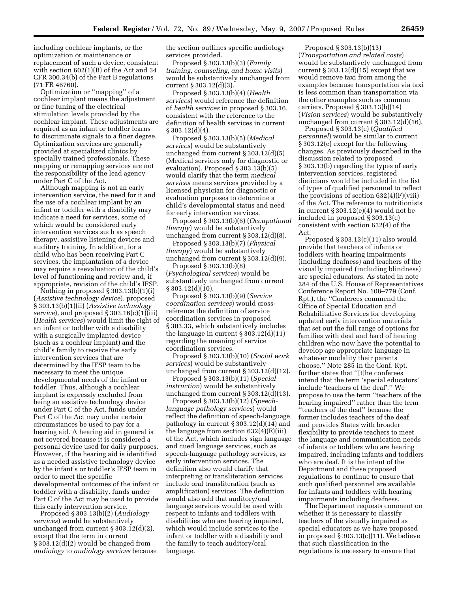including cochlear implants, or the optimization or maintenance or replacement of such a device, consistent with section 602(1)(B) of the Act and 34 CFR 300.34(b) of the Part B regulations (71 FR 46760).

Optimization or ''mapping'' of a cochlear implant means the adjustment or fine tuning of the electrical stimulation levels provided by the cochlear implant. These adjustments are required as an infant or toddler learns to discriminate signals to a finer degree. Optimization services are generally provided at specialized clinics by specially trained professionals. These mapping or remapping services are not the responsibility of the lead agency under Part C of the Act.

Although mapping is not an early intervention service, the need for it and the use of a cochlear implant by an infant or toddler with a disability may indicate a need for services, some of which would be considered early intervention services such as speech therapy, assistive listening devices and auditory training. In addition, for a child who has been receiving Part C services, the implantation of a device may require a reevaluation of the child's level of functioning and review and, if appropriate, revision of the child's IFSP.

Nothing in proposed § 303.13(b)(1)(i) (*Assistive technology device*), proposed § 303.13(b)(1)(ii) (*Assistive technology service*), and proposed § 303.16(c)(1)(iii) (*Health services*) would limit the right of an infant or toddler with a disability with a surgically implanted device (such as a cochlear implant) and the child's family to receive the early intervention services that are determined by the IFSP team to be necessary to meet the unique developmental needs of the infant or toddler. Thus, although a cochlear implant is expressly excluded from being an assistive technology device under Part C of the Act, funds under Part C of the Act may under certain circumstances be used to pay for a hearing aid. A hearing aid in general is not covered because it is considered a personal device used for daily purposes. However, if the hearing aid is identified as a needed assistive technology device by the infant's or toddler's IFSP team in order to meet the specific developmental outcomes of the infant or toddler with a disability, funds under Part C of the Act may be used to provide this early intervention service.

Proposed § 303.13(b)(2) (*Audiology services*) would be substantively unchanged from current § 303.12(d)(2), except that the term in current § 303.12(d)(2) would be changed from *audiology* to *audiology services* because the section outlines specific audiology services provided.

Proposed § 303.13(b)(3) (*Family training, counseling, and home visits*) would be substantively unchanged from current § 303.12(d)(3).

Proposed § 303.13(b)(4) (*Health services*) would reference the definition of *health services* in proposed § 303.16, consistent with the reference to the definition of health services in current  $§ 303.12(d)(4).$ 

Proposed § 303.13(b)(5) (*Medical services*) would be substantively unchanged from current § 303.12(d)(5) (Medical services only for diagnostic or evaluation). Proposed § 303.13(b)(5) would clarify that the term *medical services* means services provided by a licensed physician for diagnostic or evaluation purposes to determine a child's developmental status and need for early intervention services.

Proposed § 303.13(b)(6) (*Occupational therapy*) would be substantively unchanged from current § 303.12(d)(8).

Proposed § 303.13(b)(7) (*Physical therapy*) would be substantively unchanged from current § 303.12(d)(9).

Proposed § 303.13(b)(8) (*Psychological services*) would be substantively unchanged from current  $§ 303.12(d)(10).$ 

Proposed § 303.13(b)(9) (*Service coordination services*) would crossreference the definition of service coordination services in proposed § 303.33, which substantively includes the language in current  $\S 303.12(d)(11)$ regarding the meaning of service coordination services.

Proposed § 303.13(b)(10) (*Social work services*) would be substantively unchanged from current § 303.12(d)(12).

Proposed § 303.13(b)(11) (*Special instruction*) would be substantively unchanged from current § 303.12(d)(13).

Proposed § 303.13(b)(12) (*Speechlanguage pathology services*) would reflect the definition of speech-language pathology in current § 303.12(d)(14) and the language from section 632(4)(E)(iii) of the Act, which includes sign language and cued language services, such as speech-language pathology services, as early intervention services. The definition also would clarify that interpreting or transliteration services include oral transliteration (such as amplification) services. The definition would also add that auditory/oral language services would be used with respect to infants and toddlers with disabilities who are hearing impaired, which would include services to the infant or toddler with a disability and the family to teach auditory/oral language.

Proposed § 303.13(b)(13) (*Transportation and related costs*) would be substantively unchanged from current  $\S 303.12(d)(15)$  except that we would remove taxi from among the examples because transportation via taxi is less common than transportation via the other examples such as common carriers. Proposed § 303.13(b)(14) (*Vision services*) would be substantively unchanged from current § 303.12(d)(16).

Proposed § 303.13(c) (*Qualified personnel*) would be similar to current § 303.12(e) except for the following changes. As previously described in the discussion related to proposed § 303.13(b) regarding the types of early intervention services, registered dieticians would be included in the list of types of qualified personnel to reflect the provisions of section 632(4)(F)(viii) of the Act. The reference to nutritionists in current § 303.12(e)(4) would not be included in proposed § 303.13(c) consistent with section 632(4) of the Act.

Proposed § 303.13(c)(11) also would provide that teachers of infants or toddlers with hearing impairments (including deafness) and teachers of the visually impaired (including blindness) are special educators. As stated in note 284 of the U.S. House of Representatives Conference Report No. 108–779 (Conf. Rpt.), the ''Conferees commend the Office of Special Education and Rehabilitative Services for developing updated early intervention materials that set out the full range of options for families with deaf and hard of hearing children who now have the potential to develop age appropriate language in whatever modality their parents choose.'' Note 285 in the Conf. Rpt. further states that ''[t]he conferees intend that the term 'special educators' include 'teachers of the deaf'.'' We propose to use the term ''teachers of the hearing impaired'' rather than the term ''teachers of the deaf'' because the former includes teachers of the deaf, and provides States with broader flexibility to provide teachers to meet the language and communication needs of infants or toddlers who are hearing impaired, including infants and toddlers who are deaf. It is the intent of the Department and these proposed regulations to continue to ensure that such qualified personnel are available for infants and toddlers with hearing impairments including deafness.

The Department requests comment on whether it is necessary to classify teachers of the visually impaired as special educators as we have proposed in proposed § 303.13(c)(11). We believe that such classification in the regulations is necessary to ensure that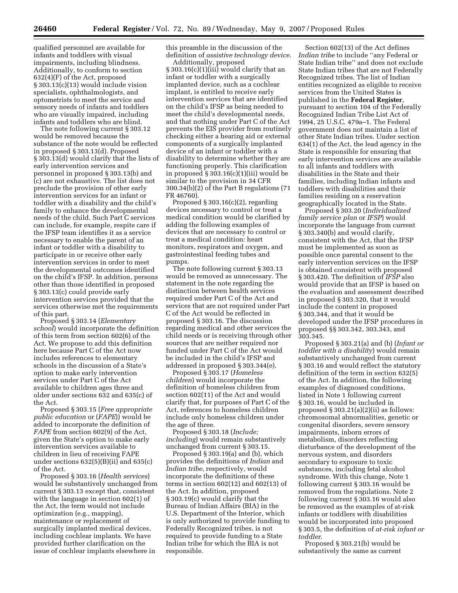qualified personnel are available for infants and toddlers with visual impairments, including blindness. Additionally, to conform to section 632(4)(F) of the Act, proposed § 303.13(c)(13) would include vision specialists, ophthalmologists, and optometrists to meet the service and sensory needs of infants and toddlers who are visually impaired, including infants and toddlers who are blind.

The note following current § 303.12 would be removed because the substance of the note would be reflected in proposed § 303.13(d). Proposed § 303.13(d) would clarify that the lists of early intervention services and personnel in proposed § 303.13(b) and (c) are not exhaustive. The list does not preclude the provision of other early intervention services for an infant or toddler with a disability and the child's family to enhance the developmental needs of the child. Such Part C services can include, for example, respite care if the IFSP team identifies it as a service necessary to enable the parent of an infant or toddler with a disability to participate in or receive other early intervention services in order to meet the developmental outcomes identified on the child's IFSP. In addition, persons other than those identified in proposed § 303.13(c) could provide early intervention services provided that the services otherwise met the requirements of this part.

Proposed § 303.14 (*Elementary school*) would incorporate the definition of this term from section 602(6) of the Act. We propose to add this definition here because Part C of the Act now includes references to elementary schools in the discussion of a State's option to make early intervention services under Part C of the Act available to children ages three and older under sections 632 and 635(c) of the Act.

Proposed § 303.15 (*Free appropriate public education* or (*FAPE*)) would be added to incorporate the definition of *FAPE* from section 602(9) of the Act, given the State's option to make early intervention services available to children in lieu of receiving FAPE under sections 632(5)(B)(ii) and 635(c) of the Act.

Proposed § 303.16 (*Health services*) would be substantively unchanged from current § 303.13 except that, consistent with the language in section 602(1) of the Act, the term would not include optimization (e.g., mapping), maintenance or replacement of surgically implanted medical devices, including cochlear implants. We have provided further clarification on the issue of cochlear implants elsewhere in

this preamble in the discussion of the definition of *assistive technology device*.

Additionally, proposed § 303.16(c)(1)(iii) would clarify that an infant or toddler with a surgically implanted device, such as a cochlear implant, is entitled to receive early intervention services that are identified on the child's IFSP as being needed to meet the child's developmental needs, and that nothing under Part C of the Act prevents the EIS provider from routinely checking either a hearing aid or external components of a surgically implanted device of an infant or toddler with a disability to determine whether they are functioning properly. This clarification in proposed § 303.16(c)(1)(iii) would be similar to the provision in 34 CFR 300.34(b)(2) of the Part B regulations (71 FR 46760).

Proposed § 303.16(c)(2), regarding devices necessary to control or treat a medical condition would be clarified by adding the following examples of devices that are necessary to control or treat a medical condition: heart monitors, respirators and oxygen, and gastrointestinal feeding tubes and pumps.

The note following current § 303.13 would be removed as unnecessary. The statement in the note regarding the distinction between health services required under Part C of the Act and services that are not required under Part C of the Act would be reflected in proposed § 303.16. The discussion regarding medical and other services the child needs or is receiving through other sources that are neither required nor funded under Part C of the Act would be included in the child's IFSP and addressed in proposed § 303.344(e).

Proposed § 303.17 (*Homeless children*) would incorporate the definition of homeless children from section 602(11) of the Act and would clarify that, for purposes of Part C of the Act, references to homeless children include only homeless children under the age of three.

Proposed § 303.18 (*Include; including*) would remain substantively unchanged from current § 303.15.

Proposed § 303.19(a) and (b), which provides the definitions of *Indian* and *Indian tribe*, respectively, would incorporate the definitions of these terms in section 602(12) and 602(13) of the Act. In addition, proposed § 303.19(c) would clarify that the Bureau of Indian Affairs (BIA) in the U.S. Department of the Interior, which is only authorized to provide funding to Federally Recognized tribes, is not required to provide funding to a State Indian tribe for which the BIA is not responsible.

Section 602(13) of the Act defines *Indian tribe* to include ''any Federal or State Indian tribe'' and does not exclude State Indian tribes that are not Federally Recognized tribes. The list of Indian entities recognized as eligible to receive services from the United States is published in the **Federal Register**, pursuant to section 104 of the Federally Recognized Indian Tribe List Act of 1994, 25 U.S.C. 479a–1. The Federal government does not maintain a list of other State Indian tribes. Under section 634(1) of the Act, the lead agency in the State is responsible for ensuring that early intervention services are available to all infants and toddlers with disabilities in the State and their families, including Indian infants and toddlers with disabilities and their families residing on a reservation geographically located in the State.

Proposed § 303.20 (*Individualized family service plan* or *IFSP*) would incorporate the language from current § 303.340(b) and would clarify, consistent with the Act, that the IFSP must be implemented as soon as possible once parental consent to the early intervention services on the IFSP is obtained consistent with proposed § 303.420. The definition of *IFSP* also would provide that an IFSP is based on the evaluation and assessment described in proposed § 303.320, that it would include the content in proposed § 303.344, and that it would be developed under the IFSP procedures in proposed §§ 303.342, 303.343, and 303.345.

Proposed § 303.21(a) and (b) (*Infant or toddler with a disability*) would remain substantively unchanged from current § 303.16 and would reflect the statutory definition of the term in section 632(5) of the Act. In addition, the following examples of diagnosed conditions, listed in Note 1 following current § 303.16, would be included in proposed  $\S 303.21(a)(2)(ii)$  as follows: chromosomal abnormalities, genetic or congenital disorders, severe sensory impairments, inborn errors of metabolism, disorders reflecting disturbance of the development of the nervous system, and disorders secondary to exposure to toxic substances, including fetal alcohol syndrome. With this change, Note 1 following current § 303.16 would be removed from the regulations. Note 2 following current § 303.16 would also be removed as the examples of at-risk infants or toddlers with disabilities would be incorporated into proposed § 303.5, the definition of *at-risk infant or toddler*.

Proposed § 303.21(b) would be substantively the same as current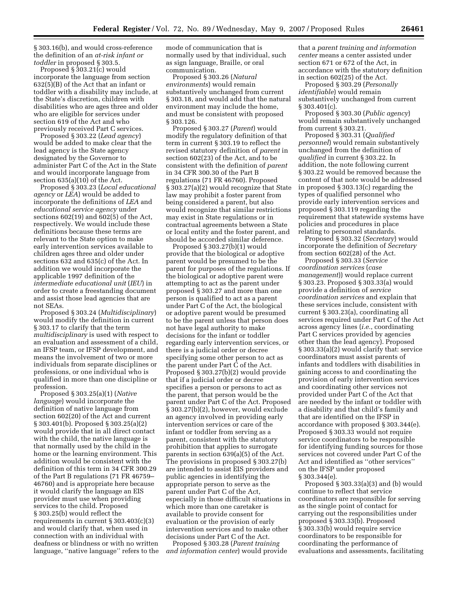§ 303.16(b), and would cross-reference the definition of an *at-risk infant or toddler* in proposed § 303.5.

Proposed § 303.21(c) would incorporate the language from section 632(5)(B) of the Act that an infant or toddler with a disability may include, at the State's discretion, children with disabilities who are ages three and older who are eligible for services under section 619 of the Act and who previously received Part C services.

Proposed § 303.22 (*Lead agency*) would be added to make clear that the lead agency is the State agency designated by the Governor to administer Part C of the Act in the State and would incorporate language from section 635(a)(10) of the Act.

Proposed § 303.23 (*Local educational agency* or *LEA*) would be added to incorporate the definitions of *LEA* and *educational service agency* under sections 602(19) and 602(5) of the Act, respectively. We would include these definitions because these terms are relevant to the State option to make early intervention services available to children ages three and older under sections 632 and 635(c) of the Act. In addition we would incorporate the applicable 1997 definition of the *intermediate educational unit* (*IEU*) in order to create a freestanding document and assist those lead agencies that are not SEAs.

Proposed § 303.24 (*Multidisciplinary*) would modify the definition in current § 303.17 to clarify that the term *multidisciplinary* is used with respect to an evaluation and assessment of a child, an IFSP team, or IFSP development, and means the involvement of two or more individuals from separate disciplines or professions, or one individual who is qualified in more than one discipline or profession.

Proposed § 303.25(a)(1) (*Native language*) would incorporate the definition of native language from section 602(20) of the Act and current § 303.401(b). Proposed § 303.25(a)(2) would provide that in all direct contact with the child, the native language is that normally used by the child in the home or the learning environment. This addition would be consistent with the definition of this term in 34 CFR 300.29 of the Part B regulations (71 FR 46759– 46760) and is appropriate here because it would clarify the language an EIS provider must use when providing services to the child. Proposed § 303.25(b) would reflect the requirements in current § 303.403(c)(3) and would clarify that, when used in connection with an individual with deafness or blindness or with no written language, ''native language'' refers to the mode of communication that is normally used by that individual, such as sign language, Braille, or oral communication.

Proposed § 303.26 (*Natural environments*) would remain substantively unchanged from current § 303.18, and would add that the natural environment may include the home, and must be consistent with proposed § 303.126.

Proposed § 303.27 (*Parent*) would modify the regulatory definition of that term in current § 303.19 to reflect the revised statutory definition of *parent* in section 602(23) of the Act, and to be consistent with the definition of *parent*  in 34 CFR 300.30 of the Part B regulations (71 FR 46760). Proposed § 303.27(a)(2) would recognize that State law may prohibit a foster parent from being considered a parent, but also would recognize that similar restrictions may exist in State regulations or in contractual agreements between a State or local entity and the foster parent, and should be accorded similar deference.

Proposed § 303.27(b)(1) would provide that the biological or adoptive parent would be presumed to be the parent for purposes of the regulations. If the biological or adoptive parent were attempting to act as the parent under proposed § 303.27 and more than one person is qualified to act as a parent under Part C of the Act, the biological or adoptive parent would be presumed to be the parent unless that person does not have legal authority to make decisions for the infant or toddler regarding early intervention services, or there is a judicial order or decree specifying some other person to act as the parent under Part C of the Act. Proposed § 303.27(b)(2) would provide that if a judicial order or decree specifies a person or persons to act as the parent, that person would be the parent under Part C of the Act. Proposed § 303.27(b)(2), however, would exclude an agency involved in providing early intervention services or care of the infant or toddler from serving as a parent, consistent with the statutory prohibition that applies to surrogate parents in section 639(a)(5) of the Act. The provisions in proposed § 303.27(b) are intended to assist EIS providers and public agencies in identifying the appropriate person to serve as the parent under Part C of the Act, especially in those difficult situations in which more than one caretaker is available to provide consent for evaluation or the provision of early intervention services and to make other decisions under Part C of the Act.

Proposed § 303.28 (*Parent training and information center*) would provide that a *parent training and information center* means a center assisted under section 671 or 672 of the Act, in accordance with the statutory definition in section 602(25) of the Act.

Proposed § 303.29 (*Personally identifiable*) would remain substantively unchanged from current § 303.401(c).

Proposed § 303.30 (*Public agency*) would remain substantively unchanged from current § 303.21.

Proposed § 303.31 (*Qualified personnel*) would remain substantively unchanged from the definition of *qualified* in current § 303.22. In addition, the note following current § 303.22 would be removed because the content of that note would be addressed in proposed § 303.13(c) regarding the types of qualified personnel who provide early intervention services and proposed § 303.119 regarding the requirement that statewide systems have policies and procedures in place relating to personnel standards.

Proposed § 303.32 (*Secretary*) would incorporate the definition of *Secretary*  from section 602(28) of the Act.

Proposed § 303.33 (*Service coordination services* (*case management*)) would replace current § 303.23. Proposed § 303.33(a) would provide a definition of *service coordination services* and explain that these services include, consistent with current § 303.23(a), coordinating all services required under Part C of the Act across agency lines (*i.e.*, coordinating Part C services provided by agencies other than the lead agency). Proposed § 303.33(a)(2) would clarify that: service coordinators must assist parents of infants and toddlers with disabilities in gaining access to and coordinating the provision of early intervention services and coordinating other services not provided under Part C of the Act that are needed by the infant or toddler with a disability and that child's family and that are identified on the IFSP in accordance with proposed § 303.344(e). Proposed § 303.33 would not require service coordinators to be responsible for identifying funding sources for those services not covered under Part C of the Act and identified as ''other services'' on the IFSP under proposed § 303.344(e).

Proposed § 303.33(a)(3) and (b) would continue to reflect that service coordinators are responsible for serving as the single point of contact for carrying out the responsibilities under proposed § 303.33(b). Proposed § 303.33(b) would require service coordinators to be responsible for coordinating the performance of evaluations and assessments, facilitating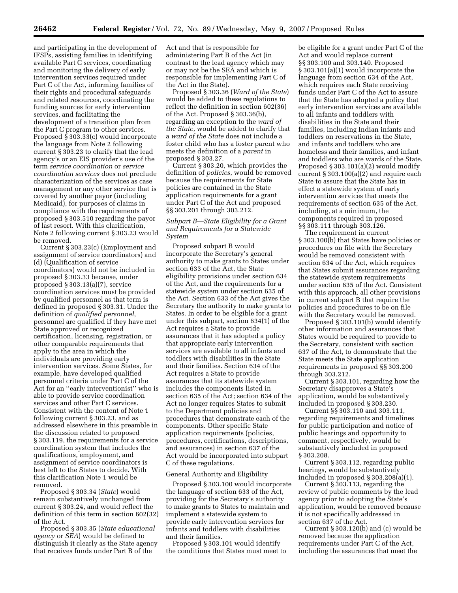and participating in the development of IFSPs, assisting families in identifying available Part C services, coordinating and monitoring the delivery of early intervention services required under Part C of the Act, informing families of their rights and procedural safeguards and related resources, coordinating the funding sources for early intervention services, and facilitating the development of a transition plan from the Part C program to other services. Proposed § 303.33(c) would incorporate the language from Note 2 following current § 303.23 to clarify that the lead agency's or an EIS provider's use of the term *service coordination* or *service coordination services* does not preclude characterization of the services as case management or any other service that is covered by another payor (including Medicaid), for purposes of claims in compliance with the requirements of proposed § 303.510 regarding the payor of last resort. With this clarification, Note 2 following current § 303.23 would be removed.

Current § 303.23(c) (Employment and assignment of service coordinators) and (d) (Qualification of service coordinators) would not be included in proposed § 303.33 because, under proposed § 303.13(a)(7), service coordination services must be provided by qualified personnel as that term is defined in proposed § 303.31. Under the definition of *qualified personnel*, personnel are qualified if they have met State approved or recognized certification, licensing, registration, or other comparable requirements that apply to the area in which the individuals are providing early intervention services. Some States, for example, have developed qualified personnel criteria under Part C of the Act for an ''early interventionist'' who is able to provide service coordination services and other Part C services. Consistent with the content of Note 1 following current § 303.23, and as addressed elsewhere in this preamble in the discussion related to proposed § 303.119, the requirements for a service coordination system that includes the qualifications, employment, and assignment of service coordinators is best left to the States to decide. With this clarification Note 1 would be removed.

Proposed § 303.34 (*State*) would remain substantively unchanged from current § 303.24, and would reflect the definition of this term in section 602(32) of the Act.

Proposed § 303.35 (*State educational agency* or *SEA*) would be defined to distinguish it clearly as the State agency that receives funds under Part B of the

Act and that is responsible for administering Part B of the Act (in contrast to the lead agency which may or may not be the SEA and which is responsible for implementing Part C of the Act in the State).

Proposed § 303.36 (*Ward of the State*) would be added to these regulations to reflect the definition in section 602(36) of the Act. Proposed § 303.36(b), regarding an exception to the *ward of the State*, would be added to clarify that a *ward of the State* does not include a foster child who has a foster parent who meets the definition of a *parent* in proposed § 303.27.

Current § 303.20, which provides the definition of *policies*, would be removed because the requirements for State policies are contained in the State application requirements for a grant under Part C of the Act and proposed §§ 303.201 through 303.212.

# *Subpart B—State Eligibility for a Grant and Requirements for a Statewide System*

Proposed subpart B would incorporate the Secretary's general authority to make grants to States under section 633 of the Act, the State eligibility provisions under section 634 of the Act, and the requirements for a statewide system under section 635 of the Act. Section 633 of the Act gives the Secretary the authority to make grants to States. In order to be eligible for a grant under this subpart, section 634(1) of the Act requires a State to provide assurances that it has adopted a policy that appropriate early intervention services are available to all infants and toddlers with disabilities in the State and their families. Section 634 of the Act requires a State to provide assurances that its statewide system includes the components listed in section 635 of the Act; section 634 of the Act no longer requires States to submit to the Department policies and procedures that demonstrate each of the components. Other specific State application requirements (policies, procedures, certifications, descriptions, and assurances) in section 637 of the Act would be incorporated into subpart C of these regulations.

## General Authority and Eligibility

Proposed § 303.100 would incorporate the language of section 633 of the Act, providing for the Secretary's authority to make grants to States to maintain and implement a statewide system to provide early intervention services for infants and toddlers with disabilities and their families.

Proposed § 303.101 would identify the conditions that States must meet to be eligible for a grant under Part C of the Act and would replace current §§ 303.100 and 303.140. Proposed § 303.101(a)(1) would incorporate the language from section 634 of the Act, which requires each State receiving funds under Part C of the Act to assure that the State has adopted a policy that early intervention services are available to all infants and toddlers with disabilities in the State and their families, including Indian infants and toddlers on reservations in the State, and infants and toddlers who are homeless and their families, and infant and toddlers who are wards of the State. Proposed § 303.101(a)(2) would modify current § 303.100(a)(2) and require each State to assure that the State has in effect a statewide system of early intervention services that meets the requirements of section 635 of the Act, including, at a minimum, the components required in proposed §§ 303.111 through 303.126.

The requirement in current § 303.100(b) that States have policies or procedures on file with the Secretary would be removed consistent with section 634 of the Act, which requires that States submit assurances regarding the statewide system requirements under section 635 of the Act. Consistent with this approach, all other provisions in current subpart B that require the policies and procedures to be on file with the Secretary would be removed.

Proposed § 303.101(b) would identify other information and assurances that States would be required to provide to the Secretary, consistent with section 637 of the Act, to demonstrate that the State meets the State application requirements in proposed §§ 303.200 through 303.212.

Current § 303.101, regarding how the Secretary disapproves a State's application, would be substantively included in proposed § 303.230.

Current §§ 303.110 and 303.111, regarding requirements and timelines for public participation and notice of public hearings and opportunity to comment, respectively, would be substantively included in proposed § 303.208.

Current § 303.112, regarding public hearings, would be substantively included in proposed § 303.208(a)(1).

Current § 303.113, regarding the review of public comments by the lead agency prior to adopting the State's application, would be removed because it is not specifically addressed in section 637 of the Act.

Current § 303.120(b) and (c) would be removed because the application requirements under Part C of the Act, including the assurances that meet the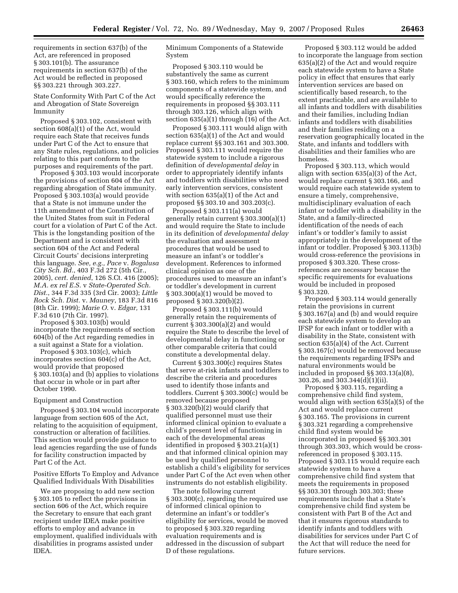requirements in section 637(b) of the Act, are referenced in proposed § 303.101(b). The assurance requirements in section 637(b) of the Act would be reflected in proposed §§ 303.221 through 303.227.

State Conformity With Part C of the Act and Abrogation of State Sovereign Immunity

Proposed § 303.102, consistent with section 608(a)(1) of the Act, would require each State that receives funds under Part C of the Act to ensure that any State rules, regulations, and policies relating to this part conform to the purposes and requirements of the part.

Proposed § 303.103 would incorporate the provisions of section 604 of the Act regarding abrogation of State immunity. Proposed § 303.103(a) would provide that a State is not immune under the 11th amendment of the Constitution of the United States from suit in Federal court for a violation of Part C of the Act. This is the longstanding position of the Department and is consistent with section 604 of the Act and Federal Circuit Courts' decisions interpreting this language. *See, e.g., Pace* v. *Bogalusa City Sch. Bd.*, 403 F.3d 272 (5th Cir., 2005), *cert. denied*, 126 S.Ct. 416 (2005); *M.A. ex rel E.S.* v *State-Operated Sch. Dist.*, 344 F.3d 335 (3rd Cir. 2003); *Little Rock Sch. Dist.* v. *Mauney*, 183 F.3d 816 (8th Cir. 1999); *Marie O.* v. *Edgar,* 131 F.3d 610 (7th Cir. 1997).

Proposed § 303.103(b) would incorporate the requirements of section 604(b) of the Act regarding remedies in a suit against a State for a violation.

Proposed § 303.103(c), which incorporates section 604(c) of the Act, would provide that proposed § 303.103(a) and (b) applies to violations that occur in whole or in part after October 1990.

#### Equipment and Construction

Proposed § 303.104 would incorporate language from section 605 of the Act, relating to the acquisition of equipment, construction or alteration of facilities. This section would provide guidance to lead agencies regarding the use of funds for facility construction impacted by Part C of the Act.

## Positive Efforts To Employ and Advance Qualified Individuals With Disabilities

We are proposing to add new section § 303.105 to reflect the provisions in section 606 of the Act, which require the Secretary to ensure that each grant recipient under IDEA make positive efforts to employ and advance in employment, qualified individuals with disabilities in programs assisted under IDEA.

Minimum Components of a Statewide System

Proposed § 303.110 would be substantively the same as current § 303.160, which refers to the minimum components of a statewide system, and would specifically reference the requirements in proposed §§ 303.111 through 303.126, which align with section 635(a)(1) through (16) of the Act.

Proposed § 303.111 would align with section 635(a)(1) of the Act and would replace current §§ 303.161 and 303.300. Proposed § 303.111 would require the statewide system to include a rigorous definition of *developmental delay* in order to appropriately identify infants and toddlers with disabilities who need early intervention services, consistent with section 635(a)(1) of the Act and proposed §§ 303.10 and 303.203(c).

Proposed § 303.111(a) would generally retain current § 303.300(a)(1) and would require the State to include in its definition of *developmental delay*  the evaluation and assessment procedures that would be used to measure an infant's or toddler's development. References to informed clinical opinion as one of the procedures used to measure an infant's or toddler's development in current § 303.300(a)(1) would be moved to proposed § 303.320(b)(2).

Proposed § 303.111(b) would generally retain the requirements of current § 303.300(a)(2) and would require the State to describe the level of developmental delay in functioning or other comparable criteria that could constitute a developmental delay.

Current § 303.300(c) requires States that serve at-risk infants and toddlers to describe the criteria and procedures used to identify those infants and toddlers. Current § 303.300(c) would be removed because proposed § 303.320(b)(2) would clarify that qualified personnel must use their informed clinical opinion to evaluate a child's present level of functioning in each of the developmental areas identified in proposed § 303.21(a)(1) and that informed clinical opinion may be used by qualified personnel to establish a child's eligibility for services under Part C of the Act even when other instruments do not establish eligibility.

The note following current § 303.300(c), regarding the required use of informed clinical opinion to determine an infant's or toddler's eligibility for services, would be moved to proposed § 303.320 regarding evaluation requirements and is addressed in the discussion of subpart D of these regulations.

Proposed § 303.112 would be added to incorporate the language from section 635(a)(2) of the Act and would require each statewide system to have a State policy in effect that ensures that early intervention services are based on scientifically based research, to the extent practicable, and are available to all infants and toddlers with disabilities and their families, including Indian infants and toddlers with disabilities and their families residing on a reservation geographically located in the State, and infants and toddlers with disabilities and their families who are homeless.

Proposed § 303.113, which would align with section 635(a)(3) of the Act, would replace current § 303.166, and would require each statewide system to ensure a timely, comprehensive, multidisciplinary evaluation of each infant or toddler with a disability in the State, and a family-directed identification of the needs of each infant's or toddler's family to assist appropriately in the development of the infant or toddler. Proposed § 303.113(b) would cross-reference the provisions in proposed § 303.320. These crossreferences are necessary because the specific requirements for evaluations would be included in proposed § 303.320.

Proposed § 303.114 would generally retain the provisions in current § 303.167(a) and (b) and would require each statewide system to develop an IFSP for each infant or toddler with a disability in the State, consistent with section 635(a)(4) of the Act. Current § 303.167(c) would be removed because the requirements regarding IFSPs and natural environments would be included in proposed §§ 303.13(a)(8), 303.26, and 303.344(d)(1)(ii).

Proposed § 303.115, regarding a comprehensive child find system, would align with section 635(a)(5) of the Act and would replace current § 303.165. The provisions in current § 303.321 regarding a comprehensive child find system would be incorporated in proposed §§ 303.301 through 303.303, which would be crossreferenced in proposed § 303.115. Proposed § 303.115 would require each statewide system to have a comprehensive child find system that meets the requirements in proposed §§ 303.301 through 303.303; these requirements include that a State's comprehensive child find system be consistent with Part B of the Act and that it ensures rigorous standards to identify infants and toddlers with disabilities for services under Part C of the Act that will reduce the need for future services.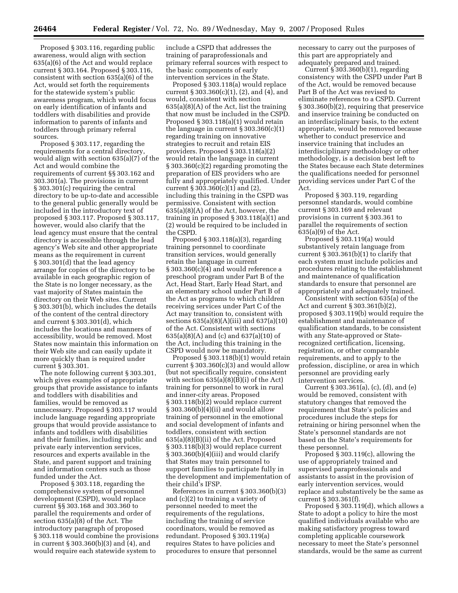Proposed § 303.116, regarding public awareness, would align with section 635(a)(6) of the Act and would replace current § 303.164. Proposed § 303.116, consistent with section 635(a)(6) of the Act, would set forth the requirements for the statewide system's public awareness program, which would focus on early identification of infants and toddlers with disabilities and provide information to parents of infants and toddlers through primary referral sources.

Proposed § 303.117, regarding the requirements for a central directory, would align with section 635(a)(7) of the Act and would combine the requirements of current §§ 303.162 and 303.301(a). The provisions in current § 303.301(c) requiring the central directory to be up-to-date and accessible to the general public generally would be included in the introductory text of proposed § 303.117. Proposed § 303.117, however, would also clarify that the lead agency must ensure that the central directory is accessible through the lead agency's Web site and other appropriate means as the requirement in current § 303.301(d) that the lead agency arrange for copies of the directory to be available in each geographic region of the State is no longer necessary, as the vast majority of States maintain the directory on their Web sites. Current § 303.301(b), which includes the details of the content of the central directory and current § 303.301(d), which includes the locations and manners of accessibility, would be removed. Most States now maintain this information on their Web site and can easily update it more quickly than is required under current § 303.301.

The note following current § 303.301, which gives examples of appropriate groups that provide assistance to infants and toddlers with disabilities and families, would be removed as unnecessary. Proposed § 303.117 would include language regarding appropriate groups that would provide assistance to infants and toddlers with disabilities and their families, including public and private early intervention services, resources and experts available in the State, and parent support and training and information centers such as those funded under the Act.

Proposed § 303.118, regarding the comprehensive system of personnel development (CSPD), would replace current §§ 303.168 and 303.360 to parallel the requirements and order of section 635(a)(8) of the Act. The introductory paragraph of proposed § 303.118 would combine the provisions in current § 303.360(b)(3) and (4), and would require each statewide system to

include a CSPD that addresses the training of paraprofessionals and primary referral sources with respect to the basic components of early intervention services in the State.

Proposed § 303.118(a) would replace current § 303.360(c)(1), (2), and (4), and would, consistent with section 635(a)(8)(A) of the Act, list the training that now must be included in the CSPD. Proposed § 303.118(a)(1) would retain the language in current § 303.360(c)(1) regarding training on innovative strategies to recruit and retain EIS providers. Proposed § 303.118(a)(2) would retain the language in current § 303.360(c)(2) regarding promoting the preparation of EIS providers who are fully and appropriately qualified. Under current § 303.360(c)(1) and (2), including this training in the CSPD was permissive. Consistent with section 635(a)(8)(A) of the Act, however, the training in proposed § 303.118(a)(1) and (2) would be required to be included in the CSPD.

Proposed § 303.118(a)(3), regarding training personnel to coordinate transition services, would generally retain the language in current  $\S 303.360(c)(4)$  and would reference a preschool program under Part B of the Act, Head Start, Early Head Start, and an elementary school under Part B of the Act as programs to which children receiving services under Part C of the Act may transition to, consistent with sections 635(a)(8)(A)(iii) and 637(a)(10) of the Act. Consistent with sections 635(a)(8)(A) and (c) and 637(a)(10) of the Act, including this training in the CSPD would now be mandatory.

Proposed § 303.118(b)(1) would retain current § 303.360(c)(3) and would allow (but not specifically require, consistent with section  $635(a)(8)(B)(i)$  of the Act) training for personnel to work in rural and inner-city areas. Proposed § 303.118(b)(2) would replace current § 303.360(b)(4)(ii) and would allow training of personnel in the emotional and social development of infants and toddlers, consistent with section 635(a)(8)(B)(ii) of the Act. Proposed § 303.118(b)(3) would replace current § 303.360(b)(4)(iii) and would clarify that States may train personnel to support families to participate fully in the development and implementation of their child's IFSP.

References in current § 303.360(b)(3) and (c)(2) to training a variety of personnel needed to meet the requirements of the regulations, including the training of service coordinators, would be removed as redundant. Proposed § 303.119(a) requires States to have policies and procedures to ensure that personnel

necessary to carry out the purposes of this part are appropriately and adequately prepared and trained.

Current § 303.360(b)(1), regarding consistency with the CSPD under Part B of the Act, would be removed because Part B of the Act was revised to eliminate references to a CSPD. Current § 303.360(b)(2), requiring that preservice and inservice training be conducted on an interdisciplinary basis, to the extent appropriate, would be removed because whether to conduct preservice and inservice training that includes an interdisciplinary methodology or other methodology, is a decision best left to the States because each State determines the qualifications needed for personnel providing services under Part C of the Act.

Proposed § 303.119, regarding personnel standards, would combine current § 303.169 and relevant provisions in current § 303.361 to parallel the requirements of section 635(a)(9) of the Act.

Proposed § 303.119(a) would substantively retain language from current  $\S 303.361(b)(1)$  to clarify that each system must include policies and procedures relating to the establishment and maintenance of qualification standards to ensure that personnel are appropriately and adequately trained.

Consistent with section 635(a) of the Act and current § 303.361(b)(2), proposed § 303.119(b) would require the establishment and maintenance of qualification standards, to be consistent with any State-approved or Staterecognized certification, licensing, registration, or other comparable requirements, and to apply to the profession, discipline, or area in which personnel are providing early intervention services.

Current § 303.361(a), (c), (d), and (e) would be removed, consistent with statutory changes that removed the requirement that State's policies and procedures include the steps for retraining or hiring personnel when the State's personnel standards are not based on the State's requirements for these personnel.

Proposed § 303.119(c), allowing the use of appropriately trained and supervised paraprofessionals and assistants to assist in the provision of early intervention services, would replace and substantively be the same as current § 303.361(f).

Proposed § 303.119(d), which allows a State to adopt a policy to hire the most qualified individuals available who are making satisfactory progress toward completing applicable coursework necessary to meet the State's personnel standards, would be the same as current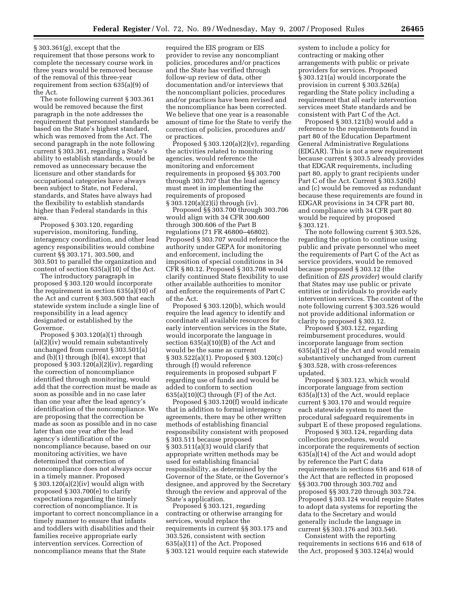§ 303.361(g), except that the requirement that those persons work to complete the necessary course work in three years would be removed because of the removal of this three-year requirement from section 635(a)(9) of the Act.

The note following current § 303.361 would be removed because the first paragraph in the note addresses the requirement that personnel standards be based on the State's highest standard, which was removed from the Act. The second paragraph in the note following current § 303.361, regarding a State's ability to establish standards, would be removed as unnecessary because the licensure and other standards for occupational categories have always been subject to State, not Federal, standards, and States have always had the flexibility to establish standards higher than Federal standards in this area.

Proposed § 303.120, regarding supervision, monitoring, funding, interagency coordination, and other lead agency responsibilities would combine current §§ 303.171, 303.500, and 303.501 to parallel the organization and content of section  $635(a)(10)$  of the Act.

The introductory paragraph in proposed § 303.120 would incorporate the requirement in section 635(a)(10) of the Act and current § 303.500 that each statewide system include a single line of responsibility in a lead agency designated or established by the Governor.

Proposed § 303.120(a)(1) through (a)(2)(iv) would remain substantively unchanged from current § 303.501(a) and (b)(1) through (b)(4), except that proposed § 303.120(a)(2)(iv), regarding the correction of noncompliance identified through monitoring, would add that the correction must be made as soon as possible and in no case later than one year after the lead agency's identification of the noncompliance. We are proposing that the correction be made as soon as possible and in no case later than one year after the lead agency's identification of the noncompliance because, based on our monitoring activities, we have determined that correction of noncompliance does not always occur in a timely manner. Proposed § 303.120(a)(2)(iv) would align with proposed § 303.700(e) to clarify expectations regarding the timely correction of noncompliance. It is important to correct noncompliance in a timely manner to ensure that infants and toddlers with disabilities and their families receive appropriate early intervention services. Correction of noncompliance means that the State

required the EIS program or EIS provider to revise any noncompliant policies, procedures and/or practices and the State has verified through follow-up review of data, other documentation and/or interviews that the noncompliant policies, procedures and/or practices have been revised and the noncompliance has been corrected. We believe that one year is a reasonable amount of time for the State to verify the correction of policies, procedures and/ or practices.

Proposed  $\S 303.120(a)(2)(v)$ , regarding the activities related to monitoring agencies, would reference the monitoring and enforcement requirements in proposed §§ 303.700 through 303.707 that the lead agency must meet in implementing the requirements of proposed § 303.120(a)(2)(i) through (iv).

Proposed §§ 303.700 through 303.706 would align with 34 CFR 300.600 through 300.606 of the Part B regulations (71 FR 46800–46802). Proposed § 303.707 would reference the authority under GEPA for monitoring and enforcement, including the imposition of special conditions in 34 CFR § 80.12. Proposed § 303.708 would clarify continued State flexibility to use other available authorities to monitor and enforce the requirements of Part C of the Act.

Proposed § 303.120(b), which would require the lead agency to identify and coordinate all available resources for early intervention services in the State, would incorporate the language in section 635(a)(10)(B) of the Act and would be the same as current § 303.522(a)(1). Proposed § 303.120(c) through (f) would reference requirements in proposed subpart F regarding use of funds and would be added to conform to section  $635(a)(10)(C)$  through  $(F)$  of the Act.

Proposed § 303.120(f) would indicate that in addition to formal interagency agreements, there may be other written methods of establishing financial responsibility consistent with proposed § 303.511 because proposed § 303.511(a)(3) would clarify that appropriate written methods may be used for establishing financial responsibility, as determined by the Governor of the State, or the Governor's designee, and approved by the Secretary through the review and approval of the State's application.

Proposed § 303.121, regarding contracting or otherwise arranging for services, would replace the requirements in current §§ 303.175 and 303.526, consistent with section 635(a)(11) of the Act. Proposed § 303.121 would require each statewide system to include a policy for contracting or making other arrangements with public or private providers for services. Proposed § 303.121(a) would incorporate the provision in current § 303.526(a) regarding the State policy including a requirement that all early intervention services meet State standards and be consistent with Part C of the Act.

Proposed § 303.121(b) would add a reference to the requirements found in part 80 of the Education Department General Administrative Regulations (EDGAR). This is not a new requirement because current § 303.5 already provides that EDGAR requirements, including part 80, apply to grant recipients under Part C of the Act. Current § 303.526(b) and (c) would be removed as redundant because these requirements are found in EDGAR provisions in 34 CFR part 80, and compliance with 34 CFR part 80 would be required by proposed § 303.121.

The note following current § 303.526, regarding the option to continue using public and private personnel who meet the requirements of Part C of the Act as service providers, would be removed because proposed § 303.12 (the definition of *EIS provider*) would clarify that States may use public or private entities or individuals to provide early intervention services. The content of the note following current § 303.526 would not provide additional information or clarity to proposed § 303.12.

Proposed § 303.122, regarding reimbursement procedures, would incorporate language from section 635(a)(12) of the Act and would remain substantively unchanged from current § 303.528, with cross-references updated.

Proposed § 303.123, which would incorporate language from section 635(a)(13) of the Act, would replace current § 303.170 and would require each statewide system to meet the procedural safeguard requirements in subpart E of these proposed regulations.

Proposed § 303.124, regarding data collection procedures, would incorporate the requirements of section 635(a)(14) of the Act and would adopt by reference the Part C data requirements in sections 616 and 618 of the Act that are reflected in proposed §§ 303.700 through 303.702 and proposed §§ 303.720 through 303.724. Proposed § 303.124 would require States to adopt data systems for reporting the data to the Secretary and would generally include the language in current §§ 303.176 and 303.540.

Consistent with the reporting requirements in sections 616 and 618 of the Act, proposed § 303.124(a) would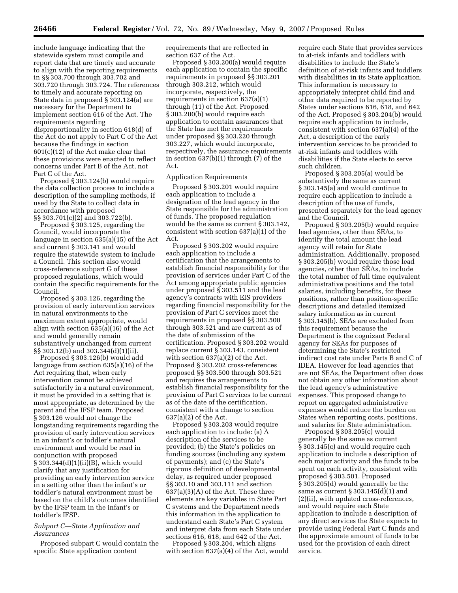include language indicating that the statewide system must compile and report data that are timely and accurate to align with the reporting requirements in §§ 303.700 through 303.702 and 303.720 through 303.724. The references to timely and accurate reporting on State data in proposed § 303.124(a) are necessary for the Department to implement section 616 of the Act. The requirements regarding disproportionality in section 618(d) of the Act do not apply to Part C of the Act because the findings in section 601(c)(12) of the Act make clear that these provisions were enacted to reflect concerns under Part B of the Act, not Part C of the Act.

Proposed § 303.124(b) would require the data collection process to include a description of the sampling methods, if used by the State to collect data in accordance with proposed §§ 303.701(c)(2) and 303.722(b).

Proposed § 303.125, regarding the Council, would incorporate the language in section 635(a)(15) of the Act and current § 303.141 and would require the statewide system to include a Council. This section also would cross-reference subpart G of these proposed regulations, which would contain the specific requirements for the Council.

Proposed § 303.126, regarding the provision of early intervention services in natural environments to the maximum extent appropriate, would align with section 635(a)(16) of the Act and would generally remain substantively unchanged from current §§ 303.12(b) and 303.344(d)(1)(ii).

Proposed § 303.126(b) would add language from section 635(a)(16) of the Act requiring that, when early intervention cannot be achieved satisfactorily in a natural environment, it must be provided in a setting that is most appropriate, as determined by the parent and the IFSP team. Proposed § 303.126 would not change the longstanding requirements regarding the provision of early intervention services in an infant's or toddler's natural environment and would be read in conjunction with proposed § 303.344(d)(1)(ii)(B), which would clarify that any justification for providing an early intervention service in a setting other than the infant's or toddler's natural environment must be based on the child's outcomes identified by the IFSP team in the infant's or toddler's IFSP.

# *Subpart C—State Application and Assurances*

Proposed subpart C would contain the specific State application content

requirements that are reflected in section 637 of the Act.

Proposed § 303.200(a) would require each application to contain the specific requirements in proposed §§ 303.201 through 303.212, which would incorporate, respectively, the requirements in section 637(a)(1) through (11) of the Act. Proposed § 303.200(b) would require each application to contain assurances that the State has met the requirements under proposed §§ 303.220 through 303.227, which would incorporate, respectively, the assurance requirements in section 637(b)(1) through (7) of the Act.

### Application Requirements

Proposed § 303.201 would require each application to include a designation of the lead agency in the State responsible for the administration of funds. The proposed regulation would be the same as current § 303.142, consistent with section 637(a)(1) of the Act.

Proposed § 303.202 would require each application to include a certification that the arrangements to establish financial responsibility for the provision of services under Part C of the Act among appropriate public agencies under proposed § 303.511 and the lead agency's contracts with EIS providers regarding financial responsibility for the provision of Part C services meet the requirements in proposed §§ 303.500 through 303.521 and are current as of the date of submission of the certification. Proposed § 303.202 would replace current § 303.143, consistent with section 637(a)(2) of the Act. Proposed § 303.202 cross-references proposed §§ 303.500 through 303.521 and requires the arrangements to establish financial responsibility for the provision of Part C services to be current as of the date of the certification, consistent with a change to section 637(a)(2) of the Act.

Proposed § 303.203 would require each application to include: (a) A description of the services to be provided; (b) the State's policies on funding sources (including any system of payments); and (c) the State's rigorous definition of developmental delay, as required under proposed §§ 303.10 and 303.111 and section  $637(a)(3)(A)$  of the Act. These three elements are key variables in State Part C systems and the Department needs this information in the application to understand each State's Part C system and interpret data from each State under sections 616, 618, and 642 of the Act.

Proposed § 303.204, which aligns with section 637(a)(4) of the Act, would require each State that provides services to at-risk infants and toddlers with disabilities to include the State's definition of at-risk infants and toddlers with disabilities in its State application. This information is necessary to appropriately interpret child find and other data required to be reported by States under sections 616, 618, and 642 of the Act. Proposed § 303.204(b) would require each application to include, consistent with section 637(a)(4) of the Act, a description of the early intervention services to be provided to at-risk infants and toddlers with disabilities if the State elects to serve such children.

Proposed § 303.205(a) would be substantively the same as current § 303.145(a) and would continue to require each application to include a description of the use of funds, presented separately for the lead agency and the Council.

Proposed § 303.205(b) would require lead agencies, other than SEAs, to identify the total amount the lead agency will retain for State administration. Additionally, proposed § 303.205(b) would require those lead agencies, other than SEAs, to include the total number of full time equivalent administrative positions and the total salaries, including benefits, for these positions, rather than position-specific descriptions and detailed itemized salary information as in current § 303.145(b). SEAs are excluded from this requirement because the Department is the cognizant Federal agency for SEAs for purposes of determining the State's restricted indirect cost rate under Parts B and C of IDEA. However for lead agencies that are not SEAs, the Department often does not obtain any other information about the lead agency's administrative expenses. This proposed change to report on aggregated administrative expenses would reduce the burden on States when reporting costs, positions, and salaries for State administration.

Proposed § 303.205(c) would generally be the same as current § 303.145(c) and would require each application to include a description of each major activity and the funds to be spent on each activity, consistent with proposed § 303.501. Proposed § 303.205(d) would generally be the same as current  $\S 303.145(d)(1)$  and (2)(ii), with updated cross-references, and would require each State application to include a description of any direct services the State expects to provide using Federal Part C funds and the approximate amount of funds to be used for the provision of each direct service.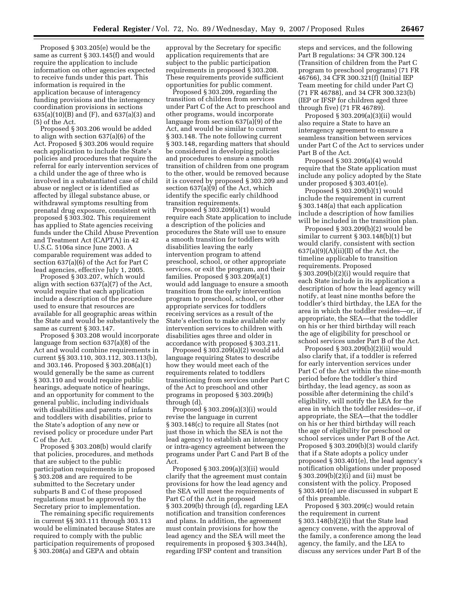Proposed § 303.205(e) would be the same as current § 303.145(f) and would require the application to include information on other agencies expected to receive funds under this part. This information is required in the application because of interagency funding provisions and the interagency coordination provisions in sections 635(a)(10)(B) and (F), and 637(a)(3) and (5) of the Act.

Proposed § 303.206 would be added to align with section 637(a)(6) of the Act. Proposed § 303.206 would require each application to include the State's policies and procedures that require the referral for early intervention services of a child under the age of three who is involved in a substantiated case of child abuse or neglect or is identified as affected by illegal substance abuse, or withdrawal symptoms resulting from prenatal drug exposure, consistent with proposed § 303.302. This requirement has applied to State agencies receiving funds under the Child Abuse Prevention and Treatment Act (CAPTA) in 42 U.S.C. 5106a since June 2003. A comparable requirement was added to section 637(a)(6) of the Act for Part C lead agencies, effective July 1, 2005.

Proposed § 303.207, which would align with section 637(a)(7) of the Act, would require that each application include a description of the procedure used to ensure that resources are available for all geographic areas within the State and would be substantively the same as current § 303.147.

Proposed § 303.208 would incorporate language from section 637(a)(8) of the Act and would combine requirements in current §§ 303.110, 303.112, 303.113(b), and 303.146. Proposed § 303.208(a)(1) would generally be the same as current § 303.110 and would require public hearings, adequate notice of hearings, and an opportunity for comment to the general public, including individuals with disabilities and parents of infants and toddlers with disabilities, prior to the State's adoption of any new or revised policy or procedure under Part C of the Act.

Proposed § 303.208(b) would clarify that policies, procedures, and methods that are subject to the public participation requirements in proposed § 303.208 and are required to be submitted to the Secretary under subparts B and C of these proposed regulations must be approved by the Secretary prior to implementation.

The remaining specific requirements in current §§ 303.111 through 303.113 would be eliminated because States are required to comply with the public participation requirements of proposed § 303.208(a) and GEPA and obtain

approval by the Secretary for specific application requirements that are subject to the public participation requirements in proposed § 303.208. These requirements provide sufficient opportunities for public comment.

Proposed § 303.209, regarding the transition of children from services under Part C of the Act to preschool and other programs, would incorporate language from section 637(a)(9) of the Act, and would be similar to current § 303.148. The note following current § 303.148, regarding matters that should be considered in developing policies and procedures to ensure a smooth transition of children from one program to the other, would be removed because it is covered by proposed § 303.209 and section 637(a)(9) of the Act, which identify the specific early childhood transition requirements.

Proposed § 303.209(a)(1) would require each State application to include a description of the policies and procedures the State will use to ensure a smooth transition for toddlers with disabilities leaving the early intervention program to attend preschool, school, or other appropriate services, or exit the program, and their families. Proposed § 303.209(a)(1) would add language to ensure a smooth transition from the early intervention program to preschool, school, or other appropriate services for toddlers receiving services as a result of the State's election to make available early intervention services to children with disabilities ages three and older in accordance with proposed § 303.211.

Proposed § 303.209(a)(2) would add language requiring States to describe how they would meet each of the requirements related to toddlers transitioning from services under Part C of the Act to preschool and other programs in proposed § 303.209(b) through (d).

Proposed § 303.209(a)(3)(i) would revise the language in current § 303.148(c) to require all States (not just those in which the SEA is not the lead agency) to establish an interagency or intra-agency agreement between the programs under Part C and Part B of the Act.

Proposed § 303.209(a)(3)(ii) would clarify that the agreement must contain provisions for how the lead agency and the SEA will meet the requirements of Part C of the Act in proposed § 303.209(b) through (d), regarding LEA notification and transition conferences and plans. In addition, the agreement must contain provisions for how the lead agency and the SEA will meet the requirements in proposed § 303.344(h), regarding IFSP content and transition

steps and services, and the following Part B regulations: 34 CFR 300.124 (Transition of children from the Part C program to preschool programs) (71 FR 46766), 34 CFR 300.321(f) (Initial IEP Team meeting for child under Part C) (71 FR 46788), and 34 CFR 300.323(b) (IEP or IFSP for children aged three through five) (71 FR 46789).

Proposed § 303.209(a)(3)(ii) would also require a State to have an interagency agreement to ensure a seamless transition between services under Part C of the Act to services under Part B of the Act.

Proposed § 303.209(a)(4) would require that the State application must include any policy adopted by the State under proposed § 303.401(e).

Proposed § 303.209(b)(1) would include the requirement in current § 303.148(a) that each application include a description of how families will be included in the transition plan.

Proposed § 303.209(b)(2) would be similar to current § 303.148(b)(1) but would clarify, consistent with section  $637(a)(9)(A)(ii)(II)$  of the Act, the timeline applicable to transition requirements. Proposed § 303.209(b)(2)(i) would require that each State include in its application a description of how the lead agency will notify, at least nine months before the toddler's third birthday, the LEA for the area in which the toddler resides—or, if appropriate, the SEA—that the toddler on his or her third birthday will reach the age of eligibility for preschool or school services under Part B of the Act.

Proposed § 303.209(b)(2)(ii) would also clarify that, if a toddler is referred for early intervention services under Part C of the Act within the nine-month period before the toddler's third birthday, the lead agency, as soon as possible after determining the child's eligibility, will notify the LEA for the area in which the toddler resides—or, if appropriate, the SEA—that the toddler on his or her third birthday will reach the age of eligibility for preschool or school services under Part B of the Act. Proposed § 303.209(b)(3) would clarify that if a State adopts a policy under proposed § 303.401(e), the lead agency's notification obligations under proposed § 303.209(b)(2)(i) and (ii) must be consistent with the policy. Proposed § 303.401(e) are discussed in subpart E of this preamble.

Proposed § 303.209(c) would retain the requirement in current § 303.148(b)(2)(i) that the State lead agency convene, with the approval of the family, a conference among the lead agency, the family, and the LEA to discuss any services under Part B of the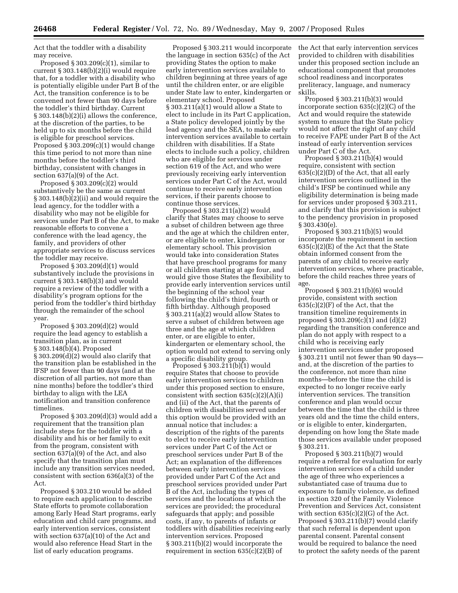Act that the toddler with a disability may receive.

Proposed  $\S 303.209(c)(1)$ , similar to current § 303.148(b)(2)(i) would require that, for a toddler with a disability who is potentially eligible under Part B of the Act, the transition conference is to be convened not fewer than 90 days before the toddler's third birthday. Current § 303.148(b)(2)(i) allows the conference, at the discretion of the parties, to be held up to six months before the child is eligible for preschool services. Proposed § 303.209(c)(1) would change this time period to not more than nine months before the toddler's third birthday, consistent with changes in section 637(a)(9) of the Act.

Proposed § 303.209(c)(2) would substantively be the same as current § 303.148(b)(2)(ii) and would require the lead agency, for the toddler with a disability who may not be eligible for services under Part B of the Act, to make reasonable efforts to convene a conference with the lead agency, the family, and providers of other appropriate services to discuss services the toddler may receive.

Proposed § 303.209(d)(1) would substantively include the provisions in current § 303.148(b)(3) and would require a review of the toddler with a disability's program options for the period from the toddler's third birthday through the remainder of the school year.

Proposed § 303.209(d)(2) would require the lead agency to establish a transition plan, as in current § 303.148(b)(4). Proposed § 303.209(d)(2) would also clarify that the transition plan be established in the IFSP not fewer than 90 days (and at the discretion of all parties, not more than nine months) before the toddler's third birthday to align with the LEA notification and transition conference timelines.

Proposed § 303.209(d)(3) would add a requirement that the transition plan include steps for the toddler with a disability and his or her family to exit from the program, consistent with section 637(a)(9) of the Act, and also specify that the transition plan must include any transition services needed, consistent with section 636(a)(3) of the Act.

Proposed § 303.210 would be added to require each application to describe State efforts to promote collaboration among Early Head Start programs, early education and child care programs, and early intervention services, consistent with section 637(a)(10) of the Act and would also reference Head Start in the list of early education programs.

Proposed § 303.211 would incorporate the language in section 635(c) of the Act providing States the option to make early intervention services available to children beginning at three years of age until the children enter, or are eligible under State law to enter, kindergarten or elementary school. Proposed § 303.211(a)(1) would allow a State to elect to include in its Part C application, a State policy developed jointly by the lead agency and the SEA, to make early intervention services available to certain children with disabilities. If a State elects to include such a policy, children who are eligible for services under section 619 of the Act, and who were previously receiving early intervention services under Part C of the Act, would continue to receive early intervention services, if their parents choose to continue those services.

Proposed § 303.211(a)(2) would clarify that States may choose to serve a subset of children between age three and the age at which the children enter, or are eligible to enter, kindergarten or elementary school. This provision would take into consideration States that have preschool programs for many or all children starting at age four, and would give those States the flexibility to provide early intervention services until the beginning of the school year following the child's third, fourth or fifth birthday. Although proposed § 303.211(a)(2) would allow States to serve a subset of children between age three and the age at which children enter, or are eligible to enter, kindergarten or elementary school, the option would not extend to serving only a specific disability group.

Proposed  $\S 303.211(b)(1)$  would require States that choose to provide early intervention services to children under this proposed section to ensure, consistent with section  $635(c)(2)(A)(i)$ and (ii) of the Act, that the parents of children with disabilities served under this option would be provided with an annual notice that includes: a description of the rights of the parents to elect to receive early intervention services under Part C of the Act or preschool services under Part B of the Act; an explanation of the differences between early intervention services provided under Part C of the Act and preschool services provided under Part B of the Act, including the types of services and the locations at which the services are provided; the procedural safeguards that apply; and possible costs, if any, to parents of infants or toddlers with disabilities receiving early intervention services. Proposed § 303.211(b)(2) would incorporate the requirement in section 635(c)(2)(B) of

the Act that early intervention services provided to children with disabilities under this proposed section include an educational component that promotes school readiness and incorporates preliteracy, language, and numeracy skills.

Proposed § 303.211(b)(3) would incorporate section 635(c)(2)(C) of the Act and would require the statewide system to ensure that the State policy would not affect the right of any child to receive FAPE under Part B of the Act instead of early intervention services under Part C of the Act.

Proposed § 303.211(b)(4) would require, consistent with section 635(c)(2)(D) of the Act, that all early intervention services outlined in the child's IFSP be continued while any eligibility determination is being made for services under proposed § 303.211, and clarify that this provision is subject to the pendency provision in proposed § 303.430(e).

Proposed § 303.211(b)(5) would incorporate the requirement in section 635(c)(2)(E) of the Act that the State obtain informed consent from the parents of any child to receive early intervention services, where practicable, before the child reaches three years of age.

Proposed § 303.211(b)(6) would provide, consistent with section  $635(c)(2)(F)$  of the Act, that the transition timeline requirements in proposed § 303.209(c)(1) and (d)(2) regarding the transition conference and plan do not apply with respect to a child who is receiving early intervention services under proposed § 303.211 until not fewer than 90 days and, at the discretion of the parties to the conference, not more than nine months—before the time the child is expected to no longer receive early intervention services. The transition conference and plan would occur between the time that the child is three years old and the time the child enters, or is eligible to enter, kindergarten, depending on how long the State made those services available under proposed § 303.211.

Proposed § 303.211(b)(7) would require a referral for evaluation for early intervention services of a child under the age of three who experiences a substantiated case of trauma due to exposure to family violence, as defined in section 320 of the Family Violence Prevention and Services Act, consistent with section 635(c)(2)(G) of the Act. Proposed § 303.211(b)(7) would clarify that such referral is dependent upon parental consent. Parental consent would be required to balance the need to protect the safety needs of the parent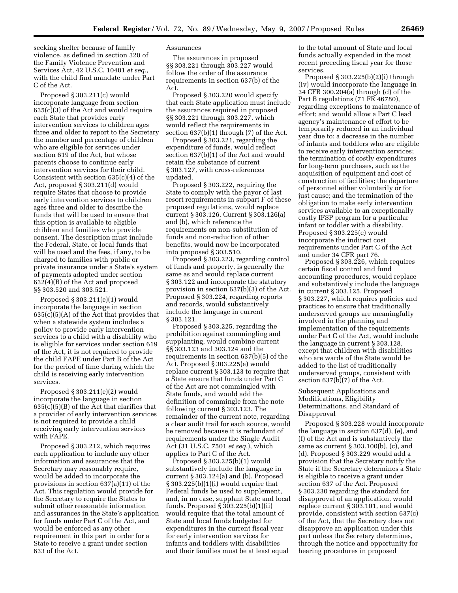seeking shelter because of family violence, as defined in section 320 of the Family Violence Prevention and Services Act, 42 U.S.C. 10401 *et seq.*, with the child find mandate under Part C of the Act.

Proposed § 303.211(c) would incorporate language from section 635(c)(3) of the Act and would require each State that provides early intervention services to children ages three and older to report to the Secretary the number and percentage of children who are eligible for services under section 619 of the Act, but whose parents choose to continue early intervention services for their child. Consistent with section 635(c)(4) of the Act, proposed § 303.211(d) would require States that choose to provide early intervention services to children ages three and older to describe the funds that will be used to ensure that this option is available to eligible children and families who provide consent. The description must include the Federal, State, or local funds that will be used and the fees, if any, to be charged to families with public or private insurance under a State's system of payments adopted under section 632(4)(B) of the Act and proposed §§ 303.520 and 303.521.

Proposed § 303.211(e)(1) would incorporate the language in section  $635(c)(5)(A)$  of the Act that provides that when a statewide system includes a policy to provide early intervention services to a child with a disability who is eligible for services under section 619 of the Act, it is not required to provide the child FAPE under Part B of the Act for the period of time during which the child is receiving early intervention services.

Proposed § 303.211(e)(2) would incorporate the language in section 635(c)(5)(B) of the Act that clarifies that a provider of early intervention services is not required to provide a child receiving early intervention services with FAPE.

Proposed § 303.212, which requires each application to include any other information and assurances that the Secretary may reasonably require, would be added to incorporate the provisions in section 637(a)(11) of the Act. This regulation would provide for the Secretary to require the States to submit other reasonable information and assurances in the State's application for funds under Part C of the Act, and would be enforced as any other requirement in this part in order for a State to receive a grant under section 633 of the Act.

## Assurances

The assurances in proposed §§ 303.221 through 303.227 would follow the order of the assurance requirements in section 637(b) of the Act.

Proposed § 303.220 would specify that each State application must include the assurances required in proposed §§ 303.221 through 303.227, which would reflect the requirements in section 637(b)(1) through (7) of the Act.

Proposed § 303.221, regarding the expenditure of funds, would reflect section 637(b)(1) of the Act and would retain the substance of current § 303.127, with cross-references updated.

Proposed § 303.222, requiring the State to comply with the payor of last resort requirements in subpart F of these proposed regulations, would replace current § 303.126. Current § 303.126(a) and (b), which reference the requirements on non-substitution of funds and non-reduction of other benefits, would now be incorporated into proposed § 303.510.

Proposed § 303.223, regarding control of funds and property, is generally the same as and would replace current § 303.122 and incorporate the statutory provision in section 637(b)(3) of the Act. Proposed § 303.224, regarding reports and records, would substantively include the language in current § 303.121.

Proposed § 303.225, regarding the prohibition against commingling and supplanting, would combine current §§ 303.123 and 303.124 and the requirements in section 637(b)(5) of the Act. Proposed § 303.225(a) would replace current § 303.123 to require that a State ensure that funds under Part C of the Act are not commingled with State funds, and would add the definition of commingle from the note following current § 303.123. The remainder of the current note, regarding a clear audit trail for each source, would be removed because it is redundant of requirements under the Single Audit Act (31 U.S.C. 7501 *et seq.*), which applies to Part C of the Act.

Proposed § 303.225(b)(1) would substantively include the language in current § 303.124(a) and (b). Proposed  $\S 303.225(b)(1)(i)$  would require that Federal funds be used to supplement, and, in no case, supplant State and local funds. Proposed § 303.225(b)(1)(ii) would require that the total amount of State and local funds budgeted for expenditures in the current fiscal year for early intervention services for infants and toddlers with disabilities and their families must be at least equal

to the total amount of State and local funds actually expended in the most recent preceding fiscal year for those services.

Proposed  $\S 303.225(b)(2)(i)$  through (iv) would incorporate the language in 34 CFR 300.204(a) through (d) of the Part B regulations (71 FR 46780), regarding exceptions to maintenance of effort; and would allow a Part C lead agency's maintenance of effort to be temporarily reduced in an individual year due to: a decrease in the number of infants and toddlers who are eligible to receive early intervention services; the termination of costly expenditures for long-term purchases, such as the acquisition of equipment and cost of construction of facilities; the departure of personnel either voluntarily or for just cause; and the termination of the obligation to make early intervention services available to an exceptionally costly IFSP program for a particular infant or toddler with a disability. Proposed § 303.225(c) would incorporate the indirect cost requirements under Part C of the Act and under 34 CFR part 76.

Proposed § 303.226, which requires certain fiscal control and fund accounting procedures, would replace and substantively include the language in current § 303.125. Proposed § 303.227, which requires policies and practices to ensure that traditionally underserved groups are meaningfully involved in the planning and implementation of the requirements under Part C of the Act, would include the language in current § 303.128, except that children with disabilities who are wards of the State would be added to the list of traditionally underserved groups, consistent with section 637(b)(7) of the Act.

Subsequent Applications and Modifications, Eligibility Determinations, and Standard of Disapproval

Proposed § 303.228 would incorporate the language in section 637(d), (e), and (f) of the Act and is substantively the same as current § 303.100(b), (c), and (d). Proposed § 303.229 would add a provision that the Secretary notify the State if the Secretary determines a State is eligible to receive a grant under section 637 of the Act. Proposed § 303.230 regarding the standard for disapproval of an application, would replace current § 303.101, and would provide, consistent with section 637(c) of the Act, that the Secretary does not disapprove an application under this part unless the Secretary determines, through the notice and opportunity for hearing procedures in proposed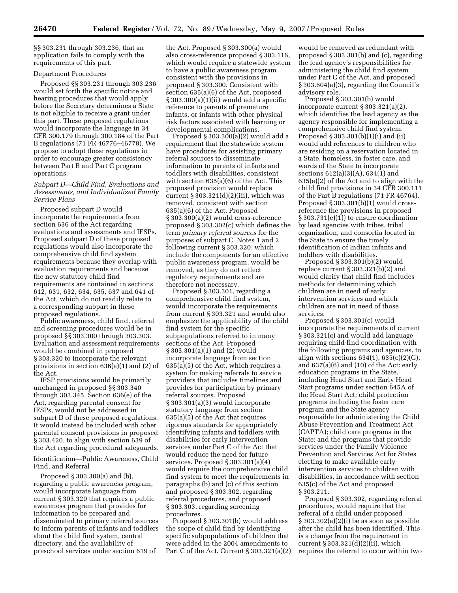§§ 303.231 through 303.236, that an application fails to comply with the requirements of this part.

# Department Procedures

Proposed §§ 303.231 through 303.236 would set forth the specific notice and hearing procedures that would apply before the Secretary determines a State is not eligible to receive a grant under this part. These proposed regulations would incorporate the language in 34 CFR 300.179 through 300.184 of the Part B regulations (71 FR 46776–46778). We propose to adopt these regulations in order to encourage greater consistency between Part B and Part C program operations.

## *Subpart D—Child Find, Evaluations and Assessments, and Individualized Family Service Plans*

Proposed subpart D would incorporate the requirements from section 636 of the Act regarding evaluations and assessments and IFSPs. Proposed subpart D of these proposed regulations would also incorporate the comprehensive child find system requirements because they overlap with evaluation requirements and because the new statutory child find requirements are contained in sections 612, 631, 632, 634, 635, 637 and 641 of the Act, which do not readily relate to a corresponding subpart in these proposed regulations.

Public awareness, child find, referral and screening procedures would be in proposed §§ 303.300 through 303.303. Evaluation and assessment requirements would be combined in proposed § 303.320 to incorporate the relevant provisions in section 636(a)(1) and (2) of the Act.

IFSP provisions would be primarily unchanged in proposed §§ 303.340 through 303.345. Section 636(e) of the Act, regarding parental consent for IFSPs, would not be addressed in subpart D of these proposed regulations. It would instead be included with other parental consent provisions in proposed § 303.420, to align with section 639 of the Act regarding procedural safeguards.

Identification—Public Awareness, Child Find, and Referral

Proposed § 303.300(a) and (b), regarding a public awareness program, would incorporate language from current § 303.320 that requires a public awareness program that provides for information to be prepared and disseminated to primary referral sources to inform parents of infants and toddlers about the child find system, central directory, and the availability of preschool services under section 619 of

the Act. Proposed § 303.300(a) would also cross-reference proposed § 303.116, which would require a statewide system to have a public awareness program consistent with the provisions in proposed § 303.300. Consistent with section 635(a)(6) of the Act, proposed § 303.300(a)(1)(ii) would add a specific reference to parents of premature infants, or infants with other physical risk factors associated with learning or developmental complications.

Proposed  $\S 303.300(a)(2)$  would add a requirement that the statewide system have procedures for assisting primary referral sources to disseminate information to parents of infants and toddlers with disabilities, consistent with section 635(a)(6) of the Act. This proposed provision would replace current  $\S 303.321(d)(2)(iii)$ , which was removed, consistent with section 635(a)(6) of the Act. Proposed § 303.300(a)(2) would cross-reference proposed § 303.302(c) which defines the term *primary referral sources* for the purposes of subpart C. Notes 1 and 2 following current § 303.320, which include the components for an effective public awareness program, would be removed, as they do not reflect regulatory requirements and are therefore not necessary.

Proposed § 303.301, regarding a comprehensive child find system, would incorporate the requirements from current § 303.321 and would also emphasize the applicability of the child find system for the specific subpopulations referred to in many sections of the Act. Proposed § 303.301(a)(1) and (2) would incorporate language from section 635(a)(5) of the Act, which requires a system for making referrals to service providers that includes timelines and provides for participation by primary referral sources. Proposed § 303.301(a)(3) would incorporate statutory language from section 635(a)(5) of the Act that requires rigorous standards for appropriately identifying infants and toddlers with disabilities for early intervention services under Part C of the Act that would reduce the need for future services. Proposed § 303.301(a)(4) would require the comprehensive child find system to meet the requirements in paragraphs (b) and (c) of this section and proposed § 303.302, regarding referral procedures, and proposed § 303.303, regarding screening procedures.

Proposed § 303.301(b) would address the scope of child find by identifying specific subpopulations of children that were added in the 2004 amendments to Part C of the Act. Current § 303.321(a)(2)

would be removed as redundant with proposed § 303.301(b) and (c), regarding the lead agency's responsibilities for administering the child find system under Part C of the Act, and proposed § 303.604(a)(3), regarding the Council's advisory role.

Proposed § 303.301(b) would incorporate current § 303.321(a)(2), which identifies the lead agency as the agency responsible for implementing a comprehensive child find system. Proposed § 303.301(b)(1)(i) and (ii) would add references to children who are residing on a reservation located in a State, homeless, in foster care, and wards of the State to incorporate sections 612(a)(3)(A), 634(1) and 635(a)(2) of the Act and to align with the child find provisions in 34 CFR 300.111 of the Part B regulations (71 FR 46764). Proposed § 303.301(b)(1) would crossreference the provisions in proposed § 303.731(e)(1)) to ensure coordination by lead agencies with tribes, tribal organization, and consortia located in the State to ensure the timely identification of Indian infants and toddlers with disabilities.

Proposed § 303.301(b)(2) would replace current § 303.321(b)(2) and would clarify that child find includes methods for determining which children are in need of early intervention services and which children are not in need of those services.

Proposed § 303.301(c) would incorporate the requirements of current § 303.321(c) and would add language requiring child find coordination with the following programs and agencies, to align with sections  $634(1)$ ,  $635(c)(2)(G)$ , and 637(a)(6) and (10) of the Act: early education programs in the State, including Head Start and Early Head Start programs under section 645A of the Head Start Act; child protection programs including the foster care program and the State agency responsible for administering the Child Abuse Prevention and Treatment Act (CAPTA); child care programs in the State; and the programs that provide services under the Family Violence Prevention and Services Act for States electing to make available early intervention services to children with disabilities, in accordance with section 635(c) of the Act and proposed § 303.211.

Proposed § 303.302, regarding referral procedures, would require that the referral of a child under proposed § 303.302(a)(2)(i) be as soon as possible after the child has been identified. This is a change from the requirement in current § 303.321(d)(2)(ii), which requires the referral to occur within two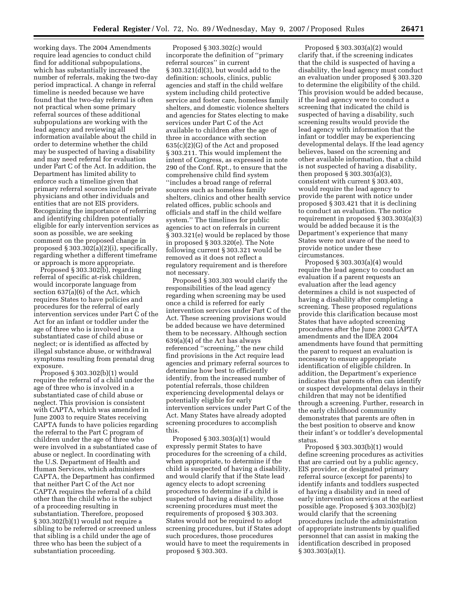working days. The 2004 Amendments require lead agencies to conduct child find for additional subpopulations, which has substantially increased the number of referrals, making the two-day period impractical. A change in referral timeline is needed because we have found that the two-day referral is often not practical when some primary referral sources of these additional subpopulations are working with the lead agency and reviewing all information available about the child in order to determine whether the child may be suspected of having a disability and may need referral for evaluation under Part C of the Act. In addition, the Department has limited ability to enforce such a timeline given that primary referral sources include private physicians and other individuals and entities that are not EIS providers. Recognizing the importance of referring and identifying children potentially eligible for early intervention services as soon as possible, we are seeking comment on the proposed change in proposed § 303.302(a)(2)(i), specifically, regarding whether a different timeframe or approach is more appropriate.

Proposed § 303.302(b), regarding referral of specific at-risk children, would incorporate language from section 637(a)(6) of the Act, which requires States to have policies and procedures for the referral of early intervention services under Part C of the Act for an infant or toddler under the age of three who is involved in a substantiated case of child abuse or neglect; or is identified as affected by illegal substance abuse, or withdrawal symptoms resulting from prenatal drug exposure.

Proposed § 303.302(b)(1) would require the referral of a child under the age of three who is involved in a substantiated case of child abuse or neglect. This provision is consistent with CAPTA, which was amended in June 2003 to require States receiving CAPTA funds to have policies regarding the referral to the Part C program of children under the age of three who were involved in a substantiated case of abuse or neglect. In coordinating with the U.S. Department of Health and Human Services, which administers CAPTA, the Department has confirmed that neither Part C of the Act nor CAPTA requires the referral of a child other than the child who is the subject of a proceeding resulting in substantiation. Therefore, proposed § 303.302(b)(1) would not require a sibling to be referred or screened unless that sibling is a child under the age of three who has been the subject of a substantiation proceeding.

Proposed § 303.302(c) would incorporate the definition of ''primary referral sources'' in current § 303.321(d)(3), but would add to the definition: schools, clinics, public agencies and staff in the child welfare system including child protective service and foster care, homeless family shelters, and domestic violence shelters and agencies for States electing to make services under Part C of the Act available to children after the age of three in accordance with section 635(c)(2)(G) of the Act and proposed § 303.211. This would implement the intent of Congress, as expressed in note 290 of the Conf. Rpt., to ensure that the comprehensive child find system ''includes a broad range of referral sources such as homeless family shelters, clinics and other health service related offices, public schools and officials and staff in the child welfare system.'' The timelines for public agencies to act on referrals in current § 303.321(e) would be replaced by those in proposed § 303.320(e). The Note following current § 303.321 would be removed as it does not reflect a regulatory requirement and is therefore not necessary.

Proposed § 303.303 would clarify the responsibilities of the lead agency regarding when screening may be used once a child is referred for early intervention services under Part C of the Act. These screening provisions would be added because we have determined them to be necessary. Although section 639(a)(4) of the Act has always referenced ''screening,'' the new child find provisions in the Act require lead agencies and primary referral sources to determine how best to efficiently identify, from the increased number of potential referrals, those children experiencing developmental delays or potentially eligible for early intervention services under Part C of the Act. Many States have already adopted screening procedures to accomplish this.

Proposed § 303.303(a)(1) would expressly permit States to have procedures for the screening of a child, when appropriate, to determine if the child is suspected of having a disability, and would clarify that if the State lead agency elects to adopt screening procedures to determine if a child is suspected of having a disability, those screening procedures must meet the requirements of proposed § 303.303. States would not be required to adopt screening procedures, but if States adopt such procedures, those procedures would have to meet the requirements in proposed § 303.303.

Proposed § 303.303(a)(2) would clarify that, if the screening indicates that the child is suspected of having a disability, the lead agency must conduct an evaluation under proposed § 303.320 to determine the eligibility of the child. This provision would be added because, if the lead agency were to conduct a screening that indicated the child is suspected of having a disability, such screening results would provide the lead agency with information that the infant or toddler may be experiencing developmental delays. If the lead agency believes, based on the screening and other available information, that a child is not suspected of having a disability, then proposed § 303.303(a)(3), consistent with current § 303.403, would require the lead agency to provide the parent with notice under proposed § 303.421 that it is declining to conduct an evaluation. The notice requirement in proposed § 303.303(a)(3) would be added because it is the Department's experience that many States were not aware of the need to provide notice under these circumstances.

Proposed § 303.303(a)(4) would require the lead agency to conduct an evaluation if a parent requests an evaluation after the lead agency determines a child is not suspected of having a disability after completing a screening. These proposed regulations provide this clarification because most States that have adopted screening procedures after the June 2003 CAPTA amendments and the IDEA 2004 amendments have found that permitting the parent to request an evaluation is necessary to ensure appropriate identification of eligible children. In addition, the Department's experience indicates that parents often can identify or suspect developmental delays in their children that may not be identified through a screening. Further, research in the early childhood community demonstrates that parents are often in the best position to observe and know their infant's or toddler's developmental status.

Proposed § 303.303(b)(1) would define screening procedures as activities that are carried out by a public agency, EIS provider, or designated primary referral source (except for parents) to identify infants and toddlers suspected of having a disability and in need of early intervention services at the earliest possible age. Proposed § 303.303(b)(2) would clarify that the screening procedures include the administration of appropriate instruments by qualified personnel that can assist in making the identification described in proposed § 303.303(a)(1).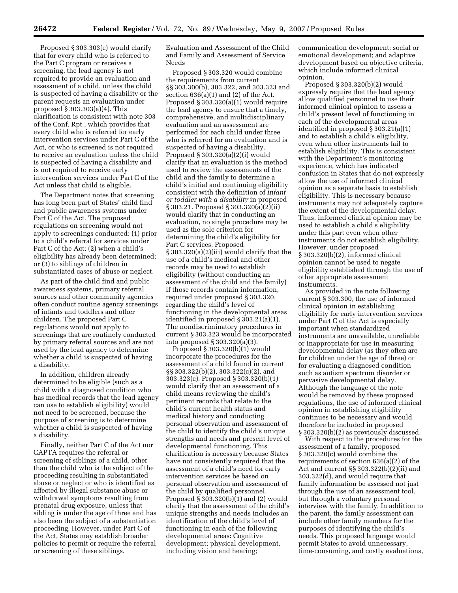Proposed § 303.303(c) would clarify that for every child who is referred to the Part C program or receives a screening, the lead agency is not required to provide an evaluation and assessment of a child, unless the child is suspected of having a disability or the parent requests an evaluation under proposed § 303.303(a)(4). This clarification is consistent with note 303 of the Conf. Rpt., which provides that every child who is referred for early intervention services under Part C of the Act, or who is screened is not required to receive an evaluation unless the child is suspected of having a disability and is not required to receive early intervention services under Part C of the Act unless that child is eligible.

The Department notes that screening has long been part of States' child find and public awareness systems under Part C of the Act. The proposed regulations on screening would not apply to screenings conducted: (1) prior to a child's referral for services under Part C of the Act; (2) when a child's eligibility has already been determined; or (3) to siblings of children in substantiated cases of abuse or neglect.

As part of the child find and public awareness systems, primary referral sources and other community agencies often conduct routine agency screenings of infants and toddlers and other children. The proposed Part C regulations would not apply to screenings that are routinely conducted by primary referral sources and are not used by the lead agency to determine whether a child is suspected of having a disability.

In addition, children already determined to be eligible (such as a child with a diagnosed condition who has medical records that the lead agency can use to establish eligibility) would not need to be screened, because the purpose of screening is to determine whether a child is suspected of having a disability.

Finally, neither Part C of the Act nor CAPTA requires the referral or screening of siblings of a child, other than the child who is the subject of the proceeding resulting in substantiated abuse or neglect or who is identified as affected by illegal substance abuse or withdrawal symptoms resulting from prenatal drug exposure, unless that sibling is under the age of three and has also been the subject of a substantiation proceeding. However, under Part C of the Act, States may establish broader policies to permit or require the referral or screening of these siblings.

Evaluation and Assessment of the Child and Family and Assessment of Service Needs

Proposed § 303.320 would combine the requirements from current §§ 303.300(b), 303.322, and 303.323 and section  $636(a)(1)$  and  $(2)$  of the Act. Proposed § 303.320(a)(1) would require the lead agency to ensure that a timely, comprehensive, and multidisciplinary evaluation and an assessment are performed for each child under three who is referred for an evaluation and is suspected of having a disability. Proposed § 303.320(a)(2)(i) would clarify that an evaluation is the method used to review the assessments of the child and the family to determine a child's initial and continuing eligibility consistent with the definition of *infant or toddler with a disability* in proposed § 303.21. Proposed § 303.320(a)(2)(ii) would clarify that in conducting an evaluation, no single procedure may be used as the sole criterion for determining the child's eligibility for Part C services. Proposed § 303.320(a)(2)(iii) would clarify that the use of a child's medical and other records may be used to establish eligibility (without conducting an assessment of the child and the family) if those records contain information, required under proposed § 303.320, regarding the child's level of functioning in the developmental areas identified in proposed § 303.21(a)(1). The nondiscriminatory procedures in current § 303.323 would be incorporated into proposed § 303.320(a)(3).

Proposed § 303.320(b)(1) would incorporate the procedures for the assessment of a child found in current §§ 303.322(b)(2), 303.322(c)(2), and 303.323(c). Proposed § 303.320(b)(1) would clarify that an assessment of a child means reviewing the child's pertinent records that relate to the child's current health status and medical history and conducting personal observation and assessment of the child to identify the child's unique strengths and needs and present level of developmental functioning. This clarification is necessary because States have not consistently required that the assessment of a child's need for early intervention services be based on personal observation and assessment of the child by qualified personnel. Proposed § 303.320(b)(1) and (2) would clarify that the assessment of the child's unique strengths and needs includes an identification of the child's level of functioning in each of the following developmental areas: Cognitive development; physical development, including vision and hearing;

communication development; social or emotional development; and adaptive development based on objective criteria, which include informed clinical opinion.

Proposed § 303.320(b)(2) would expressly require that the lead agency allow qualified personnel to use their informed clinical opinion to assess a child's present level of functioning in each of the developmental areas identified in proposed § 303.21(a)(1) and to establish a child's eligibility, even when other instruments fail to establish eligibility. This is consistent with the Department's monitoring experience, which has indicated confusion in States that do not expressly allow the use of informed clinical opinion as a separate basis to establish eligibility. This is necessary because instruments may not adequately capture the extent of the developmental delay. Thus, informed clinical opinion may be used to establish a child's eligibility under this part even when other instruments do not establish eligibility. However, under proposed § 303.320(b)(2), informed clinical opinion cannot be used to negate eligibility established through the use of other appropriate assessment instruments.

As provided in the note following current § 303.300, the use of informed clinical opinion in establishing eligibility for early intervention services under Part C of the Act is especially important when standardized instruments are unavailable, unreliable or inappropriate for use in measuring developmental delay (as they often are for children under the age of three) or for evaluating a diagnosed condition such as autism spectrum disorder or pervasive developmental delay. Although the language of the note would be removed by these proposed regulations, the use of informed clinical opinion in establishing eligibility continues to be necessary and would therefore be included in proposed § 303.320(b)(2) as previously discussed.

With respect to the procedures for the assessment of a family, proposed § 303.320(c) would combine the requirements of section 636(a)(2) of the Act and current §§ 303.322(b)(2)(ii) and 303.322(d), and would require that family information be assessed not just through the use of an assessment tool, but through a voluntary personal interview with the family. In addition to the parent, the family assessment can include other family members for the purposes of identifying the child's needs. This proposed language would permit States to avoid unnecessary, time-consuming, and costly evaluations,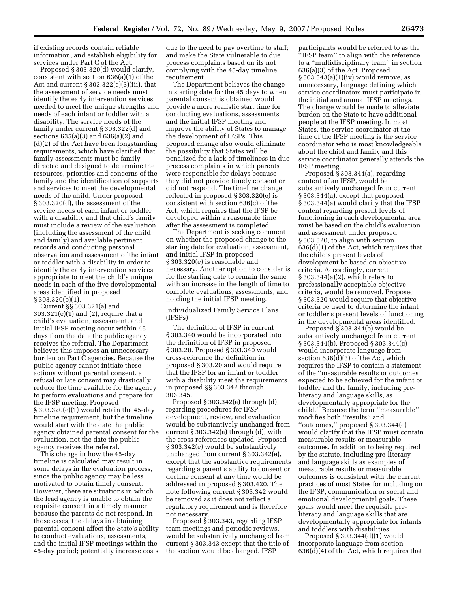if existing records contain reliable information, and establish eligibility for services under Part C of the Act.

Proposed § 303.320(d) would clarify, consistent with section 636(a)(1) of the Act and current § 303.322(c)(3)(iii), that the assessment of service needs must identify the early intervention services needed to meet the unique strengths and needs of each infant or toddler with a disability. The service needs of the family under current § 303.322(d) and sections 635(a)(3) and 636(a)(2) and (d)(2) of the Act have been longstanding requirements, which have clarified that family assessments must be family directed and designed to determine the resources, priorities and concerns of the family and the identification of supports and services to meet the developmental needs of the child. Under proposed § 303.320(d), the assessment of the service needs of each infant or toddler with a disability and that child's family must include a review of the evaluation (including the assessment of the child and family) and available pertinent records and conducting personal observation and assessment of the infant or toddler with a disability in order to identify the early intervention services appropriate to meet the child's unique needs in each of the five developmental areas identified in proposed § 303.320(b)(1).

Current §§ 303.321(a) and 303.321(e)(1) and (2), require that a child's evaluation, assessment, and initial IFSP meeting occur within 45 days from the date the public agency receives the referral. The Department believes this imposes an unnecessary burden on Part C agencies. Because the public agency cannot initiate these actions without parental consent, a refusal or late consent may drastically reduce the time available for the agency to perform evaluations and prepare for the IFSP meeting. Proposed § 303.320(e)(1) would retain the 45-day timeline requirement, but the timeline would start with the date the public agency obtained parental consent for the evaluation, not the date the public agency receives the referral.

This change in how the 45-day timeline is calculated may result in some delays in the evaluation process, since the public agency may be less motivated to obtain timely consent. However, there are situations in which the lead agency is unable to obtain the requisite consent in a timely manner because the parents do not respond. In those cases, the delays in obtaining parental consent affect the State's ability to conduct evaluations, assessments, and the initial IFSP meetings within the 45-day period; potentially increase costs

due to the need to pay overtime to staff; and make the State vulnerable to due process complaints based on its not complying with the 45-day timeline requirement.

The Department believes the change in starting date for the 45 days to when parental consent is obtained would provide a more realistic start time for conducting evaluations, assessments and the initial IFSP meeting and improve the ability of States to manage the development of IFSPs. This proposed change also would eliminate the possibility that States will be penalized for a lack of timeliness in due process complaints in which parents were responsible for delays because they did not provide timely consent or did not respond. The timeline change reflected in proposed § 303.320(e) is consistent with section 636(c) of the Act, which requires that the IFSP be developed within a reasonable time after the assessment is completed.

The Department is seeking comment on whether the proposed change to the starting date for evaluation, assessment, and initial IFSP in proposed § 303.320(e) is reasonable and necessary. Another option to consider is for the starting date to remain the same with an increase in the length of time to complete evaluations, assessments, and holding the initial IFSP meeting.

Individualized Family Service Plans (IFSPs)

The definition of IFSP in current § 303.340 would be incorporated into the definition of IFSP in proposed § 303.20. Proposed § 303.340 would cross-reference the definition in proposed § 303.20 and would require that the IFSP for an infant or toddler with a disability meet the requirements in proposed §§ 303.342 through 303.345.

Proposed § 303.342(a) through (d), regarding procedures for IFSP development, review, and evaluation would be substantively unchanged from current § 303.342(a) through (d), with the cross-references updated. Proposed § 303.342(e) would be substantively unchanged from current § 303.342(e), except that the substantive requirements regarding a parent's ability to consent or decline consent at any time would be addressed in proposed § 303.420. The note following current § 303.342 would be removed as it does not reflect a regulatory requirement and is therefore not necessary.

Proposed § 303.343, regarding IFSP team meetings and periodic reviews, would be substantively unchanged from current § 303.343 except that the title of the section would be changed. IFSP

participants would be referred to as the ''IFSP team'' to align with the reference to a ''multidisciplinary team'' in section 636(a)(3) of the Act. Proposed  $§ 303.343(a)(1)(iv)$  would remove, as unnecessary, language defining which service coordinators must participate in the initial and annual IFSP meetings. The change would be made to alleviate burden on the State to have additional people at the IFSP meeting. In most States, the service coordinator at the time of the IFSP meeting is the service coordinator who is most knowledgeable about the child and family and this service coordinator generally attends the IFSP meeting.

Proposed  $\bar{\S}$  303.344(a), regarding content of an IFSP, would be substantively unchanged from current § 303.344(a), except that proposed § 303.344(a) would clarify that the IFSP content regarding present levels of functioning in each developmental area must be based on the child's evaluation and assessment under proposed § 303.320, to align with section 636(d)(1) of the Act, which requires that the child's present levels of development be based on objective criteria. Accordingly, current § 303.344(a)(2), which refers to professionally acceptable objective criteria, would be removed. Proposed § 303.320 would require that objective criteria be used to determine the infant or toddler's present levels of functioning in the developmental areas identified.

Proposed § 303.344(b) would be substantively unchanged from current § 303.344(b). Proposed § 303.344(c) would incorporate language from section 636(d)(3) of the Act, which requires the IFSP to contain a statement of the ''measurable results or outcomes expected to be achieved for the infant or toddler and the family, including preliteracy and language skills, as developmentally appropriate for the child.'' Because the term ''measurable'' modifies both ''results'' and ''outcomes,'' proposed § 303.344(c) would clarify that the IFSP must contain measurable results or measurable outcomes. In addition to being required by the statute, including pre-literacy and language skills as examples of measurable results or measurable outcomes is consistent with the current practices of most States for including on the IFSP, communication or social and emotional developmental goals. These goals would meet the requisite preliteracy and language skills that are developmentally appropriate for infants and toddlers with disabilities.

Proposed § 303.344(d)(1) would incorporate language from section 636(d)(4) of the Act, which requires that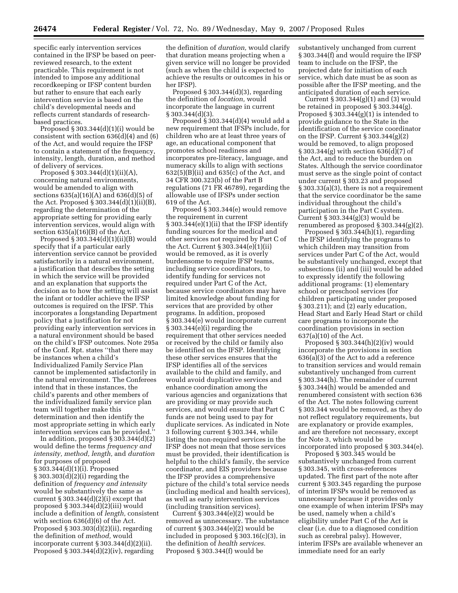specific early intervention services contained in the IFSP be based on peerreviewed research, to the extent practicable. This requirement is not intended to impose any additional recordkeeping or IFSP content burden but rather to ensure that each early intervention service is based on the child's developmental needs and reflects current standards of researchbased practices.

Proposed  $\S 303.344(d)(1)(i)$  would be consistent with section  $636(d)(4)$  and  $(6)$ of the Act, and would require the IFSP to contain a statement of the frequency, intensity, length, duration, and method of delivery of services.

Proposed § 303.344(d)(1)(ii)(A), concerning natural environments, would be amended to align with sections 635(a)(16)(A) and 636(d)(5) of the Act. Proposed § 303.344(d)(1)(ii)(B), regarding the determination of the appropriate setting for providing early intervention services, would align with section  $635(a)(16)(B)$  of the Act.

Proposed  $\S 303.344(d)(1)(ii)(B)$  would specify that if a particular early intervention service cannot be provided satisfactorily in a natural environment, a justification that describes the setting in which the service will be provided and an explanation that supports the decision as to how the setting will assist the infant or toddler achieve the IFSP outcomes is required on the IFSP. This incorporates a longstanding Department policy that a justification for not providing early intervention services in a natural environment should be based on the child's IFSP outcomes. Note 295a of the Conf. Rpt. states ''that there may be instances when a child's Individualized Family Service Plan cannot be implemented satisfactorily in the natural environment. The Conferees intend that in these instances, the child's parents and other members of the individualized family service plan team will together make this determination and then identify the most appropriate setting in which early intervention services can be provided.''

In addition, proposed § 303.344(d)(2) would define the terms *frequency and intensity, method, length,* and *duration*  for purposes of proposed § 303.344(d)(1)(i). Proposed § 303.303(d)(2)(i) regarding the definition of *frequency and intensity*  would be substantively the same as current § 303.344(d)(2)(i) except that proposed § 303.344(d)(2)(iii) would include a definition of *length,* consistent with section 636(d)(6) of the Act. Proposed § 303.303(d)(2)(ii), regarding the definition of *method,* would incorporate current § 303.344(d)(2)(ii). Proposed § 303.344(d)(2)(iv), regarding

the definition of *duration,* would clarify that duration means projecting when a given service will no longer be provided (such as when the child is expected to achieve the results or outcomes in his or her IFSP).

Proposed § 303.344(d)(3), regarding the definition of *location,* would incorporate the language in current § 303.344(d)(3).

Proposed § 303.344(d)(4) would add a new requirement that IFSPs include, for children who are at least three years of age, an educational component that promotes school readiness and incorporates pre-literacy, language, and numeracy skills to align with sections 632(5)(B)(ii) and 635(c) of the Act, and 34 CFR 300.323(b) of the Part B regulations (71 FR 46789), regarding the allowable use of IFSPs under section 619 of the Act.

Proposed § 303.344(e) would remove the requirement in current § 303.344(e)(1)(ii) that the IFSP identify funding sources for the medical and other services not required by Part C of the Act. Current § 303.344(e)(1)(ii) would be removed, as it is overly burdensome to require IFSP teams, including service coordinators, to identify funding for services not required under Part C of the Act, because service coordinators may have limited knowledge about funding for services that are provided by other programs. In addition, proposed § 303.344(e) would incorporate current § 303.344(e)(i) regarding the requirement that other services needed or received by the child or family also be identified on the IFSP. Identifying these other services ensures that the IFSP identifies all of the services available to the child and family, and would avoid duplicative services and enhance coordination among the various agencies and organizations that are providing or may provide such services, and would ensure that Part C funds are not being used to pay for duplicate services. As indicated in Note 3 following current § 303.344, while listing the non-required services in the IFSP does not mean that those services must be provided, their identification is helpful to the child's family, the service coordinator, and EIS providers because the IFSP provides a comprehensive picture of the child's total service needs (including medical and health services), as well as early intervention services (including transition services).

Current  $\S 303.344(e)(2)$  would be removed as unnecessary. The substance of current § 303.344(e)(2) would be included in proposed § 303.16(c)(3), in the definition of *health services.*  Proposed § 303.344(f) would be

substantively unchanged from current § 303.344(f) and would require the IFSP team to include on the IFSP, the projected date for initiation of each service, which date must be as soon as possible after the IFSP meeting, and the anticipated duration of each service.

Current  $\S 303.344(g)(1)$  and  $(3)$  would be retained in proposed § 303.344(g). Proposed  $\S 303.344(g)(1)$  is intended to provide guidance to the State in the identification of the service coordinator on the IFSP. Current § 303.344(g)(2) would be removed, to align proposed § 303.344(g) with section 636(d)(7) of the Act, and to reduce the burden on States. Although the service coordinator must serve as the single point of contact under current § 303.23 and proposed § 303.33(a)(3), there is not a requirement that the service coordinator be the same individual throughout the child's participation in the Part C system. Current § 303.344(g)(3) would be renumbered as proposed  $\S 303.344(g)(2)$ .

Proposed § 303.344(h)(1), regarding the IFSP identifying the programs to which children may transition from services under Part C of the Act, would be substantively unchanged, except that subsections (ii) and (iii) would be added to expressly identify the following additional programs: (1) elementary school or preschool services (for children participating under proposed  $\S 303.211$ ; and  $\S 2$ ) early education, Head Start and Early Head Start or child care programs to incorporate the coordination provisions in section 637(a)(10) of the Act.

Proposed § 303.344(h)(2)(iv) would incorporate the provisions in section 636(a)(3) of the Act to add a reference to transition services and would remain substantively unchanged from current § 303.344(h). The remainder of current § 303.344(h) would be amended and renumbered consistent with section 636 of the Act. The notes following current § 303.344 would be removed, as they do not reflect regulatory requirements, but are explanatory or provide examples, and are therefore not necessary, except for Note 3, which would be incorporated into proposed § 303.344(e).

Proposed § 303.345 would be substantively unchanged from current § 303.345, with cross-references updated. The first part of the note after current § 303.345 regarding the purpose of interim IFSPs would be removed as unnecessary because it provides only one example of when interim IFSPs may be used, namely when a child's eligibility under Part C of the Act is clear (i.e. due to a diagnosed condition such as cerebral palsy). However, interim IFSPs are available whenever an immediate need for an early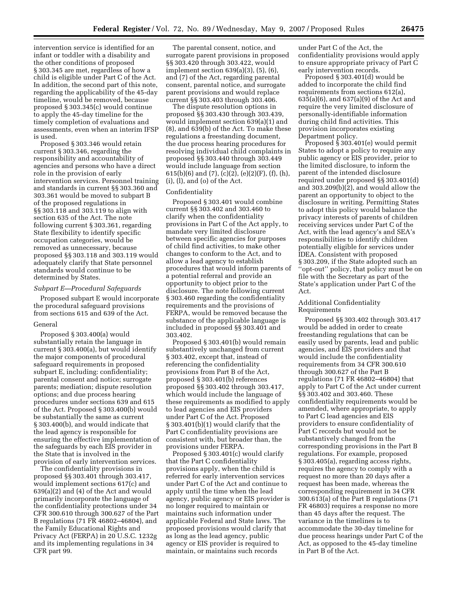intervention service is identified for an infant or toddler with a disability and the other conditions of proposed § 303.345 are met, regardless of how a child is eligible under Part C of the Act. In addition, the second part of this note, regarding the applicability of the 45-day timeline, would be removed, because proposed § 303.345(c) would continue to apply the 45-day timeline for the timely completion of evaluations and assessments, even when an interim IFSP is used.

Proposed § 303.346 would retain current § 303.346, regarding the responsibility and accountability of agencies and persons who have a direct role in the provision of early intervention services. Personnel training and standards in current §§ 303.360 and 303.361 would be moved to subpart B of the proposed regulations in §§ 303.118 and 303.119 to align with section 635 of the Act. The note following current § 303.361, regarding State flexibility to identify specific occupation categories, would be removed as unnecessary, because proposed §§ 303.118 and 303.119 would adequately clarify that State personnel standards would continue to be determined by States.

### *Subpart E—Procedural Safeguards*

Proposed subpart E would incorporate the procedural safeguard provisions from sections 615 and 639 of the Act.

### General

Proposed § 303.400(a) would substantially retain the language in current § 303.400(a), but would identify the major components of procedural safeguard requirements in proposed subpart E, including: confidentiality; parental consent and notice; surrogate parents; mediation; dispute resolution options; and due process hearing procedures under sections 639 and 615 of the Act. Proposed § 303.400(b) would be substantially the same as current § 303.400(b), and would indicate that the lead agency is responsible for ensuring the effective implementation of the safeguards by each EIS provider in the State that is involved in the provision of early intervention services.

The confidentiality provisions in proposed §§ 303.401 through 303.417, would implement sections 617(c) and 639(a)(2) and (4) of the Act and would primarily incorporate the language of the confidentiality protections under 34 CFR 300.610 through 300.627 of the Part B regulations (71 FR 46802–46804), and the Family Educational Rights and Privacy Act (FERPA) in 20 U.S.C. 1232g and its implementing regulations in 34 CFR part 99.

The parental consent, notice, and surrogate parent provisions in proposed §§ 303.420 through 303.422, would implement section 639(a)(3), (5), (6), and (7) of the Act, regarding parental consent, parental notice, and surrogate parent provisions and would replace current §§ 303.403 through 303.406.

The dispute resolution options in proposed §§ 303.430 through 303.439, would implement section 639(a)(1) and (8), and 639(b) of the Act. To make these regulations a freestanding document, the due process hearing procedures for resolving individual child complaints in proposed §§ 303.440 through 303.449 would include language from section 615(b)(6) and (7), (c)(2), (e)(2)(F), (f), (h), (i), (l), and (o) of the Act.

### Confidentiality

Proposed § 303.401 would combine current §§ 303.402 and 303.460 to clarify when the confidentiality provisions in Part C of the Act apply, to mandate very limited disclosure between specific agencies for purposes of child find activities, to make other changes to conform to the Act, and to allow a lead agency to establish procedures that would inform parents of a potential referral and provide an opportunity to object prior to the disclosure. The note following current § 303.460 regarding the confidentiality requirements and the provisions of FERPA, would be removed because the substance of the applicable language is included in proposed §§ 303.401 and 303.402.

Proposed § 303.401(b) would remain substantively unchanged from current § 303.402, except that, instead of referencing the confidentiality provisions from Part B of the Act, proposed § 303.401(b) references proposed §§ 303.402 through 303.417, which would include the language of these requirements as modified to apply to lead agencies and EIS providers under Part C of the Act. Proposed § 303.401(b)(1) would clarify that the Part C confidentiality provisions are consistent with, but broader than, the provisions under FERPA.

Proposed § 303.401(c) would clarify that the Part C confidentiality provisions apply, when the child is referred for early intervention services under Part C of the Act and continue to apply until the time when the lead agency, public agency or EIS provider is no longer required to maintain or maintains such information under applicable Federal and State laws. The proposed provisions would clarify that as long as the lead agency, public agency or EIS provider is required to maintain, or maintains such records

under Part C of the Act, the confidentiality provisions would apply to ensure appropriate privacy of Part C early intervention records.

Proposed § 303.401(d) would be added to incorporate the child find requirements from sections 612(a), 635(a)(6), and 637(a)(9) of the Act and require the very limited disclosure of personally-identifiable information during child find activities. This provision incorporates existing Department policy.

Proposed  $\S 303.401(e)$  would permit States to adopt a policy to require any public agency or EIS provider, prior to the limited disclosure, to inform the parent of the intended disclosure required under proposed §§ 303.401(d) and 303.209(b)(2), and would allow the parent an opportunity to object to the disclosure in writing. Permitting States to adopt this policy would balance the privacy interests of parents of children receiving services under Part C of the Act, with the lead agency's and SEA's responsibilities to identify children potentially eligible for services under IDEA. Consistent with proposed § 303.209, if the State adopted such an ''opt-out'' policy, that policy must be on file with the Secretary as part of the State's application under Part C of the Act.

## Additional Confidentiality Requirements

Proposed §§ 303.402 through 303.417 would be added in order to create freestanding regulations that can be easily used by parents, lead and public agencies, and EIS providers and that would include the confidentiality requirements from 34 CFR 300.610 through 300.627 of the Part B regulations (71 FR 46802–46804) that apply to Part C of the Act under current §§ 303.402 and 303.460. These confidentiality requirements would be amended, where appropriate, to apply to Part C lead agencies and EIS providers to ensure confidentiality of Part C records but would not be substantively changed from the corresponding provisions in the Part B regulations. For example, proposed § 303.405(a), regarding access rights, requires the agency to comply with a request no more than 20 days after a request has been made, whereas the corresponding requirement in 34 CFR 300.613(a) of the Part B regulations (71 FR 46803) requires a response no more than 45 days after the request. The variance in the timelines is to accommodate the 30-day timeline for due process hearings under Part C of the Act, as opposed to the 45-day timeline in Part B of the Act.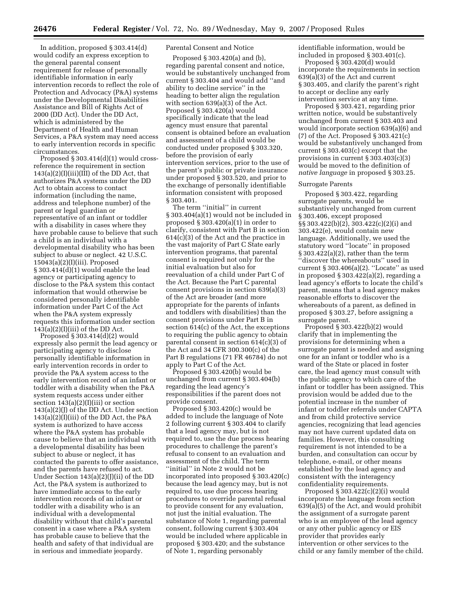In addition, proposed § 303.414(d) would codify an express exception to the general parental consent requirement for release of personally identifiable information in early intervention records to reflect the role of Protection and Advocacy (P&A) systems under the Developmental Disabilities Assistance and Bill of Rights Act of 2000 (DD Act). Under the DD Act, which is administered by the Department of Health and Human Services, a P&A system may need access to early intervention records in specific circumstances.

Proposed § 303.414(d)(1) would crossreference the requirement in section  $143(a)(2)(I)(iii)(III)$  of the DD Act, that authorizes P&A systems under the DD Act to obtain access to contact information (including the name, address and telephone number) of the parent or legal guardian or representative of an infant or toddler with a disability in cases where they have probable cause to believe that such a child is an individual with a developmental disability who has been subject to abuse or neglect. 42 U.S.C.  $15043(a)(2)(I)(iii)$ . Proposed § 303.414(d)(1) would enable the lead agency or participating agency to disclose to the P&A system this contact information that would otherwise be considered personally identifiable information under Part C of the Act when the P&A system expressly requests this information under section  $143(a)(2)(I)(iii)$  of the DD Act.

Proposed § 303.414(d)(2) would expressly also permit the lead agency or participating agency to disclose personally identifiable information in early intervention records in order to provide the P&A system access to the early intervention record of an infant or toddler with a disability when the P&A system requests access under either section  $143(a)(2)(I)(iii)$  or section  $143(a)(2)(J)$  of the DD Act. Under section  $143(a)(2)(I)(iii)$  of the DD Act, the P&A system is authorized to have access where the P&A system has probable cause to believe that an individual with a developmental disability has been subject to abuse or neglect, it has contacted the parents to offer assistance, and the parents have refused to act. Under Section 143(a)(2)(J)(ii) of the DD Act, the P&A system is authorized to have immediate access to the early intervention records of an infant or toddler with a disability who is an individual with a developmental disability without that child's parental consent in a case where a P&A system has probable cause to believe that the health and safety of that individual are in serious and immediate jeopardy.

# Parental Consent and Notice

Proposed § 303.420(a) and (b), regarding parental consent and notice, would be substantively unchanged from current § 303.404 and would add ''and ability to decline service'' in the heading to better align the regulation with section 639(a)(3) of the Act. Proposed § 303.420(a) would specifically indicate that the lead agency must ensure that parental consent is obtained before an evaluation and assessment of a child would be conducted under proposed § 303.320, before the provision of early intervention services, prior to the use of the parent's public or private insurance under proposed § 303.520, and prior to the exchange of personally identifiable information consistent with proposed § 303.401.

The term ''initial'' in current § 303.404(a)(1) would not be included in proposed  $\S 303.420(a)(1)$  in order to clarify, consistent with Part B in section 614(c)(3) of the Act and the practice in the vast majority of Part C State early intervention programs, that parental consent is required not only for the initial evaluation but also for reevaluation of a child under Part C of the Act. Because the Part C parental consent provisions in section 639(a)(3) of the Act are broader (and more appropriate for the parents of infants and toddlers with disabilities) than the consent provisions under Part B in section 614(c) of the Act, the exceptions to requiring the public agency to obtain parental consent in section 614(c)(3) of the Act and 34 CFR 300.300(c) of the Part B regulations (71 FR 46784) do not apply to Part C of the Act.

Proposed § 303.420(b) would be unchanged from current § 303.404(b) regarding the lead agency's responsibilities if the parent does not provide consent.

Proposed § 303.420(c) would be added to include the language of Note 2 following current § 303.404 to clarify that a lead agency may, but is not required to, use the due process hearing procedures to challenge the parent's refusal to consent to an evaluation and assessment of the child. The term ''initial'' in Note 2 would not be incorporated into proposed § 303.420(c) because the lead agency may, but is not required to, use due process hearing procedures to override parental refusal to provide consent for any evaluation, not just the initial evaluation. The substance of Note 1, regarding parental consent, following current § 303.404 would be included where applicable in proposed § 303.420; and the substance of Note 1, regarding personably

identifiable information, would be included in proposed § 303.401(c).

Proposed § 303.420(d) would incorporate the requirements in section 639(a)(3) of the Act and current § 303.405, and clarify the parent's right to accept or decline any early intervention service at any time.

Proposed § 303.421, regarding prior written notice, would be substantively unchanged from current § 303.403 and would incorporate section 639(a)(6) and (7) of the Act. Proposed § 303.421(c) would be substantively unchanged from current § 303.403(c) except that the provisions in current § 303.403(c)(3) would be moved to the definition of *native language* in proposed § 303.25.

# Surrogate Parents

Proposed § 303.422, regarding surrogate parents, would be substantively unchanged from current § 303.406, except proposed §§ 303.422(b)(2), 303.422(c)(2)(i) and 303.422(e), would contain new language. Additionally, we used the statutory word ''locate'' in proposed § 303.422(a)(2), rather than the term ''discover the whereabouts'' used in current § 303.406(a)(2). ''Locate'' as used in proposed § 303.422(a)(2), regarding a lead agency's efforts to locate the child's parent, means that a lead agency makes reasonable efforts to discover the whereabouts of a parent, as defined in proposed § 303.27, before assigning a surrogate parent.

Proposed § 303.422(b)(2) would clarify that in implementing the provisions for determining when a surrogate parent is needed and assigning one for an infant or toddler who is a ward of the State or placed in foster care, the lead agency must consult with the public agency to which care of the infant or toddler has been assigned. This provision would be added due to the potential increase in the number of infant or toddler referrals under CAPTA and from child protective service agencies, recognizing that lead agencies may not have current updated data on families. However, this consulting requirement is not intended to be a burden, and consultation can occur by telephone, e-mail, or other means established by the lead agency and consistent with the interagency confidentiality requirements.

Proposed § 303.422(c)(2)(i) would incorporate the language from section 639(a)(5) of the Act, and would prohibit the assignment of a surrogate parent who is an employee of the lead agency or any other public agency or EIS provider that provides early intervention or other services to the child or any family member of the child.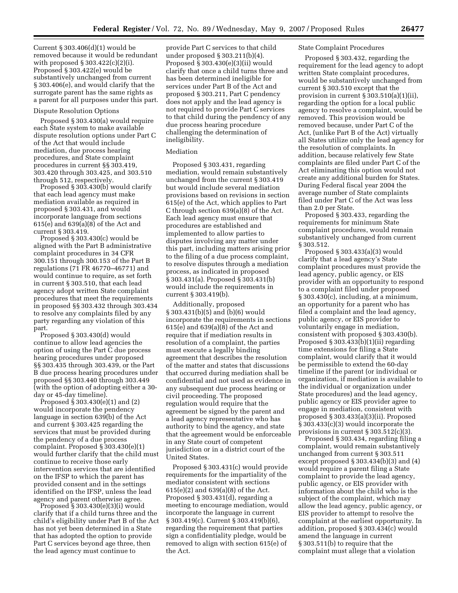Current § 303.406(d)(1) would be removed because it would be redundant with proposed  $\S 303.422(c)(2)(i)$ . Proposed § 303.422(e) would be substantively unchanged from current § 303.406(e), and would clarify that the surrogate parent has the same rights as a parent for all purposes under this part.

## Dispute Resolution Options

Proposed § 303.430(a) would require each State system to make available dispute resolution options under Part C of the Act that would include mediation, due process hearing procedures, and State complaint procedures in current §§ 303.419, 303.420 through 303.425, and 303.510 through 512, respectively.

Proposed § 303.430(b) would clarify that each lead agency must make mediation available as required in proposed § 303.431, and would incorporate language from sections 615(e) and 639(a)(8) of the Act and current § 303.419.

Proposed § 303.430(c) would be aligned with the Part B administrative complaint procedures in 34 CFR 300.151 through 300.153 of the Part B regulations (71 FR 46770–46771) and would continue to require, as set forth in current § 303.510, that each lead agency adopt written State complaint procedures that meet the requirements in proposed §§ 303.432 through 303.434 to resolve any complaints filed by any party regarding any violation of this part.

Proposed § 303.430(d) would continue to allow lead agencies the option of using the Part C due process hearing procedures under proposed §§ 303.435 through 303.439, or the Part B due process hearing procedures under proposed §§ 303.440 through 303.449 (with the option of adopting either a 30 day or 45-day timeline).

Proposed  $\S 303.430(e)(1)$  and  $(2)$ would incorporate the pendency language in section 639(b) of the Act and current § 303.425 regarding the services that must be provided during the pendency of a due process complaint. Proposed § 303.430(e)(1) would further clarify that the child must continue to receive those early intervention services that are identified on the IFSP to which the parent has provided consent and in the settings identified on the IFSP, unless the lead agency and parent otherwise agree.

Proposed § 303.430(e)(3)(i) would clarify that if a child turns three and the child's eligibility under Part B of the Act has not yet been determined in a State that has adopted the option to provide Part C services beyond age three, then the lead agency must continue to

provide Part C services to that child under proposed § 303.211(b)(4). Proposed § 303.430(e)(3)(ii) would clarify that once a child turns three and has been determined ineligible for services under Part B of the Act and proposed § 303.211, Part C pendency does not apply and the lead agency is not required to provide Part C services to that child during the pendency of any due process hearing procedure challenging the determination of ineligibility.

# Mediation

Proposed § 303.431, regarding mediation, would remain substantively unchanged from the current § 303.419 but would include several mediation provisions based on revisions in section 615(e) of the Act, which applies to Part C through section 639(a)(8) of the Act. Each lead agency must ensure that procedures are established and implemented to allow parties to disputes involving any matter under this part, including matters arising prior to the filing of a due process complaint, to resolve disputes through a mediation process, as indicated in proposed § 303.431(a). Proposed § 303.431(b) would include the requirements in current § 303.419(b).

Additionally, proposed § 303.431(b)(5) and (b)(6) would incorporate the requirements in sections 615(e) and 639(a)(8) of the Act and require that if mediation results in resolution of a complaint, the parties must execute a legally binding agreement that describes the resolution of the matter and states that discussions that occurred during mediation shall be confidential and not used as evidence in any subsequent due process hearing or civil proceeding. The proposed regulation would require that the agreement be signed by the parent and a lead agency representative who has authority to bind the agency, and state that the agreement would be enforceable in any State court of competent jurisdiction or in a district court of the United States.

Proposed § 303.431(c) would provide requirements for the impartiality of the mediator consistent with sections 615(e)(2) and 639(a)(8) of the Act. Proposed § 303.431(d), regarding a meeting to encourage mediation, would incorporate the language in current § 303.419(c). Current § 303.419(b)(6), regarding the requirement that parties sign a confidentiality pledge, would be removed to align with section 615(e) of the Act.

# State Complaint Procedures

Proposed § 303.432, regarding the requirement for the lead agency to adopt written State complaint procedures, would be substantively unchanged from current § 303.510 except that the provision in current § 303.510(a)(1)(ii), regarding the option for a local public agency to resolve a complaint, would be removed. This provision would be removed because, under Part C of the Act, (unlike Part B of the Act) virtually all States utilize only the lead agency for the resolution of complaints. In addition, because relatively few State complaints are filed under Part C of the Act eliminating this option would not create any additional burden for States. During Federal fiscal year 2004 the average number of State complaints filed under Part C of the Act was less than 2.0 per State.

Proposed § 303.433, regarding the requirements for minimum State complaint procedures, would remain substantively unchanged from current § 303.512.

Proposed § 303.433(a)(3) would clarify that a lead agency's State complaint procedures must provide the lead agency, public agency, or EIS provider with an opportunity to respond to a complaint filed under proposed § 303.430(c), including, at a minimum, an opportunity for a parent who has filed a complaint and the lead agency, public agency, or EIS provider to voluntarily engage in mediation, consistent with proposed § 303.430(b). Proposed  $\S 303.433(b)(1)(ii)$  regarding time extensions for filing a State complaint, would clarify that it would be permissible to extend the 60-day timeline if the parent (or individual or organization, if mediation is available to the individual or organization under State procedures) and the lead agency, public agency or EIS provider agree to engage in mediation, consistent with proposed § 303.433(a)(3)(ii). Proposed § 303.433(c)(3) would incorporate the provisions in current § 303.512(c)(3).

Proposed § 303.434, regarding filing a complaint, would remain substantively unchanged from current § 303.511 except proposed § 303.434(b)(3) and (4) would require a parent filing a State complaint to provide the lead agency, public agency, or EIS provider with information about the child who is the subject of the complaint, which may allow the lead agency, public agency, or EIS provider to attempt to resolve the complaint at the earliest opportunity. In addition, proposed § 303.434(c) would amend the language in current § 303.511(b) to require that the complaint must allege that a violation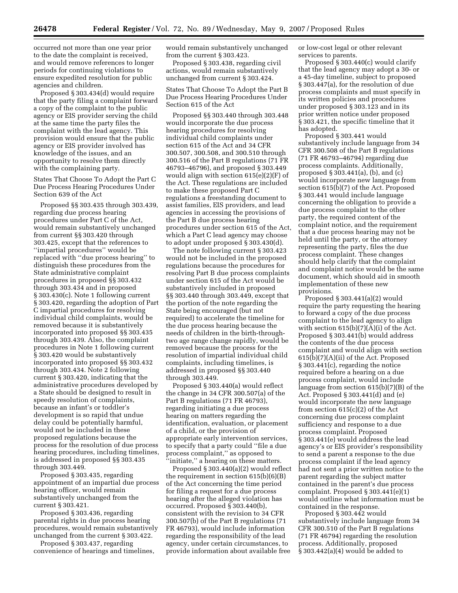occurred not more than one year prior to the date the complaint is received, and would remove references to longer periods for continuing violations to ensure expedited resolution for public agencies and children.

Proposed § 303.434(d) would require that the party filing a complaint forward a copy of the complaint to the public agency or EIS provider serving the child at the same time the party files the complaint with the lead agency. This provision would ensure that the public agency or EIS provider involved has knowledge of the issues, and an opportunity to resolve them directly with the complaining party.

States That Choose To Adopt the Part C Due Process Hearing Procedures Under Section 639 of the Act

Proposed §§ 303.435 through 303.439, regarding due process hearing procedures under Part C of the Act, would remain substantively unchanged from current §§ 303.420 through 303.425, except that the references to ''impartial procedures'' would be replaced with ''due process hearing'' to distinguish these procedures from the State administrative complaint procedures in proposed §§ 303.432 through 303.434 and in proposed § 303.430(c). Note 1 following current § 303.420, regarding the adoption of Part C impartial procedures for resolving individual child complaints, would be removed because it is substantively incorporated into proposed §§ 303.435 through 303.439. Also, the complaint procedures in Note 1 following current § 303.420 would be substantively incorporated into proposed §§ 303.432 through 303.434. Note 2 following current § 303.420, indicating that the administrative procedures developed by a State should be designed to result in speedy resolution of complaints, because an infant's or toddler's development is so rapid that undue delay could be potentially harmful, would not be included in these proposed regulations because the process for the resolution of due process hearing procedures, including timelines, is addressed in proposed §§ 303.435 through 303.449.

Proposed § 303.435, regarding appointment of an impartial due process hearing officer, would remain substantively unchanged from the current § 303.421.

Proposed § 303.436, regarding parental rights in due process hearing procedures, would remain substantively unchanged from the current § 303.422.

Proposed § 303.437, regarding convenience of hearings and timelines, would remain substantively unchanged from the current § 303.423.

Proposed § 303.438, regarding civil actions, would remain substantively unchanged from current § 303.424.

States That Choose To Adopt the Part B Due Process Hearing Procedures Under Section 615 of the Act

Proposed §§ 303.440 through 303.448 would incorporate the due process hearing procedures for resolving individual child complaints under section 615 of the Act and 34 CFR 300.507, 300.508, and 300.510 through 300.516 of the Part B regulations (71 FR 46793–46796), and proposed § 303.449 would align with section 615(e)(2)(F) of the Act. These regulations are included to make these proposed Part C regulations a freestanding document to assist families, EIS providers, and lead agencies in accessing the provisions of the Part B due process hearing procedures under section 615 of the Act, which a Part C lead agency may choose to adopt under proposed § 303.430(d).

The note following current § 303.423 would not be included in the proposed regulations because the procedures for resolving Part B due process complaints under section 615 of the Act would be substantively included in proposed §§ 303.440 through 303.449, except that the portion of the note regarding the State being encouraged (but not required) to accelerate the timeline for the due process hearing because the needs of children in the birth-throughtwo age range change rapidly, would be removed because the process for the resolution of impartial individual child complaints, including timelines, is addressed in proposed §§ 303.440 through 303.449.

Proposed § 303.440(a) would reflect the change in 34 CFR 300.507(a) of the Part B regulations (71 FR 46793), regarding initiating a due process hearing on matters regarding the identification, evaluation, or placement of a child, or the provision of appropriate early intervention services, to specify that a party could ''file a due process complaint,'' as opposed to "initiate," a hearing on these matters.

Proposed § 303.440(a)(2) would reflect the requirement in section 615(b)(6)(B) of the Act concerning the time period for filing a request for a due process hearing after the alleged violation has occurred. Proposed § 303.440(b), consistent with the revision to 34 CFR 300.507(b) of the Part B regulations (71 FR 46793), would include information regarding the responsibility of the lead agency, under certain circumstances, to provide information about available free

or low-cost legal or other relevant services to parents.

Proposed § 303.440(c) would clarify that the lead agency may adopt a 30- or a 45-day timeline, subject to proposed § 303.447(a), for the resolution of due process complaints and must specify in its written policies and procedures under proposed § 303.123 and in its prior written notice under proposed § 303.421, the specific timeline that it has adopted.

Proposed § 303.441 would substantively include language from 34 CFR 300.508 of the Part B regulations (71 FR 46793–46794) regarding due process complaints. Additionally, proposed § 303.441(a), (b), and (c) would incorporate new language from section 615(b)(7) of the Act. Proposed § 303.441 would include language concerning the obligation to provide a due process complaint to the other party, the required content of the complaint notice, and the requirement that a due process hearing may not be held until the party, or the attorney representing the party, files the due process complaint. These changes should help clarify that the complaint and complaint notice would be the same document, which should aid in smooth implementation of these new provisions.

Proposed § 303.441(a)(2) would require the party requesting the hearing to forward a copy of the due process complaint to the lead agency to align with section  $615(b)(7)(A)(i)$  of the Act. Proposed § 303.441(b) would address the contents of the due process complaint and would align with section 615(b)(7)(A)(ii) of the Act. Proposed § 303.441(c), regarding the notice required before a hearing on a due process complaint, would include language from section 615(b)(7)(B) of the Act. Proposed § 303.441(d) and (e) would incorporate the new language from section 615(c)(2) of the Act concerning due process complaint sufficiency and response to a due process complaint. Proposed § 303.441(e) would address the lead agency's or EIS provider's responsibility to send a parent a response to the due process complaint if the lead agency had not sent a prior written notice to the parent regarding the subject matter contained in the parent's due process complaint. Proposed § 303.441(e)(1) would outline what information must be contained in the response.

Proposed § 303.442 would substantively include language from 34 CFR 300.510 of the Part B regulations (71 FR 46794) regarding the resolution process. Additionally, proposed § 303.442(a)(4) would be added to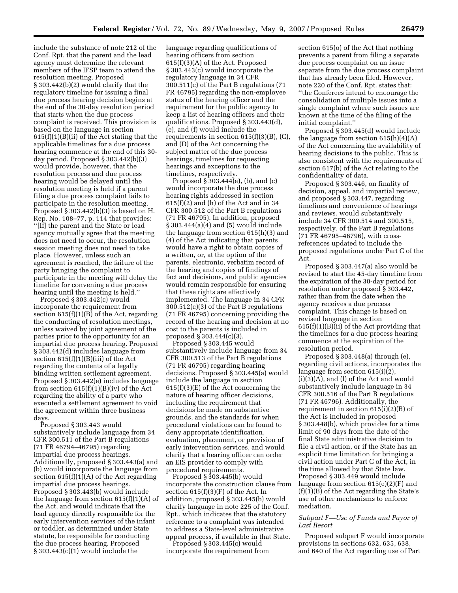include the substance of note 212 of the Conf. Rpt. that the parent and the lead agency must determine the relevant members of the IFSP team to attend the resolution meeting. Proposed § 303.442(b)(2) would clarify that the regulatory timeline for issuing a final due process hearing decision begins at the end of the 30-day resolution period that starts when the due process complaint is received. This provision is based on the language in section 615(f)(1)(B)(ii) of the Act stating that the applicable timelines for a due process hearing commence at the end of this 30 day period. Proposed § 303.442(b)(3) would provide, however, that the resolution process and due process hearing would be delayed until the resolution meeting is held if a parent filing a due process complaint fails to participate in the resolution meeting. Proposed  $\S 303.442(b)(3)$  is based on H. Rep. No. 108–77, p. 114 that provides: ''[If] the parent and the State or lead agency mutually agree that the meeting does not need to occur, the resolution session meeting does not need to take place. However, unless such an agreement is reached, the failure of the party bringing the complaint to participate in the meeting will delay the timeline for convening a due process hearing until the meeting is held.''

Proposed § 303.442(c) would incorporate the requirement from section 615(f)(1)(B) of the Act, regarding the conducting of resolution meetings, unless waived by joint agreement of the parties prior to the opportunity for an impartial due process hearing. Proposed § 303.442(d) includes language from section 615(f)(1)(B)(iii) of the Act regarding the contents of a legally binding written settlement agreement. Proposed § 303.442(e) includes language from section 615(f)(1)(B)(iv) of the Act regarding the ability of a party who executed a settlement agreement to void the agreement within three business days.

Proposed § 303.443 would substantively include language from 34 CFR 300.511 of the Part B regulations (71 FR 46794–46795) regarding impartial due process hearings. Additionally, proposed § 303.443(a) and (b) would incorporate the language from section  $615(f)(1)(A)$  of the Act regarding impartial due process hearings. Proposed § 303.443(b) would include the language from section 615(f)(1)(A) of the Act, and would indicate that the lead agency directly responsible for the early intervention services of the infant or toddler, as determined under State statute, be responsible for conducting the due process hearing. Proposed § 303.443(c)(1) would include the

language regarding qualifications of hearing officers from section 615(f)(3)(A) of the Act. Proposed § 303.443(c) would incorporate the regulatory language in 34 CFR 300.511(c) of the Part B regulations (71 FR 46795) regarding the non-employee status of the hearing officer and the requirement for the public agency to keep a list of hearing officers and their qualifications. Proposed § 303.443(d), (e), and (f) would include the requirements in section 615(f)(3)(B), (C), and (D) of the Act concerning the subject matter of the due process hearings, timelines for requesting hearings and exceptions to the timelines, respectively.

Proposed § 303.444(a), (b), and (c) would incorporate the due process hearing rights addressed in section  $615(f)(2)$  and (h) of the Act and in 34 CFR 300.512 of the Part B regulations (71 FR 46795). In addition, proposed § 303.444(a)(4) and (5) would include the language from section 615(h)(3) and (4) of the Act indicating that parents would have a right to obtain copies of a written, or, at the option of the parents, electronic, verbatim record of the hearing and copies of findings of fact and decisions, and public agencies would remain responsible for ensuring that these rights are effectively implemented. The language in 34 CFR 300.512(c)(3) of the Part B regulations (71 FR 46795) concerning providing the record of the hearing and decision at no cost to the parents is included in proposed  $\S$  303.444(c)(3).

Proposed § 303.445 would substantively include language from 34 CFR 300.513 of the Part B regulations (71 FR 46795) regarding hearing decisions. Proposed § 303.445(a) would include the language in section 615(f)(3)(E) of the Act concerning the nature of hearing officer decisions, including the requirement that decisions be made on substantive grounds, and the standards for when procedural violations can be found to deny appropriate identification, evaluation, placement, or provision of early intervention services, and would clarify that a hearing officer can order an EIS provider to comply with procedural requirements.

Proposed § 303.445(b) would incorporate the construction clause from section 615(f)(3)(F) of the Act. In addition, proposed § 303.445(b) would clarify language in note 225 of the Conf. Rpt., which indicates that the statutory reference to a complaint was intended to address a State-level administrative appeal process, if available in that State.

Proposed § 303.445(c) would incorporate the requirement from

section 615(o) of the Act that nothing prevents a parent from filing a separate due process complaint on an issue separate from the due process complaint that has already been filed. However, note 220 of the Conf. Rpt. states that: ''the Conferees intend to encourage the consolidation of multiple issues into a single complaint where such issues are known at the time of the filing of the initial complaint.''

Proposed § 303.445(d) would include the language from section  $615(h)(4)(A)$ of the Act concerning the availability of hearing decisions to the public. This is also consistent with the requirements of section 617(b) of the Act relating to the confidentiality of data.

Proposed § 303.446, on finality of decision, appeal, and impartial review, and proposed § 303.447, regarding timelines and convenience of hearings and reviews, would substantively include 34 CFR 300.514 and 300.515, respectively, of the Part B regulations (71 FR 46795–46796), with crossreferences updated to include the proposed regulations under Part C of the Act.

Proposed § 303.447(a) also would be revised to start the 45-day timeline from the expiration of the 30-day period for resolution under proposed § 303.442, rather than from the date when the agency receives a due process complaint. This change is based on revised language in section  $615(f)(1)(B)(ii)$  of the Act providing that the timelines for a due process hearing commence at the expiration of the resolution period.

Proposed § 303.448(a) through (e), regarding civil actions, incorporates the language from section 615(i)(2), (i)(3)(A), and (l) of the Act and would substantively include language in 34 CFR 300.516 of the Part B regulations (71 FR 46796). Additionally, the requirement in section 615(i)(2)(B) of the Act is included in proposed § 303.448(b), which provides for a time limit of 90 days from the date of the final State administrative decision to file a civil action, or if the State has an explicit time limitation for bringing a civil action under Part C of the Act, in the time allowed by that State law. Proposed § 303.449 would include language from section 615(e)(2)(F) and (f)(1)(B) of the Act regarding the State's use of other mechanisms to enforce mediation.

## *Subpart F—Use of Funds and Payor of Last Resort*

Proposed subpart F would incorporate provisions in sections 632, 635, 638, and 640 of the Act regarding use of Part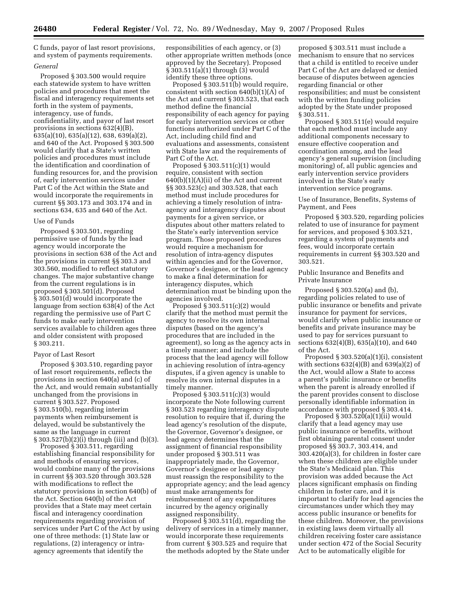C funds, payor of last resort provisions, and system of payments requirements.

### *General*

Proposed § 303.500 would require each statewide system to have written policies and procedures that meet the fiscal and interagency requirements set forth in the system of payments, interagency, use of funds, confidentiality, and payor of last resort provisions in sections 632(4)(B), 635(a)(10), 635(a)(12), 638, 639(a)(2), and 640 of the Act. Proposed § 303.500 would clarify that a State's written policies and procedures must include the identification and coordination of funding resources for, and the provision of, early intervention services under Part C of the Act within the State and would incorporate the requirements in current §§ 303.173 and 303.174 and in sections 634, 635 and 640 of the Act.

### Use of Funds

Proposed § 303.501, regarding permissive use of funds by the lead agency would incorporate the provisions in section 638 of the Act and the provisions in current §§ 303.3 and 303.560, modified to reflect statutory changes. The major substantive change from the current regulations is in proposed § 303.501(d). Proposed § 303.501(d) would incorporate the language from section 638(4) of the Act regarding the permissive use of Part C funds to make early intervention services available to children ages three and older consistent with proposed § 303.211.

## Payor of Last Resort

Proposed § 303.510, regarding payor of last resort requirements, reflects the provisions in section 640(a) and (c) of the Act, and would remain substantially unchanged from the provisions in current § 303.527. Proposed § 303.510(b), regarding interim payments when reimbursement is delayed, would be substantively the same as the language in current § 303.527(b)(2)(i) through (iii) and (b)(3).

Proposed § 303.511, regarding establishing financial responsibility for and methods of ensuring services, would combine many of the provisions in current §§ 303.520 through 303.528 with modifications to reflect the statutory provisions in section 640(b) of the Act. Section 640(b) of the Act provides that a State may meet certain fiscal and interagency coordination requirements regarding provision of services under Part C of the Act by using one of three methods: (1) State law or regulations, (2) interagency or intraagency agreements that identify the

responsibilities of each agency, or (3) other appropriate written methods (once approved by the Secretary). Proposed § 303.511(a)(1) through (3) would identify these three options.

Proposed § 303.511(b) would require, consistent with section 640(b)(1)(A) of the Act and current § 303.523, that each method define the financial responsibility of each agency for paying for early intervention services or other functions authorized under Part C of the Act, including child find and evaluations and assessments, consistent with State law and the requirements of Part C of the Act.

Proposed § 303.511(c)(1) would require, consistent with section  $640(b)(1)(A)(ii)$  of the Act and current §§ 303.523(c) and 303.528, that each method must include procedures for achieving a timely resolution of intraagency and interagency disputes about payments for a given service, or disputes about other matters related to the State's early intervention service program. Those proposed procedures would require a mechanism for resolution of intra-agency disputes within agencies and for the Governor, Governor's designee, or the lead agency to make a final determination for interagency disputes, which determination must be binding upon the agencies involved.

Proposed § 303.511(c)(2) would clarify that the method must permit the agency to resolve its own internal disputes (based on the agency's procedures that are included in the agreement), so long as the agency acts in a timely manner; and include the process that the lead agency will follow in achieving resolution of intra-agency disputes, if a given agency is unable to resolve its own internal disputes in a timely manner.

Proposed § 303.511(c)(3) would incorporate the Note following current § 303.523 regarding interagency dispute resolution to require that if, during the lead agency's resolution of the dispute, the Governor, Governor's designee, or lead agency determines that the assignment of financial responsibility under proposed § 303.511 was inappropriately made, the Governor, Governor's designee or lead agency must reassign the responsibility to the appropriate agency; and the lead agency must make arrangements for reimbursement of any expenditures incurred by the agency originally assigned responsibility.

Proposed  $\S 303.511(d)$ , regarding the delivery of services in a timely manner, would incorporate these requirements from current § 303.525 and require that the methods adopted by the State under

proposed § 303.511 must include a mechanism to ensure that no services that a child is entitled to receive under Part C of the Act are delayed or denied because of disputes between agencies regarding financial or other responsibilities; and must be consistent with the written funding policies adopted by the State under proposed § 303.511.

Proposed § 303.511(e) would require that each method must include any additional components necessary to ensure effective cooperation and coordination among, and the lead agency's general supervision (including monitoring) of, all public agencies and early intervention service providers involved in the State's early intervention service programs.

Use of Insurance, Benefits, Systems of Payment, and Fees

Proposed § 303.520, regarding policies related to use of insurance for payment for services, and proposed § 303.521, regarding a system of payments and fees, would incorporate certain requirements in current §§ 303.520 and 303.521.

Public Insurance and Benefits and Private Insurance

Proposed § 303.520(a) and (b), regarding policies related to use of public insurance or benefits and private insurance for payment for services, would clarify when public insurance or benefits and private insurance may be used to pay for services pursuant to sections 632(4)(B), 635(a)(10), and 640 of the Act.

Proposed § 303.520(a)(1)(i), consistent with sections  $632(4)(B)$  and  $639(a)(2)$  of the Act, would allow a State to access a parent's public insurance or benefits when the parent is already enrolled if the parent provides consent to disclose personally identifiable information in accordance with proposed § 303.414.

Proposed § 303.520(a)(1)(ii) would clarify that a lead agency may use public insurance or benefits, without first obtaining parental consent under proposed §§ 303.7, 303.414, and 303.420(a)(3), for children in foster care when these children are eligible under the State's Medicaid plan. This provision was added because the Act places significant emphasis on finding children in foster care, and it is important to clarify for lead agencies the circumstances under which they may access public insurance or benefits for these children. Moreover, the provisions in existing laws deem virtually all children receiving foster care assistance under section 472 of the Social Security Act to be automatically eligible for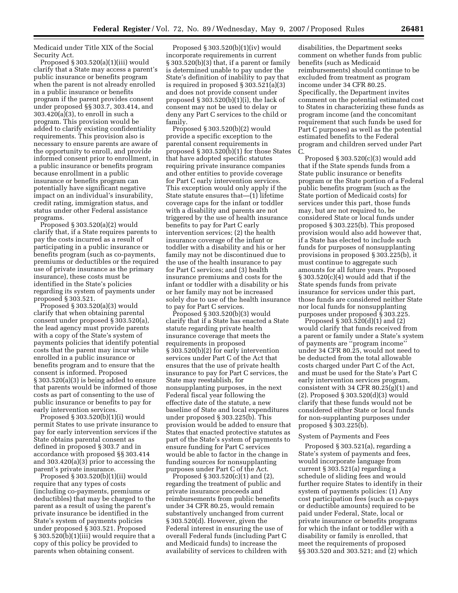Medicaid under Title XIX of the Social Security Act.

Proposed § 303.520(a)(1)(iii) would clarify that a State may access a parent's public insurance or benefits program when the parent is not already enrolled in a public insurance or benefits program if the parent provides consent under proposed §§ 303.7, 303.414, and 303.420(a)(3), to enroll in such a program. This provision would be added to clarify existing confidentiality requirements. This provision also is necessary to ensure parents are aware of the opportunity to enroll, and provide informed consent prior to enrollment, in a public insurance or benefits program because enrollment in a public insurance or benefits program can potentially have significant negative impact on an individual's insurability, credit rating, immigration status, and status under other Federal assistance programs.

Proposed § 303.520(a)(2) would clarify that, if a State requires parents to pay the costs incurred as a result of participating in a public insurance or benefits program (such as co-payments, premiums or deductibles or the required use of private insurance as the primary insurance), these costs must be identified in the State's policies regarding its system of payments under proposed § 303.521.

Proposed § 303.520(a)(3) would clarify that when obtaining parental consent under proposed § 303.520(a), the lead agency must provide parents with a copy of the State's system of payments policies that identify potential costs that the parent may incur while enrolled in a public insurance or benefits program and to ensure that the consent is informed. Proposed § 303.520(a)(3) is being added to ensure that parents would be informed of those costs as part of consenting to the use of public insurance or benefits to pay for early intervention services.

Proposed § 303.520(b)(1)(i) would permit States to use private insurance to pay for early intervention services if the State obtains parental consent as defined in proposed § 303.7 and in accordance with proposed §§ 303.414 and 303.420(a)(3) prior to accessing the parent's private insurance.

Proposed § 303.520(b)(1)(ii) would require that any types of costs (including co-payments, premiums or deductibles) that may be charged to the parent as a result of using the parent's private insurance be identified in the State's system of payments policies under proposed § 303.521. Proposed § 303.520(b)(1)(iii) would require that a copy of this policy be provided to parents when obtaining consent.

Proposed § 303.520(b)(1)(iv) would incorporate requirements in current § 303.520(b)(3) that, if a parent or family is determined unable to pay under the State's definition of inability to pay that is required in proposed § 303.521(a)(3) and does not provide consent under proposed § 303.520(b)(1)(i), the lack of consent may not be used to delay or deny any Part C services to the child or family.

Proposed § 303.520(b)(2) would provide a specific exception to the parental consent requirements in proposed § 303.520(b)(1) for those States that have adopted specific statutes requiring private insurance companies and other entities to provide coverage for Part C early intervention services. This exception would only apply if the State statute ensures that—(1) lifetime coverage caps for the infant or toddler with a disability and parents are not triggered by the use of health insurance benefits to pay for Part C early intervention services; (2) the health insurance coverage of the infant or toddler with a disability and his or her family may not be discontinued due to the use of the health insurance to pay for Part C services; and (3) health insurance premiums and costs for the infant or toddler with a disability or his or her family may not be increased solely due to use of the health insurance to pay for Part C services.

Proposed § 303.520(b)(3) would clarify that if a State has enacted a State statute regarding private health insurance coverage that meets the requirements in proposed § 303.520(b)(2) for early intervention services under Part C of the Act that ensures that the use of private health insurance to pay for Part C services, the State may reestablish, for nonsupplanting purposes, in the next Federal fiscal year following the effective date of the statute, a new baseline of State and local expenditures under proposed § 303.225(b). This provision would be added to ensure that States that enacted protective statutes as part of the State's system of payments to ensure funding for Part C services would be able to factor in the change in funding sources for nonsupplanting purposes under Part C of the Act.

Proposed  $$303.520(c)(1)$  and  $(2)$ , regarding the treatment of public and private insurance proceeds and reimbursements from public benefits under 34 CFR 80.25, would remain substantively unchanged from current § 303.520(d). However, given the Federal interest in ensuring the use of overall Federal funds (including Part C and Medicaid funds) to increase the availability of services to children with

disabilities, the Department seeks comment on whether funds from public benefits (such as Medicaid reimbursements) should continue to be excluded from treatment as program income under 34 CFR 80.25. Specifically, the Department invites comment on the potential estimated cost to States in characterizing these funds as program income (and the concomitant requirement that such funds be used for Part C purposes) as well as the potential estimated benefits to the Federal program and children served under Part C.

Proposed § 303.520(c)(3) would add that if the State spends funds from a State public insurance or benefits program or the State portion of a Federal public benefits program (such as the State portion of Medicaid costs) for services under this part, those funds may, but are not required to, be considered State or local funds under proposed § 303.225(b). This proposed provision would also add however that, if a State has elected to include such funds for purposes of nonsupplanting provisions in proposed § 303.225(b), it must continue to aggregate such amounts for all future years. Proposed § 303.520(c)(4) would add that if the State spends funds from private insurance for services under this part, those funds are considered neither State nor local funds for nonsupplanting purposes under proposed § 303.225.

Proposed § 303.520(d)(1) and (2) would clarify that funds received from a parent or family under a State's system of payments are ''program income'' under 34 CFR 80.25, would not need to be deducted from the total allowable costs charged under Part C of the Act, and must be used for the State's Part C early intervention services program, consistent with 34 CFR 80.25(g)(1) and (2). Proposed § 303.520(d)(3) would clarify that these funds would not be considered either State or local funds for non-supplanting purposes under proposed § 303.225(b).

### System of Payments and Fees

Proposed § 303.521(a), regarding a State's system of payments and fees, would incorporate language from current § 303.521(a) regarding a schedule of sliding fees and would further require States to identify in their system of payments policies: (1) Any cost participation fees (such as co-pays or deductible amounts) required to be paid under Federal, State, local or private insurance or benefits programs for which the infant or toddler with a disability or family is enrolled, that meet the requirements of proposed §§ 303.520 and 303.521; and (2) which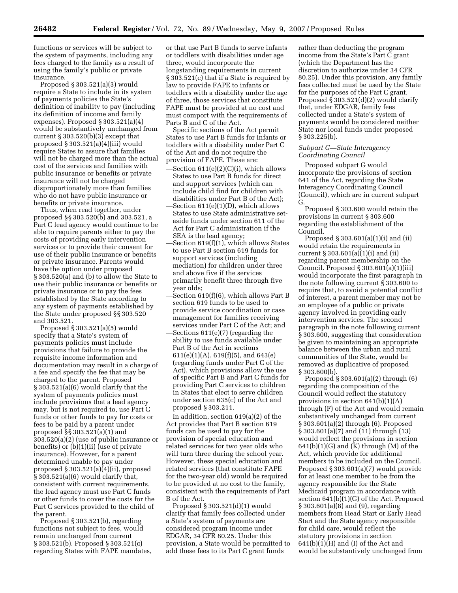functions or services will be subject to the system of payments, including any fees charged to the family as a result of using the family's public or private insurance.

Proposed § 303.521(a)(3) would require a State to include in its system of payments policies the State's definition of inability to pay (including its definition of income and family expenses). Proposed § 303.521(a)(4) would be substantively unchanged from current  $\S 303.520(b)(3)$  except that proposed § 303.521(a)(4)(iii) would require States to assure that families will not be charged more than the actual cost of the services and families with public insurance or benefits or private insurance will not be charged disproportionately more than families who do not have public insurance or benefits or private insurance.

Thus, when read together, under proposed §§ 303.520(b) and 303.521, a Part C lead agency would continue to be able to require parents either to pay the costs of providing early intervention services or to provide their consent for use of their public insurance or benefits or private insurance. Parents would have the option under proposed § 303.520(a) and (b) to allow the State to use their public insurance or benefits or private insurance or to pay the fees established by the State according to any system of payments established by the State under proposed §§ 303.520 and 303.521.

Proposed § 303.521(a)(5) would specify that a State's system of payments policies must include provisions that failure to provide the requisite income information and documentation may result in a charge of a fee and specify the fee that may be charged to the parent. Proposed § 303.521(a)(6) would clarify that the system of payments policies must include provisions that a lead agency may, but is not required to, use Part C funds or other funds to pay for costs or fees to be paid by a parent under proposed §§ 303.521(a)(1) and 303.520(a)(2) (use of public insurance or benefits) or (b)(1)(ii) (use of private insurance). However, for a parent determined unable to pay under proposed § 303.521(a)(4)(ii), proposed § 303.521(a)(6) would clarify that, consistent with current requirements, the lead agency must use Part C funds or other funds to cover the costs for the Part C services provided to the child of the parent.

Proposed § 303.521(b), regarding functions not subject to fees, would remain unchanged from current § 303.521(b). Proposed § 303.521(c) regarding States with FAPE mandates, or that use Part B funds to serve infants or toddlers with disabilities under age three, would incorporate the longstanding requirements in current § 303.521(c) that if a State is required by law to provide FAPE to infants or toddlers with a disability under the age of three, those services that constitute FAPE must be provided at no cost and must comport with the requirements of Parts B and C of the Act.

Specific sections of the Act permit States to use Part B funds for infants or toddlers with a disability under Part C of the Act and do not require the provision of FAPE. These are:

- —Section 611(e)(2)(C)(i), which allows States to use Part B funds for direct and support services (which can include child find for children with disabilities under Part B of the Act);
- —Section 611(e)(1)(D), which allows States to use State administrative setaside funds under section 611 of the Act for Part C administration if the SEA is the lead agency;
- —Section 619(f)(1), which allows States to use Part B section 619 funds for support services (including mediation) for children under three and above five if the services primarily benefit three through five year olds;
- —Section 619(f)(6), which allows Part B section 619 funds to be used to provide service coordination or case management for families receiving services under Part C of the Act; and
- —Sections 611(e)(7) (regarding the ability to use funds available under Part B of the Act in sections 611(e)(1)(A), 619(f)(5), and 643(e) (regarding funds under Part C of the Act), which provisions allow the use of specific Part B and Part C funds for providing Part C services to children in States that elect to serve children under section 635(c) of the Act and proposed § 303.211.

In addition, section 619(a)(2) of the Act provides that Part B section 619 funds can be used to pay for the provision of special education and related services for two year olds who will turn three during the school year. However, these special education and related services (that constitute FAPE for the two-year old) would be required to be provided at no cost to the family, consistent with the requirements of Part B of the Act.

Proposed § 303.521(d)(1) would clarify that family fees collected under a State's system of payments are considered program income under EDGAR, 34 CFR 80.25. Under this provision, a State would be permitted to add these fees to its Part C grant funds

rather than deducting the program income from the State's Part C grant (which the Department has the discretion to authorize under 34 CFR 80.25). Under this provision, any family fees collected must be used by the State for the purposes of the Part C grant. Proposed § 303.521(d)(2) would clarify that, under EDGAR, family fees collected under a State's system of payments would be considered neither State nor local funds under proposed § 303.225(b).

## *Subpart G—State Interagency Coordinating Council*

Proposed subpart G would incorporate the provisions of section 641 of the Act, regarding the State Interagency Coordinating Council (Council), which are in current subpart G.

Proposed § 303.600 would retain the provisions in current § 303.600 regarding the establishment of the Council.

Proposed § 303.601(a)(1)(i) and (ii) would retain the requirements in current § 303.601(a)(1)(i) and (ii) regarding parent membership on the Council. Proposed § 303.601(a)(1)(iii) would incorporate the first paragraph in the note following current § 303.600 to require that, to avoid a potential conflict of interest, a parent member may not be an employee of a public or private agency involved in providing early intervention services. The second paragraph in the note following current § 303.600, suggesting that consideration be given to maintaining an appropriate balance between the urban and rural communities of the State, would be removed as duplicative of proposed § 303.600(b).

Proposed § 303.601(a)(2) through (6) regarding the composition of the Council would reflect the statutory provisions in section 641(b)(1)(A) through (F) of the Act and would remain substantively unchanged from current § 303.601(a)(2) through (6). Proposed § 303.601(a)(7) and (11) through (13) would reflect the provisions in section  $641(b)(1)(G)$  and  $(K)$  through  $(M)$  of the Act, which provide for additional members to be included on the Council. Proposed § 303.601(a)(7) would provide for at least one member to be from the agency responsible for the State Medicaid program in accordance with section 641(b)(1)(G) of the Act. Proposed § 303.601(a)(8) and (9), regarding members from Head Start or Early Head Start and the State agency responsible for child care, would reflect the statutory provisions in section  $641(b)(1)(H)$  and (I) of the Act and would be substantively unchanged from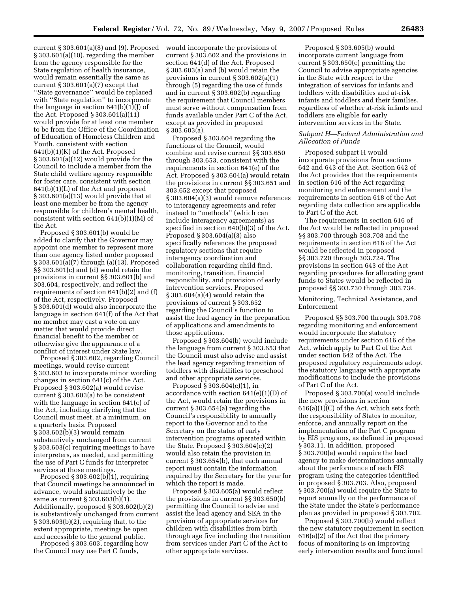current § 303.601(a)(8) and (9). Proposed would incorporate the provisions of § 303.601(a)(10), regarding the member from the agency responsible for the State regulation of health insurance, would remain essentially the same as current  $§ 303.601(a)(7)$  except that ''State governance'' would be replaced with ''State regulation'' to incorporate the language in section  $641(b)(1)(J)$  of the Act. Proposed § 303.601(a)(11) would provide for at least one member to be from the Office of the Coordination of Education of Homeless Children and Youth, consistent with section 641(b)(1)(K) of the Act. Proposed § 303.601(a)(12) would provide for the Council to include a member from the State child welfare agency responsible for foster care, consistent with section 641(b)(1)(L) of the Act and proposed § 303.601(a)(13) would provide that at least one member be from the agency responsible for children's mental health, consistent with section 641(b)(1)(M) of the Act.

Proposed § 303.601(b) would be added to clarify that the Governor may appoint one member to represent more than one agency listed under proposed § 303.601(a)(7) through (a)(13). Proposed §§ 303.601(c) and (d) would retain the provisions in current §§ 303.601(b) and 303.604, respectively, and reflect the requirements of section 641(b)(2) and (f) of the Act, respectively. Proposed § 303.601(d) would also incorporate the language in section 641(f) of the Act that no member may cast a vote on any matter that would provide direct financial benefit to the member or otherwise give the appearance of a conflict of interest under State law.

Proposed § 303.602, regarding Council meetings, would revise current § 303.603 to incorporate minor wording changes in section 641(c) of the Act. Proposed § 303.602(a) would revise current § 303.603(a) to be consistent with the language in section 641(c) of the Act, including clarifying that the Council must meet, at a minimum, on a quarterly basis. Proposed § 303.602(b)(3) would remain substantively unchanged from current § 303.603(c) requiring meetings to have interpreters, as needed, and permitting the use of Part C funds for interpreter services at those meetings.

Proposed § 303.602(b)(1), requiring that Council meetings be announced in advance, would substantively be the same as current § 303.603(b)(1). Additionally, proposed § 303.602(b)(2) is substantively unchanged from current § 303.603(b)(2), requiring that, to the extent appropriate, meetings be open and accessible to the general public.

Proposed § 303.603, regarding how the Council may use Part C funds,

current § 303.602 and the provisions in section 641(d) of the Act. Proposed § 303.603(a) and (b) would retain the provisions in current § 303.602(a)(1) through (5) regarding the use of funds and in current § 303.602(b) regarding the requirement that Council members must serve without compensation from funds available under Part C of the Act, except as provided in proposed § 303.603(a).

Proposed § 303.604 regarding the functions of the Council, would combine and revise current §§ 303.650 through 303.653, consistent with the requirements in section 641(e) of the Act. Proposed § 303.604(a) would retain the provisions in current §§ 303.651 and 303.652 except that proposed § 303.604(a)(3) would remove references to interagency agreements and refer instead to ''methods'' (which can include interagency agreements) as specified in section 640(b)(3) of the Act. Proposed § 303.604(a)(3) also specifically references the proposed regulatory sections that require interagency coordination and collaboration regarding child find, monitoring, transition, financial responsibility, and provision of early intervention services. Proposed § 303.604(a)(4) would retain the provisions of current § 303.652 regarding the Council's function to assist the lead agency in the preparation of applications and amendments to those applications.

Proposed § 303.604(b) would include the language from current § 303.653 that the Council must also advise and assist the lead agency regarding transition of toddlers with disabilities to preschool and other appropriate services.

Proposed § 303.604(c)(1), in accordance with section 641(e)(1)(D) of the Act, would retain the provisions in current § 303.654(a) regarding the Council's responsibility to annually report to the Governor and to the Secretary on the status of early intervention programs operated within the State. Proposed § 303.604(c)(2) would also retain the provision in current § 303.654(b), that each annual report must contain the information required by the Secretary for the year for which the report is made.

Proposed § 303.605(a) would reflect the provisions in current §§ 303.650(b) permitting the Council to advise and assist the lead agency and SEA in the provision of appropriate services for children with disabilities from birth through age five including the transition from services under Part C of the Act to other appropriate services.

Proposed § 303.605(b) would incorporate current language from current § 303.650(c) permitting the Council to advise appropriate agencies in the State with respect to the integration of services for infants and toddlers with disabilities and at-risk infants and toddlers and their families, regardless of whether at-risk infants and toddlers are eligible for early intervention services in the State.

## *Subpart H—Federal Administration and Allocation of Funds*

Proposed subpart H would incorporate provisions from sections 642 and 643 of the Act. Section 642 of the Act provides that the requirements in section 616 of the Act regarding monitoring and enforcement and the requirements in section 618 of the Act regarding data collection are applicable to Part C of the Act.

The requirements in section 616 of the Act would be reflected in proposed §§ 303.700 through 303.708 and the requirements in section 618 of the Act would be reflected in proposed §§ 303.720 through 303.724. The provisions in section 643 of the Act regarding procedures for allocating grant funds to States would be reflected in proposed §§ 303.730 through 303.734.

Monitoring, Technical Assistance, and Enforcement

Proposed §§ 303.700 through 303.708 regarding monitoring and enforcement would incorporate the statutory requirements under section 616 of the Act, which apply to Part C of the Act under section 642 of the Act. The proposed regulatory requirements adopt the statutory language with appropriate modifications to include the provisions of Part C of the Act.

Proposed § 303.700(a) would include the new provisions in section 616(a)(1)(C) of the Act, which sets forth the responsibility of States to monitor, enforce, and annually report on the implementation of the Part C program by EIS programs, as defined in proposed § 303.11. In addition, proposed § 303.700(a) would require the lead agency to make determinations annually about the performance of each EIS program using the categories identified in proposed § 303.703. Also, proposed § 303.700(a) would require the State to report annually on the performance of the State under the State's performance plan as provided in proposed § 303.702.

Proposed § 303.700(b) would reflect the new statutory requirement in section 616(a)(2) of the Act that the primary focus of monitoring is on improving early intervention results and functional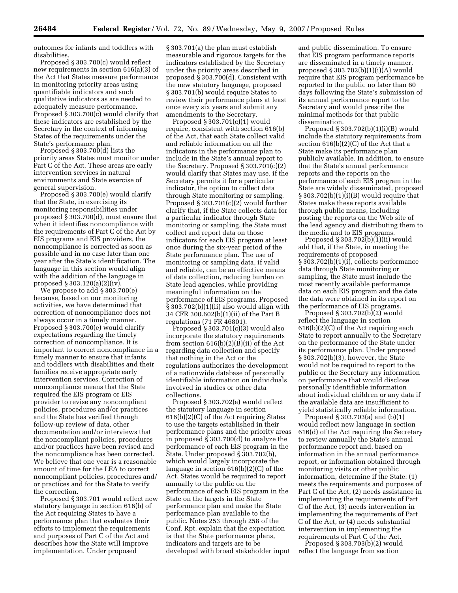outcomes for infants and toddlers with disabilities.

Proposed § 303.700(c) would reflect new requirements in section 616(a)(3) of the Act that States measure performance in monitoring priority areas using quantifiable indicators and such qualitative indicators as are needed to adequately measure performance. Proposed § 303.700(c) would clarify that these indicators are established by the Secretary in the context of informing States of the requirements under the State's performance plan.

Proposed § 303.700(d) lists the priority areas States must monitor under Part C of the Act. These areas are early intervention services in natural environments and State exercise of general supervision.

Proposed § 303.700(e) would clarify that the State, in exercising its monitoring responsibilities under proposed § 303.700(d), must ensure that when it identifies noncompliance with the requirements of Part C of the Act by EIS programs and EIS providers, the noncompliance is corrected as soon as possible and in no case later than one year after the State's identification. The language in this section would align with the addition of the language in proposed § 303.120(a)(2)(iv).

We propose to add § 303.700(e) because, based on our monitoring activities, we have determined that correction of noncompliance does not always occur in a timely manner. Proposed § 303.700(e) would clarify expectations regarding the timely correction of noncompliance. It is important to correct noncompliance in a timely manner to ensure that infants and toddlers with disabilities and their families receive appropriate early intervention services. Correction of noncompliance means that the State required the EIS program or EIS provider to revise any noncompliant policies, procedures and/or practices and the State has verified through follow-up review of data, other documentation and/or interviews that the noncompliant policies, procedures and/or practices have been revised and the noncompliance has been corrected. We believe that one year is a reasonable amount of time for the LEA to correct noncompliant policies, procedures and/ or practices and for the State to verify the correction.

Proposed § 303.701 would reflect new statutory language in section 616(b) of the Act requiring States to have a performance plan that evaluates their efforts to implement the requirements and purposes of Part C of the Act and describes how the State will improve implementation. Under proposed

§ 303.701(a) the plan must establish measurable and rigorous targets for the indicators established by the Secretary under the priority areas described in proposed  $\bar{\S}$  303.700(d). Consistent with the new statutory language, proposed § 303.701(b) would require States to review their performance plans at least once every six years and submit any amendments to the Secretary.

Proposed § 303.701(c)(1) would require, consistent with section 616(b) of the Act, that each State collect valid and reliable information on all the indicators in the performance plan to include in the State's annual report to the Secretary. Proposed § 303.701(c)(2) would clarify that States may use, if the Secretary permits it for a particular indicator, the option to collect data through State monitoring or sampling. Proposed § 303.701(c)(2) would further clarify that, if the State collects data for a particular indicator through State monitoring or sampling, the State must collect and report data on those indicators for each EIS program at least once during the six-year period of the State performance plan. The use of monitoring or sampling data, if valid and reliable, can be an effective means of data collection, reducing burden on State lead agencies, while providing meaningful information on the performance of EIS programs. Proposed § 303.702(b)(1)(ii) also would align with 34 CFR 300.602(b)(1)(ii) of the Part B regulations (71 FR 46801).

Proposed § 303.701(c)(3) would also incorporate the statutory requirements from section 616(b)(2)(B)(ii) of the Act regarding data collection and specify that nothing in the Act or the regulations authorizes the development of a nationwide database of personally identifiable information on individuals involved in studies or other data collections.

Proposed § 303.702(a) would reflect the statutory language in section 616(b)(2)(C) of the Act requiring States to use the targets established in their performance plans and the priority areas in proposed § 303.700(d) to analyze the performance of each EIS program in the State. Under proposed § 303.702(b), which would largely incorporate the language in section 616(b)(2)(C) of the Act, States would be required to report annually to the public on the performance of each EIS program in the State on the targets in the State performance plan and make the State performance plan available to the public. Notes 253 through 258 of the Conf. Rpt. explain that the expectation is that the State performance plans, indicators and targets are to be developed with broad stakeholder input

and public dissemination. To ensure that EIS program performance reports are disseminated in a timely manner, proposed  $\S 303.702(b)(1)(i)(A)$  would require that EIS program performance be reported to the public no later than 60 days following the State's submission of its annual performance report to the Secretary and would prescribe the minimal methods for that public dissemination.

Proposed § 303.702(b)(1)(i)(B) would include the statutory requirements from section 616(b)(2)(C) of the Act that a State make its performance plan publicly available. In addition, to ensure that the State's annual performance reports and the reports on the performance of each EIS program in the State are widely disseminated, proposed  $§ 303.702(b)(1)(i)(B)$  would require that States make these reports available through public means, including posting the reports on the Web site of the lead agency and distributing them to the media and to EIS programs.

Proposed  $\S 303.702(b)(1)(ii)$  would add that, if the State, in meeting the requirements of proposed § 303.702(b)(1)(i), collects performance data through State monitoring or sampling, the State must include the most recently available performance data on each EIS program and the date the data were obtained in its report on the performance of EIS programs.

Proposed § 303.702(b)(2) would reflect the language in section 616(b)(2)(C) of the Act requiring each State to report annually to the Secretary on the performance of the State under its performance plan. Under proposed § 303.702(b)(3), however, the State would not be required to report to the public or the Secretary any information on performance that would disclose personally identifiable information about individual children or any data if the available data are insufficient to yield statistically reliable information.

Proposed § 303.703(a) and (b)(1) would reflect new language in section 616(d) of the Act requiring the Secretary to review annually the State's annual performance report and, based on information in the annual performance report, or information obtained through monitoring visits or other public information, determine if the State: (1) meets the requirements and purposes of Part C of the Act, (2) needs assistance in implementing the requirements of Part C of the Act, (3) needs intervention in implementing the requirements of Part C of the Act, or (4) needs substantial intervention in implementing the requirements of Part C of the Act.

Proposed § 303.703(b)(2) would reflect the language from section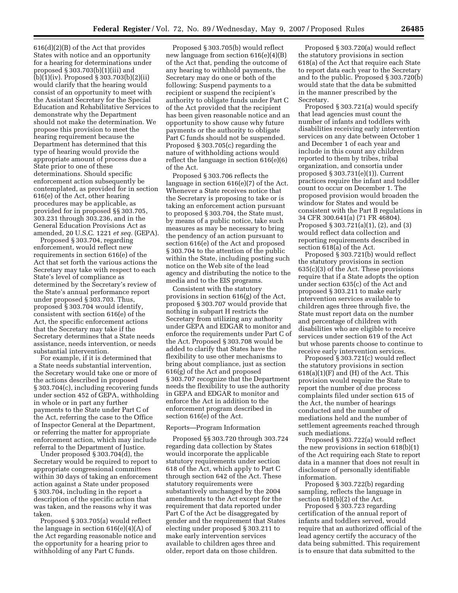616(d)(2)(B) of the Act that provides States with notice and an opportunity for a hearing for determinations under proposed § 303.703(b)(1)(iii) and (b)(1)(iv). Proposed § 303.703(b)(2)(ii) would clarify that the hearing would consist of an opportunity to meet with the Assistant Secretary for the Special Education and Rehabilitative Services to demonstrate why the Department should not make the determination. We propose this provision to meet the hearing requirement because the Department has determined that this type of hearing would provide the appropriate amount of process due a State prior to one of these determinations. Should specific enforcement action subsequently be contemplated, as provided for in section 616(e) of the Act, other hearing procedures may be applicable, as provided for in proposed §§ 303.705, 303.231 through 303.236, and in the General Education Provisions Act as amended, 20 U.S.C. 1221 *et seq.* (GEPA).

Proposed § 303.704, regarding enforcement, would reflect new requirements in section 616(e) of the Act that set forth the various actions the Secretary may take with respect to each State's level of compliance as determined by the Secretary's review of the State's annual performance report under proposed § 303.703. Thus, proposed § 303.704 would identify, consistent with section 616(e) of the Act, the specific enforcement actions that the Secretary may take if the Secretary determines that a State needs assistance, needs intervention, or needs substantial intervention.

For example, if it is determined that a State needs substantial intervention, the Secretary would take one or more of the actions described in proposed § 303.704(c), including recovering funds under section 452 of GEPA, withholding in whole or in part any further payments to the State under Part C of the Act, referring the case to the Office of Inspector General at the Department, or referring the matter for appropriate enforcement action, which may include referral to the Department of Justice.

Under proposed § 303.704(d), the Secretary would be required to report to appropriate congressional committees within 30 days of taking an enforcement action against a State under proposed § 303.704, including in the report a description of the specific action that was taken, and the reasons why it was taken.

Proposed § 303.705(a) would reflect the language in section 616(e)(4)(A) of the Act regarding reasonable notice and the opportunity for a hearing prior to withholding of any Part C funds.

Proposed § 303.705(b) would reflect new language from section 616(e)(4)(B) of the Act that, pending the outcome of any hearing to withhold payments, the Secretary may do one or both of the following: Suspend payments to a recipient or suspend the recipient's authority to obligate funds under Part C of the Act provided that the recipient has been given reasonable notice and an opportunity to show cause why future payments or the authority to obligate Part C funds should not be suspended. Proposed § 303.705(c) regarding the nature of withholding actions would reflect the language in section 616(e)(6) of the Act.

Proposed § 303.706 reflects the language in section 616(e)(7) of the Act. Whenever a State receives notice that the Secretary is proposing to take or is taking an enforcement action pursuant to proposed § 303.704, the State must, by means of a public notice, take such measures as may be necessary to bring the pendency of an action pursuant to section 616(e) of the Act and proposed § 303.704 to the attention of the public within the State, including posting such notice on the Web site of the lead agency and distributing the notice to the media and to the EIS programs.

Consistent with the statutory provisions in section 616(g) of the Act, proposed § 303.707 would provide that nothing in subpart H restricts the Secretary from utilizing any authority under GEPA and EDGAR to monitor and enforce the requirements under Part C of the Act. Proposed § 303.708 would be added to clarify that States have the flexibility to use other mechanisms to bring about compliance, just as section 616(g) of the Act and proposed § 303.707 recognize that the Department needs the flexibility to use the authority in GEPA and EDGAR to monitor and enforce the Act in addition to the enforcement program described in section 616(e) of the Act.

### Reports—Program Information

Proposed §§ 303.720 through 303.724 regarding data collection by States would incorporate the applicable statutory requirements under section 618 of the Act, which apply to Part C through section 642 of the Act. These statutory requirements were substantively unchanged by the 2004 amendments to the Act except for the requirement that data reported under Part C of the Act be disaggregated by gender and the requirement that States electing under proposed § 303.211 to make early intervention services available to children ages three and older, report data on those children.

Proposed § 303.720(a) would reflect the statutory provisions in section 618(a) of the Act that require each State to report data each year to the Secretary and to the public. Proposed § 303.720(b) would state that the data be submitted in the manner prescribed by the Secretary.

Proposed § 303.721(a) would specify that lead agencies must count the number of infants and toddlers with disabilities receiving early intervention services on any date between October 1 and December 1 of each year and include in this count any children reported to them by tribes, tribal organization, and consortia under proposed § 303.731(e)(1)). Current practices require the infant and toddler count to occur on December 1. The proposed provision would broaden the window for States and would be consistent with the Part B regulations in 34 CFR 300.641(a) (71 FR 46804). Proposed § 303.721(a)(1), (2), and (3) would reflect data collection and reporting requirements described in section 618(a) of the Act.

Proposed § 303.721(b) would reflect the statutory provisions in section 635(c)(3) of the Act. These provisions require that if a State adopts the option under section 635(c) of the Act and proposed § 303.211 to make early intervention services available to children ages three through five, the State must report data on the number and percentage of children with disabilities who are eligible to receive services under section 619 of the Act but whose parents choose to continue to receive early intervention services.

Proposed § 303.721(c) would reflect the statutory provisions in section  $618(a)(1)(F)$  and  $(H)$  of the Act. This provision would require the State to report the number of due process complaints filed under section 615 of the Act, the number of hearings conducted and the number of mediations held and the number of settlement agreements reached through such mediations.

Proposed § 303.722(a) would reflect the new provisions in section 618(b)(1) of the Act requiring each State to report data in a manner that does not result in disclosure of personally identifiable information.

Proposed § 303.722(b) regarding sampling, reflects the language in section 618(b)(2) of the Act.

Proposed § 303.723 regarding certification of the annual report of infants and toddlers served, would require that an authorized official of the lead agency certify the accuracy of the data being submitted. This requirement is to ensure that data submitted to the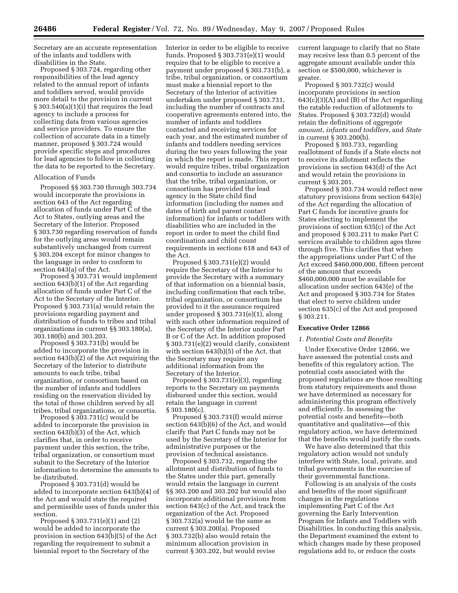Secretary are an accurate representation of the infants and toddlers with disabilities in the State.

Proposed § 303.724, regarding other responsibilities of the lead agency related to the annual report of infants and toddlers served, would provide more detail to the provision in current § 303.540(a)(1)(i) that requires the lead agency to include a process for collecting data from various agencies and service providers. To ensure the collection of accurate data in a timely manner, proposed § 303.724 would provide specific steps and procedures for lead agencies to follow in collecting the data to be reported to the Secretary.

## Allocation of Funds

Proposed §§ 303.730 through 303.734 would incorporate the provisions in section 643 of the Act regarding allocation of funds under Part C of the Act to States, outlying areas and the Secretary of the Interior. Proposed § 303.730 regarding reservation of funds for the outlying areas would remain substantively unchanged from current § 303.204 except for minor changes to the language in order to conform to section 643(a) of the Act.

Proposed § 303.731 would implement section 643(b)(1) of the Act regarding allocation of funds under Part C of the Act to the Secretary of the Interior. Proposed § 303.731(a) would retain the provisions regarding payment and distribution of funds to tribes and tribal organizations in current §§ 303.180(a), 303.180(b) and 303.203.

Proposed § 303.731(b) would be added to incorporate the provision in section 643(b)(2) of the Act requiring the Secretary of the Interior to distribute amounts to each tribe, tribal organization, or consortium based on the number of infants and toddlers residing on the reservation divided by the total of those children served by all tribes, tribal organizations, or consortia.

Proposed § 303.731(c) would be added to incorporate the provision in section 643(b)(3) of the Act, which clarifies that, in order to receive payment under this section, the tribe, tribal organization, or consortium must submit to the Secretary of the Interior information to determine the amounts to be distributed.

Proposed § 303.731(d) would be added to incorporate section 643(b)(4) of the Act and would state the required and permissible uses of funds under this section.

Proposed § 303.731(e)(1) and (2) would be added to incorporate the provision in section 643(b)(5) of the Act regarding the requirement to submit a biennial report to the Secretary of the

Interior in order to be eligible to receive funds. Proposed § 303.731(e)(1) would require that to be eligible to receive a payment under proposed § 303.731(b), a tribe, tribal organization, or consortium must make a biennial report to the Secretary of the Interior of activities undertaken under proposed § 303.731, including the number of contracts and cooperative agreements entered into, the number of infants and toddlers contacted and receiving services for each year, and the estimated number of infants and toddlers needing services during the two years following the year in which the report is made. This report would require tribes, tribal organization and consortia to include an assurance that the tribe, tribal organization, or consortium has provided the lead agency in the State child find information (including the names and dates of birth and parent contact information) for infants or toddlers with disabilities who are included in the report in order to meet the child find coordination and child count requirements in sections 618 and 643 of the Act.

Proposed § 303.731(e)(2) would require the Secretary of the Interior to provide the Secretary with a summary of that information on a biennial basis, including confirmation that each tribe, tribal organization, or consortium has provided to it the assurance required under proposed § 303.731(e)(1), along with such other information required of the Secretary of the Interior under Part B or C of the Act. In addition proposed § 303.731(e)(2) would clarify, consistent with section 643(b)(5) of the Act, that the Secretary may require any additional information from the Secretary of the Interior.

Proposed § 303.731(e)(3), regarding reports to the Secretary on payments disbursed under this section, would retain the language in current § 303.180(c).

Proposed § 303.731(f) would mirror section 643(b)(6) of the Act, and would clarify that Part C funds may not be used by the Secretary of the Interior for administrative purposes or the provision of technical assistance.

Proposed § 303.732, regarding the allotment and distribution of funds to the States under this part, generally would retain the language in current §§ 303.200 and 303.202 but would also incorporate additional provisions from section 643(c) of the Act, and track the organization of the Act. Proposed § 303.732(a) would be the same as current § 303.200(a). Proposed § 303.732(b) also would retain the minimum allocation provision in current § 303.202, but would revise

current language to clarify that no State may receive less than 0.5 percent of the aggregate amount available under this section or \$500,000, whichever is greater.

Proposed § 303.732(c) would incorporate provisions in section  $643(c)(3)(A)$  and (B) of the Act regarding the ratable reduction of allotments to States. Proposed § 303.732(d) would retain the definitions of *aggregate amount*, *infants and toddlers*, and *State*  in current § 303.200(b).

Proposed § 303.733, regarding reallotment of funds if a State elects not to receive its allotment reflects the provisions in section 643(d) of the Act and would retain the provisions in current § 303.201.

Proposed § 303.734 would reflect new statutory provisions from section 643(e) of the Act regarding the allocation of Part C funds for incentive grants for States electing to implement the provisions of section 635(c) of the Act and proposed § 303.211 to make Part C services available to children ages three through five. This clarifies that when the appropriations under Part C of the Act exceed \$460,000,000, fifteen percent of the amount that exceeds \$460,000,000 must be available for allocation under section 643(e) of the Act and proposed § 303.734 for States that elect to serve children under section 635(c) of the Act and proposed § 303.211.

## **Executive Order 12866**

#### *1. Potential Costs and Benefits*

Under Executive Order 12866, we have assessed the potential costs and benefits of this regulatory action. The potential costs associated with the proposed regulations are those resulting from statutory requirements and those we have determined as necessary for administering this program effectively and efficiently. In assessing the potential costs and benefits—both quantitative and qualitative—of this regulatory action, we have determined that the benefits would justify the costs.

We have also determined that this regulatory action would not unduly interfere with State, local, private, and tribal governments in the exercise of their governmental functions.

Following is an analysis of the costs and benefits of the most significant changes in the regulations implementing Part C of the Act governing the Early Intervention Program for Infants and Toddlers with Disabilities. In conducting this analysis, the Department examined the extent to which changes made by these proposed regulations add to, or reduce the costs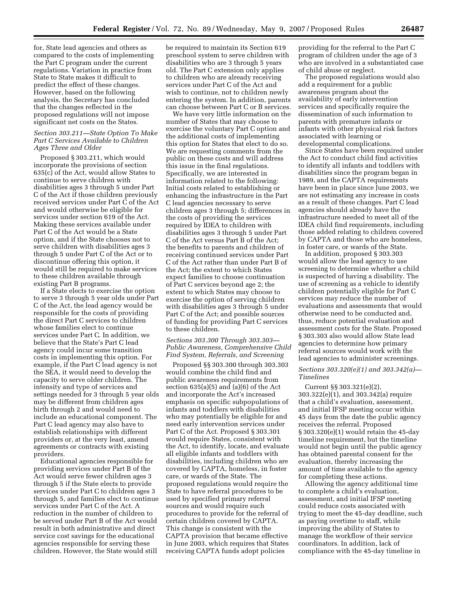for, State lead agencies and others as compared to the costs of implementing the Part C program under the current regulations. Variation in practice from State to State makes it difficult to predict the effect of these changes. However, based on the following analysis, the Secretary has concluded that the changes reflected in the proposed regulations will not impose significant net costs on the States.

## *Section 303.211—State Option To Make Part C Services Available to Children Ages Three and Older*

Proposed § 303.211, which would incorporate the provisions of section 635(c) of the Act, would allow States to continue to serve children with disabilities ages 3 through 5 under Part C of the Act if those children previously received services under Part C of the Act and would otherwise be eligible for services under section 619 of the Act. Making these services available under Part C of the Act would be a State option, and if the State chooses not to serve children with disabilities ages 3 through 5 under Part C of the Act or to discontinue offering this option, it would still be required to make services to these children available through existing Part B programs.

If a State elects to exercise the option to serve 3 through 5 year olds under Part C of the Act, the lead agency would be responsible for the costs of providing the direct Part C services to children whose families elect to continue services under Part C. In addition, we believe that the State's Part C lead agency could incur some transition costs in implementing this option. For example, if the Part C lead agency is not the SEA, it would need to develop the capacity to serve older children. The intensity and type of services and settings needed for 3 through 5 year olds may be different from children ages birth through 2 and would need to include an educational component. The Part C lead agency may also have to establish relationships with different providers or, at the very least, amend agreements or contracts with existing providers.

Educational agencies responsible for providing services under Part B of the Act would serve fewer children ages 3 through 5 if the State elects to provide services under Part C to children ages 3 through 5, and families elect to continue services under Part C of the Act. A reduction in the number of children to be served under Part B of the Act would result in both administrative and direct service cost savings for the educational agencies responsible for serving these children. However, the State would still

be required to maintain its Section 619 preschool system to serve children with disabilities who are 3 through 5 years old. The Part C extension only applies to children who are already receiving services under Part C of the Act and wish to continue, not to children newly entering the system. In addition, parents can choose between Part C or B services.

We have very little information on the number of States that may choose to exercise the voluntary Part C option and the additional costs of implementing this option for States that elect to do so. We are requesting comments from the public on these costs and will address this issue in the final regulations. Specifically, we are interested in information related to the following: Initial costs related to establishing or enhancing the infrastructure in the Part C lead agencies necessary to serve children ages 3 through 5; differences in the costs of providing the services required by IDEA to children with disabilities ages 3 through 5 under Part C of the Act versus Part B of the Act; the benefits to parents and children of receiving continued services under Part C of the Act rather than under Part B of the Act; the extent to which States expect families to choose continuation of Part C services beyond age 2; the extent to which States may choose to exercise the option of serving children with disabilities ages 3 through 5 under Part C of the Act; and possible sources of funding for providing Part C services to these children.

## *Sections 303.300 Through 303.303— Public Awareness, Comprehensive Child Find System, Referrals, and Screening*

Proposed §§ 303.300 through 303.303 would combine the child find and public awareness requirements from section  $635(a)(5)$  and  $(a)(6)$  of the Act and incorporate the Act's increased emphasis on specific subpopulations of infants and toddlers with disabilities who may potentially be eligible for and need early intervention services under Part C of the Act. Proposed § 303.301 would require States, consistent with the Act, to identify, locate, and evaluate all eligible infants and toddlers with disabilities, including children who are covered by CAPTA, homeless, in foster care, or wards of the State. The proposed regulations would require the State to have referral procedures to be used by specified primary referral sources and would require such procedures to provide for the referral of certain children covered by CAPTA. This change is consistent with the CAPTA provision that became effective in June 2003, which requires that States receiving CAPTA funds adopt policies

providing for the referral to the Part C program of children under the age of 3 who are involved in a substantiated case of child abuse or neglect.

The proposed regulations would also add a requirement for a public awareness program about the availability of early intervention services and specifically require the dissemination of such information to parents with premature infants or infants with other physical risk factors associated with learning or developmental complications.

Since States have been required under the Act to conduct child find activities to identify all infants and toddlers with disabilities since the program began in 1989, and the CAPTA requirements have been in place since June 2003, we are not estimating any increase in costs as a result of these changes. Part C lead agencies should already have the infrastructure needed to meet all of the IDEA child find requirements, including those added relating to children covered by CAPTA and those who are homeless, in foster care, or wards of the State.

In addition, proposed § 303.303 would allow the lead agency to use screening to determine whether a child is suspected of having a disability. The use of screening as a vehicle to identify children potentially eligible for Part C services may reduce the number of evaluations and assessments that would otherwise need to be conducted and, thus, reduce potential evaluation and assessment costs for the State. Proposed § 303.303 also would allow State lead agencies to determine how primary referral sources would work with the lead agencies to administer screenings.

# *Sections 303.320(e)(1) and 303.342(a)— Timelines*

Current §§ 303.321(e)(2), 303.322(e)(1), and 303.342(a) require that a child's evaluation, assessment, and initial IFSP meeting occur within 45 days from the date the public agency receives the referral. Proposed § 303.320(e)(1) would retain the 45-day timeline requirement, but the timeline would not begin until the public agency has obtained parental consent for the evaluation, thereby increasing the amount of time available to the agency for completing these actions.

Allowing the agency additional time to complete a child's evaluation, assessment, and initial IFSP meeting could reduce costs associated with trying to meet the 45-day deadline, such as paying overtime to staff, while improving the ability of States to manage the workflow of their service coordinators. In addition, lack of compliance with the 45-day timeline in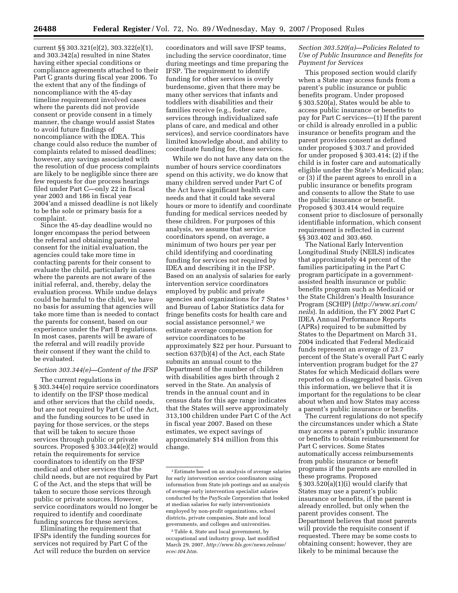current §§ 303.321(e)(2), 303.322(e)(1), and 303.342(a) resulted in nine States having either special conditions or compliance agreements attached to their Part C grants during fiscal year 2006. To the extent that any of the findings of noncompliance with the 45-day timeline requirement involved cases where the parents did not provide consent or provide consent in a timely manner, the change would assist States to avoid future findings of noncompliance with the IDEA. This change could also reduce the number of complaints related to missed deadlines; however, any savings associated with the resolution of due process complaints are likely to be negligible since there are few requests for due process hearings filed under Part C—only 22 in fiscal year 2003 and 186 in fiscal year 2004'and a missed deadline is not likely to be the sole or primary basis for a complaint.

Since the 45-day deadline would no longer encompass the period between the referral and obtaining parental consent for the initial evaluation, the agencies could take more time in contacting parents for their consent to evaluate the child, particularly in cases where the parents are not aware of the initial referral, and, thereby, delay the evaluation process. While undue delays could be harmful to the child, we have no basis for assuming that agencies will take more time than is needed to contact the parents for consent, based on our experience under the Part B regulations. In most cases, parents will be aware of the referral and will readily provide their consent if they want the child to be evaluated.

## *Section 303.344(e)—Content of the IFSP*

The current regulations in § 303.344(e) require service coordinators to identify on the IFSP those medical and other services that the child needs, but are not required by Part C of the Act, and the funding sources to be used in paying for those services, or the steps that will be taken to secure those services through public or private sources. Proposed § 303.344(e)(2) would retain the requirements for service coordinators to identify on the IFSP medical and other services that the child needs, but are not required by Part C of the Act, and the steps that will be taken to secure those services through public or private sources. However, service coordinators would no longer be required to identify and coordinate funding sources for these services.

Eliminating the requirement that IFSPs identify the funding sources for services not required by Part C of the Act will reduce the burden on service

coordinators and will save IFSP teams, including the service coordinator, time during meetings and time preparing the IFSP. The requirement to identify funding for other services is overly burdensome, given that there may be many other services that infants and toddlers with disabilities and their families receive (e.g., foster care, services through individualized safe plans of care, and medical and other services), and service coordinators have limited knowledge about, and ability to coordinate funding for, these services.

While we do not have any data on the number of hours service coordinators spend on this activity, we do know that many children served under Part C of the Act have significant health care needs and that it could take several hours or more to identify and coordinate funding for medical services needed by these children. For purposes of this analysis, we assume that service coordinators spend, on average, a minimum of two hours per year per child identifying and coordinating funding for services not required by IDEA and describing it in the IFSP. Based on an analysis of salaries for early intervention service coordinators employed by public and private agencies and organizations for 7 States 1 and Bureau of Labor Statistics data for fringe benefits costs for health care and social assistance personnel,<sup>2</sup> we estimate average compensation for service coordinators to be approximately \$22 per hour. Pursuant to section 637(b)(4) of the Act, each State submits an annual count to the Department of the number of children with disabilities ages birth through 2 served in the State. An analysis of trends in the annual count and in census data for this age range indicates that the States will serve approximately 313,100 children under Part C of the Act in fiscal year 2007. Based on these estimates, we expect savings of approximately \$14 million from this change.

# *Section 303.520(a)—Policies Related to Use of Public Insurance and Benefits for Payment for Services*

This proposed section would clarify when a State may access funds from a parent's public insurance or public benefits program. Under proposed § 303.520(a), States would be able to access public insurance or benefits to pay for Part C services—(1) If the parent or child is already enrolled in a public insurance or benefits program and the parent provides consent as defined under proposed § 303.7 and provided for under proposed § 303.414; (2) if the child is in foster care and automatically eligible under the State's Medicaid plan; or (3) if the parent agrees to enroll in a public insurance or benefits program and consents to allow the State to use the public insurance or benefit. Proposed § 303.414 would require consent prior to disclosure of personally identifiable information, which consent requirement is reflected in current §§ 303.402 and 303.460.

The National Early Intervention Longitudinal Study (NEILS) indicates that approximately 44 percent of the families participating in the Part C program participate in a governmentassisted health insurance or public benefits program such as Medicaid or the State Children's Health Insurance Program (SCHIP) (*http://www.sri.com/ neils*). In addition, the FY 2002 Part C IDEA Annual Performance Reports (APRs) required to be submitted by States to the Department on March 31, 2004 indicated that Federal Medicaid funds represent an average of 23.7 percent of the State's overall Part C early intervention program budget for the 27 States for which Medicaid dollars were reported on a disaggregated basis. Given this information, we believe that it is important for the regulations to be clear about when and how States may access a parent's public insurance or benefits.

The current regulations do not specify the circumstances under which a State may access a parent's public insurance or benefits to obtain reimbursement for Part C services. Some States automatically access reimbursements from public insurance or benefit programs if the parents are enrolled in these programs. Proposed § 303.520(a)(1)(i) would clarify that States may use a parent's public insurance or benefits, if the parent is already enrolled, but only when the parent provides consent. The Department believes that most parents will provide the requisite consent if requested. There may be some costs to obtaining consent; however, they are likely to be minimal because the

<sup>1</sup>Estimate based on an analysis of average salaries for early intervention service coordinators using information from State job postings and an analysis of average early intervention specialist salaries conducted by the PayScale Corporation that looked at median salaries for early interventionists employed by non-profit organizations, school districts, private companies, State and local governments, and colleges and universities.

<sup>2</sup>Table 4, State and local government, by occupational and industry group, last modified March 29, 2007, *http://www.bls.gov/news.release/ ecec.t04.htm.*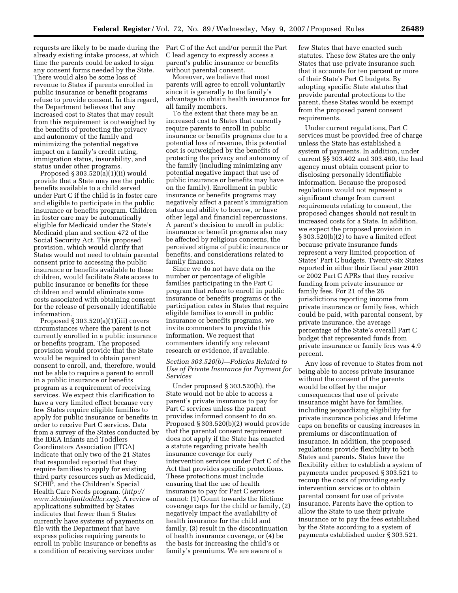requests are likely to be made during the Part C of the Act and/or permit the Part already existing intake process, at which time the parents could be asked to sign any consent forms needed by the State. There would also be some loss of revenue to States if parents enrolled in public insurance or benefit programs refuse to provide consent. In this regard, the Department believes that any increased cost to States that may result from this requirement is outweighed by the benefits of protecting the privacy and autonomy of the family and minimizing the potential negative impact on a family's credit rating, immigration status, insurability, and status under other programs.

Proposed  $\S 303.520(a)(1)(ii)$  would provide that a State may use the public benefits available to a child served under Part C if the child is in foster care and eligible to participate in the public insurance or benefits program. Children in foster care may be automatically eligible for Medicaid under the State's Medicaid plan and section 472 of the Social Security Act. This proposed provision, which would clarify that States would not need to obtain parental consent prior to accessing the public insurance or benefits available to these children, would facilitate State access to public insurance or benefits for these children and would eliminate some costs associated with obtaining consent for the release of personally identifiable information.

Proposed  $\S 303.520(a)(1)(iii)$  covers circumstances where the parent is not currently enrolled in a public insurance or benefits program. The proposed provision would provide that the State would be required to obtain parent consent to enroll, and, therefore, would not be able to require a parent to enroll in a public insurance or benefits program as a requirement of receiving services. We expect this clarification to have a very limited effect because very few States require eligible families to apply for public insurance or benefits in order to receive Part C services. Data from a survey of the States conducted by the IDEA Infants and Toddlers Coordinators Association (ITCA) indicate that only two of the 21 States that responded reported that they require families to apply for existing third party resources such as Medicaid, SCHIP, and the Children's Special Health Care Needs program. (*http:// www.ideainfanttoddler.org*). A review of applications submitted by States indicates that fewer than 5 States currently have systems of payments on file with the Department that have express policies requiring parents to enroll in public insurance or benefits as a condition of receiving services under

C lead agency to expressly access a parent's public insurance or benefits without parental consent.

Moreover, we believe that most parents will agree to enroll voluntarily since it is generally to the family's advantage to obtain health insurance for all family members.

To the extent that there may be an increased cost to States that currently require parents to enroll in public insurance or benefits programs due to a potential loss of revenue, this potential cost is outweighed by the benefits of protecting the privacy and autonomy of the family (including minimizing any potential negative impact that use of public insurance or benefits may have on the family). Enrollment in public insurance or benefits programs may negatively affect a parent's immigration status and ability to borrow, or have other legal and financial repercussions. A parent's decision to enroll in public insurance or benefit programs also may be affected by religious concerns, the perceived stigma of public insurance or benefits, and considerations related to family finances.

Since we do not have data on the number or percentage of eligible families participating in the Part C program that refuse to enroll in public insurance or benefits programs or the participation rates in States that require eligible families to enroll in public insurance or benefits programs, we invite commenters to provide this information. We request that commenters identify any relevant research or evidence, if available.

# *Section 303.520(b)—Policies Related to Use of Private Insurance for Payment for Services*

Under proposed § 303.520(b), the State would not be able to access a parent's private insurance to pay for Part C services unless the parent provides informed consent to do so. Proposed § 303.520(b)(2) would provide that the parental consent requirement does not apply if the State has enacted a statute regarding private health insurance coverage for early intervention services under Part C of the Act that provides specific protections. These protections must include ensuring that the use of health insurance to pay for Part C services cannot: (1) Count towards the lifetime coverage caps for the child or family, (2) negatively impact the availability of health insurance for the child and family, (3) result in the discontinuation of health insurance coverage, or (4) be the basis for increasing the child's or family's premiums. We are aware of a

few States that have enacted such statutes. These few States are the only States that use private insurance such that it accounts for ten percent or more of their State's Part C budgets. By adopting specific State statutes that provide parental protections to the parent, these States would be exempt from the proposed parent consent requirements.

Under current regulations, Part C services must be provided free of charge unless the State has established a system of payments. In addition, under current §§ 303.402 and 303.460, the lead agency must obtain consent prior to disclosing personally identifiable information. Because the proposed regulations would not represent a significant change from current requirements relating to consent, the proposed changes should not result in increased costs for a State. In addition, we expect the proposed provision in § 303.520(b)(2) to have a limited effect because private insurance funds represent a very limited proportion of States' Part C budgets. Twenty-six States reported in either their fiscal year 2001 or 2002 Part C APRs that they receive funding from private insurance or family fees. For 21 of the 26 jurisdictions reporting income from private insurance or family fees, which could be paid, with parental consent, by private insurance, the average percentage of the State's overall Part C budget that represented funds from private insurance or family fees was 4.9 percent.

Any loss of revenue to States from not being able to access private insurance without the consent of the parents would be offset by the major consequences that use of private insurance might have for families, including jeopardizing eligibility for private insurance policies and lifetime caps on benefits or causing increases in premiums or discontinuation of insurance. In addition, the proposed regulations provide flexibility to both States and parents. States have the flexibility either to establish a system of payments under proposed § 303.521 to recoup the costs of providing early intervention services or to obtain parental consent for use of private insurance. Parents have the option to allow the State to use their private insurance or to pay the fees established by the State according to a system of payments established under § 303.521.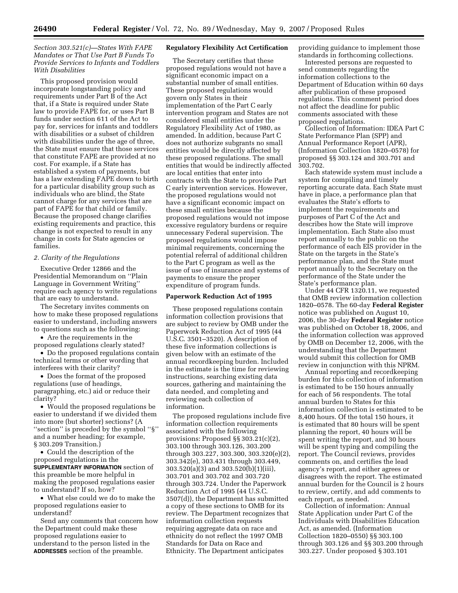# *Section 303.521(c)—States With FAPE Mandates or That Use Part B Funds To Provide Services to Infants and Toddlers With Disabilities*

This proposed provision would incorporate longstanding policy and requirements under Part B of the Act that, if a State is required under State law to provide FAPE for, or uses Part B funds under section 611 of the Act to pay for, services for infants and toddlers with disabilities or a subset of children with disabilities under the age of three, the State must ensure that those services that constitute FAPE are provided at no cost. For example, if a State has established a system of payments, but has a law extending FAPE down to birth for a particular disability group such as individuals who are blind, the State cannot charge for any services that are part of FAPE for that child or family. Because the proposed change clarifies existing requirements and practice, this change is not expected to result in any change in costs for State agencies or families.

# *2. Clarity of the Regulations*

Executive Order 12866 and the Presidential Memorandum on ''Plain Language in Government Writing'' require each agency to write regulations that are easy to understand.

The Secretary invites comments on how to make these proposed regulations easier to understand, including answers to questions such as the following:

• Are the requirements in the proposed regulations clearly stated?

• Do the proposed regulations contain technical terms or other wording that interferes with their clarity?

• Does the format of the proposed regulations (use of headings, paragraphing, etc.) aid or reduce their clarity?

• Would the proposed regulations be easier to understand if we divided them into more (but shorter) sections? (A ''section'' is preceded by the symbol ''§'' and a number heading; for example, § 303.209 Transition.)

• Could the description of the proposed regulations in the **SUPPLEMENTARY INFORMATION** section of this preamble be more helpful in making the proposed regulations easier to understand? If so, how?

• What else could we do to make the proposed regulations easier to understand?

Send any comments that concern how the Department could make these proposed regulations easier to understand to the person listed in the **ADDRESSES** section of the preamble.

## **Regulatory Flexibility Act Certification**

The Secretary certifies that these proposed regulations would not have a significant economic impact on a substantial number of small entities. These proposed regulations would govern only States in their implementation of the Part C early intervention program and States are not considered small entities under the Regulatory Flexibility Act of 1980, as amended. In addition, because Part C does not authorize subgrants no small entities would be directly affected by these proposed regulations. The small entities that would be indirectly affected are local entities that enter into contracts with the State to provide Part C early intervention services. However, the proposed regulations would not have a significant economic impact on these small entities because the proposed regulations would not impose excessive regulatory burdens or require unnecessary Federal supervision. The proposed regulations would impose minimal requirements, concerning the potential referral of additional children to the Part C program as well as the issue of use of insurance and systems of payments to ensure the proper expenditure of program funds.

### **Paperwork Reduction Act of 1995**

These proposed regulations contain information collection provisions that are subject to review by OMB under the Paperwork Reduction Act of 1995 (44 U.S.C. 3501–3520). A description of these five information collections is given below with an estimate of the annual recordkeeping burden. Included in the estimate is the time for reviewing instructions, searching existing data sources, gathering and maintaining the data needed, and completing and reviewing each collection of information.

The proposed regulations include five information collection requirements associated with the following provisions: Proposed §§ 303.21(c)(2), 303.100 through 303.126, 303.200 through 303.227, 303.300, 303.320(e)(2), 303.342(e), 303.431 through 303.449, 303.520(a)(3) and 303.520(b)(1)(iii), 303.701 and 303.702 and 303.720 through 303.724. Under the Paperwork Reduction Act of 1995 (44 U.S.C. 3507(d)), the Department has submitted a copy of these sections to OMB for its review. The Department recognizes that information collection requests requiring aggregate data on race and ethnicity do not reflect the 1997 OMB Standards for Data on Race and Ethnicity. The Department anticipates

providing guidance to implement those standards in forthcoming collections.

Interested persons are requested to send comments regarding the information collections to the Department of Education within 60 days after publication of these proposed regulations. This comment period does not affect the deadline for public comments associated with these proposed regulations.

Collection of Information: IDEA Part C State Performance Plan (SPP) and Annual Performance Report (APR), (Information Collection 1820–0578) for proposed §§ 303.124 and 303.701 and 303.702.

Each statewide system must include a system for compiling and timely reporting accurate data. Each State must have in place, a performance plan that evaluates the State's efforts to implement the requirements and purposes of Part C of the Act and describes how the State will improve implementation. Each State also must report annually to the public on the performance of each EIS provider in the State on the targets in the State's performance plan, and the State must report annually to the Secretary on the performance of the State under the State's performance plan.

Under 44 CFR 1320.11, we requested that OMB review information collection 1820–0578. The 60-day **Federal Register**  notice was published on August 10, 2006, the 30-day **Federal Register** notice was published on October 18, 2006, and the information collection was approved by OMB on December 12, 2006, with the understanding that the Department would submit this collection for OMB review in conjunction with this NPRM.

Annual reporting and recordkeeping burden for this collection of information is estimated to be 150 hours annually for each of 56 respondents. The total annual burden to States for this information collection is estimated to be 8,400 hours. Of the total 150 hours, it is estimated that 80 hours will be spent planning the report, 40 hours will be spent writing the report, and 30 hours will be spent typing and compiling the report. The Council reviews, provides comments on, and certifies the lead agency's report, and either agrees or disagrees with the report. The estimated annual burden for the Council is 2 hours to review, certify, and add comments to each report, as needed.

Collection of information: Annual State Application under Part C of the Individuals with Disabilities Education Act, as amended. (Information Collection 1820–0550) §§ 303.100 through 303.126 and §§ 303.200 through 303.227. Under proposed § 303.101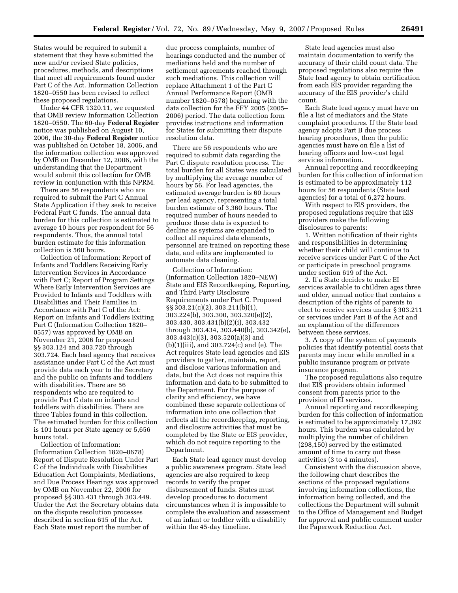States would be required to submit a statement that they have submitted the new and/or revised State policies, procedures, methods, and descriptions that meet all requirements found under Part C of the Act. Information Collection 1820–0550 has been revised to reflect these proposed regulations.

Under 44 CFR 1320.11, we requested that OMB review Information Collection 1820–0550. The 60-day **Federal Register**  notice was published on August 10, 2006, the 30-day **Federal Register** notice was published on October 18, 2006, and the information collection was approved by OMB on December 12, 2006, with the understanding that the Department would submit this collection for OMB review in conjunction with this NPRM.

There are 56 respondents who are required to submit the Part C Annual State Application if they seek to receive Federal Part C funds. The annual data burden for this collection is estimated to average 10 hours per respondent for 56 respondents. Thus, the annual total burden estimate for this information collection is 560 hours.

Collection of Information: Report of Infants and Toddlers Receiving Early Intervention Services in Accordance with Part C; Report of Program Settings Where Early Intervention Services are Provided to Infants and Toddlers with Disabilities and Their Families in Accordance with Part C of the Act: Report on Infants and Toddlers Exiting Part C (Information Collection 1820– 0557) was approved by OMB on November 21, 2006 for proposed §§ 303.124 and 303.720 through 303.724. Each lead agency that receives assistance under Part C of the Act must provide data each year to the Secretary and the public on infants and toddlers with disabilities. There are 56 respondents who are required to provide Part C data on infants and toddlers with disabilities. There are three Tables found in this collection. The estimated burden for this collection is 101 hours per State agency or 5,656 hours total.

Collection of Information: (Information Collection 1820–0678) Report of Dispute Resolution Under Part C of the Individuals with Disabilities Education Act Complaints, Mediations, and Due Process Hearings was approved by OMB on November 22, 2006 for proposed §§ 303.431 through 303.449. Under the Act the Secretary obtains data on the dispute resolution processes described in section 615 of the Act. Each State must report the number of

due process complaints, number of hearings conducted and the number of mediations held and the number of settlement agreements reached through such mediations. This collection will replace Attachment 1 of the Part C Annual Performance Report (OMB number 1820–0578) beginning with the data collection for the FFY 2005 (2005– 2006) period. The data collection form provides instructions and information for States for submitting their dispute resolution data.

There are 56 respondents who are required to submit data regarding the Part C dispute resolution process. The total burden for all States was calculated by multiplying the average number of hours by 56. For lead agencies, the estimated average burden is 60 hours per lead agency, representing a total burden estimate of 3,360 hours. The required number of hours needed to produce these data is expected to decline as systems are expanded to collect all required data elements, personnel are trained on reporting these data, and edits are implemented to automate data cleaning.

Collection of Information: (Information Collection 1820–NEW) State and EIS Recordkeeping, Reporting, and Third Party Disclosure Requirements under Part C. Proposed §§ 303.21(c)(2), 303.211(b)(1), 303.224(b), 303.300, 303.320(e)(2), 303.430, 303.431(b)(2)(i), 303.432 through 303.434, 303.440(b), 303.342(e), 303.443(c)(3), 303.520(a)(3) and (b)(1)(iii), and 303.724(c) and (e). The Act requires State lead agencies and EIS providers to gather, maintain, report, and disclose various information and data, but the Act does not require this information and data to be submitted to the Department. For the purpose of clarity and efficiency, we have combined these separate collections of information into one collection that reflects all the recordkeeping, reporting, and disclosure activities that must be completed by the State or EIS provider, which do not require reporting to the Department.

Each State lead agency must develop a public awareness program. State lead agencies are also required to keep records to verify the proper disbursement of funds. States must develop procedures to document circumstances when it is impossible to complete the evaluation and assessment of an infant or toddler with a disability within the 45-day timeline.

State lead agencies must also maintain documentation to verify the accuracy of their child count data. The proposed regulations also require the State lead agency to obtain certification from each EIS provider regarding the accuracy of the EIS provider's child count.

Each State lead agency must have on file a list of mediators and the State complaint procedures. If the State lead agency adopts Part B due process hearing procedures, then the public agencies must have on file a list of hearing officers and low-cost legal services information.

Annual reporting and recordkeeping burden for this collection of information is estimated to be approximately 112 hours for 56 respondents (State lead agencies) for a total of 6,272 hours.

With respect to EIS providers, the proposed regulations require that EIS providers make the following disclosures to parents:

1. Written notification of their rights and responsibilities in determining whether their child will continue to receive services under Part C of the Act or participate in preschool programs under section 619 of the Act.

2. If a State decides to make EI services available to children ages three and older, annual notice that contains a description of the rights of parents to elect to receive services under § 303.211 or services under Part B of the Act and an explanation of the differences between these services.

3. A copy of the system of payments policies that identify potential costs that parents may incur while enrolled in a public insurance program or private insurance program.

The proposed regulations also require that EIS providers obtain informed consent from parents prior to the provision of EI services.

Annual reporting and recordkeeping burden for this collection of information is estimated to be approximately 17,392 hours. This burden was calculated by multiplying the number of children (298,150) served by the estimated amount of time to carry out these activities (3 to 4 minutes).

Consistent with the discussion above, the following chart describes the sections of the proposed regulations involving information collections, the information being collected, and the collections the Department will submit to the Office of Management and Budget for approval and public comment under the Paperwork Reduction Act.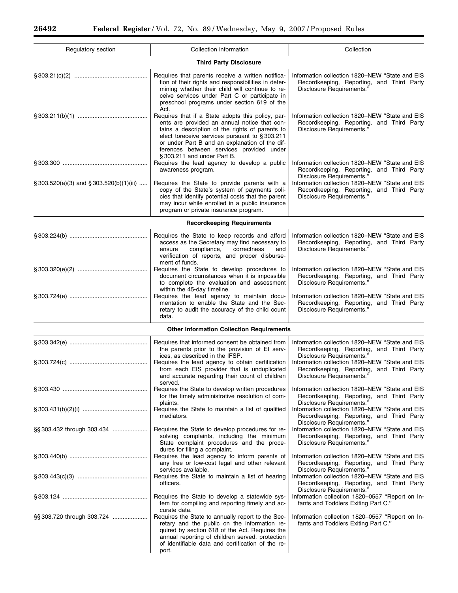$\equiv$ 

| Regulatory section                             | Collection information                                                                                                                                                                                                                                                                                                                    | Collection                                                                                                                                                                                                                                           |
|------------------------------------------------|-------------------------------------------------------------------------------------------------------------------------------------------------------------------------------------------------------------------------------------------------------------------------------------------------------------------------------------------|------------------------------------------------------------------------------------------------------------------------------------------------------------------------------------------------------------------------------------------------------|
|                                                | <b>Third Party Disclosure</b>                                                                                                                                                                                                                                                                                                             |                                                                                                                                                                                                                                                      |
|                                                | Requires that parents receive a written notifica-<br>tion of their rights and responsibilities in deter-<br>mining whether their child will continue to re-<br>ceive services under Part C or participate in<br>preschool programs under section 619 of the                                                                               | Information collection 1820-NEW "State and EIS<br>Recordkeeping, Reporting, and Third Party<br>Disclosure Requirements."                                                                                                                             |
|                                                | Act.<br>Requires that if a State adopts this policy, par-<br>ents are provided an annual notice that con-<br>tains a description of the rights of parents to<br>elect toreceive services pursuant to §303.211<br>or under Part B and an explanation of the dif-<br>ferences between services provided under<br>§303.211 and under Part B. | Information collection 1820–NEW "State and EIS<br>Recordkeeping, Reporting, and Third Party<br>Disclosure Requirements."                                                                                                                             |
|                                                | Requires the lead agency to develop a public<br>awareness program.                                                                                                                                                                                                                                                                        | Information collection 1820-NEW "State and EIS<br>Recordkeeping, Reporting, and Third Party<br>Disclosure Requirements."                                                                                                                             |
| $\S 303.520(a)(3)$ and $\S 303.520(b)(1)(iii)$ | Requires the State to provide parents with a<br>copy of the State's system of payments poli-<br>cies that identify potential costs that the parent<br>may incur while enrolled in a public insurance<br>program or private insurance program.                                                                                             | Information collection 1820-NEW "State and EIS<br>Recordkeeping, Reporting, and Third Party<br>Disclosure Requirements."                                                                                                                             |
|                                                | <b>Recordkeeping Requirements</b>                                                                                                                                                                                                                                                                                                         |                                                                                                                                                                                                                                                      |
|                                                | Requires the State to keep records and afford<br>access as the Secretary may find necessary to<br>compliance,<br>correctness<br>and<br>ensure<br>verification of reports, and proper disburse-<br>ment of funds.                                                                                                                          | Information collection 1820–NEW "State and EIS<br>Recordkeeping, Reporting, and Third Party<br>Disclosure Requirements."                                                                                                                             |
|                                                | Requires the State to develop procedures to<br>document circumstances when it is impossible<br>to complete the evaluation and assessment<br>within the 45-day timeline.                                                                                                                                                                   | Information collection 1820-NEW "State and EIS<br>Recordkeeping, Reporting, and Third Party<br>Disclosure Requirements."                                                                                                                             |
|                                                | Requires the lead agency to maintain docu-<br>mentation to enable the State and the Sec-<br>retary to audit the accuracy of the child count<br>data.                                                                                                                                                                                      | Information collection 1820-NEW "State and EIS<br>Recordkeeping, Reporting, and Third Party<br>Disclosure Requirements."                                                                                                                             |
|                                                | <b>Other Information Collection Requirements</b>                                                                                                                                                                                                                                                                                          |                                                                                                                                                                                                                                                      |
|                                                | Requires that informed consent be obtained from<br>the parents prior to the provision of El serv-<br>ices, as described in the IFSP.<br>Requires the lead agency to obtain certification<br>from each EIS provider that is unduplicated<br>and accurate regarding their count of children                                                 | Information collection 1820-NEW "State and EIS<br>Recordkeeping, Reporting, and Third Party<br>Disclosure Requirements."<br>Information collection 1820-NEW "State and EIS<br>Recordkeeping, Reporting, and Third Party<br>Disclosure Requirements." |
|                                                | served.<br>Requires the State to develop written procedures<br>for the timely administrative resolution of com-                                                                                                                                                                                                                           | Information collection 1820–NEW "State and EIS<br>Recordkeeping, Reporting, and Third Party                                                                                                                                                          |
|                                                | plaints.<br>Requires the State to maintain a list of qualified<br>mediators.                                                                                                                                                                                                                                                              | Disclosure Requirements."<br>Information collection 1820-NEW "State and EIS<br>Recordkeeping, Reporting, and Third Party<br>Disclosure Requirements."                                                                                                |
| §§ 303.432 through 303.434                     | Requires the State to develop procedures for re-<br>solving complaints, including the minimum<br>State complaint procedures and the proce-<br>dures for filing a complaint.                                                                                                                                                               | Information collection 1820–NEW "State and EIS<br>Recordkeeping, Reporting, and Third Party<br>Disclosure Requirements."                                                                                                                             |
|                                                | Requires the lead agency to inform parents of<br>any free or low-cost legal and other relevant<br>services available.                                                                                                                                                                                                                     | Information collection 1820–NEW "State and EIS<br>Recordkeeping, Reporting, and Third Party<br>Disclosure Requirements."                                                                                                                             |
|                                                | Requires the State to maintain a list of hearing<br>officers.                                                                                                                                                                                                                                                                             | Information collection 1820–NEW "State and EIS<br>Recordkeeping, Reporting, and Third Party<br>Disclosure Requirements."                                                                                                                             |
|                                                | Requires the State to develop a statewide sys-<br>tem for compiling and reporting timely and ac-<br>curate data.                                                                                                                                                                                                                          | Information collection 1820-0557 "Report on In-<br>fants and Toddlers Exiting Part C."                                                                                                                                                               |
| §§ 303.720 through 303.724                     | Requires the State to annually report to the Sec-<br>retary and the public on the information re-<br>quired by section 618 of the Act. Requires the<br>annual reporting of children served, protection<br>of identifiable data and certification of the re-<br>port.                                                                      | Information collection 1820-0557 "Report on In-<br>fants and Toddlers Exiting Part C."                                                                                                                                                               |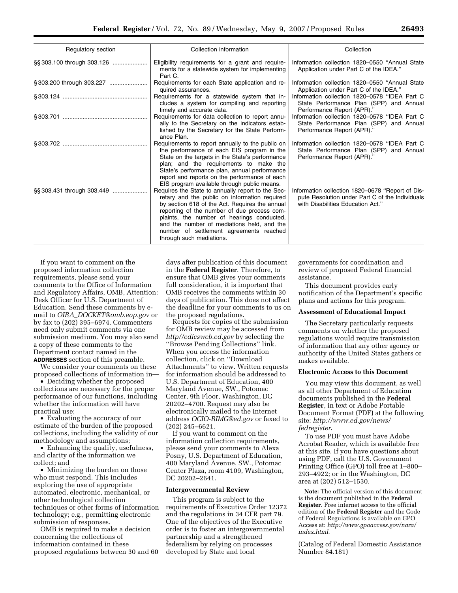| Regulatory section | Collection information                                                                                                                                                                                                                                                                                                                                                 | Collection                                                                                                                               |
|--------------------|------------------------------------------------------------------------------------------------------------------------------------------------------------------------------------------------------------------------------------------------------------------------------------------------------------------------------------------------------------------------|------------------------------------------------------------------------------------------------------------------------------------------|
|                    | Eligibility requirements for a grant and require-<br>ments for a statewide system for implementing<br>Part C.                                                                                                                                                                                                                                                          | Information collection 1820–0550 "Annual State<br>Application under Part C of the IDEA."                                                 |
|                    | Requirements for each State application and re-<br>quired assurances.                                                                                                                                                                                                                                                                                                  | Information collection 1820–0550 "Annual State<br>Application under Part C of the IDEA."                                                 |
|                    | Requirements for a statewide system that in-<br>cludes a system for compiling and reporting<br>timely and accurate data.                                                                                                                                                                                                                                               | Information collection 1820–0578 "IDEA Part C<br>State Performance Plan (SPP) and Annual<br>Performance Report (APR)."                   |
|                    | Requirements for data collection to report annu-<br>ally to the Secretary on the indicators estab-<br>lished by the Secretary for the State Perform-<br>ance Plan.                                                                                                                                                                                                     | Information collection 1820–0578 "IDEA Part C<br>State Performance Plan (SPP) and Annual<br>Performance Report (APR)."                   |
|                    | Requirements to report annually to the public on<br>the performance of each EIS program in the<br>State on the targets in the State's performance<br>plan; and the requirements to make the<br>State's performance plan, annual performance<br>report and reports on the performance of each<br>EIS program available through public means.                            | Information collection 1820–0578 "IDEA Part C<br>State Performance Plan (SPP) and Annual<br>Performance Report (APR)."                   |
|                    | Requires the State to annually report to the Sec-<br>retary and the public on information required<br>by section 618 of the Act. Requires the annual<br>reporting of the number of due process com-<br>plaints, the number of hearings conducted,<br>and the number of mediations held, and the<br>number of settlement agreements reached<br>through such mediations. | Information collection 1820-0678 "Report of Dis-<br>pute Resolution under Part C of the Individuals<br>with Disabilities Education Act." |

If you want to comment on the proposed information collection requirements, please send your comments to the Office of Information and Regulatory Affairs, OMB, Attention: Desk Officer for U.S. Department of Education. Send these comments by email to *OIRA*\_*DOCKET@omb.eop.gov* or by fax to (202) 395–6974. Commenters need only submit comments via one submission medium. You may also send a copy of these comments to the Department contact named in the **ADDRESSES** section of this preamble.

We consider your comments on these proposed collections of information in—

• Deciding whether the proposed collections are necessary for the proper performance of our functions, including whether the information will have practical use;

• Evaluating the accuracy of our estimate of the burden of the proposed collections, including the validity of our methodology and assumptions;

• Enhancing the quality, usefulness, and clarity of the information we collect; and

• Minimizing the burden on those who must respond. This includes exploring the use of appropriate automated, electronic, mechanical, or other technological collection techniques or other forms of information technology; e.g., permitting electronic submission of responses.

OMB is required to make a decision concerning the collections of information contained in these proposed regulations between 30 and 60

days after publication of this document in the **Federal Register**. Therefore, to ensure that OMB gives your comments full consideration, it is important that OMB receives the comments within 30 days of publication. This does not affect the deadline for your comments to us on the proposed regulations.

Requests for copies of the submission for OMB review may be accessed from *http//edicsweb.ed.gov* by selecting the ''Browse Pending Collections'' link. When you access the information collection, click on ''Download Attachments'' to view. Written requests for information should be addressed to U.S. Department of Education, 400 Maryland Avenue, SW., Potomac Center, 9th Floor, Washington, DC 20202–4700. Request may also be electronically mailed to the Internet address *OCIO-RIMG@ed.gov* or faxed to (202) 245–6621.

If you want to comment on the information collection requirements, please send your comments to Alexa Posny, U.S. Department of Education, 400 Maryland Avenue, SW., Potomac Center Plaza, room 4109, Washington, DC 20202–2641.

#### **Intergovernmental Review**

This program is subject to the requirements of Executive Order 12372 and the regulations in 34 CFR part 79. One of the objectives of the Executive order is to foster an intergovernmental partnership and a strengthened federalism by relying on processes developed by State and local

governments for coordination and review of proposed Federal financial assistance.

This document provides early notification of the Department's specific plans and actions for this program.

#### **Assessment of Educational Impact**

The Secretary particularly requests comments on whether the proposed regulations would require transmission of information that any other agency or authority of the United States gathers or makes available.

#### **Electronic Access to this Document**

You may view this document, as well as all other Department of Education documents published in the **Federal Register**, in text or Adobe Portable Document Format (PDF) at the following site: *http://www.ed.gov/news/ fedregister*.

To use PDF you must have Adobe Acrobat Reader, which is available free at this site. If you have questions about using PDF, call the U.S. Government Printing Office (GPO) toll free at 1–800– 293–4922; or in the Washington, DC area at (202) 512–1530.

**Note:** The official version of this document is the document published in the **Federal Register**. Free internet access to the official edition of the **Federal Register** and the Code of Federal Regulations is available on GPO Access at: *http://www.gpoaccess.gov/nara/ index.html*.

(Catalog of Federal Domestic Assistance Number 84.181)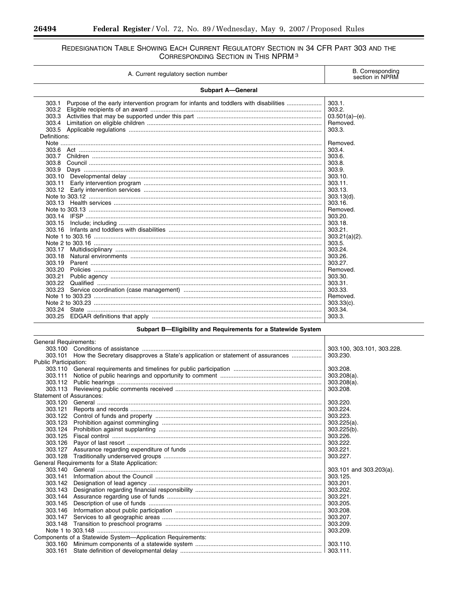۳

۰

# REDESIGNATION TABLE SHOWING EACH CURRENT REGULATORY SECTION IN 34 CFR PART 303 AND THE CORRESPONDING SECTION IN THIS NPRM<sup>3</sup>

| A. Current regulatory section number                                                                            | <b>B.</b> Corresponding<br>section in NPRM                                                                                                                                              |
|-----------------------------------------------------------------------------------------------------------------|-----------------------------------------------------------------------------------------------------------------------------------------------------------------------------------------|
| <b>Subpart A-General</b>                                                                                        |                                                                                                                                                                                         |
| Purpose of the early intervention program for infants and toddlers with disabilities<br>303.1<br>303.2<br>303.4 | 303.1.<br>303.2.<br>$03.501(a)$ –(e).<br>Removed.<br>303.3.                                                                                                                             |
| Definitions:<br>303.6<br>303.7<br>303.8<br>303.9<br>303.11<br>303.15<br>303.16                                  | Removed.<br>303.4.<br>303.6.<br>303.8.<br>303.9.<br>303.10.<br>303.11.<br>303.13.<br>$303.13(d)$ .<br>303.16.<br>Removed.<br>303.20<br>303.18.<br>303.21.<br>$303.21(a)(2)$ .<br>303.5. |
| 303.17<br>303.18<br>303.19<br>303.20<br>303.21<br>303.22                                                        | 303.24.<br>303.26.<br>303.27.<br>Removed.<br>303.30.<br>303.31.                                                                                                                         |
| 303.23                                                                                                          | 303.33.<br>Removed.<br>$303.33(c)$ .<br>303.34.<br>303.3.                                                                                                                               |

# Subpart B-Eligibility and Requirements for a Statewide System

| General Requirements:           |                                                                                        |                            |
|---------------------------------|----------------------------------------------------------------------------------------|----------------------------|
|                                 |                                                                                        | 303.100, 303.101, 303.228. |
|                                 | 303.101 How the Secretary disapproves a State's application or statement of assurances | 303.230.                   |
| <b>Public Participation:</b>    |                                                                                        |                            |
|                                 |                                                                                        | 303.208.                   |
| 303.111                         |                                                                                        | $303.208(a)$ .             |
| 303.112                         |                                                                                        | $303.208(a)$ .             |
| 303.113                         |                                                                                        | 303.208.                   |
| <b>Statement of Assurances:</b> |                                                                                        |                            |
| 303.120                         |                                                                                        | 303.220.                   |
| 303.121                         |                                                                                        | 303.224.                   |
| 303.122                         |                                                                                        | 303.223.                   |
| 303.123                         |                                                                                        | $303.225(a)$ .             |
| 303.124                         |                                                                                        | 303.225(b).                |
| 303.125                         |                                                                                        | 303.226.                   |
| 303.126                         |                                                                                        | 303.222.                   |
| 303.127                         |                                                                                        |                            |
| 303.128                         |                                                                                        | 303.227.                   |
|                                 | General Requirements for a State Application:                                          |                            |
|                                 |                                                                                        | 303.101 and 303.203(a).    |
| 303.141                         |                                                                                        | 303.125.                   |
| 303.142                         |                                                                                        | 303.201.                   |
| 303.143                         |                                                                                        |                            |
| 303.144                         |                                                                                        | 303.221.                   |
| 303.145                         |                                                                                        | 303.205                    |
| 303.146                         |                                                                                        |                            |
| 303.147                         |                                                                                        | 303.207.                   |
| 303.148                         |                                                                                        |                            |
|                                 |                                                                                        | 303.209.                   |
|                                 | Components of a Statewide System—Application Requirements:                             |                            |
|                                 |                                                                                        |                            |
|                                 |                                                                                        |                            |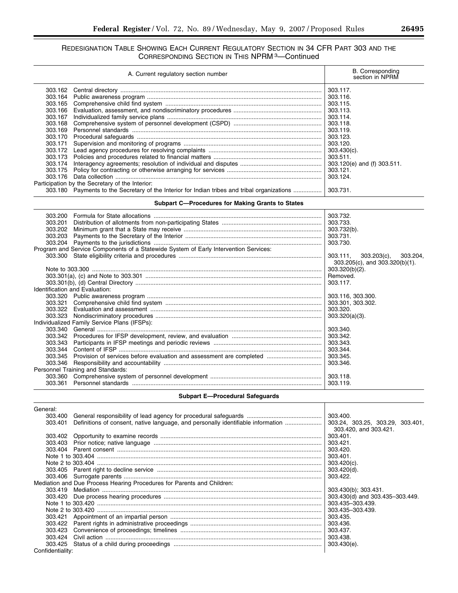# REDESIGNATION TABLE SHOWING EACH CURRENT REGULATORY SECTION IN 34 CFR PART 303 AND THE CORRESPONDING SECTION IN THIS NPRM 3—Continued

| A. Current regulatory section number                                                         | <b>B.</b> Corresponding<br>section in NPRM |  |
|----------------------------------------------------------------------------------------------|--------------------------------------------|--|
| 303.162                                                                                      | 303.117.                                   |  |
| 303.164                                                                                      | 303.116.                                   |  |
| 303.165                                                                                      | 303.115.                                   |  |
| 303.166                                                                                      | 303.113.                                   |  |
| 303.167                                                                                      | 303.114.                                   |  |
| 303.168                                                                                      | 303.118.                                   |  |
| 303.169                                                                                      | 303.119.                                   |  |
| 303.170                                                                                      | 303.123.                                   |  |
| 303.171                                                                                      | 303.120.                                   |  |
| 303.172                                                                                      | $303.430(c)$ .                             |  |
| 303.173                                                                                      | 303.511.                                   |  |
| 303.174                                                                                      | 303.120(e) and (f) 303.511.                |  |
| 303.175                                                                                      | 303.121.                                   |  |
| 303.176                                                                                      | 303.124.                                   |  |
| Participation by the Secretary of the Interior:                                              |                                            |  |
| 303.180 Payments to the Secretary of the Interior for Indian tribes and tribal organizations | 303.731.                                   |  |
| <b>Subpart C-Procedures for Making Grants to States</b>                                      |                                            |  |
| 303.200                                                                                      | 303.732.                                   |  |
| 303.201                                                                                      | 303.733.                                   |  |
| 303.202                                                                                      | 303.732(b).                                |  |
| 303.203                                                                                      | 303.731.                                   |  |
| 303.204                                                                                      | 303.730.                                   |  |
| Program and Service Components of a Statewide System of Early Intervention Services:         |                                            |  |
|                                                                                              | $303.111$ ,<br>$303.203(c)$ ,<br>303.204,  |  |
|                                                                                              | $303.205(c)$ , and $303.320(b)(1)$ .       |  |
|                                                                                              | 303.320(b)(2).                             |  |
|                                                                                              | Removed.                                   |  |
|                                                                                              | 303.117.                                   |  |
| Identification and Evaluation:                                                               |                                            |  |
|                                                                                              | 303.116, 303.300.                          |  |
| 303.321                                                                                      | 303.301, 303.302.                          |  |
| 303.322                                                                                      | 303.320.                                   |  |
|                                                                                              | $303.320(a)(3)$ .                          |  |
| Individualized Family Service Plans (IFSPs):                                                 |                                            |  |
| 303.340                                                                                      | 303.340.                                   |  |
| 303.342                                                                                      | 303.342.                                   |  |
| 303.343                                                                                      | 303.343.                                   |  |
| 303.344                                                                                      | 303.344.                                   |  |
| 303.345                                                                                      | 303.345.                                   |  |
|                                                                                              | 303.346.                                   |  |
| Personnel Training and Standards:                                                            |                                            |  |
|                                                                                              |                                            |  |
|                                                                                              |                                            |  |

|  | Subpart E-Procedural Safeguards |  |
|--|---------------------------------|--|
|--|---------------------------------|--|

Т

| General:         |                                                                                  |                                  |
|------------------|----------------------------------------------------------------------------------|----------------------------------|
| 303.400          |                                                                                  | 303.400.                         |
| 303.401          | Definitions of consent, native language, and personally identifiable information | 303.24, 303.25, 303.29, 303.401, |
|                  |                                                                                  | 303.420, and 303.421.            |
|                  |                                                                                  | 303.401.                         |
| 303.403          |                                                                                  | 303.421.                         |
|                  |                                                                                  | 303.420.                         |
|                  |                                                                                  | 303.401                          |
|                  |                                                                                  | $303.420(c)$ .                   |
|                  |                                                                                  | 303.420(d).                      |
|                  |                                                                                  | 303.422.                         |
|                  | Mediation and Due Process Hearing Procedures for Parents and Children:           |                                  |
|                  |                                                                                  | 303.430(b); 303.431.             |
|                  |                                                                                  |                                  |
|                  |                                                                                  | 303.435-303.439.                 |
|                  |                                                                                  | 303.435-303.439                  |
| 303.421          |                                                                                  | 303.435.                         |
|                  |                                                                                  |                                  |
|                  |                                                                                  |                                  |
| 303.424          |                                                                                  | 303.438                          |
|                  |                                                                                  |                                  |
| Confidentiality: |                                                                                  |                                  |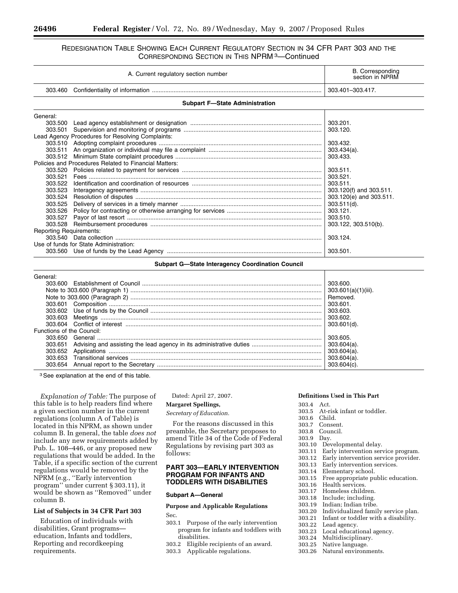# REDESIGNATION TABLE SHOWING EACH CURRENT REGULATORY SECTION IN 34 CFR PART 303 AND THE CORRESPONDING SECTION IN THIS NPRM 3—Continued

| A. Current regulatory section number   |                                                       | <b>B.</b> Corresponding<br>section in NPRM |
|----------------------------------------|-------------------------------------------------------|--------------------------------------------|
| 303.460                                |                                                       | 303.401-303.417.                           |
|                                        | <b>Subpart F-State Administration</b>                 |                                            |
| General:                               |                                                       |                                            |
| 303.500                                |                                                       |                                            |
| 303.501                                |                                                       | 303.120.                                   |
|                                        | Lead Agency Procedures for Resolving Complaints:      |                                            |
|                                        |                                                       | 303.432.                                   |
| 303.511                                |                                                       |                                            |
| 303.512                                |                                                       |                                            |
|                                        | Policies and Procedures Related to Financial Matters: |                                            |
| 303.520                                |                                                       | 303.511.                                   |
| 303.521                                |                                                       | 303.521.                                   |
| 303.522                                |                                                       |                                            |
| 303.523                                |                                                       |                                            |
| 303.524                                |                                                       |                                            |
| 303.525                                |                                                       |                                            |
| 303.526                                |                                                       | 303.121.                                   |
| 303.527                                |                                                       | 303.510.                                   |
| 303.528                                |                                                       | 303.122, 303.510(b).                       |
| <b>Reporting Requirements:</b>         |                                                       |                                            |
|                                        |                                                       | 303.124.                                   |
| Use of funds for State Administration: |                                                       |                                            |
|                                        |                                                       | 303.501.                                   |

# **Subpart G—State Interagency Coordination Council**

| General:                  |                     |
|---------------------------|---------------------|
|                           | 303.600.            |
|                           | 303.601(a)(1)(iii). |
|                           | Removed.            |
|                           | 303.601.            |
|                           | 303.603.            |
|                           | 303.602.            |
|                           | 303.601(d).         |
| Functions of the Council: |                     |
| 303.650                   | 303.605.            |
| 303.651                   |                     |
|                           | $303.604(a)$ .      |
| 303.653                   | $303.604(a)$ .      |
| 303.654                   | 303.604(c)          |

3See explanation at the end of this table.

*Explanation of Table:* The purpose of this table is to help readers find where a given section number in the current regulations (column A of Table) is located in this NPRM, as shown under column B. In general, the table *does not*  include any new requirements added by Pub. L. 108–446, or any proposed new regulations that would be added. In the Table, if a specific section of the current regulations would be removed by the NPRM (e.g., ''Early intervention program'' under current § 303.11), it would be shown as ''Removed'' under column B.

# **List of Subjects in 34 CFR Part 303**

Education of individuals with disabilities, Grant programs education, Infants and toddlers, Reporting and recordkeeping requirements.

Dated: April 27, 2007.

# **Margaret Spellings,**

*Secretary of Education.* 

For the reasons discussed in this preamble, the Secretary proposes to amend Title 34 of the Code of Federal Regulations by revising part 303 as follows:

# **PART 303—EARLY INTERVENTION PROGRAM FOR INFANTS AND TODDLERS WITH DISABILITIES**

#### **Subpart A—General**

# **Purpose and Applicable Regulations**  Sec.

- 303.1 Purpose of the early intervention program for infants and toddlers with disabilities.
- 303.2 Eligible recipients of an award.
- 303.3 Applicable regulations.

# **Definitions Used in This Part**

- - 303.4 Act. At-risk infant or toddler.
	-
- 303.6 Child. 303.7 Consent.
- Council.<br>Day.
- 303.9
- 303.10 Developmental delay.<br>303.11 Early intervention serve
- 303.11 Early intervention service program.
- 303.12 Early intervention service provider.
- Early intervention services.
- 303.14 Elementary school.<br>303.15 Free appropriate pu
- 303.15 Free appropriate public education.
- Health services.
- 303.17 Homeless children.
- 303.18 Include; including.<br>303.19 Indian: Indian tribe
- Indian: Indian tribe.
- 303.20 Individualized family service plan.
- Infant or toddler with a disability.
- 303.22 Lead agency.
- 303.23 Local educational agency.
- Multidisciplinary.
- 303.25 Native language.
- Natural environments.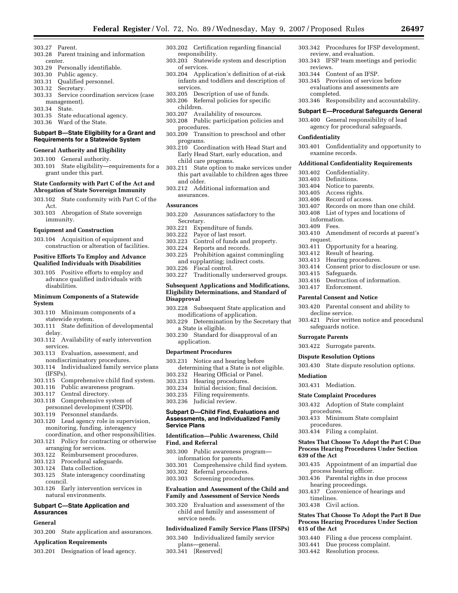- 303.27 Parent.
- 303.28 Parent training and information center.
- 303.29 Personally identifiable.
- 303.30 Public agency.
- 303.31 Qualified personnel.
- 303.32 Secretary.
- 303.33 Service coordination services (case management).
- 303.34 State.
- 
- 303.35 State educational agency.<br>303.36 Ward of the State. Ward of the State.
- **Subpart B—State Eligibility for a Grant and Requirements for a Statewide System**

#### **General Authority and Eligibility**

- 303.100 General authority.
- 303.101 State eligibility—requirements for a grant under this part.

# **State Conformity with Part C of the Act and Abrogation of State Sovereign Immunity**

- 303.102 State conformity with Part C of the Act.
- 303.103 Abrogation of State sovereign immunity.

#### **Equipment and Construction**

303.104 Acquisition of equipment and construction or alteration of facilities.

#### **Positive Efforts To Employ and Advance Qualified Individuals with Disabilities**

303.105 Positive efforts to employ and advance qualified individuals with disabilities.

#### **Minimum Components of a Statewide System**

- 303.110 Minimum components of a statewide system.
- 303.111 State definition of developmental delay.
- 303.112 Availability of early intervention services.
- 303.113 Evaluation, assessment, and nondiscriminatory procedures.
- 303.114 Individualized family service plans (IFSPs).
- 303.115 Comprehensive child find system.
- Public awareness program.
- 303.117 Central directory.
- 303.118 Comprehensive system of personnel development (CSPD).
- 303.119 Personnel standards.
- 303.120 Lead agency role in supervision, monitoring, funding, interagency coordination, and other responsibilities.
- 303.121 Policy for contracting or otherwise
- arranging for services.<br>303.122 Reimbursement Reimbursement procedures.
- 303.123 Procedural safeguards.
- 303.124 Data collection.<br>303.125 State interagenc
- State interagency coordinating council.
- 303.126 Early intervention services in natural environments.

# **Subpart C—State Application and Assurances**

#### **General**

303.200 State application and assurances.

# **Application Requirements**

303.201 Designation of lead agency.

- 303.202 Certification regarding financial responsibility.
- 303.203 Statewide system and description of services.
- 303.204 Application's definition of at-risk infants and toddlers and description of services.
- 303.205 Description of use of funds.
- 303.206 Referral policies for specific children.
- 303.207 Availability of resources.
- 303.208 Public participation policies and procedures.
- 303.209 Transition to preschool and other programs.
- 303.210 Coordination with Head Start and Early Head Start, early education, and child care programs.
- 303.211 State option to make services under this part available to children ages three and older.
- 303.212 Additional information and assurances.

#### **Assurances**

- 303.220 Assurances satisfactory to the Secretary.
- 303.221 Expenditure of funds.
- 303.222 Payor of last resort.
- Control of funds and property.
- 303.224 Reports and records.
- Prohibition against commingling and supplanting; indirect costs.
- 303.226 Fiscal control.
- 303.227 Traditionally underserved groups.

#### **Subsequent Applications and Modifications, Eligibility Determinations, and Standard of Disapproval**

- 303.228 Subsequent State application and modifications of application.
- 303.229 Determination by the Secretary that a State is eligible.
- 303.230 Standard for disapproval of an application.

#### **Department Procedures**

- 303.231 Notice and hearing before determining that a State is not eligible.
- 303.232 Hearing Official or Panel.
- Hearing procedures.
- 303.234 Initial decision; final decision.
- 303.235 Filing requirements.
- 303.236 Judicial review.

# **Subpart D—Child Find, Evaluations and Assessments, and Individualized Family Service Plans**

## **Identification—Public Awareness, Child Find, and Referral**

- 303.300 Public awareness program information for parents.
- 303.301 Comprehensive child find system. 303.302 Referral procedures.
- 303.303 Screening procedures.
- 

#### **Evaluation and Assessment of the Child and Family and Assessment of Service Needs**

303.320 Evaluation and assessment of the child and family and assessment of service needs.

# **Individualized Family Service Plans (IFSPs)**

#### 303.340 Individualized family service

plans—general. 303.341 [Reserved]

- 303.342 Procedures for IFSP development, review, and evaluation.
- 303.343 IFSP team meetings and periodic reviews.
- 303.344 Content of an IFSP.
- 303.345 Provision of services before evaluations and assessments are completed.
- 303.346 Responsibility and accountability.

#### **Subpart E—Procedural Safeguards General**

303.400 General responsibility of lead agency for procedural safeguards.

#### **Confidentiality**

303.401 Confidentiality and opportunity to examine records.

#### **Additional Confidentiality Requirements**

303.407 Records on more than one child. 303.408 List of types and locations of

303.411 Opportunity for a hearing. 303.412 Result of hearing. 303.413 Hearing procedures.

303.416 Destruction of information.

303.420 Parental consent and ability to

303.421 Prior written notice and procedural

303.430 State dispute resolution options.

303.432 Adoption of State complaint

**States That Choose To Adopt the Part C Due Process Hearing Procedures Under Section** 

303.435 Appointment of an impartial due

**States That Choose To Adopt the Part B Due Process Hearing Procedures Under Section** 

303.440 Filing a due process complaint. 303.441 Due process complaint. 303.442 Resolution process.

303.437 Convenience of hearings and

303.433 Minimum State complaint

process hearing officer. 303.436 Parental rights in due process

hearing proceedings.

Amendment of records at parent's

Consent prior to disclosure or use.

303.402 Confidentiality.

303.406 Record of access.

information. 303.409 Fees.

303.415 Safeguards.

303.417 Enforcement. **Parental Consent and Notice** 

decline service.

safeguards notice.

303.422 Surrogate parents. **Dispute Resolution Options** 

**Surrogate Parents** 

303.431 Mediation. **State Complaint Procedures** 

procedures.

procedures. 303.434 Filing a complaint.

**639 of the Act** 

timelines. 303.438 Civil action.

**615 of the Act** 

**Mediation** 

request.

303.403 Definitions. 303.404 Notice to parents. 303.405 Access rights.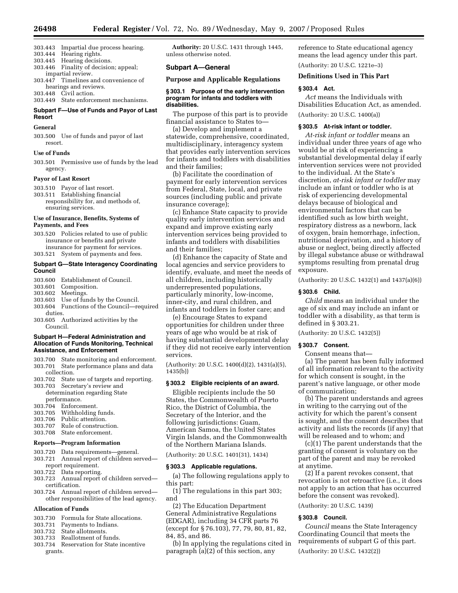- 303.443 Impartial due process hearing.
- 303.444 Hearing rights.
- 303.445 Hearing decisions. Finality of decision; appeal;
- impartial review.
- 303.447 Timelines and convenience of hearings and reviews.
- 303.448 Civil action.

303.449 State enforcement mechanisms.

# **Subpart F—Use of Funds and Payor of Last Resort**

## **General**

303.500 Use of funds and payor of last resort.

## **Use of Funds**

303.501 Permissive use of funds by the lead agency.

#### **Payor of Last Resort**

- 303.510 Payor of last resort.
- 303.511 Establishing financial responsibility for, and methods of, ensuring services.

## **Use of Insurance, Benefits, Systems of Payments, and Fees**

- 303.520 Policies related to use of public insurance or benefits and private insurance for payment for services.
- 303.521 System of payments and fees.

#### **Subpart G—State Interagency Coordinating Council**

- 303.600 Establishment of Council.
- 303.601 Composition.
- 303.602 Meetings.
- 303.603 Use of funds by the Council.
- 303.604 Functions of the Council—required duties.
- 303.605 Authorized activities by the Council.

#### **Subpart H—Federal Administration and Allocation of Funds Monitoring, Technical Assistance, and Enforcement**

- 303.700 State monitoring and enforcement. State performance plans and data
- collection.<br>303.702 State
- State use of targets and reporting. 303.703 Secretary's review and
- determination regarding State performance. 303.704 Enforcement.
- 
- 303.705 Withholding funds.<br>303.706 Public attention. Public attention.
- 303.707 Rule of construction.
- 303.708 State enforcement.

# **Reports—Program Information**

- 303.720 Data requirements—general. 303.721 Annual report of children served report requirement.
- 303.722 Data reporting.
- 303.723 Annual report of children served certification.
- 303.724 Annual report of children served other responsibilities of the lead agency.

#### **Allocation of Funds**

- 303.730 Formula for State allocations.
- 303.731 Payments to Indians.
- 303.732 State allotments.
- Reallotment of funds.
- 303.734 Reservation for State incentive grants.

**Authority:** 20 U.S.C. 1431 through 1445, unless otherwise noted.

#### **Subpart A—General**

**Purpose and Applicable Regulations** 

#### **§ 303.1 Purpose of the early intervention program for infants and toddlers with disabilities.**

The purpose of this part is to provide financial assistance to States to—

(a) Develop and implement a statewide, comprehensive, coordinated, multidisciplinary, interagency system that provides early intervention services for infants and toddlers with disabilities and their families;

(b) Facilitate the coordination of payment for early intervention services from Federal, State, local, and private sources (including public and private insurance coverage);

(c) Enhance State capacity to provide quality early intervention services and expand and improve existing early intervention services being provided to infants and toddlers with disabilities and their families;

(d) Enhance the capacity of State and local agencies and service providers to identify, evaluate, and meet the needs of all children, including historically underrepresented populations, particularly minority, low-income, inner-city, and rural children, and infants and toddlers in foster care; and

(e) Encourage States to expand opportunities for children under three years of age who would be at risk of having substantial developmental delay if they did not receive early intervention services.

(Authority: 20 U.S.C. 1400(d)(2), 1431(a)(5), 1435(b))

#### **§ 303.2 Eligible recipients of an award.**

Eligible recipients include the 50 States, the Commonwealth of Puerto Rico, the District of Columbia, the Secretary of the Interior, and the following jurisdictions: Guam, American Samoa, the United States Virgin Islands, and the Commonwealth of the Northern Mariana Islands.

(Authority: 20 U.S.C. 1401(31), 1434)

#### **§ 303.3 Applicable regulations.**

(a) The following regulations apply to this part:

(1) The regulations in this part 303; and

(2) The Education Department General Administrative Regulations (EDGAR), including 34 CFR parts 76 (except for § 76.103), 77, 79, 80, 81, 82, 84, 85, and 86.

(b) In applying the regulations cited in paragraph (a)(2) of this section, any

reference to State educational agency means the lead agency under this part. (Authority: 20 U.S.C. 1221e–3)

#### **Definitions Used in This Part**

#### **§ 303.4 Act.**

*Act* means the Individuals with Disabilities Education Act, as amended.

(Authority: 20 U.S.C. 1400(a))

# **§ 303.5 At-risk infant or toddler.**

*At-risk infant or toddler* means an individual under three years of age who would be at risk of experiencing a substantial developmental delay if early intervention services were not provided to the individual. At the State's discretion, *at-risk infant or toddler* may include an infant or toddler who is at risk of experiencing developmental delays because of biological and environmental factors that can be identified such as low birth weight, respiratory distress as a newborn, lack of oxygen, brain hemorrhage, infection, nutritional deprivation, and a history of abuse or neglect, being directly affected by illegal substance abuse or withdrawal symptoms resulting from prenatal drug exposure.

(Authority: 20 U.S.C. 1432(1) and 1437(a)(6))

# **§ 303.6 Child.**

*Child* means an individual under the age of six and may include an infant or toddler with a disability, as that term is defined in § 303.21.

(Authority: 20 U.S.C. 1432(5))

# **§ 303.7 Consent.**

Consent means that—

(a) The parent has been fully informed of all information relevant to the activity for which consent is sought, in the parent's native language, or other mode of communication;

(b) The parent understands and agrees in writing to the carrying out of the activity for which the parent's consent is sought, and the consent describes that activity and lists the records (if any) that will be released and to whom; and

(c)(1) The parent understands that the granting of consent is voluntary on the part of the parent and may be revoked at anytime.

(2) If a parent revokes consent, that revocation is not retroactive (i.e., it does not apply to an action that has occurred before the consent was revoked).

(Authority: 20 U.S.C. 1439)

# **§ 303.8 Council.**

*Council* means the State Interagency Coordinating Council that meets the requirements of subpart G of this part. (Authority: 20 U.S.C. 1432(2))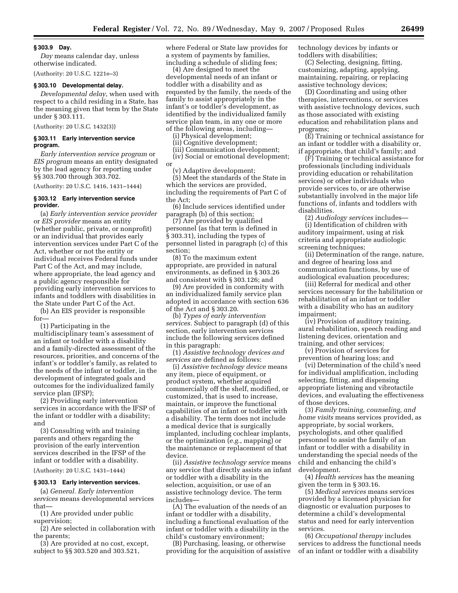# **§ 303.9 Day.**

*Day* means calendar day, unless otherwise indicated.

(Authority: 20 U.S.C. 1221e–3)

# **§ 303.10 Developmental delay.**

*Developmental delay*, when used with respect to a child residing in a State, has the meaning given that term by the State under § 303.111.

(Authority: 20 U.S.C. 1432(3))

#### **§ 303.11 Early intervention service program.**

*Early intervention service program* or *EIS program* means an entity designated by the lead agency for reporting under §§ 303.700 through 303.702.

(Authority: 20 U.S.C. 1416, 1431–1444)

#### **§ 303.12 Early intervention service provider.**

(a) *Early intervention service provider*  or *EIS provider* means an entity (whether public, private, or nonprofit) or an individual that provides early intervention services under Part C of the Act, whether or not the entity or individual receives Federal funds under Part C of the Act, and may include, where appropriate, the lead agency and a public agency responsible for providing early intervention services to infants and toddlers with disabilities in the State under Part C of the Act.

(b) An EIS provider is responsible for—

(1) Participating in the multidisciplinary team's assessment of an infant or toddler with a disability and a family-directed assessment of the resources, priorities, and concerns of the infant's or toddler's family, as related to the needs of the infant or toddler, in the development of integrated goals and outcomes for the individualized family service plan (IFSP);

(2) Providing early intervention services in accordance with the IFSP of the infant or toddler with a disability; and

(3) Consulting with and training parents and others regarding the provision of the early intervention services described in the IFSP of the infant or toddler with a disability.

(Authority: 20 U.S.C. 1431–1444)

# **§ 303.13 Early intervention services.**

(a) *General. Early intervention services* means developmental services that—

(1) Are provided under public supervision;

(2) Are selected in collaboration with the parents;

(3) Are provided at no cost, except, subject to §§ 303.520 and 303.521,

where Federal or State law provides for a system of payments by families, including a schedule of sliding fees;

(4) Are designed to meet the developmental needs of an infant or toddler with a disability and as requested by the family, the needs of the family to assist appropriately in the infant's or toddler's development, as identified by the individualized family service plan team, in any one or more of the following areas, including—

(i) Physical development;

(ii) Cognitive development;

(iii) Communication development; (iv) Social or emotional development; or

(v) Adaptive development;

(5) Meet the standards of the State in which the services are provided, including the requirements of Part C of the Act;

(6) Include services identified under paragraph (b) of this section;

(7) Are provided by qualified personnel (as that term is defined in § 303.31), including the types of personnel listed in paragraph (c) of this section;

(8) To the maximum extent appropriate, are provided in natural environments, as defined in § 303.26 and consistent with § 303.126; and

(9) Are provided in conformity with an individualized family service plan adopted in accordance with section 636 of the Act and § 303.20.

(b) *Types of early intervention services.* Subject to paragraph (d) of this section, early intervention services include the following services defined in this paragraph:

(1) *Assistive technology devices and services* are defined as follows:

(i) *Assistive technology device* means any item, piece of equipment, or product system, whether acquired commercially off the shelf, modified, or customized, that is used to increase, maintain, or improve the functional capabilities of an infant or toddler with a disability. The term does not include a medical device that is surgically implanted, including cochlear implants, or the optimization (*e.g.*, mapping) or the maintenance or replacement of that device.

(ii) *Assistive technology service* means any service that directly assists an infant or toddler with a disability in the selection, acquisition, or use of an assistive technology device. The term includes—

(A) The evaluation of the needs of an infant or toddler with a disability, including a functional evaluation of the infant or toddler with a disability in the child's customary environment;

(B) Purchasing, leasing, or otherwise providing for the acquisition of assistive technology devices by infants or toddlers with disabilities;

(C) Selecting, designing, fitting, customizing, adapting, applying, maintaining, repairing, or replacing assistive technology devices;

(D) Coordinating and using other therapies, interventions, or services with assistive technology devices, such as those associated with existing education and rehabilitation plans and programs;

(E) Training or technical assistance for an infant or toddler with a disability or, if appropriate, that child's family; and

(F) Training or technical assistance for professionals (including individuals providing education or rehabilitation services) or other individuals who provide services to, or are otherwise substantially involved in the major life functions of, infants and toddlers with disabilities.

(2) *Audiology services* includes—

(i) Identification of children with auditory impairment, using at risk criteria and appropriate audiologic screening techniques;

(ii) Determination of the range, nature, and degree of hearing loss and communication functions, by use of audiological evaluation procedures;

(iii) Referral for medical and other services necessary for the habilitation or rehabilitation of an infant or toddler with a disability who has an auditory impairment;

(iv) Provision of auditory training, aural rehabilitation, speech reading and listening devices, orientation and training, and other services;

(v) Provision of services for prevention of hearing loss; and

(vi) Determination of the child's need for individual amplification, including selecting, fitting, and dispensing appropriate listening and vibrotactile devices, and evaluating the effectiveness of those devices.

(3) *Family training, counseling, and home visits* means services provided, as appropriate, by social workers, psychologists, and other qualified personnel to assist the family of an infant or toddler with a disability in understanding the special needs of the child and enhancing the child's development.

(4) *Health services* has the meaning given the term in § 303.16.

(5) *Medical services* means services provided by a licensed physician for diagnostic or evaluation purposes to determine a child's developmental status and need for early intervention services.

(6) *Occupational therapy* includes services to address the functional needs of an infant or toddler with a disability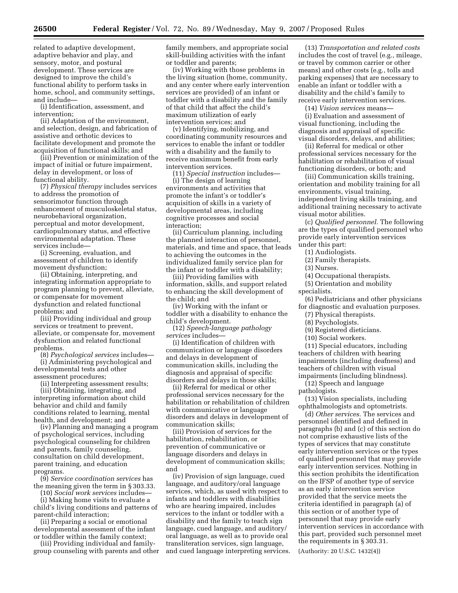related to adaptive development, adaptive behavior and play, and sensory, motor, and postural development. These services are designed to improve the child's functional ability to perform tasks in home, school, and community settings, and include—

(i) Identification, assessment, and intervention;

(ii) Adaptation of the environment, and selection, design, and fabrication of assistive and orthotic devices to facilitate development and promote the acquisition of functional skills; and

(iii) Prevention or minimization of the impact of initial or future impairment, delay in development, or loss of functional ability.

(7) *Physical therapy* includes services to address the promotion of sensorimotor function through enhancement of musculoskeletal status, neurobehavioral organization, perceptual and motor development, cardiopulmonary status, and effective environmental adaptation. These services include—

(i) Screening, evaluation, and assessment of children to identify movement dysfunction;

(ii) Obtaining, interpreting, and integrating information appropriate to program planning to prevent, alleviate, or compensate for movement dysfunction and related functional problems; and

(iii) Providing individual and group services or treatment to prevent, alleviate, or compensate for, movement dysfunction and related functional problems.

(8) *Psychological services* includes— (i) Administering psychological and developmental tests and other

assessment procedures;

(ii) Interpreting assessment results; (iii) Obtaining, integrating, and interpreting information about child behavior and child and family conditions related to learning, mental health, and development; and

(iv) Planning and managing a program of psychological services, including psychological counseling for children and parents, family counseling, consultation on child development, parent training, and education programs.

(9) *Service coordination services* has the meaning given the term in § 303.33.

(10) *Social work services* includes—

(i) Making home visits to evaluate a child's living conditions and patterns of parent-child interaction;

(ii) Preparing a social or emotional developmental assessment of the infant or toddler within the family context;

(iii) Providing individual and familygroup counseling with parents and other family members, and appropriate social skill-building activities with the infant or toddler and parents;

(iv) Working with those problems in the living situation (home, community, and any center where early intervention services are provided) of an infant or toddler with a disability and the family of that child that affect the child's maximum utilization of early intervention services; and

(v) Identifying, mobilizing, and coordinating community resources and services to enable the infant or toddler with a disability and the family to receive maximum benefit from early intervention services.

(11) *Special instruction* includes—

(i) The design of learning environments and activities that promote the infant's or toddler's acquisition of skills in a variety of developmental areas, including cognitive processes and social interaction;

(ii) Curriculum planning, including the planned interaction of personnel, materials, and time and space, that leads to achieving the outcomes in the individualized family service plan for the infant or toddler with a disability;

(iii) Providing families with information, skills, and support related to enhancing the skill development of the child; and

(iv) Working with the infant or toddler with a disability to enhance the child's development.

(12) *Speech-language pathology services* includes—

(i) Identification of children with communication or language disorders and delays in development of communication skills, including the diagnosis and appraisal of specific disorders and delays in those skills;

(ii) Referral for medical or other professional services necessary for the habilitation or rehabilitation of children with communicative or language disorders and delays in development of communication skills;

(iii) Provision of services for the habilitation, rehabilitation, or prevention of communicative or language disorders and delays in development of communication skills; and

(iv) Provision of sign language, cued language, and auditory/oral language services, which, as used with respect to infants and toddlers with disabilities who are hearing impaired, includes services to the infant or toddler with a disability and the family to teach sign language, cued language, and auditory/ oral language, as well as to provide oral transliteration services, sign language, and cued language interpreting services.

(13) *Transportation and related costs*  includes the cost of travel (e.g., mileage, or travel by common carrier or other means) and other costs (e.g., tolls and parking expenses) that are necessary to enable an infant or toddler with a disability and the child's family to receive early intervention services.

(14) *Vision services* means—

(i) Evaluation and assessment of visual functioning, including the diagnosis and appraisal of specific visual disorders, delays, and abilities;

(ii) Referral for medical or other professional services necessary for the habilitation or rehabilitation of visual functioning disorders, or both; and

(iii) Communication skills training, orientation and mobility training for all environments, visual training, independent living skills training, and additional training necessary to activate visual motor abilities.

(c) *Qualified personnel.* The following are the types of qualified personnel who provide early intervention services under this part:

(1) Audiologists.

(2) Family therapists.

(3) Nurses.

(4) Occupational therapists.

(5) Orientation and mobility

specialists.

(6) Pediatricians and other physicians for diagnostic and evaluation purposes.

(7) Physical therapists.

(8) Psychologists.

(9) Registered dieticians.

(10) Social workers.

(11) Special educators, including teachers of children with hearing impairments (including deafness) and teachers of children with visual impairments (including blindness).

(12) Speech and language pathologists.

(13) Vision specialists, including ophthalmologists and optometrists.

(d) *Other services.* The services and personnel identified and defined in paragraphs (b) and (c) of this section do not comprise exhaustive lists of the types of services that may constitute early intervention services or the types of qualified personnel that may provide early intervention services. Nothing in this section prohibits the identification on the IFSP of another type of service as an early intervention service provided that the service meets the criteria identified in paragraph (a) of this section or of another type of personnel that may provide early intervention services in accordance with this part, provided such personnel meet the requirements in § 303.31.

(Authority: 20 U.S.C. 1432(4))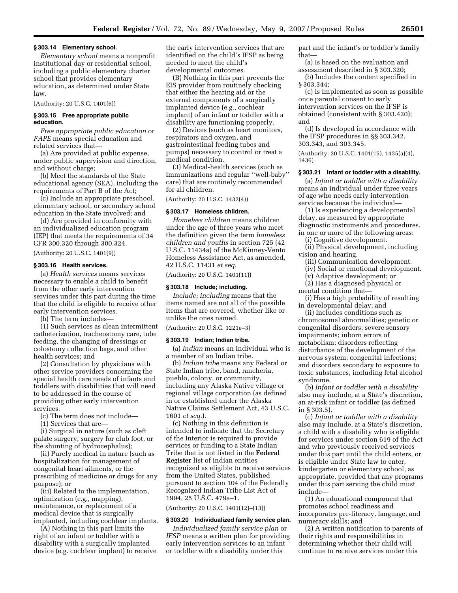#### **§ 303.14 Elementary school.**

*Elementary school* means a nonprofit institutional day or residential school, including a public elementary charter school that provides elementary education, as determined under State law.

(Authority: 20 U.S.C. 1401(6))

# **§ 303.15 Free appropriate public education.**

*Free appropriate public education* or *FAPE* means special education and related services that—

(a) Are provided at public expense, under public supervision and direction, and without charge;

(b) Meet the standards of the State educational agency (SEA), including the requirements of Part B of the Act;

(c) Include an appropriate preschool, elementary school, or secondary school education in the State involved; and

(d) Are provided in conformity with an individualized education program (IEP) that meets the requirements of 34 CFR 300.320 through 300.324.

(Authority: 20 U.S.C. 1401(9))

# **§ 303.16 Health services.**

(a) *Health services* means services necessary to enable a child to benefit from the other early intervention services under this part during the time that the child is eligible to receive other early intervention services.

(b) The term includes—

(1) Such services as clean intermittent catheterization, tracheostomy care, tube feeding, the changing of dressings or colostomy collection bags, and other health services; and

(2) Consultation by physicians with other service providers concerning the special health care needs of infants and toddlers with disabilities that will need to be addressed in the course of providing other early intervention services.

(c) The term does not include—

(1) Services that are—

(i) Surgical in nature (such as cleft palate surgery, surgery for club foot, or the shunting of hydrocephalus);

(ii) Purely medical in nature (such as hospitalization for management of congenital heart ailments, or the prescribing of medicine or drugs for any purpose); or

(iii) Related to the implementation, optimization (e.g., mapping), maintenance, or replacement of a medical device that is surgically implanted, including cochlear implants.

(A) Nothing in this part limits the right of an infant or toddler with a disability with a surgically implanted device (e.g. cochlear implant) to receive the early intervention services that are identified on the child's IFSP as being needed to meet the child's developmental outcomes.

(B) Nothing in this part prevents the EIS provider from routinely checking that either the hearing aid or the external components of a surgically implanted device (e.g., cochlear implant) of an infant or toddler with a disability are functioning properly.

(2) Devices (such as heart monitors, respirators and oxygen, and gastrointestinal feeding tubes and pumps) necessary to control or treat a medical condition.

(3) Medical-health services (such as immunizations and regular ''well-baby'' care) that are routinely recommended for all children.

(Authority: 20 U.S.C. 1432(4))

#### **§ 303.17 Homeless children.**

*Homeless children* means children under the age of three years who meet the definition given the term *homeless children and youths* in section 725 (42 U.S.C. 11434a) of the McKinney-Vento Homeless Assistance Act, as amended, 42 U.S.C. 11431 *et seq.* 

(Authority: 20 U.S.C. 1401(11))

# **§ 303.18 Include; including.**

*Include; including* means that the items named are not all of the possible items that are covered, whether like or unlike the ones named.

(Authority: 20 U.S.C. 1221e–3)

#### **§ 303.19 Indian; Indian tribe.**

(a) *Indian* means an individual who is a member of an Indian tribe.

(b) *Indian tribe* means any Federal or State Indian tribe, band, rancheria, pueblo, colony, or community, including any Alaska Native village or regional village corporation (as defined in or established under the Alaska Native Claims Settlement Act, 43 U.S.C. 1601 *et seq.*).

(c) Nothing in this definition is intended to indicate that the Secretary of the Interior is required to provide services or funding to a State Indian Tribe that is not listed in the **Federal Register** list of Indian entities recognized as eligible to receive services from the United States, published pursuant to section 104 of the Federally Recognized Indian Tribe List Act of 1994, 25 U.S.C. 479a–1.

(Authority: 20 U.S.C. 1401(12)–(13))

# **§ 303.20 Individualized family service plan.**

*Individualized family service plan* or *IFSP* means a written plan for providing early intervention services to an infant or toddler with a disability under this

part and the infant's or toddler's family that—

(a) Is based on the evaluation and assessment described in § 303.320;

(b) Includes the content specified in § 303.344;

(c) Is implemented as soon as possible once parental consent to early intervention services on the IFSP is obtained (consistent with § 303.420); and

(d) Is developed in accordance with the IFSP procedures in §§ 303.342, 303.343, and 303.345.

(Authority: 20 U.S.C. 1401(15), 1435(a)(4), 1436)

# **§ 303.21 Infant or toddler with a disability.**

(a) *Infant or toddler with a disability*  means an individual under three years of age who needs early intervention services because the individual—

(1) Is experiencing a developmental delay, as measured by appropriate diagnostic instruments and procedures, in one or more of the following areas:

(i) Cognitive development.

(ii) Physical development, including vision and hearing.

(iii) Communication development.

(iv) Social or emotional development.

(v) Adaptive development; or

(2) Has a diagnosed physical or

mental condition that— (i) Has a high probability of resulting

in developmental delay; and (ii) Includes conditions such as chromosomal abnormalities; genetic or congenital disorders; severe sensory impairments; inborn errors of metabolism; disorders reflecting disturbance of the development of the nervous system; congenital infections; and disorders secondary to exposure to

toxic substances, including fetal alcohol syndrome. (b) *Infant or toddler with a disability*  also may include, at a State's discretion, an at-risk infant or toddler (as defined

in  $\S 303.5$ 

(c) *Infant or toddler with a disability*  also may include, at a State's discretion, a child with a disability who is eligible for services under section 619 of the Act and who previously received services under this part until the child enters, or is eligible under State law to enter, kindergarten or elementary school, as appropriate, provided that any programs under this part serving the child must include—

(1) An educational component that promotes school readiness and incorporates pre-literacy, language, and numeracy skills; and

(2) A written notification to parents of their rights and responsibilities in determining whether their child will continue to receive services under this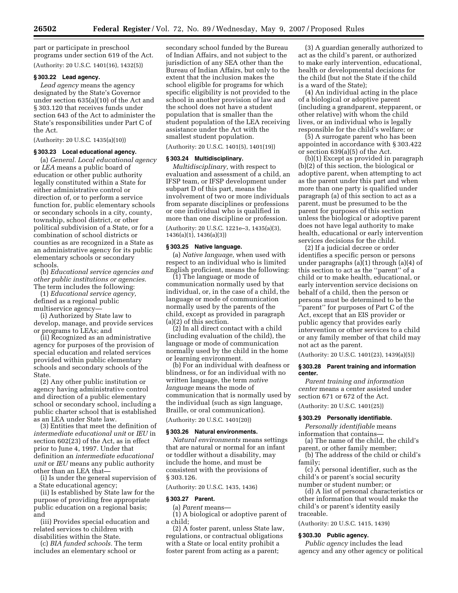part or participate in preschool programs under section 619 of the Act. (Authority: 20 U.S.C. 1401(16), 1432(5))

## **§ 303.22 Lead agency.**

*Lead agency* means the agency designated by the State's Governor under section 635(a)(10) of the Act and § 303.120 that receives funds under section 643 of the Act to administer the State's responsibilities under Part C of the Act.

(Authority: 20 U.S.C. 1435(a)(10))

# **§ 303.23 Local educational agency.**

(a) *General. Local educational agency*  or *LEA* means a public board of education or other public authority legally constituted within a State for either administrative control or direction of, or to perform a service function for, public elementary schools or secondary schools in a city, county, township, school district, or other political subdivision of a State, or for a combination of school districts or counties as are recognized in a State as an administrative agency for its public elementary schools or secondary schools.

(b) *Educational service agencies and other public institutions or agencies.*  The term includes the following:

(1) *Educational service agency,*  defined as a regional public multiservice agency—

(i) Authorized by State law to develop, manage, and provide services or programs to LEAs; and

(ii) Recognized as an administrative agency for purposes of the provision of special education and related services provided within public elementary schools and secondary schools of the State.

(2) Any other public institution or agency having administrative control and direction of a public elementary school or secondary school, including a public charter school that is established as an LEA under State law.

(3) Entities that meet the definition of *intermediate educational unit* or *IEU* in section 602(23) of the Act, as in effect prior to June 4, 1997. Under that definition an *intermediate educational unit* or *IEU* means any public authority other than an LEA that—

(i) Is under the general supervision of a State educational agency;

(ii) Is established by State law for the purpose of providing free appropriate public education on a regional basis; and

(iii) Provides special education and related services to children with disabilities within the State.

(c) *BIA funded schools.* The term includes an elementary school or

secondary school funded by the Bureau of Indian Affairs, and not subject to the jurisdiction of any SEA other than the Bureau of Indian Affairs, but only to the extent that the inclusion makes the school eligible for programs for which specific eligibility is not provided to the school in another provision of law and the school does not have a student population that is smaller than the student population of the LEA receiving assistance under the Act with the smallest student population.

(Authority: 20 U.S.C. 1401(5), 1401(19))

# **§ 303.24 Multidisciplinary.**

*Multidisciplinary,* with respect to evaluation and assessment of a child, an IFSP team, or IFSP development under subpart D of this part, means the involvement of two or more individuals from separate disciplines or professions or one individual who is qualified in more than one discipline or profession.

(Authority: 20 U.S.C. 1221e–3, 1435(a)(3), 1436(a)(1), 1436(a)(3))

# **§ 303.25 Native language.**

(a) *Native language,* when used with respect to an individual who is limited English proficient, means the following:

(1) The language or mode of communication normally used by that individual, or, in the case of a child, the language or mode of communication normally used by the parents of the child, except as provided in paragraph (a)(2) of this section.

(2) In all direct contact with a child (including evaluation of the child), the language or mode of communication normally used by the child in the home or learning environment.

(b) For an individual with deafness or blindness, or for an individual with no written language, the term *native language* means the mode of communication that is normally used by the individual (such as sign language, Braille, or oral communication).

(Authority: 20 U.S.C. 1401(20))

## **§ 303.26 Natural environments.**

*Natural environments* means settings that are natural or normal for an infant or toddler without a disability, may include the home, and must be consistent with the provisions of § 303.126.

(Authority: 20 U.S.C. 1435, 1436)

#### **§ 303.27 Parent.**

(a) *Parent* means—

(1) A biological or adoptive parent of a child;

(2) A foster parent, unless State law, regulations, or contractual obligations with a State or local entity prohibit a foster parent from acting as a parent;

(3) A guardian generally authorized to act as the child's parent, or authorized to make early intervention, educational, health or developmental decisions for the child (but not the State if the child is a ward of the State);

(4) An individual acting in the place of a biological or adoptive parent (including a grandparent, stepparent, or other relative) with whom the child lives, or an individual who is legally responsible for the child's welfare; or

(5) A surrogate parent who has been appointed in accordance with § 303.422 or section 639(a)(5) of the Act.

(b)(1) Except as provided in paragraph (b)(2) of this section, the biological or adoptive parent, when attempting to act as the parent under this part and when more than one party is qualified under paragraph (a) of this section to act as a parent, must be presumed to be the parent for purposes of this section unless the biological or adoptive parent does not have legal authority to make health, educational or early intervention services decisions for the child.

(2) If a judicial decree or order identifies a specific person or persons under paragraphs  $(a)(1)$  through  $(a)(4)$  of this section to act as the ''parent'' of a child or to make health, educational, or early intervention service decisions on behalf of a child, then the person or persons must be determined to be the ''parent'' for purposes of Part C of the Act, except that an EIS provider or public agency that provides early intervention or other services to a child or any family member of that child may not act as the parent.

(Authority: 20 U.S.C. 1401(23), 1439(a)(5))

#### **§ 303.28 Parent training and information center.**

*Parent training and information center* means a center assisted under section 671 or 672 of the Act. (Authority: 20 U.S.C. 1401(25))

# **§ 303.29 Personally identifiable.**

*Personally identifiable* means information that contains—

(a) The name of the child, the child's parent, or other family member;

(b) The address of the child or child's family;

(c) A personal identifier, such as the child's or parent's social security number or student number; or

(d) A list of personal characteristics or other information that would make the child's or parent's identity easily traceable.

(Authority: 20 U.S.C. 1415, 1439)

## **§ 303.30 Public agency.**

*Public agency* includes the lead agency and any other agency or political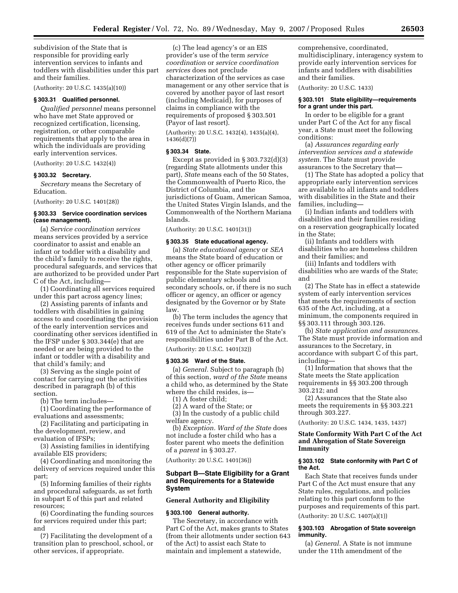subdivision of the State that is responsible for providing early intervention services to infants and toddlers with disabilities under this part and their families.

(Authority: 20 U.S.C. 1435(a)(10))

### **§ 303.31 Qualified personnel.**

*Qualified personnel* means personnel who have met State approved or recognized certification, licensing, registration, or other comparable requirements that apply to the area in which the individuals are providing early intervention services.

(Authority: 20 U.S.C. 1432(4))

#### **§ 303.32 Secretary.**

*Secretary* means the Secretary of Education.

(Authority: 20 U.S.C. 1401(28))

## **§ 303.33 Service coordination services (case management).**

(a) *Service coordination services*  means services provided by a service coordinator to assist and enable an infant or toddler with a disability and the child's family to receive the rights, procedural safeguards, and services that are authorized to be provided under Part C of the Act, including—

(1) Coordinating all services required under this part across agency lines;

(2) Assisting parents of infants and toddlers with disabilities in gaining access to and coordinating the provision of the early intervention services and coordinating other services identified in the IFSP under § 303.344(e) that are needed or are being provided to the infant or toddler with a disability and that child's family; and

(3) Serving as the single point of contact for carrying out the activities described in paragraph (b) of this section.

(b) The term includes—

(1) Coordinating the performance of evaluations and assessments;

(2) Facilitating and participating in the development, review, and evaluation of IFSPs;

(3) Assisting families in identifying available EIS providers;

(4) Coordinating and monitoring the delivery of services required under this part;

(5) Informing families of their rights and procedural safeguards, as set forth in subpart E of this part and related resources;

(6) Coordinating the funding sources for services required under this part; and

(7) Facilitating the development of a transition plan to preschool, school, or other services, if appropriate.

(c) The lead agency's or an EIS provider's use of the term *service coordination* or *service coordination services* does not preclude characterization of the services as case management or any other service that is covered by another payor of last resort (including Medicaid), for purposes of claims in compliance with the requirements of proposed § 303.501 (Payor of last resort).

(Authority: 20 U.S.C. 1432(4), 1435(a)(4), 1436(d)(7))

#### **§ 303.34 State.**

Except as provided in § 303.732(d)(3) (regarding State allotments under this part), *State* means each of the 50 States, the Commonwealth of Puerto Rico, the District of Columbia, and the jurisdictions of Guam, American Samoa, the United States Virgin Islands, and the Commonwealth of the Northern Mariana Islands.

(Authority: 20 U.S.C. 1401(31))

## **§ 303.35 State educational agency.**

(a) *State educational agency* or *SEA*  means the State board of education or other agency or officer primarily responsible for the State supervision of public elementary schools and secondary schools, or, if there is no such officer or agency, an officer or agency designated by the Governor or by State law.

(b) The term includes the agency that receives funds under sections 611 and 619 of the Act to administer the State's responsibilities under Part B of the Act.

(Authority: 20 U.S.C. 1401(32))

#### **§ 303.36 Ward of the State.**

(a) *General.* Subject to paragraph (b) of this section, *ward of the State* means a child who, as determined by the State where the child resides, is—

(1) A foster child;

(2) A ward of the State; or

(3) In the custody of a public child welfare agency.

(b) *Exception. Ward of the State* does not include a foster child who has a foster parent who meets the definition of a *parent* in § 303.27.

(Authority: 20 U.S.C. 1401(36))

# **Subpart B—State Eligibility for a Grant and Requirements for a Statewide System**

#### **General Authority and Eligibility**

#### **§ 303.100 General authority.**

The Secretary, in accordance with Part C of the Act, makes grants to States (from their allotments under section 643 of the Act) to assist each State to maintain and implement a statewide,

comprehensive, coordinated, multidisciplinary, interagency system to provide early intervention services for infants and toddlers with disabilities and their families.

(Authority: 20 U.S.C. 1433)

#### **§ 303.101 State eligibility—requirements for a grant under this part.**

In order to be eligible for a grant under Part C of the Act for any fiscal year, a State must meet the following conditions:

(a) *Assurances regarding early intervention services and a statewide system.* The State must provide assurances to the Secretary that—

(1) The State has adopted a policy that appropriate early intervention services are available to all infants and toddlers with disabilities in the State and their families, including—

(i) Indian infants and toddlers with disabilities and their families residing on a reservation geographically located in the State;

(ii) Infants and toddlers with disabilities who are homeless children and their families; and

(iii) Infants and toddlers with disabilities who are wards of the State; and

(2) The State has in effect a statewide system of early intervention services that meets the requirements of section 635 of the Act, including, at a minimum, the components required in §§ 303.111 through 303.126.

(b) *State application and assurances.*  The State must provide information and assurances to the Secretary, in accordance with subpart C of this part, including—

(1) Information that shows that the State meets the State application requirements in §§ 303.200 through 303.212; and

(2) Assurances that the State also meets the requirements in §§ 303.221 through 303.227.

(Authority: 20 U.S.C. 1434, 1435, 1437)

#### **State Conformity With Part C of the Act and Abrogation of State Sovereign Immunity**

#### **§ 303.102 State conformity with Part C of the Act.**

Each State that receives funds under Part C of the Act must ensure that any State rules, regulations, and policies relating to this part conform to the purposes and requirements of this part. (Authority: 20 U.S.C. 1407(a)(1))

# **§ 303.103 Abrogation of State sovereign**

under the 11th amendment of the

**immunity.**  (a) *General.* A State is not immune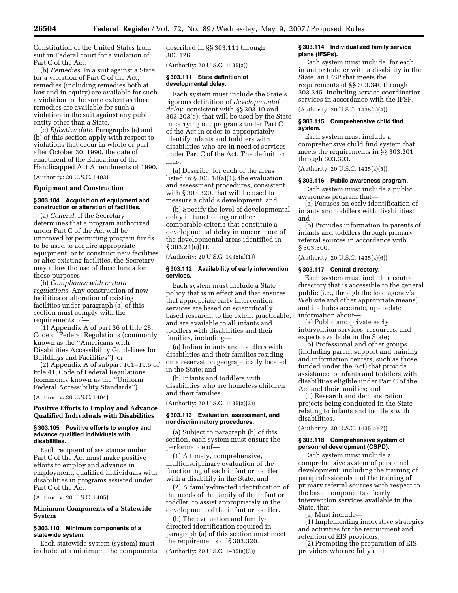Constitution of the United States from suit in Federal court for a violation of Part C of the Act.

(b) *Remedies.* In a suit against a State for a violation of Part C of the Act, remedies (including remedies both at law and in equity) are available for such a violation to the same extent as those remedies are available for such a violation in the suit against any public entity other than a State.

(c) *Effective date.* Paragraphs (a) and (b) of this section apply with respect to violations that occur in whole or part after October 30, 1990, the date of enactment of the Education of the Handicapped Act Amendments of 1990.

(Authority: 20 U.S.C. 1403)

# **Equipment and Construction**

## **§ 303.104 Acquisition of equipment and construction or alteration of facilities.**

(a) *General.* If the Secretary determines that a program authorized under Part C of the Act will be improved by permitting program funds to be used to acquire appropriate equipment, or to construct new facilities or alter existing facilities, the Secretary may allow the use of those funds for those purposes.

(b) *Compliance with certain regulations.* Any construction of new facilities or alteration of existing facilities under paragraph (a) of this section must comply with the requirements of—

(1) Appendix A of part 36 of title 28, Code of Federal Regulations (commonly known as the ''Americans with Disabilities Accessibility Guidelines for Buildings and Facilities''); or

(2) Appendix A of subpart 101–19.6 of title 41, Code of Federal Regulations (commonly known as the ''Uniform Federal Accessibility Standards'').

(Authority: 20 U.S.C. 1404)

# **Positive Efforts to Employ and Advance Qualified Individuals with Disabilities**

#### **§ 303.105 Positive efforts to employ and advance qualified individuals with disabilities.**

Each recipient of assistance under Part C of the Act must make positive efforts to employ and advance in employment, qualified individuals with disabilities in programs assisted under Part C of the Act.

(Authority: 20 U.S.C. 1405)

# **Minimum Components of a Statewide System**

#### **§ 303.110 Minimum components of a statewide system.**

Each statewide system (system) must include, at a minimum, the components described in §§ 303.111 through 303.126.

(Authority: 20 U.S.C. 1435(a))

#### **§ 303.111 State definition of developmental delay.**

Each system must include the State's rigorous definition of *developmental delay*, consistent with §§ 303.10 and 303.203(c), that will be used by the State in carrying out programs under Part C of the Act in order to appropriately identify infants and toddlers with disabilities who are in need of services under Part C of the Act. The definition must—

(a) Describe, for each of the areas listed in § 303.18(a)(1), the evaluation and assessment procedures, consistent with § 303.320, that will be used to measure a child's development; and

(b) Specify the level of developmental delay in functioning or other comparable criteria that constitute a developmental delay in one or more of the developmental areas identified in § 303.21(a)(1).

(Authority: 20 U.S.C. 1435(a)(1))

#### **§ 303.112 Availability of early intervention services.**

Each system must include a State policy that is in effect and that ensures that appropriate early intervention services are based on scientifically based research, to the extent practicable, and are available to all infants and toddlers with disabilities and their families, including—

(a) Indian infants and toddlers with disabilities and their families residing on a reservation geographically located in the State; and

(b) Infants and toddlers with disabilities who are homeless children and their families.

(Authority: 20 U.S.C. 1435(a)(2))

#### **§ 303.113 Evaluation, assessment, and nondiscriminatory procedures.**

(a) Subject to paragraph (b) of this section, each system must ensure the performance of—

(1) A timely, comprehensive, multidisciplinary evaluation of the functioning of each infant or toddler with a disability in the State; and

(2) A family-directed identification of the needs of the family of the infant or toddler, to assist appropriately in the development of the infant or toddler.

(b) The evaluation and familydirected identification required in paragraph (a) of this section must meet the requirements of § 303.320.

(Authority: 20 U.S.C. 1435(a)(3))

# **§ 303.114 Individualized family service plans (IFSPs).**

Each system must include, for each infant or toddler with a disability in the State, an IFSP that meets the requirements of §§ 303.340 through 303.345, including service coordination services in accordance with the IFSP.

(Authority: 20 U.S.C. 1435(a)(4))

#### **§ 303.115 Comprehensive child find system.**

Each system must include a comprehensive child find system that meets the requirements in §§ 303.301 through 303.303.

(Authority: 20 U.S.C. 1435(a)(5))

#### **§ 303.116 Public awareness program.**

Each system must include a public awareness program that—

(a) Focuses on early identification of infants and toddlers with disabilities; and

(b) Provides information to parents of infants and toddlers through primary referral sources in accordance with § 303.300.

(Authority: 20 U.S.C. 1435(a)(6))

#### **§ 303.117 Central directory.**

Each system must include a central directory that is accessible to the general public (i.e., through the lead agency's Web site and other appropriate means) and includes accurate, up-to-date information about—

(a) Public and private early intervention services, resources, and experts available in the State;

(b) Professional and other groups (including parent support and training and information centers, such as those funded under the Act) that provide assistance to infants and toddlers with disabilities eligible under Part C of the Act and their families; and

(c) Research and demonstration projects being conducted in the State relating to infants and toddlers with disabilities.

(Authority: 20 U.S.C. 1435(a)(7))

### **§ 303.118 Comprehensive system of personnel development (CSPD).**

Each system must include a comprehensive system of personnel development, including the training of paraprofessionals and the training of primary referral sources with respect to the basic components of early intervention services available in the State, that—

(a) Must include—

(1) Implementing innovative strategies and activities for the recruitment and retention of EIS providers;

(2) Promoting the preparation of EIS providers who are fully and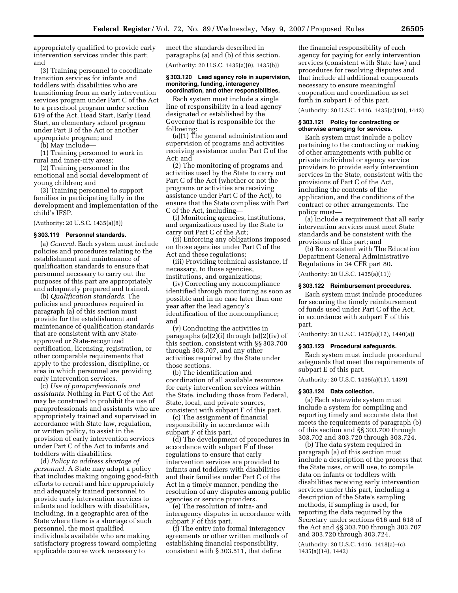appropriately qualified to provide early intervention services under this part; and

(3) Training personnel to coordinate transition services for infants and toddlers with disabilities who are transitioning from an early intervention services program under Part C of the Act to a preschool program under section 619 of the Act, Head Start, Early Head Start, an elementary school program under Part B of the Act or another appropriate program; and

(b) May include—

(1) Training personnel to work in rural and inner-city areas;

(2) Training personnel in the emotional and social development of young children; and

(3) Training personnel to support families in participating fully in the development and implementation of the child's IFSP.

(Authority: 20 U.S.C. 1435(a)(8))

#### **§ 303.119 Personnel standards.**

(a) *General.* Each system must include policies and procedures relating to the establishment and maintenance of qualification standards to ensure that personnel necessary to carry out the purposes of this part are appropriately and adequately prepared and trained.

(b) *Qualification standards.* The policies and procedures required in paragraph (a) of this section must provide for the establishment and maintenance of qualification standards that are consistent with any Stateapproved or State-recognized certification, licensing, registration, or other comparable requirements that apply to the profession, discipline, or area in which personnel are providing early intervention services.

(c) *Use of paraprofessionals and assistants.* Nothing in Part C of the Act may be construed to prohibit the use of paraprofessionals and assistants who are appropriately trained and supervised in accordance with State law, regulation, or written policy, to assist in the provision of early intervention services under Part C of the Act to infants and toddlers with disabilities.

(d) *Policy to address shortage of personnel.* A State may adopt a policy that includes making ongoing good-faith efforts to recruit and hire appropriately and adequately trained personnel to provide early intervention services to infants and toddlers with disabilities, including, in a geographic area of the State where there is a shortage of such personnel, the most qualified individuals available who are making satisfactory progress toward completing applicable course work necessary to

meet the standards described in paragraphs (a) and (b) of this section. (Authority: 20 U.S.C. 1435(a)(9), 1435(b))

#### **§ 303.120 Lead agency role in supervision, monitoring, funding, interagency coordination, and other responsibilities.**

Each system must include a single line of responsibility in a lead agency designated or established by the Governor that is responsible for the following:

(a)(1) The general administration and supervision of programs and activities receiving assistance under Part C of the Act; and

(2) The monitoring of programs and activities used by the State to carry out Part C of the Act (whether or not the programs or activities are receiving assistance under Part C of the Act), to ensure that the State complies with Part C of the Act, including—

(i) Monitoring agencies, institutions, and organizations used by the State to carry out Part C of the Act;

(ii) Enforcing any obligations imposed on those agencies under Part C of the Act and these regulations;

(iii) Providing technical assistance, if necessary, to those agencies, institutions, and organizations;

(iv) Correcting any noncompliance identified through monitoring as soon as possible and in no case later than one year after the lead agency's identification of the noncompliance; and

(v) Conducting the activities in paragraphs (a)(2)(i) through (a)(2)(iv) of this section, consistent with §§ 303.700 through 303.707, and any other activities required by the State under those sections.

(b) The identification and coordination of all available resources for early intervention services within the State, including those from Federal, State, local, and private sources, consistent with subpart F of this part.

(c) The assignment of financial responsibility in accordance with subpart F of this part.

(d) The development of procedures in accordance with subpart F of these regulations to ensure that early intervention services are provided to infants and toddlers with disabilities and their families under Part C of the Act in a timely manner, pending the resolution of any disputes among public agencies or service providers.

(e) The resolution of intra- and interagency disputes in accordance with subpart F of this part.

(f) The entry into formal interagency agreements or other written methods of establishing financial responsibility, consistent with § 303.511, that define

the financial responsibility of each agency for paying for early intervention services (consistent with State law) and procedures for resolving disputes and that include all additional components necessary to ensure meaningful cooperation and coordination as set forth in subpart F of this part.

(Authority: 20 U.S.C. 1416, 1435(a)(10), 1442)

#### **§ 303.121 Policy for contracting or otherwise arranging for services.**

Each system must include a policy pertaining to the contracting or making of other arrangements with public or private individual or agency service providers to provide early intervention services in the State, consistent with the provisions of Part C of the Act, including the contents of the application, and the conditions of the contract or other arrangements. The policy must—

(a) Include a requirement that all early intervention services must meet State standards and be consistent with the provisions of this part; and

(b) Be consistent with The Education Department General Administrative Regulations in 34 CFR part 80. (Authority: 20 U.S.C. 1435(a)(11))

# **§ 303.122 Reimbursement procedures.**

Each system must include procedures for securing the timely reimbursement of funds used under Part C of the Act, in accordance with subpart F of this part.

(Authority: 20 U.S.C. 1435(a)(12), 1440(a))

#### **§ 303.123 Procedural safeguards.**

Each system must include procedural safeguards that meet the requirements of subpart E of this part.

(Authority: 20 U.S.C. 1435(a)(13), 1439)

#### **§ 303.124 Data collection.**

(a) Each statewide system must include a system for compiling and reporting timely and accurate data that meets the requirements of paragraph (b) of this section and §§ 303.700 through 303.702 and 303.720 through 303.724.

(b) The data system required in paragraph (a) of this section must include a description of the process that the State uses, or will use, to compile data on infants or toddlers with disabilities receiving early intervention services under this part, including a description of the State's sampling methods, if sampling is used, for reporting the data required by the Secretary under sections 616 and 618 of the Act and §§ 303.700 through 303.707 and 303.720 through 303.724.

(Authority: 20 U.S.C. 1416, 1418(a)–(c), 1435(a)(14), 1442)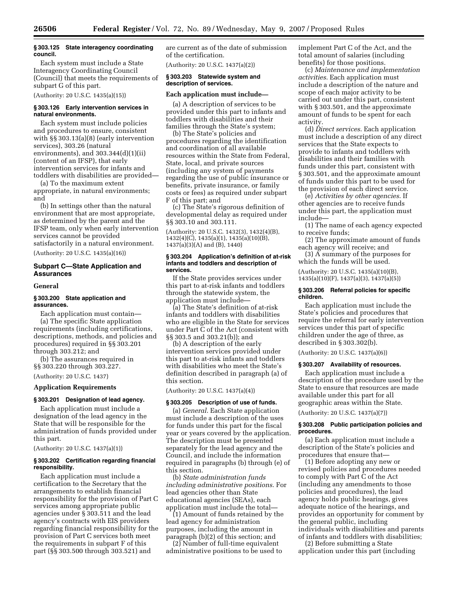#### **§ 303.125 State interagency coordinating council.**

Each system must include a State Interagency Coordinating Council (Council) that meets the requirements of subpart G of this part.

(Authority: 20 U.S.C. 1435(a)(15))

### **§ 303.126 Early intervention services in natural environments.**

Each system must include policies and procedures to ensure, consistent with §§ 303.13(a)(8) (early intervention services), 303.26 (natural environments), and  $303.344\text{(d)}(1)\text{(ii)}$ (content of an IFSP), that early intervention services for infants and toddlers with disabilities are provided—

(a) To the maximum extent appropriate, in natural environments; and

(b) In settings other than the natural environment that are most appropriate, as determined by the parent and the IFSP team, only when early intervention services cannot be provided satisfactorily in a natural environment.

(Authority: 20 U.S.C. 1435(a)(16))

# **Subpart C—State Application and Assurances**

#### **General**

#### **§ 303.200 State application and assurances.**

Each application must contain— (a) The specific State application requirements (including certifications, descriptions, methods, and policies and procedures) required in §§ 303.201 through 303.212; and

(b) The assurances required in §§ 303.220 through 303.227.

(Authority: 20 U.S.C. 1437)

# **Application Requirements**

# **§ 303.201 Designation of lead agency.**

Each application must include a designation of the lead agency in the State that will be responsible for the administration of funds provided under this part.

(Authority: 20 U.S.C. 1437(a)(1))

# **§ 303.202 Certification regarding financial responsibility.**

Each application must include a certification to the Secretary that the arrangements to establish financial responsibility for the provision of Part C services among appropriate public agencies under § 303.511 and the lead agency's contracts with EIS providers regarding financial responsibility for the provision of Part C services both meet the requirements in subpart F of this part (§§ 303.500 through 303.521) and

are current as of the date of submission of the certification.

(Authority: 20 U.S.C. 1437(a)(2))

#### **§ 303.203 Statewide system and description of services.**

#### **Each application must include—**

(a) A description of services to be provided under this part to infants and toddlers with disabilities and their families through the State's system;

(b) The State's policies and procedures regarding the identification and coordination of all available resources within the State from Federal, State, local, and private sources (including any system of payments regarding the use of public insurance or benefits, private insurance, or family costs or fees) as required under subpart F of this part; and

(c) The State's rigorous definition of developmental delay as required under §§ 303.10 and 303.111.

(Authority: 20 U.S.C. 1432(3), 1432(4)(B), 1432(4)(C), 1435(a)(1), 1435(a)(10)(B), 1437(a)(3)(A) and (B), 1440)

#### **§ 303.204 Application's definition of at-risk infants and toddlers and description of services.**

If the State provides services under this part to at-risk infants and toddlers through the statewide system, the application must include—

(a) The State's definition of at-risk infants and toddlers with disabilities who are eligible in the State for services under Part C of the Act (consistent with §§ 303.5 and 303.21(b)); and

(b) A description of the early intervention services provided under this part to at-risk infants and toddlers with disabilities who meet the State's definition described in paragraph (a) of this section.

(Authority: 20 U.S.C. 1437(a)(4))

#### **§ 303.205 Description of use of funds.**

(a) *General*. Each State application must include a description of the uses for funds under this part for the fiscal year or years covered by the application. The description must be presented separately for the lead agency and the Council, and include the information required in paragraphs (b) through (e) of this section.

(b) *State administration funds including administrative positions*. For lead agencies other than State educational agencies (SEAs), each application must include the total—

(1) Amount of funds retained by the lead agency for administration purposes, including the amount in paragraph (b)(2) of this section; and

(2) Number of full-time equivalent administrative positions to be used to implement Part C of the Act, and the total amount of salaries (including benefits) for those positions.

(c) *Maintenance and implementation activities*. Each application must include a description of the nature and scope of each major activity to be carried out under this part, consistent with § 303.501, and the approximate amount of funds to be spent for each activity.

(d) *Direct services*. Each application must include a description of any direct services that the State expects to provide to infants and toddlers with disabilities and their families with funds under this part, consistent with § 303.501, and the approximate amount of funds under this part to be used for the provision of each direct service.

(e) *Activities by other agencies*. If other agencies are to receive funds under this part, the application must include—

(1) The name of each agency expected to receive funds;

(2) The approximate amount of funds each agency will receive; and

(3) A summary of the purposes for which the funds will be used.

(Authority: 20 U.S.C. 1435(a)(10)(B), 1435(a)(10)(F), 1437(a)(3), 1437(a)(5))

#### **§ 303.206 Referral policies for specific children.**

Each application must include the State's policies and procedures that require the referral for early intervention services under this part of specific children under the age of three, as described in § 303.302(b).

(Authority: 20 U.S.C. 1437(a)(6))

#### **§ 303.207 Availability of resources.**

Each application must include a description of the procedure used by the State to ensure that resources are made available under this part for all geographic areas within the State.

(Authority: 20 U.S.C. 1437(a)(7))

# **§ 303.208 Public participation policies and procedures.**

(a) Each application must include a description of the State's policies and procedures that ensure that—

(1) Before adopting any new or revised policies and procedures needed to comply with Part C of the Act (including any amendments to those policies and procedures), the lead agency holds public hearings, gives adequate notice of the hearings, and provides an opportunity for comment by the general public, including individuals with disabilities and parents of infants and toddlers with disabilities;

(2) Before submitting a State application under this part (including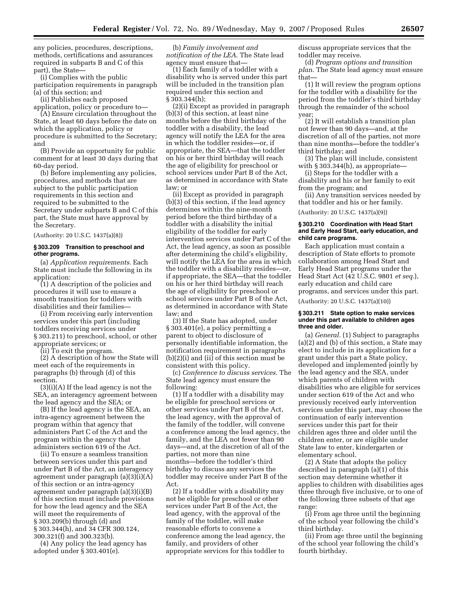any policies, procedures, descriptions, methods, certifications and assurances required in subparts B and C of this part), the State—

(i) Complies with the public participation requirements in paragraph (a) of this section; and

(ii) Publishes each proposed

application, policy or procedure to— (A) Ensure circulation throughout the State, at least 60 days before the date on which the application, policy or procedure is submitted to the Secretary; and

(B) Provide an opportunity for public comment for at least 30 days during that 60-day period.

(b) Before implementing any policies, procedures, and methods that are subject to the public participation requirements in this section and required to be submitted to the Secretary under subparts B and C of this part, the State must have approval by the Secretary.

(Authority: 20 U.S.C. 1437(a)(8))

#### **§ 303.209 Transition to preschool and other programs.**

(a) *Application requirements*. Each State must include the following in its application:

(1) A description of the policies and procedures it will use to ensure a smooth transition for toddlers with disabilities and their families—

(i) From receiving early intervention services under this part (including toddlers receiving services under § 303.211) to preschool, school, or other appropriate services; or

(ii) To exit the program.

(2) A description of how the State will meet each of the requirements in paragraphs (b) through (d) of this section.

(3)(i)(A) If the lead agency is not the SEA, an interagency agreement between the lead agency and the SEA; or

(B) If the lead agency is the SEA, an intra-agency agreement between the program within that agency that administers Part C of the Act and the program within the agency that administers section 619 of the Act.

(ii) To ensure a seamless transition between services under this part and under Part B of the Act, an interagency agreement under paragraph (a)(3)(i)(A) of this section or an intra-agency agreement under paragraph (a)(3)(i)(B) of this section must include provisions for how the lead agency and the SEA will meet the requirements of § 303.209(b) through (d) and § 303.344(h), and 34 CFR 300.124, 300.321(f) and 300.323(b).

(4) Any policy the lead agency has adopted under § 303.401(e).

(b) *Family involvement and notification of the LEA*. The State lead agency must ensure that—

(1) Each family of a toddler with a disability who is served under this part will be included in the transition plan required under this section and § 303.344(h);

(2)(i) Except as provided in paragraph (b)(3) of this section, at least nine months before the third birthday of the toddler with a disability, the lead agency will notify the LEA for the area in which the toddler resides—or, if appropriate, the SEA—that the toddler on his or her third birthday will reach the age of eligibility for preschool or school services under Part B of the Act, as determined in accordance with State law; or

(ii) Except as provided in paragraph (b)(3) of this section, if the lead agency determines within the nine-month period before the third birthday of a toddler with a disability the initial eligibility of the toddler for early intervention services under Part C of the Act, the lead agency, as soon as possible after determining the child's eligibility, will notify the LEA for the area in which the toddler with a disability resides—or, if appropriate, the SEA—that the toddler on his or her third birthday will reach the age of eligibility for preschool or school services under Part B of the Act, as determined in accordance with State law; and

(3) If the State has adopted, under § 303.401(e), a policy permitting a parent to object to disclosure of personally identifiable information, the notification requirement in paragraphs (b)(2)(i) and (ii) of this section must be consistent with this policy.

(c) *Conference to discuss services*. The State lead agency must ensure the following:

(1) If a toddler with a disability may be eligible for preschool services or other services under Part B of the Act, the lead agency, with the approval of the family of the toddler, will convene a conference among the lead agency, the family, and the LEA not fewer than 90 days—and, at the discretion of all of the parties, not more than nine months—before the toddler's third birthday to discuss any services the toddler may receive under Part B of the Act.

(2) If a toddler with a disability may not be eligible for preschool or other services under Part B of the Act, the lead agency, with the approval of the family of the toddler, will make reasonable efforts to convene a conference among the lead agency, the family, and providers of other appropriate services for this toddler to

discuss appropriate services that the toddler may receive.

(d) *Program options and transition plan*. The State lead agency must ensure that—

(1) It will review the program options for the toddler with a disability for the period from the toddler's third birthday through the remainder of the school year;

(2) It will establish a transition plan not fewer than 90 days—and, at the discretion of all of the parties, not more than nine months—before the toddler's third birthday; and

(3) The plan will include, consistent with  $\S 303.344(h)$ , as appropriate-

(i) Steps for the toddler with a disability and his or her family to exit from the program; and

(ii) Any transition services needed by that toddler and his or her family.

(Authority: 20 U.S.C. 1437(a)(9))

#### **§ 303.210 Coordination with Head Start and Early Head Start, early education, and child care programs.**

Each application must contain a description of State efforts to promote collaboration among Head Start and Early Head Start programs under the Head Start Act (42 U.S.C. 9801 *et seq.*), early education and child care programs, and services under this part.

(Authority: 20 U.S.C. 1437(a)(10))

#### **§ 303.211 State option to make services under this part available to children ages three and older.**

(a) *General.* (1) Subject to paragraphs (a)(2) and (b) of this section, a State may elect to include in its application for a grant under this part a State policy, developed and implemented jointly by the lead agency and the SEA, under which parents of children with disabilities who are eligible for services under section 619 of the Act and who previously received early intervention services under this part, may choose the continuation of early intervention services under this part for their children ages three and older until the children enter, or are eligible under State law to enter, kindergarten or elementary school.

(2) A State that adopts the policy described in paragraph (a)(1) of this section may determine whether it applies to children with disabilities ages three through five inclusive, or to one of the following three subsets of that age range:

(i) From age three until the beginning of the school year following the child's third birthday.

(ii) From age three until the beginning of the school year following the child's fourth birthday.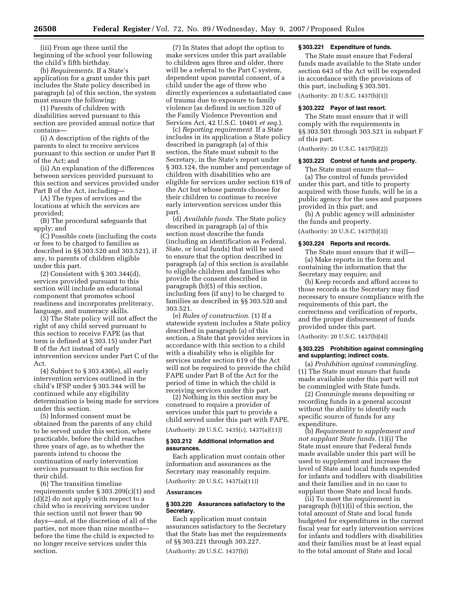(iii) From age three until the beginning of the school year following the child's fifth birthday.

(b) *Requirements*. If a State's application for a grant under this part includes the State policy described in paragraph (a) of this section, the system must ensure the following:

(1) Parents of children with disabilities served pursuant to this section are provided annual notice that contains—

(i) A description of the rights of the parents to elect to receive services pursuant to this section or under Part B of the Act; and

(ii) An explanation of the differences between services provided pursuant to this section and services provided under Part B of the Act, including—

(A) The types of services and the locations at which the services are provided;

(B) The procedural safeguards that apply; and

(C) Possible costs (including the costs or fees to be charged to families as described in §§ 303.520 and 303.521), if any, to parents of children eligible under this part.

(2) Consistent with § 303.344(d), services provided pursuant to this section will include an educational component that promotes school readiness and incorporates preliteracy, language, and numeracy skills.

(3) The State policy will not affect the right of any child served pursuant to this section to receive FAPE (as that term is defined at § 303.15) under Part B of the Act instead of early intervention services under Part C of the Act.

(4) Subject to § 303.430(e), all early intervention services outlined in the child's IFSP under § 303.344 will be continued while any eligibility determination is being made for services under this section.

(5) Informed consent must be obtained from the parents of any child to be served under this section, where practicable, before the child reaches three years of age, as to whether the parents intend to choose the continuation of early intervention services pursuant to this section for their child.

(6) The transition timeline requirements under § 303.209(c)(1) and (d)(2) do not apply with respect to a child who is receiving services under this section until not fewer than 90 days—and, at the discretion of all of the parties, not more than nine months before the time the child is expected to no longer receive services under this section.

(7) In States that adopt the option to make services under this part available to children ages three and older, there will be a referral to the Part C system, dependent upon parental consent, of a child under the age of three who directly experiences a substantiated case of trauma due to exposure to family violence (as defined in section 320 of the Family Violence Prevention and Services Act, 42 U.S.C. 10401 *et seq.*).

(c) *Reporting requirement.* If a State includes in its application a State policy described in paragraph (a) of this section, the State must submit to the Secretary, in the State's report under § 303.124, the number and percentage of children with disabilities who are eligible for services under section 619 of the Act but whose parents choose for their children to continue to receive early intervention services under this part.

(d) *Available funds.* The State policy described in paragraph (a) of this section must describe the funds (including an identification as Federal, State, or local funds) that will be used to ensure that the option described in paragraph (a) of this section is available to eligible children and families who provide the consent described in paragraph (b)(5) of this section, including fees (if any) to be charged to families as described in §§ 303.520 and 303.521.

(e) *Rules of construction.* (1) If a statewide system includes a State policy described in paragraph (a) of this section, a State that provides services in accordance with this section to a child with a disability who is eligible for services under section 619 of the Act will not be required to provide the child FAPE under Part B of the Act for the period of time in which the child is receiving services under this part.

(2) Nothing in this section may be construed to require a provider of services under this part to provide a child served under this part with FAPE. (Authority: 20 U.S.C. 1435(c), 1437(a)(11))

# **§ 303.212 Additional information and**

# **assurances.**

Each application must contain other information and assurances as the Secretary may reasonably require.

(Authority: 20 U.S.C. 1437(a)(11))

#### **Assurances**

# **§ 303.220 Assurances satisfactory to the Secretary.**

Each application must contain assurances satisfactory to the Secretary that the State has met the requirements of §§ 303.221 through 303.227.

(Authority: 20 U.S.C. 1437(b))

# **§ 303.221 Expenditure of funds.**

The State must ensure that Federal funds made available to the State under section 643 of the Act will be expended in accordance with the provisions of this part, including § 303.501.

(Authority: 20 U.S.C. 1437(b)(1))

#### **§ 303.222 Payor of last resort.**

The State must ensure that it will comply with the requirements in §§ 303.501 through 303.521 in subpart F of this part.

(Authority: 20 U.S.C. 1437(b)(2))

#### **§ 303.223 Control of funds and property.**

The State must ensure that-(a) The control of funds provided under this part, and title to property acquired with those funds, will be in a public agency for the uses and purposes provided in this part; and

(b) A public agency will administer the funds and property.

(Authority: 20 U.S.C. 1437(b)(3))

# **§ 303.224 Reports and records.**

The State must ensure that it will— (a) Make reports in the form and containing the information that the Secretary may require; and

(b) Keep records and afford access to those records as the Secretary may find necessary to ensure compliance with the requirements of this part, the correctness and verification of reports, and the proper disbursement of funds provided under this part.

(Authority: 20 U.S.C. 1437(b)(4))

# **§ 303.225 Prohibition against commingling and supplanting; indirect costs.**

(a) *Prohibition against commingling.*  (1) The State must ensure that funds made available under this part will not be commingled with State funds.

(2) *Commingle* means depositing or recording funds in a general account without the ability to identify each specific source of funds for any expenditure.

(b) *Requirement to supplement and not supplant State funds.* (1)(i) The State must ensure that Federal funds made available under this part will be used to supplement and increase the level of State and local funds expended for infants and toddlers with disabilities and their families and in no case to supplant those State and local funds.

(ii) To meet the requirement in paragraph (b)(1)(i) of this section, the total amount of State and local funds budgeted for expenditures in the current fiscal year for early intervention services for infants and toddlers with disabilities and their families must be at least equal to the total amount of State and local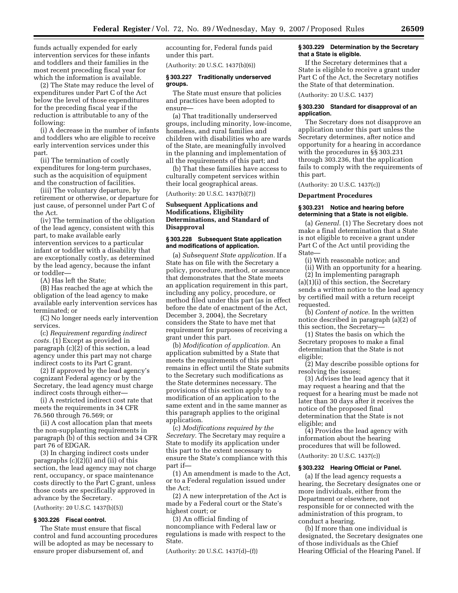funds actually expended for early intervention services for these infants and toddlers and their families in the most recent preceding fiscal year for which the information is available.

(2) The State may reduce the level of expenditures under Part C of the Act below the level of those expenditures for the preceding fiscal year if the reduction is attributable to any of the following:

(i) A decrease in the number of infants and toddlers who are eligible to receive early intervention services under this part.

(ii) The termination of costly expenditures for long-term purchases, such as the acquisition of equipment and the construction of facilities.

(iii) The voluntary departure, by retirement or otherwise, or departure for just cause, of personnel under Part C of the Act.

(iv) The termination of the obligation of the lead agency, consistent with this part, to make available early intervention services to a particular infant or toddler with a disability that are exceptionally costly, as determined by the lead agency, because the infant or toddler—

(A) Has left the State;

(B) Has reached the age at which the obligation of the lead agency to make available early intervention services has terminated; or

(C) No longer needs early intervention services.

(c) *Requirement regarding indirect costs.* (1) Except as provided in paragraph (c)(2) of this section, a lead agency under this part may not charge indirect costs to its Part C grant.

(2) If approved by the lead agency's cognizant Federal agency or by the Secretary, the lead agency must charge indirect costs through either—

(i) A restricted indirect cost rate that meets the requirements in 34 CFR 76.560 through 76.569; or

(ii) A cost allocation plan that meets the non-supplanting requirements in paragraph (b) of this section and 34 CFR part 76 of EDGAR.

(3) In charging indirect costs under paragraphs (c)(2)(i) and (ii) of this section, the lead agency may not charge rent, occupancy, or space maintenance costs directly to the Part C grant, unless those costs are specifically approved in advance by the Secretary.

(Authority: 20 U.S.C. 1437(b)(5))

#### **§ 303.226 Fiscal control.**

The State must ensure that fiscal control and fund accounting procedures will be adopted as may be necessary to ensure proper disbursement of, and

accounting for, Federal funds paid under this part.

(Authority: 20 U.S.C. 1437(b)(6))

#### **§ 303.227 Traditionally underserved groups.**

The State must ensure that policies and practices have been adopted to ensure—

(a) That traditionally underserved groups, including minority, low-income, homeless, and rural families and children with disabilities who are wards of the State, are meaningfully involved in the planning and implementation of all the requirements of this part; and

(b) That these families have access to culturally competent services within their local geographical areas.

(Authority: 20 U.S.C. 1437(b)(7))

# **Subsequent Applications and Modifications, Eligibility Determinations, and Standard of Disapproval**

## **§ 303.228 Subsequent State application and modifications of application.**

(a) *Subsequent State application.* If a State has on file with the Secretary a policy, procedure, method, or assurance that demonstrates that the State meets an application requirement in this part, including any policy, procedure, or method filed under this part (as in effect before the date of enactment of the Act, December 3, 2004), the Secretary considers the State to have met that requirement for purposes of receiving a grant under this part.

(b) *Modification of application.* An application submitted by a State that meets the requirements of this part remains in effect until the State submits to the Secretary such modifications as the State determines necessary. The provisions of this section apply to a modification of an application to the same extent and in the same manner as this paragraph applies to the original application.

(c) *Modifications required by the Secretary.* The Secretary may require a State to modify its application under this part to the extent necessary to ensure the State's compliance with this part if—

(1) An amendment is made to the Act, or to a Federal regulation issued under the Act;

(2) A new interpretation of the Act is made by a Federal court or the State's highest court; or

(3) An official finding of noncompliance with Federal law or regulations is made with respect to the State.

(Authority: 20 U.S.C. 1437(d)–(f))

#### **§ 303.229 Determination by the Secretary that a State is eligible.**

If the Secretary determines that a State is eligible to receive a grant under Part C of the Act, the Secretary notifies the State of that determination.

(Authority: 20 U.S.C. 1437)

# **§ 303.230 Standard for disapproval of an application.**

The Secretary does not disapprove an application under this part unless the Secretary determines, after notice and opportunity for a hearing in accordance with the procedures in §§ 303.231 through 303.236, that the application fails to comply with the requirements of this part.

(Authority: 20 U.S.C. 1437(c))

#### **Department Procedures**

## **§ 303.231 Notice and hearing before determining that a State is not eligible.**

(a) *General.* (1) The Secretary does not make a final determination that a State is not eligible to receive a grant under Part C of the Act until providing the State—

(i) With reasonable notice; and

(ii) With an opportunity for a hearing. (2) In implementing paragraph

(a)(1)(i) of this section, the Secretary sends a written notice to the lead agency by certified mail with a return receipt requested.

(b) *Content of notice.* In the written notice described in paragraph (a)(2) of this section, the Secretary—

(1) States the basis on which the Secretary proposes to make a final determination that the State is not eligible;

(2) May describe possible options for resolving the issues;

(3) Advises the lead agency that it may request a hearing and that the request for a hearing must be made not later than 30 days after it receives the notice of the proposed final determination that the State is not eligible; and

(4) Provides the lead agency with information about the hearing procedures that will be followed. (Authority: 20 U.S.C. 1437(c))

# **§ 303.232 Hearing Official or Panel.**

(a) If the lead agency requests a hearing, the Secretary designates one or more individuals, either from the Department or elsewhere, not responsible for or connected with the administration of this program, to conduct a hearing.

(b) If more than one individual is designated, the Secretary designates one of those individuals as the Chief Hearing Official of the Hearing Panel. If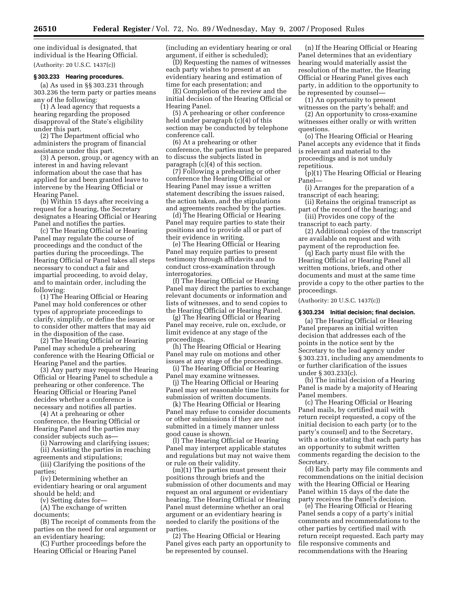one individual is designated, that individual is the Hearing Official.

(Authority: 20 U.S.C. 1437(c))

# **§ 303.233 Hearing procedures.**

(a) As used in §§ 303.231 through 303.236 the term party or parties means any of the following:

(1) A lead agency that requests a hearing regarding the proposed disapproval of the State's eligibility under this part.

(2) The Department official who administers the program of financial assistance under this part.

(3) A person, group, or agency with an interest in and having relevant information about the case that has applied for and been granted leave to intervene by the Hearing Official or Hearing Panel.

(b) Within 15 days after receiving a request for a hearing, the Secretary designates a Hearing Official or Hearing Panel and notifies the parties.

(c) The Hearing Official or Hearing Panel may regulate the course of proceedings and the conduct of the parties during the proceedings. The Hearing Official or Panel takes all steps necessary to conduct a fair and impartial proceeding, to avoid delay, and to maintain order, including the following:

(1) The Hearing Official or Hearing Panel may hold conferences or other types of appropriate proceedings to clarify, simplify, or define the issues or to consider other matters that may aid in the disposition of the case.

(2) The Hearing Official or Hearing Panel may schedule a prehearing conference with the Hearing Official or Hearing Panel and the parties.

(3) Any party may request the Hearing Official or Hearing Panel to schedule a prehearing or other conference. The Hearing Official or Hearing Panel decides whether a conference is necessary and notifies all parties.

(4) At a prehearing or other conference, the Hearing Official or Hearing Panel and the parties may consider subjects such as—

(i) Narrowing and clarifying issues; (ii) Assisting the parties in reaching

agreements and stipulations; (iii) Clarifying the positions of the

parties; (iv) Determining whether an

evidentiary hearing or oral argument should be held; and

(v) Setting dates for—

(A) The exchange of written documents;

(B) The receipt of comments from the parties on the need for oral argument or an evidentiary hearing;

(C) Further proceedings before the Hearing Official or Hearing Panel

(including an evidentiary hearing or oral argument, if either is scheduled);

(D) Requesting the names of witnesses each party wishes to present at an evidentiary hearing and estimation of time for each presentation; and

(E) Completion of the review and the initial decision of the Hearing Official or Hearing Panel.

(5) A prehearing or other conference held under paragraph (c)(4) of this section may be conducted by telephone conference call.

(6) At a prehearing or other conference, the parties must be prepared to discuss the subjects listed in paragraph (c)(4) of this section.

(7) Following a prehearing or other conference the Hearing Official or Hearing Panel may issue a written statement describing the issues raised, the action taken, and the stipulations and agreements reached by the parties.

(d) The Hearing Official or Hearing Panel may require parties to state their positions and to provide all or part of their evidence in writing.

(e) The Hearing Official or Hearing Panel may require parties to present testimony through affidavits and to conduct cross-examination through interrogatories.

(f) The Hearing Official or Hearing Panel may direct the parties to exchange relevant documents or information and lists of witnesses, and to send copies to the Hearing Official or Hearing Panel.

(g) The Hearing Official or Hearing Panel may receive, rule on, exclude, or limit evidence at any stage of the proceedings.

(h) The Hearing Official or Hearing Panel may rule on motions and other issues at any stage of the proceedings.

(i) The Hearing Official or Hearing Panel may examine witnesses.

(j) The Hearing Official or Hearing Panel may set reasonable time limits for submission of written documents.

(k) The Hearing Official or Hearing Panel may refuse to consider documents or other submissions if they are not submitted in a timely manner unless good cause is shown.

(l) The Hearing Official or Hearing Panel may interpret applicable statutes and regulations but may not waive them or rule on their validity.

(m)(1) The parties must present their positions through briefs and the submission of other documents and may request an oral argument or evidentiary hearing. The Hearing Official or Hearing Panel must determine whether an oral argument or an evidentiary hearing is needed to clarify the positions of the parties.

(2) The Hearing Official or Hearing Panel gives each party an opportunity to be represented by counsel.

(n) If the Hearing Official or Hearing Panel determines that an evidentiary hearing would materially assist the resolution of the matter, the Hearing Official or Hearing Panel gives each party, in addition to the opportunity to be represented by counsel—

(1) An opportunity to present witnesses on the party's behalf; and

(2) An opportunity to cross-examine witnesses either orally or with written questions.

(o) The Hearing Official or Hearing Panel accepts any evidence that it finds is relevant and material to the proceedings and is not unduly repetitious.

(p)(1) The Hearing Official or Hearing Panel—

(i) Arranges for the preparation of a transcript of each hearing;

(ii) Retains the original transcript as part of the record of the hearing; and

(iii) Provides one copy of the transcript to each party.

(2) Additional copies of the transcript are available on request and with payment of the reproduction fee.

(q) Each party must file with the Hearing Official or Hearing Panel all written motions, briefs, and other documents and must at the same time provide a copy to the other parties to the proceedings.

(Authority: 20 U.S.C. 1437(c))

## **§ 303.234 Initial decision; final decision.**

(a) The Hearing Official or Hearing Panel prepares an initial written decision that addresses each of the points in the notice sent by the Secretary to the lead agency under § 303.231, including any amendments to or further clarification of the issues under § 303.233(c).

(b) The initial decision of a Hearing Panel is made by a majority of Hearing Panel members.

(c) The Hearing Official or Hearing Panel mails, by certified mail with return receipt requested, a copy of the initial decision to each party (or to the party's counsel) and to the Secretary, with a notice stating that each party has an opportunity to submit written comments regarding the decision to the Secretary.

(d) Each party may file comments and recommendations on the initial decision with the Hearing Official or Hearing Panel within 15 days of the date the party receives the Panel's decision.

(e) The Hearing Official or Hearing Panel sends a copy of a party's initial comments and recommendations to the other parties by certified mail with return receipt requested. Each party may file responsive comments and recommendations with the Hearing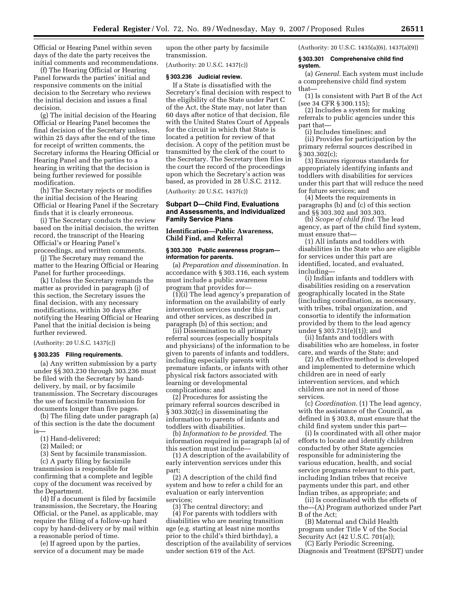Official or Hearing Panel within seven days of the date the party receives the initial comments and recommendations.

(f) The Hearing Official or Hearing Panel forwards the parties' initial and responsive comments on the initial decision to the Secretary who reviews the initial decision and issues a final decision.

(g) The initial decision of the Hearing Official or Hearing Panel becomes the final decision of the Secretary unless, within 25 days after the end of the time for receipt of written comments, the Secretary informs the Hearing Official or Hearing Panel and the parties to a hearing in writing that the decision is being further reviewed for possible modification.

(h) The Secretary rejects or modifies the initial decision of the Hearing Official or Hearing Panel if the Secretary finds that it is clearly erroneous.

(i) The Secretary conducts the review based on the initial decision, the written record, the transcript of the Hearing Official's or Hearing Panel's proceedings, and written comments.

(j) The Secretary may remand the matter to the Hearing Official or Hearing Panel for further proceedings.

(k) Unless the Secretary remands the matter as provided in paragraph (j) of this section, the Secretary issues the final decision, with any necessary modifications, within 30 days after notifying the Hearing Official or Hearing Panel that the initial decision is being further reviewed.

(Authority: 20 U.S.C. 1437(c))

#### **§ 303.235 Filing requirements.**

(a) Any written submission by a party under §§ 303.230 through 303.236 must be filed with the Secretary by handdelivery, by mail, or by facsimile transmission. The Secretary discourages the use of facsimile transmission for documents longer than five pages.

(b) The filing date under paragraph (a) of this section is the date the document is—

- (1) Hand-delivered;
- (2) Mailed; or
- (3) Sent by facsimile transmission.

(c) A party filing by facsimile transmission is responsible for confirming that a complete and legible copy of the document was received by the Department.

(d) If a document is filed by facsimile transmission, the Secretary, the Hearing Official, or the Panel, as applicable, may require the filing of a follow-up hard copy by hand-delivery or by mail within a reasonable period of time.

(e) If agreed upon by the parties, service of a document may be made upon the other party by facsimile transmission.

(Authority: 20 U.S.C. 1437(c))

#### **§ 303.236 Judicial review.**

If a State is dissatisfied with the Secretary's final decision with respect to the eligibility of the State under Part C of the Act, the State may, not later than 60 days after notice of that decision, file with the United States Court of Appeals for the circuit in which that State is located a petition for review of that decision. A copy of the petition must be transmitted by the clerk of the court to the Secretary. The Secretary then files in the court the record of the proceedings upon which the Secretary's action was based, as provided in 28 U.S.C. 2112.

(Authority: 20 U.S.C. 1437(c))

# **Subpart D—Child Find, Evaluations and Assessments, and Individualized Family Service Plans**

**Identification—Public Awareness, Child Find, and Referral** 

#### **§ 303.300 Public awareness program information for parents.**

(a) *Preparation and dissemination.* In accordance with § 303.116, each system must include a public awareness program that provides for—

(1)(i) The lead agency's preparation of information on the availability of early intervention services under this part, and other services, as described in paragraph (b) of this section; and

(ii) Dissemination to all primary referral sources (especially hospitals and physicians) of the information to be given to parents of infants and toddlers, including especially parents with premature infants, or infants with other physical risk factors associated with learning or developmental complications; and

(2) Procedures for assisting the primary referral sources described in § 303.302(c) in disseminating the information to parents of infants and toddlers with disabilities.

(b) *Information to be provided*. The information required in paragraph (a) of this section must include—

(1) A description of the availability of early intervention services under this part;

(2) A description of the child find system and how to refer a child for an evaluation or early intervention services;

(3) The central directory; and (4) For parents with toddlers with disabilities who are nearing transition age (e.g. starting at least nine months prior to the child's third birthday), a description of the availability of services under section 619 of the Act.

(Authority: 20 U.S.C. 1435(a)(6), 1437(a)(9))

#### **§ 303.301 Comprehensive child find system.**

(a) *General*. Each system must include a comprehensive child find system that—

(1) Is consistent with Part B of the Act (see 34 CFR § 300.115);

(2) Includes a system for making referrals to public agencies under this part that—

(i) Includes timelines; and

(ii) Provides for participation by the primary referral sources described in § 303.302(c);

(3) Ensures rigorous standards for appropriately identifying infants and toddlers with disabilities for services under this part that will reduce the need for future services; and

(4) Meets the requirements in paragraphs (b) and (c) of this section and §§ 303.302 and 303.303.

(b) *Scope of child find*. The lead agency, as part of the child find system, must ensure that—

(1) All infants and toddlers with disabilities in the State who are eligible for services under this part are identified, located, and evaluated, including—

(i) Indian infants and toddlers with disabilities residing on a reservation geographically located in the State (including coordination, as necessary, with tribes, tribal organization, and consortia to identify the information provided by them to the lead agency under § 303.731(e)(1)); and

(ii) Infants and toddlers with disabilities who are homeless, in foster care, and wards of the State; and

(2) An effective method is developed and implemented to determine which children are in need of early intervention services, and which children are not in need of those services.

(c) *Coordination*. (1) The lead agency, with the assistance of the Council, as defined in § 303.8, must ensure that the child find system under this part—

(i) Is coordinated with all other major efforts to locate and identify children conducted by other State agencies responsible for administering the various education, health, and social service programs relevant to this part, including Indian tribes that receive payments under this part, and other Indian tribes, as appropriate; and

(ii) Is coordinated with the efforts of the—(A) Program authorized under Part B of the Act;

(B) Maternal and Child Health program under Title V of the Social Security Act (42 U.S.C. 701(a));

(C) Early Periodic Screening, Diagnosis and Treatment (EPSDT) under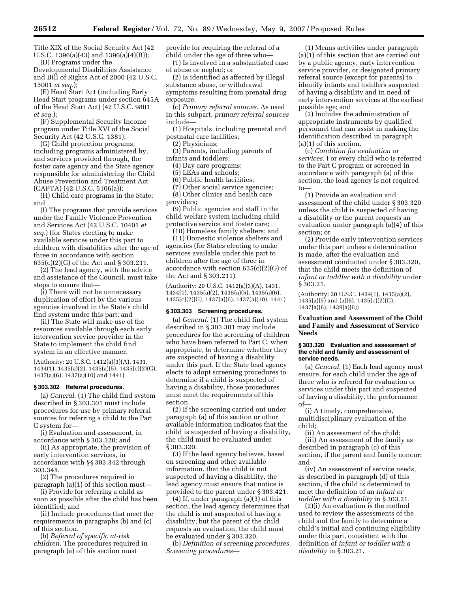Title XIX of the Social Security Act (42 U.S.C. 1396(a)(43) and 1396(a)(4)(B)); (D) Programs under the

Developmental Disabilities Assistance and Bill of Rights Act of 2000 (42 U.S.C. 15001 *et seq.*);

(E) Head Start Act (including Early Head Start programs under section 645A of the Head Start Act) (42 U.S.C. 9801 *et seq.*);

(F) Supplemental Security Income program under Title XVI of the Social Security Act (42 U.S.C. 1381);

(G) Child protection programs, including programs administered by, and services provided through, the foster care agency and the State agency responsible for administering the Child Abuse Prevention and Treatment Act (CAPTA) (42 U.S.C. 5106(a));

(H) Child care programs in the State; and

(I) The programs that provide services under the Family Violence Prevention and Services Act (42 U.S.C. 10401 *et seq.*) (for States electing to make available services under this part to children with disabilities after the age of three in accordance with section 635(c)(2)(G) of the Act and § 303.211.

(2) The lead agency, with the advice and assistance of the Council, must take steps to ensure that—

(i) There will not be unnecessary duplication of effort by the various agencies involved in the State's child find system under this part; and

(ii) The State will make use of the resources available through each early intervention service provider in the State to implement the child find system in an effective manner.

(Authority: 20 U.S.C. 1412(a)(3)(A), 1431, 1434(1), 1435(a)(2), 1435(a)(5), 1435(c)(2)(G), 1437(a)(6), 1437(a)(10) and 1441)

## **§ 303.302 Referral procedures.**

(a) *General*. (1) The child find system described in § 303.301 must include procedures for use by primary referral sources for referring a child to the Part C system for—

(i) Evaluation and assessment, in accordance with § 303.320; and

(ii) As appropriate, the provision of early intervention services, in accordance with §§ 303.342 through 303.345.

(2) The procedures required in paragraph (a)(1) of this section must—

(i) Provide for referring a child as soon as possible after the child has been identified; and

(ii) Include procedures that meet the requirements in paragraphs (b) and (c) of this section.

(b) *Referral of specific at-risk children.* The procedures required in paragraph (a) of this section must

provide for requiring the referral of a child under the age of three who—

(1) Is involved in a substantiated case of abuse or neglect; or

(2) Is identified as affected by illegal substance abuse, or withdrawal symptoms resulting from prenatal drug exposure.

(c) *Primary referral sources.* As used in this subpart, *primary referral sources*  include—

(1) Hospitals, including prenatal and postnatal care facilities;

(2) Physicians;

(3) Parents, including parents of infants and toddlers;

(4) Day care programs;

(5) LEAs and schools;

(6) Public health facilities;

(7) Other social service agencies;

(8) Other clinics and health care providers;

(9) Public agencies and staff in the child welfare system including child protective service and foster care;

(10) Homeless family shelters; and (11) Domestic violence shelters and agencies (for States electing to make services available under this part to children after the age of three in accordance with section 635(c)(2)(G) of the Act and § 303.211).

(Authority: 20 U.S.C. 1412(a)(3)(A), 1431, 1434(1), 1435(a)(2), 1435(a)(5), 1435(a)(6), 1435(c)(2)(G), 1437(a)(6), 1437(a)(10), 1441)

#### **§ 303.303 Screening procedures.**

(a) *General.* (1) The child find system described in § 303.301 may include procedures for the screening of children who have been referred to Part C, when appropriate, to determine whether they are suspected of having a disability under this part. If the State lead agency elects to adopt screening procedures to determine if a child is suspected of having a disability, those procedures must meet the requirements of this section.

(2) If the screening carried out under paragraph (a) of this section or other available information indicates that the child is suspected of having a disability, the child must be evaluated under § 303.320.

(3) If the lead agency believes, based on screening and other available information, that the child is not suspected of having a disability, the lead agency must ensure that notice is provided to the parent under § 303.421.

(4) If, under paragraph (a)(3) of this section, the lead agency determines that the child is not suspected of having a disability, but the parent of the child requests an evaluation, the child must be evaluated under § 303.320.

(b) *Definition of screening procedures. Screening procedures*—

(1) Means activities under paragraph (a)(1) of this section that are carried out by a public agency, early intervention service provider, or designated primary referral source (except for parents) to identify infants and toddlers suspected of having a disability and in need of early intervention services at the earliest possible age; and

(2) Includes the administration of appropriate instruments by qualified personnel that can assist in making the identification described in paragraph (a)(1) of this section.

(c) *Condition for evaluation or services.* For every child who is referred to the Part C program or screened in accordance with paragraph (a) of this section, the lead agency is not required to—

(1) Provide an evaluation and assessment of the child under § 303.320 unless the child is suspected of having a disability or the parent requests an evaluation under paragraph (a)(4) of this section; or

(2) Provide early intervention services under this part unless a determination is made, after the evaluation and assessment conducted under § 303.320, that the child meets the definition of *infant or toddler with a disability* under § 303.21.

(Authority: 20 U.S.C. 1434(1), 1435(a)(2),  $1435(a)(5)$  and  $(a)(6)$ ,  $1435(c)(2)(G)$ , 1437(a)(6), 1439(a)(6))

# **Evaluation and Assessment of the Child and Family and Assessment of Service Needs**

#### **§ 303.320 Evaluation and assessment of the child and family and assessment of service needs.**

(a) *General.* (1) Each lead agency must ensure, for each child under the age of three who is referred for evaluation or services under this part and suspected of having a disability, the performance of—

(i) A timely, comprehensive, multidisciplinary evaluation of the child;

(ii) An assessment of the child; (iii) An assessment of the family as described in paragraph (c) of this section, if the parent and family concur; and

(iv) An assessment of service needs, as described in paragraph (d) of this section, if the child is determined to meet the definition of an *infant or toddler with a disability* in § 303.21.

(2)(i) An evaluation is the method used to review the assessments of the child and the family to determine a child's initial and continuing eligibility under this part, consistent with the definition of *infant or toddler with a disability* in § 303.21.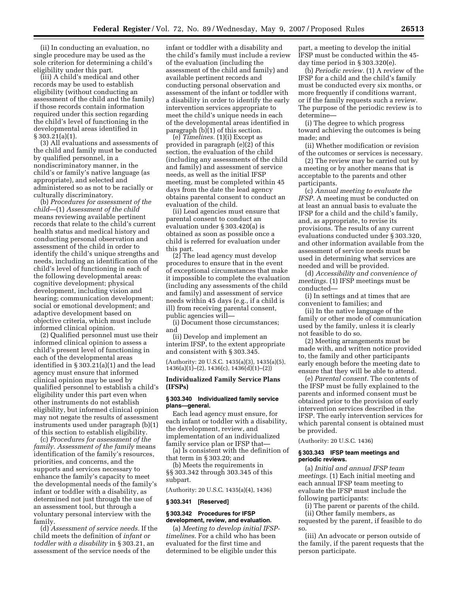(ii) In conducting an evaluation, no single procedure may be used as the sole criterion for determining a child's eligibility under this part.

(iii) A child's medical and other records may be used to establish eligibility (without conducting an assessment of the child and the family) if those records contain information required under this section regarding the child's level of functioning in the developmental areas identified in § 303.21(a)(1).

(3) All evaluations and assessments of the child and family must be conducted by qualified personnel, in a nondiscriminatory manner, in the child's or family's native language (as appropriate), and selected and administered so as not to be racially or culturally discriminatory.

(b) *Procedures for assessment of the child*—(1) *Assessment of the child*  means reviewing available pertinent records that relate to the child's current health status and medical history and conducting personal observation and assessment of the child in order to identify the child's unique strengths and needs, including an identification of the child's level of functioning in each of the following developmental areas: cognitive development; physical development, including vision and hearing; communication development; social or emotional development; and adaptive development based on objective criteria, which must include informed clinical opinion.

(2) Qualified personnel must use their informed clinical opinion to assess a child's present level of functioning in each of the developmental areas identified in § 303.21(a)(1) and the lead agency must ensure that informed clinical opinion may be used by qualified personnel to establish a child's eligibility under this part even when other instruments do not establish eligibility, but informed clinical opinion may not negate the results of assessment instruments used under paragraph (b)(1) of this section to establish eligibility.

(c) *Procedures for assessment of the family. Assessment of the family* means identification of the family's resources, priorities, and concerns, and the supports and services necessary to enhance the family's capacity to meet the developmental needs of the family's infant or toddler with a disability, as determined not just through the use of an assessment tool, but through a voluntary personal interview with the family.

(d) *Assessment of service needs.* If the child meets the definition of *infant or toddler with a disability* in § 303.21, an assessment of the service needs of the

infant or toddler with a disability and the child's family must include a review of the evaluation (including the assessment of the child and family) and available pertinent records and conducting personal observation and assessment of the infant or toddler with a disability in order to identify the early intervention services appropriate to meet the child's unique needs in each of the developmental areas identified in paragraph (b)(1) of this section.

(e) *Timelines.* (1)(i) Except as provided in paragraph (e)(2) of this section, the evaluation of the child (including any assessments of the child and family) and assessment of service needs, as well as the initial IFSP meeting, must be completed within 45 days from the date the lead agency obtains parental consent to conduct an evaluation of the child.

(ii) Lead agencies must ensure that parental consent to conduct an evaluation under § 303.420(a) is obtained as soon as possible once a child is referred for evaluation under this part.

(2) The lead agency must develop procedures to ensure that in the event of exceptional circumstances that make it impossible to complete the evaluation (including any assessments of the child and family) and assessment of service needs within 45 days (e.g., if a child is ill) from receiving parental consent, public agencies will—

(i) Document those circumstances; and

(ii) Develop and implement an interim IFSP, to the extent appropriate and consistent with § 303.345.

(Authority: 20 U.S.C. 1435(a)(3), 1435(a)(5), 1436(a)(1)–(2), 1436(c), 1436(d)(1)–(2))

# **Individualized Family Service Plans (IFSPs)**

#### **§ 303.340 Individualized family service plans—general.**

Each lead agency must ensure, for each infant or toddler with a disability, the development, review, and implementation of an individualized family service plan or IFSP that—

(a) Is consistent with the definition of that term in § 303.20; and

(b) Meets the requirements in §§ 303.342 through 303.345 of this subpart.

(Authority: 20 U.S.C. 1435(a)(4), 1436)

#### **§ 303.341 [Reserved]**

#### **§ 303.342 Procedures for IFSP development, review, and evaluation.**

(a) *Meeting to develop initial IFSPtimelines.* For a child who has been evaluated for the first time and determined to be eligible under this

part, a meeting to develop the initial IFSP must be conducted within the 45 day time period in § 303.320(e).

(b) *Periodic review.* (1) A review of the IFSP for a child and the child's family must be conducted every six months, or more frequently if conditions warrant, or if the family requests such a review. The purpose of the periodic review is to determine—

(i) The degree to which progress toward achieving the outcomes is being made; and

(ii) Whether modification or revision of the outcomes or services is necessary.

(2) The review may be carried out by a meeting or by another means that is acceptable to the parents and other participants.

(c) *Annual meeting to evaluate the IFSP.* A meeting must be conducted on at least an annual basis to evaluate the IFSP for a child and the child's family, and, as appropriate, to revise its provisions. The results of any current evaluations conducted under § 303.320, and other information available from the assessment of service needs must be used in determining what services are needed and will be provided.

(d) *Accessibility and convenience of meetings.* (1) IFSP meetings must be conducted—

(i) In settings and at times that are convenient to families; and

(ii) In the native language of the family or other mode of communication used by the family, unless it is clearly not feasible to do so.

(2) Meeting arrangements must be made with, and written notice provided to, the family and other participants early enough before the meeting date to ensure that they will be able to attend.

(e) *Parental consent.* The contents of the IFSP must be fully explained to the parents and informed consent must be obtained prior to the provision of early intervention services described in the IFSP. The early intervention services for which parental consent is obtained must be provided.

(Authority: 20 U.S.C. 1436)

## **§ 303.343 IFSP team meetings and periodic reviews.**

(a) *Initial and annual IFSP team meetings.* (1) Each initial meeting and each annual IFSP team meeting to evaluate the IFSP must include the following participants:

(i) The parent or parents of the child.

(ii) Other family members, as

requested by the parent, if feasible to do so.

(iii) An advocate or person outside of the family, if the parent requests that the person participate.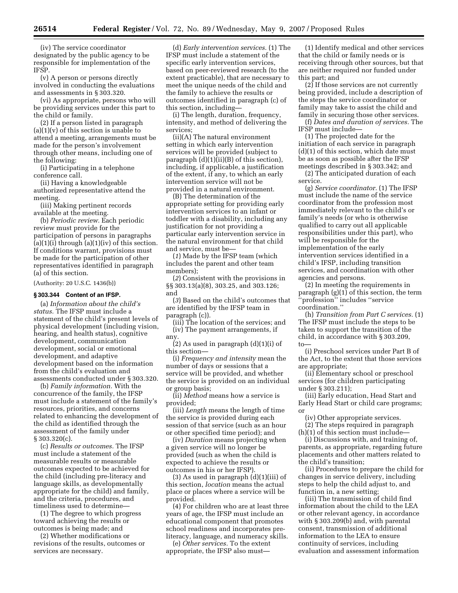(iv) The service coordinator designated by the public agency to be responsible for implementation of the IFSP.

(v) A person or persons directly involved in conducting the evaluations and assessments in § 303.320.

(vi) As appropriate, persons who will be providing services under this part to the child or family.

(2) If a person listed in paragraph  $(a)(1)(v)$  of this section is unable to attend a meeting, arrangements must be made for the person's involvement through other means, including one of the following:

(i) Participating in a telephone conference call.

(ii) Having a knowledgeable authorized representative attend the meeting.

(iii) Making pertinent records available at the meeting.

(b) *Periodic review.* Each periodic review must provide for the participation of persons in paragraphs  $(a)(1)(i)$  through  $(a)(1)(iv)$  of this section. If conditions warrant, provisions must be made for the participation of other representatives identified in paragraph (a) of this section.

(Authority: 20 U.S.C. 1436(b))

# **§ 303.344 Content of an IFSP.**

(a) *Information about the child's status.* The IFSP must include a statement of the child's present levels of physical development (including vision, hearing, and health status), cognitive development, communication development, social or emotional development, and adaptive development based on the information from the child's evaluation and assessments conducted under § 303.320.

(b) *Family information.* With the concurrence of the family, the IFSP must include a statement of the family's resources, priorities, and concerns related to enhancing the development of the child as identified through the assessment of the family under  $§ 303.320(c).$ 

(c) *Results or outcomes.* The IFSP must include a statement of the measurable results or measurable outcomes expected to be achieved for the child (including pre-literacy and language skills, as developmentally appropriate for the child) and family, and the criteria, procedures, and timeliness used to determine—

(1) The degree to which progress toward achieving the results or outcomes is being made; and

(2) Whether modifications or revisions of the results, outcomes or services are necessary.

(d) *Early intervention services.* (1) The IFSP must include a statement of the specific early intervention services, based on peer-reviewed research (to the extent practicable), that are necessary to meet the unique needs of the child and the family to achieve the results or outcomes identified in paragraph (c) of this section, including—

(i) The length, duration, frequency, intensity, and method of delivering the services;

(ii)(A) The natural environment setting in which early intervention services will be provided (subject to paragraph  $(d)(1)(ii)(B)$  of this section), including, if applicable, a justification of the extent, if any, to which an early intervention service will not be provided in a natural environment.

(B) The determination of the appropriate setting for providing early intervention services to an infant or toddler with a disability, including any justification for not providing a particular early intervention service in the natural environment for that child and service, must be—

(*1*) Made by the IFSP team (which includes the parent and other team members);

(*2*) Consistent with the provisions in §§ 303.13(a)(8), 303.25, and 303.126; and

(*3*) Based on the child's outcomes that are identified by the IFSP team in paragraph (c)).

(iii) The location of the services; and (iv) The payment arrangements, if any.

(2) As used in paragraph  $(d)(1)(i)$  of this section—

(i) *Frequency and intensity* mean the number of days or sessions that a service will be provided, and whether the service is provided on an individual or group basis;

(ii) *Method* means how a service is provided;

(iii) *Length* means the length of time the service is provided during each session of that service (such as an hour or other specified time period); and

(iv) *Duration* means projecting when a given service will no longer be provided (such as when the child is expected to achieve the results or outcomes in his or her IFSP).

(3) As used in paragraph (d)(1)(iii) of this section, *location* means the actual place or places where a service will be provided.

(4) For children who are at least three years of age, the IFSP must include an educational component that promotes school readiness and incorporates preliteracy, language, and numeracy skills.

(e) *Other services.* To the extent appropriate, the IFSP also must—

(1) Identify medical and other services that the child or family needs or is receiving through other sources, but that are neither required nor funded under this part; and

 $(2)$  If those services are not currently being provided, include a description of the steps the service coordinator or family may take to assist the child and family in securing those other services.

(f) *Dates and duration of services.* The IFSP must include—

(1) The projected date for the initiation of each service in paragraph (d)(1) of this section, which date must be as soon as possible after the IFSP meetings described in § 303.342; and

(2) The anticipated duration of each service.

(g) *Service coordinator.* (1) The IFSP must include the name of the service coordinator from the profession most immediately relevant to the child's or family's needs (or who is otherwise qualified to carry out all applicable responsibilities under this part), who will be responsible for the implementation of the early intervention services identified in a child's IFSP, including transition services, and coordination with other agencies and persons.

(2) In meeting the requirements in paragraph (g)(1) of this section, the term 'profession'' includes "service coordination.''

(h) *Transition from Part C services.* (1) The IFSP must include the steps to be taken to support the transition of the child, in accordance with § 303.209, to—

(i) Preschool services under Part B of the Act, to the extent that those services are appropriate;

(ii) Elementary school or preschool services (for children participating under § 303.211);

(iii) Early education, Head Start and Early Head Start or child care programs; or

(iv) Other appropriate services.

(2) The steps required in paragraph (h)(1) of this section must include—

(i) Discussions with, and training of, parents, as appropriate, regarding future placements and other matters related to the child's transition;

(ii) Procedures to prepare the child for changes in service delivery, including steps to help the child adjust to, and function in, a new setting;

(iii) The transmission of child find information about the child to the LEA or other relevant agency, in accordance with § 303.209(b) and, with parental consent, transmission of additional information to the LEA to ensure continuity of services, including evaluation and assessment information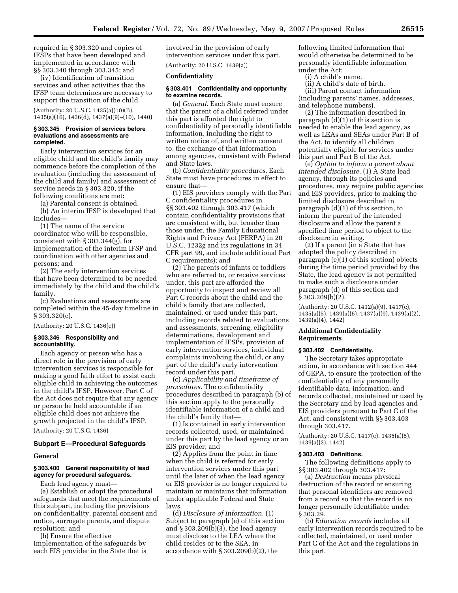required in § 303.320 and copies of IFSPs that have been developed and implemented in accordance with §§ 303.340 through 303.345; and

(iv) Identification of transition services and other activities that the IFSP team determines are necessary to support the transition of the child.

(Authority: 20 U.S.C. 1435(a)(10)(B), 1435(a)(16), 1436(d), 1437(a)(9)–(10), 1440)

## **§ 303.345 Provision of services before evaluations and assessments are completed.**

Early intervention services for an eligible child and the child's family may commence before the completion of the evaluation (including the assessment of the child and family) and assessment of service needs in § 303.320, if the following conditions are met:

(a) Parental consent is obtained. (b) An interim IFSP is developed that includes—

(1) The name of the service coordinator who will be responsible, consistent with § 303.344(g), for implementation of the interim IFSP and coordination with other agencies and persons; and

(2) The early intervention services that have been determined to be needed immediately by the child and the child's family.

(c) Evaluations and assessments are completed within the 45-day timeline in § 303.320(e).

(Authority: 20 U.S.C. 1436(c))

# **§ 303.346 Responsibility and accountability.**

Each agency or person who has a direct role in the provision of early intervention services is responsible for making a good faith effort to assist each eligible child in achieving the outcomes in the child's IFSP. However, Part C of the Act does not require that any agency or person be held accountable if an eligible child does not achieve the growth projected in the child's IFSP.

(Authority: 20 U.S.C. 1436)

#### **Subpart E—Procedural Safeguards**

# **General**

# **§ 303.400 General responsibility of lead agency for procedural safeguards.**

Each lead agency must—

(a) Establish or adopt the procedural safeguards that meet the requirements of this subpart, including the provisions on confidentiality, parental consent and notice, surrogate parents, and dispute resolution; and

(b) Ensure the effective implementation of the safeguards by each EIS provider in the State that is

involved in the provision of early intervention services under this part. (Authority: 20 U.S.C. 1439(a))

# **Confidentiality**

#### **§ 303.401 Confidentiality and opportunity to examine records.**

(a) *General.* Each State must ensure that the parent of a child referred under this part is afforded the right to confidentiality of personally identifiable information, including the right to written notice of, and written consent to, the exchange of that information among agencies, consistent with Federal and State laws.

(b) *Confidentiality procedures.* Each State must have procedures in effect to ensure that—

(1) EIS providers comply with the Part C confidentiality procedures in §§ 303.402 through 303.417 (which contain confidentiality provisions that are consistent with, but broader than those under, the Family Educational Rights and Privacy Act (FERPA) in 20 U.S.C. 1232g and its regulations in 34 CFR part 99, and include additional Part C requirements); and

(2) The parents of infants or toddlers who are referred to, or receive services under, this part are afforded the opportunity to inspect and review all Part C records about the child and the child's family that are collected, maintained, or used under this part, including records related to evaluations and assessments, screening, eligibility determinations, development and implementation of IFSPs, provision of early intervention services, individual complaints involving the child, or any part of the child's early intervention record under this part.

(c) *Applicability and timeframe of procedures.* The confidentiality procedures described in paragraph (b) of this section apply to the personally identifiable information of a child and the child's family that—

(1) Is contained in early intervention records collected, used, or maintained under this part by the lead agency or an EIS provider; and

(2) Applies from the point in time when the child is referred for early intervention services under this part until the later of when the lead agency or EIS provider is no longer required to maintain or maintains that information under applicable Federal and State laws.

(d) *Disclosure of information.* (1) Subject to paragraph (e) of this section and § 303.209(b)(3), the lead agency must disclose to the LEA where the child resides or to the SEA, in accordance with § 303.209(b)(2), the

following limited information that would otherwise be determined to be personally identifiable information under the Act:

(i) A child's name.

(ii) A child's date of birth.

(iii) Parent contact information (including parents' names, addresses, and telephone numbers).

(2) The information described in paragraph (d)(1) of this section is needed to enable the lead agency, as well as LEAs and SEAs under Part B of the Act, to identify all children potentially eligible for services under this part and Part B of the Act.

(e) *Option to inform a parent about intended disclosure.* (1) A State lead agency, through its policies and procedures, may require public agencies and EIS providers, prior to making the limited disclosure described in paragraph (d)(1) of this section, to inform the parent of the intended disclosure and allow the parent a specified time period to object to the disclosure in writing.

 $(2)$  If a parent (in  $\alpha$  State that has adopted the policy described in paragraph (e)(1) of this section) objects during the time period provided by the State, the lead agency is not permitted to make such a disclosure under paragraph (d) of this section and  $\S 303.209(b)(2)$ .

(Authority: 20 U.S.C. 1412(a)(9), 1417(c), 1435(a)(5), 1439(a)(6), 1437(a)(9), 1439(a)(2), 1439(a)(4), 1442)

# **Additional Confidentiality Requirements**

## **§ 303.402 Confidentiality.**

The Secretary takes appropriate action, in accordance with section 444 of GEPA, to ensure the protection of the confidentiality of any personally identifiable data, information, and records collected, maintained or used by the Secretary and by lead agencies and EIS providers pursuant to Part C of the Act, and consistent with §§ 303.403 through 303.417.

(Authority: 20 U.S.C. 1417(c), 1435(a)(5), 1439(a)(2), 1442)

#### **§ 303.403 Definitions.**

The following definitions apply to §§ 303.402 through 303.417:

(a) *Destruction* means physical destruction of the record or ensuring that personal identifiers are removed from a record so that the record is no longer personally identifiable under § 303.29.

(b) *Education records* includes all early intervention records required to be collected, maintained, or used under Part C of the Act and the regulations in this part.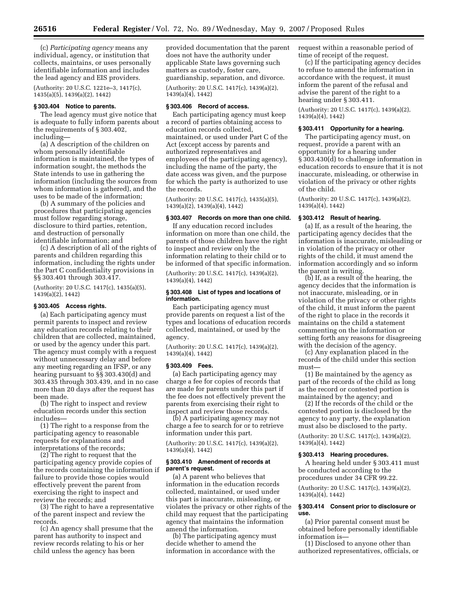(c) *Participating agency* means any individual, agency, or institution that collects, maintains, or uses personally identifiable information and includes the lead agency and EIS providers.

(Authority: 20 U.S.C. 1221e–3, 1417(c), 1435(a)(5), 1439(a)(2), 1442)

### **§ 303.404 Notice to parents.**

The lead agency must give notice that is adequate to fully inform parents about the requirements of § 303.402, including—

(a) A description of the children on whom personally identifiable information is maintained, the types of information sought, the methods the State intends to use in gathering the information (including the sources from whom information is gathered), and the uses to be made of the information;

(b) A summary of the policies and procedures that participating agencies must follow regarding storage, disclosure to third parties, retention, and destruction of personally identifiable information; and

(c) A description of all of the rights of parents and children regarding this information, including the rights under the Part C confidentiality provisions in §§ 303.401 through 303.417.

(Authority: 20 U.S.C. 1417(c), 1435(a)(5), 1439(a)(2), 1442)

# **§ 303.405 Access rights.**

(a) Each participating agency must permit parents to inspect and review any education records relating to their children that are collected, maintained, or used by the agency under this part. The agency must comply with a request without unnecessary delay and before any meeting regarding an IFSP, or any hearing pursuant to §§ 303.430(d) and 303.435 through 303.439, and in no case more than 20 days after the request has been made.

(b) The right to inspect and review education records under this section includes—

(1) The right to a response from the participating agency to reasonable requests for explanations and interpretations of the records;

(2) The right to request that the participating agency provide copies of the records containing the information if failure to provide those copies would effectively prevent the parent from exercising the right to inspect and review the records; and

(3) The right to have a representative of the parent inspect and review the records.

(c) An agency shall presume that the parent has authority to inspect and review records relating to his or her child unless the agency has been

provided documentation that the parent does not have the authority under applicable State laws governing such matters as custody, foster care, guardianship, separation, and divorce. (Authority: 20 U.S.C. 1417(c), 1439(a)(2), 1439(a)(4), 1442)

### **§ 303.406 Record of access.**

Each participating agency must keep a record of parties obtaining access to education records collected, maintained, or used under Part C of the Act (except access by parents and authorized representatives and employees of the participating agency), including the name of the party, the date access was given, and the purpose for which the party is authorized to use the records.

(Authority: 20 U.S.C. 1417(c), 1435(a)(5), 1439(a)(2), 1439(a)(4), 1442)

# **§ 303.407 Records on more than one child.**

If any education record includes information on more than one child, the parents of those children have the right to inspect and review only the information relating to their child or to be informed of that specific information.

(Authority: 20 U.S.C. 1417(c), 1439(a)(2), 1439(a)(4), 1442)

### **§ 303.408 List of types and locations of information.**

Each participating agency must provide parents on request a list of the types and locations of education records collected, maintained, or used by the agency.

(Authority: 20 U.S.C. 1417(c), 1439(a)(2), 1439(a)(4), 1442)

#### **§ 303.409 Fees.**

(a) Each participating agency may charge a fee for copies of records that are made for parents under this part if the fee does not effectively prevent the parents from exercising their right to inspect and review those records.

(b) A participating agency may not charge a fee to search for or to retrieve information under this part.

(Authority: 20 U.S.C. 1417(c), 1439(a)(2), 1439(a)(4), 1442)

#### **§ 303.410 Amendment of records at parent's request.**

(a) A parent who believes that information in the education records collected, maintained, or used under this part is inaccurate, misleading, or violates the privacy or other rights of the child may request that the participating agency that maintains the information amend the information.

(b) The participating agency must decide whether to amend the information in accordance with the

request within a reasonable period of time of receipt of the request.

(c) If the participating agency decides to refuse to amend the information in accordance with the request, it must inform the parent of the refusal and advise the parent of the right to a hearing under § 303.411.

(Authority: 20 U.S.C. 1417(c), 1439(a)(2), 1439(a)(4), 1442)

#### **§ 303.411 Opportunity for a hearing.**

The participating agency must, on request, provide a parent with an opportunity for a hearing under § 303.430(d) to challenge information in education records to ensure that it is not inaccurate, misleading, or otherwise in violation of the privacy or other rights of the child.

(Authority: 20 U.S.C. 1417(c), 1439(a)(2), 1439(a)(4), 1442)

### **§ 303.412 Result of hearing.**

(a) If, as a result of the hearing, the participating agency decides that the information is inaccurate, misleading or in violation of the privacy or other rights of the child, it must amend the information accordingly and so inform the parent in writing.

(b) If, as a result of the hearing, the agency decides that the information is not inaccurate, misleading, or in violation of the privacy or other rights of the child, it must inform the parent of the right to place in the records it maintains on the child a statement commenting on the information or setting forth any reasons for disagreeing with the decision of the agency.

(c) Any explanation placed in the records of the child under this section must—

(1) Be maintained by the agency as part of the records of the child as long as the record or contested portion is maintained by the agency; and

(2) If the records of the child or the contested portion is disclosed by the agency to any party, the explanation must also be disclosed to the party.

(Authority: 20 U.S.C. 1417(c), 1439(a)(2), 1439(a)(4), 1442)

#### **§ 303.413 Hearing procedures.**

A hearing held under § 303.411 must be conducted according to the procedures under 34 CFR 99.22.

(Authority: 20 U.S.C. 1417(c), 1439(a)(2), 1439(a)(4), 1442)

#### **§ 303.414 Consent prior to disclosure or use.**

(a) Prior parental consent must be obtained before personally identifiable information is—

(1) Disclosed to anyone other than authorized representatives, officials, or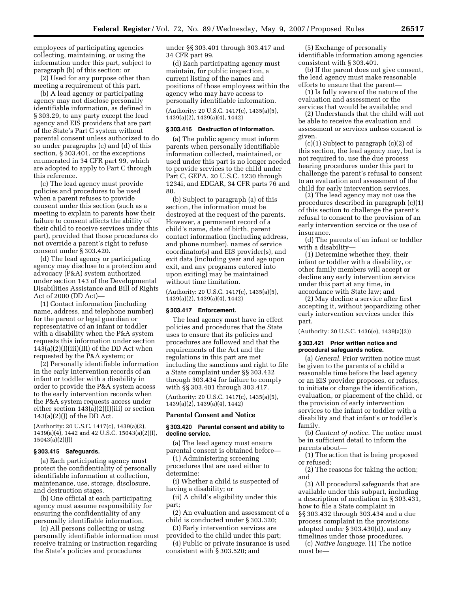employees of participating agencies collecting, maintaining, or using the information under this part, subject to paragraph (b) of this section; or

(2) Used for any purpose other than meeting a requirement of this part.

(b) A lead agency or participating agency may not disclose personally identifiable information, as defined in § 303.29, to any party except the lead agency and EIS providers that are part of the State's Part C system without parental consent unless authorized to do so under paragraphs (c) and (d) of this section, § 303.401, or the exceptions enumerated in 34 CFR part 99, which are adopted to apply to Part C through this reference.

(c) The lead agency must provide policies and procedures to be used when a parent refuses to provide consent under this section (such as a meeting to explain to parents how their failure to consent affects the ability of their child to receive services under this part), provided that those procedures do not override a parent's right to refuse consent under § 303.420.

(d) The lead agency or participating agency may disclose to a protection and advocacy (P&A) system authorized under section 143 of the Developmental Disabilities Assistance and Bill of Rights Act of 2000 (DD Act)—

(1) Contact information (including name, address, and telephone number) for the parent or legal guardian or representative of an infant or toddler with a disability when the P&A system requests this information under section  $143(a)(2)(I)(iii)(III)$  of the DD Act when requested by the P&A system; or

(2) Personally identifiable information in the early intervention records of an infant or toddler with a disability in order to provide the P&A system access to the early intervention records when the P&A system requests access under either section 143(a)(2)(I)(iii) or section  $143(a)(2)(J)$  of the DD Act.

(Authority: 20 U.S.C. 1417(c), 1439(a)(2), 1439(a)(4), 1442 and 42 U.S.C. 15043(a)(2)(I), 15043(a)(2)(J))

# **§ 303.415 Safeguards.**

(a) Each participating agency must protect the confidentiality of personally identifiable information at collection, maintenance, use, storage, disclosure, and destruction stages.

(b) One official at each participating agency must assume responsibility for ensuring the confidentiality of any personally identifiable information.

(c) All persons collecting or using personally identifiable information must receive training or instruction regarding the State's policies and procedures

under §§ 303.401 through 303.417 and 34 CFR part 99.

(d) Each participating agency must maintain, for public inspection, a current listing of the names and positions of those employees within the agency who may have access to personally identifiable information.

(Authority: 20 U.S.C. 1417(c), 1435(a)(5), 1439(a)(2), 1439(a)(4), 1442)

#### **§ 303.416 Destruction of information.**

(a) The public agency must inform parents when personally identifiable information collected, maintained, or used under this part is no longer needed to provide services to the child under Part C, GEPA, 20 U.S.C. 1230 through 1234i, and EDGAR, 34 CFR parts 76 and 80.

(b) Subject to paragraph (a) of this section, the information must be destroyed at the request of the parents. However, a permanent record of a child's name, date of birth, parent contact information (including address, and phone number), names of service coordinator(s) and EIS provider(s), and exit data (including year and age upon exit, and any programs entered into upon exiting) may be maintained without time limitation.

(Authority: 20 U.S.C. 1417(c), 1435(a)(5), 1439(a)(2), 1439(a)(4), 1442)

## **§ 303.417 Enforcement.**

The lead agency must have in effect policies and procedures that the State uses to ensure that its policies and procedures are followed and that the requirements of the Act and the regulations in this part are met including the sanctions and right to file a State complaint under §§ 303.432 through 303.434 for failure to comply with §§ 303.401 through 303.417.

(Authority: 20 U.S.C. 1417(c), 1435(a)(5), 1439(a)(2), 1439(a)(4), 1442)

#### **Parental Consent and Notice**

#### **§ 303.420 Parental consent and ability to decline service.**

(a) The lead agency must ensure parental consent is obtained before—

(1) Administering screening procedures that are used either to determine:

(i) Whether a child is suspected of having a disability; or

(ii) A child's eligibility under this part;

(2) An evaluation and assessment of a child is conducted under § 303.320;

(3) Early intervention services are

provided to the child under this part; (4) Public or private insurance is used

consistent with § 303.520; and

(5) Exchange of personally identifiable information among agencies consistent with § 303.401.

(b) If the parent does not give consent, the lead agency must make reasonable efforts to ensure that the parent—

(1) Is fully aware of the nature of the evaluation and assessment or the services that would be available; and

(2) Understands that the child will not be able to receive the evaluation and assessment or services unless consent is given.

(c)(1) Subject to paragraph (c)(2) of this section, the lead agency may, but is not required to, use the due process hearing procedures under this part to challenge the parent's refusal to consent to an evaluation and assessment of the child for early intervention services.

(2) The lead agency may not use the procedures described in paragraph (c)(1) of this section to challenge the parent's refusal to consent to the provision of an early intervention service or the use of insurance.

(d) The parents of an infant or toddler with a disability—

(1) Determine whether they, their infant or toddler with a disability, or other family members will accept or decline any early intervention service under this part at any time, in accordance with State law; and

(2) May decline a service after first accepting it, without jeopardizing other early intervention services under this part.

(Authority: 20 U.S.C. 1436(e), 1439(a)(3))

#### **§ 303.421 Prior written notice and procedural safeguards notice.**

(a) *General.* Prior written notice must be given to the parents of a child a reasonable time before the lead agency or an EIS provider proposes, or refuses, to initiate or change the identification, evaluation, or placement of the child, or the provision of early intervention services to the infant or toddler with a disability and that infant's or toddler's family.

(b) *Content of notice.* The notice must be in sufficient detail to inform the parents about—

(1) The action that is being proposed or refused;

(2) The reasons for taking the action; and

(3) All procedural safeguards that are available under this subpart, including a description of mediation in § 303.431, how to file a State complaint in §§ 303.432 through 303.434 and a due process complaint in the provisions adopted under § 303.430(d), and any timelines under those procedures.

(c) *Native language.* (1) The notice must be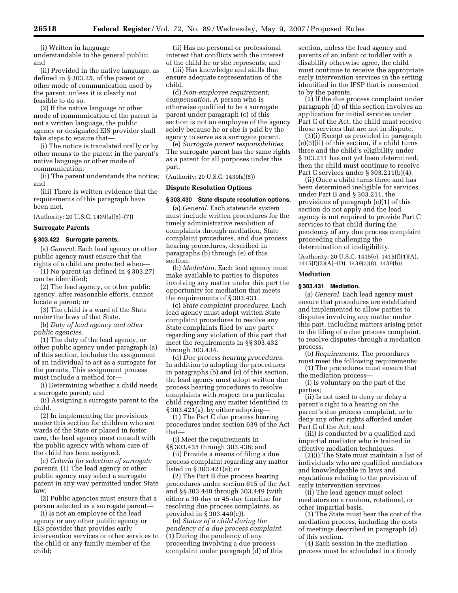(i) Written in language

understandable to the general public; and

(ii) Provided in the native language, as defined in § 303.25, of the parent or other mode of communication used by the parent, unless it is clearly not feasible to do so.

(2) If the native language or other mode of communication of the parent is not a written language, the public agency or designated EIS provider shall take steps to ensure that—

(i) The notice is translated orally or by other means to the parent in the parent's native language or other mode of communication;

(ii) The parent understands the notice; and

(iii) There is written evidence that the requirements of this paragraph have been met.

(Authority: 20 U.S.C. 1439(a)(6)–(7))

# **Surrogate Parents**

# **§ 303.422 Surrogate parents.**

(a) *General.* Each lead agency or other public agency must ensure that the rights of a child are protected when—

(1) No parent (as defined in § 303.27) can be identified;

(2) The lead agency, or other public agency, after reasonable efforts, cannot locate a parent; or

(3) The child is a ward of the State under the laws of that State.

(b) *Duty of lead agency and other public agencies.* 

(1) The duty of the lead agency, or other public agency under paragraph (a) of this section, includes the assignment of an individual to act as a surrogate for the parents. This assignment process must include a method for—

(i) Determining whether a child needs a surrogate parent; and

(ii) Assigning a surrogate parent to the child.

(2) In implementing the provisions under this section for children who are wards of the State or placed in foster care, the lead agency must consult with the public agency with whom care of the child has been assigned.

(c) *Criteria for selection of surrogate parents.* (1) The lead agency or other public agency may select a surrogate parent in any way permitted under State law.

(2) Public agencies must ensure that a person selected as a surrogate parent—

(i) Is not an employee of the lead agency or any other public agency or EIS provider that provides early intervention services or other services to the child or any family member of the child;

(ii) Has no personal or professional interest that conflicts with the interest of the child he or she represents; and

(iii) Has knowledge and skills that ensure adequate representation of the child.

(d) *Non-employee requirement; compensation.* A person who is otherwise qualified to be a surrogate parent under paragraph (c) of this section is not an employee of the agency solely because he or she is paid by the agency to serve as a surrogate parent.

(e) *Surrogate parent responsibilities.*  The surrogate parent has the same rights as a parent for all purposes under this part.

(Authority: 20 U.S.C. 1439(a)(5))

#### **Dispute Resolution Options**

# **§ 303.430 State dispute resolution options.**

(a) *General.* Each statewide system must include written procedures for the timely administrative resolution of complaints through mediation, State complaint procedures, and due process hearing procedures, described in paragraphs (b) through (e) of this section.

(b) *Mediation*. Each lead agency must make available to parties to disputes involving any matter under this part the opportunity for mediation that meets the requirements of § 303.431.

(c) *State complaint procedures*. Each lead agency must adopt written State complaint procedures to resolve any State complaints filed by any party regarding any violation of this part that meet the requirements in §§ 303.432 through 303.434.

(d) *Due process hearing procedures*. In addition to adopting the procedures in paragraphs (b) and (c) of this section, the lead agency must adopt written due process hearing procedures to resolve complaints with respect to a particular child regarding any matter identified in § 303.421(a), by either adopting—

(1) The Part C due process hearing procedures under section 639 of the Act that—

(i) Meet the requirements in §§ 303.435 through 303.438; and

(ii) Provide a means of filing a due process complaint regarding any matter listed in § 303.421(a); or

(2) The Part B due process hearing procedures under section 615 of the Act and §§ 303.440 through 303.449 (with either a 30-day or 45-day timeline for resolving due process complaints, as provided in § 303.440(c)).

(e) *Status of a child during the pendency of a due process complaint*. (1) During the pendency of any proceeding involving a due process complaint under paragraph (d) of this

section, unless the lead agency and parents of an infant or toddler with a disability otherwise agree, the child must continue to receive the appropriate early intervention services in the setting identified in the IFSP that is consented to by the parents.

(2) If the due process complaint under paragraph (d) of this section involves an application for initial services under Part C of the Act, the child must receive those services that are not in dispute.

(3)(i) Except as provided in paragraph (e)(3)(ii) of this section, if a child turns three and the child's eligibility under § 303.211 has not yet been determined, then the child must continue to receive Part C services under § 303.211(b)(4).

(ii) Once a child turns three and has been determined ineligible for services under Part B and § 303.211, the provisions of paragraph (e)(1) of this section do not apply and the lead agency is not required to provide Part C services to that child during the pendency of any due process complaint proceeding challenging the determination of ineligibility.

(Authority: 20 U.S.C. 1415(e), 1415(f)(1)(A), 1415(f)(3)(A)–(D), 1439(a)(8), 1439(b))

#### **Mediation**

#### **§ 303.431 Mediation.**

(a) *General*. Each lead agency must ensure that procedures are established and implemented to allow parties to disputes involving any matter under this part, including matters arising prior to the filing of a due process complaint, to resolve disputes through a mediation process.

(b) *Requirements*. The procedures must meet the following requirements:

(1) The procedures must ensure that the mediation process—

(i) Is voluntary on the part of the parties;

(ii) Is not used to deny or delay a parent's right to a hearing on the parent's due process complaint, or to deny any other rights afforded under Part C of the Act; and

(iii) Is conducted by a qualified and impartial mediator who is trained in effective mediation techniques.

(2)(i) The State must maintain a list of individuals who are qualified mediators and knowledgeable in laws and regulations relating to the provision of early intervention services.

(ii) The lead agency must select mediators on a random, rotational, or other impartial basis.

(3) The State must bear the cost of the mediation process, including the costs of meetings described in paragraph (d) of this section.

(4) Each session in the mediation process must be scheduled in a timely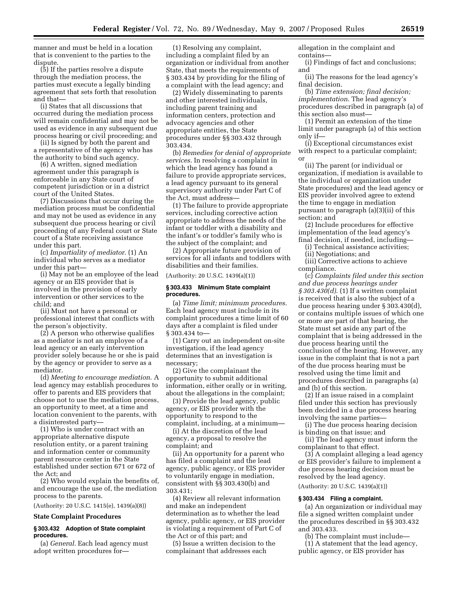manner and must be held in a location that is convenient to the parties to the dispute.

(5) If the parties resolve a dispute through the mediation process, the parties must execute a legally binding agreement that sets forth that resolution and that—

(i) States that all discussions that occurred during the mediation process will remain confidential and may not be used as evidence in any subsequent due process hearing or civil proceeding; and

(ii) Is signed by both the parent and a representative of the agency who has the authority to bind such agency.

(6) A written, signed mediation agreement under this paragraph is enforceable in any State court of competent jurisdiction or in a district court of the United States.

(7) Discussions that occur during the mediation process must be confidential and may not be used as evidence in any subsequent due process hearing or civil proceeding of any Federal court or State court of a State receiving assistance under this part.

(c) *Impartiality of mediator*. (1) An individual who serves as a mediator under this part—

(i) May not be an employee of the lead agency or an EIS provider that is involved in the provision of early intervention or other services to the child; and

(ii) Must not have a personal or professional interest that conflicts with the person's objectivity.

(2) A person who otherwise qualifies as a mediator is not an employee of a lead agency or an early intervention provider solely because he or she is paid by the agency or provider to serve as a mediator.

(d) *Meeting to encourage mediation*. A lead agency may establish procedures to offer to parents and EIS providers that choose not to use the mediation process, an opportunity to meet, at a time and location convenient to the parents, with a disinterested party—

(1) Who is under contract with an appropriate alternative dispute resolution entity, or a parent training and information center or community parent resource center in the State established under section 671 or 672 of the Act; and

(2) Who would explain the benefits of, and encourage the use of, the mediation process to the parents.

(Authority: 20 U.S.C. 1415(e), 1439(a)(8))

#### **State Complaint Procedures**

## **§ 303.432 Adoption of State complaint procedures.**

(a) *General*. Each lead agency must adopt written procedures for—

(1) Resolving any complaint, including a complaint filed by an organization or individual from another State, that meets the requirements of § 303.434 by providing for the filing of a complaint with the lead agency; and

(2) Widely disseminating to parents and other interested individuals, including parent training and information centers, protection and advocacy agencies and other appropriate entities, the State procedures under §§ 303.432 through 303.434.

(b) *Remedies for denial of appropriate services*. In resolving a complaint in which the lead agency has found a failure to provide appropriate services, a lead agency pursuant to its general supervisory authority under Part C of the Act, must address—

(1) The failure to provide appropriate services, including corrective action appropriate to address the needs of the infant or toddler with a disability and the infant's or toddler's family who is the subject of the complaint; and

(2) Appropriate future provision of services for all infants and toddlers with disabilities and their families.

(Authority: 20 U.S.C. 1439(a)(1))

#### **§ 303.433 Minimum State complaint procedures.**

(a) *Time limit; minimum procedures*. Each lead agency must include in its complaint procedures a time limit of 60 days after a complaint is filed under § 303.434 to—

(1) Carry out an independent on-site investigation, if the lead agency determines that an investigation is necessary;

(2) Give the complainant the opportunity to submit additional information, either orally or in writing, about the allegations in the complaint;

(3) Provide the lead agency, public agency, or EIS provider with the opportunity to respond to the complaint, including, at a minimum—

(i) At the discretion of the lead agency, a proposal to resolve the complaint; and

(ii) An opportunity for a parent who has filed a complaint and the lead agency, public agency, or EIS provider to voluntarily engage in mediation, consistent with §§ 303.430(b) and 303.431;

(4) Review all relevant information and make an independent determination as to whether the lead agency, public agency, or EIS provider is violating a requirement of Part C of the Act or of this part; and

(5) Issue a written decision to the complainant that addresses each

allegation in the complaint and contains—

(i) Findings of fact and conclusions; and

(ii) The reasons for the lead agency's final decision.

(b) *Time extension; final decision; implementation*. The lead agency's procedures described in paragraph (a) of this section also must—

(1) Permit an extension of the time limit under paragraph (a) of this section only if—

(i) Exceptional circumstances exist with respect to a particular complaint; or

(ii) The parent (or individual or organization, if mediation is available to the individual or organization under State procedures) and the lead agency or EIS provider involved agree to extend the time to engage in mediation pursuant to paragraph (a)(3)(ii) of this section; and

(2) Include procedures for effective implementation of the lead agency's final decision, if needed, including—

(i) Technical assistance activities;

(ii) Negotiations; and

(iii) Corrective actions to achieve compliance.

(c) *Complaints filed under this section and due process hearings under § 303.430(d)*. (1) If a written complaint is received that is also the subject of a due process hearing under § 303.430(d), or contains multiple issues of which one or more are part of that hearing, the State must set aside any part of the complaint that is being addressed in the due process hearing until the conclusion of the hearing. However, any issue in the complaint that is not a part of the due process hearing must be resolved using the time limit and procedures described in paragraphs (a) and (b) of this section.

(2) If an issue raised in a complaint filed under this section has previously been decided in a due process hearing involving the same parties—

(i) The due process hearing decision is binding on that issue; and

(ii) The lead agency must inform the complainant to that effect.

(3) A complaint alleging a lead agency or EIS provider's failure to implement a due process hearing decision must be resolved by the lead agency.

(Authority: 20 U.S.C. 1439(a)(1))

# **§ 303.434 Filing a complaint.**

(a) An organization or individual may file a signed written complaint under the procedures described in §§ 303.432 and 303.433.

(b) The complaint must include—

(1) A statement that the lead agency, public agency, or EIS provider has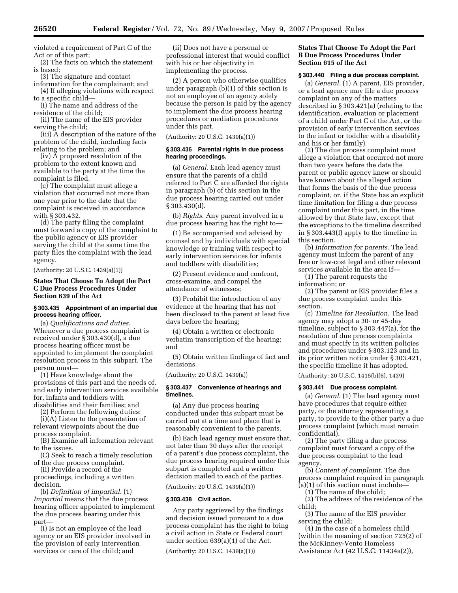violated a requirement of Part C of the Act or of this part;

(2) The facts on which the statement is based;

(3) The signature and contact

information for the complainant; and (4) If alleging violations with respect to a specific child—

(i) The name and address of the residence of the child;

(ii) The name of the EIS provider serving the child;

(iii) A description of the nature of the problem of the child, including facts relating to the problem; and

(iv) A proposed resolution of the problem to the extent known and available to the party at the time the complaint is filed.

(c) The complaint must allege a violation that occurred not more than one year prior to the date that the complaint is received in accordance with § 303.432.

(d) The party filing the complaint must forward a copy of the complaint to the public agency or EIS provider serving the child at the same time the party files the complaint with the lead agency.

(Authority: 20 U.S.C. 1439(a)(1))

# **States That Choose To Adopt the Part C Due Process Procedures Under Section 639 of the Act**

## **§ 303.435 Appointment of an impartial due process hearing officer.**

(a) *Qualifications and duties*. Whenever a due process complaint is received under § 303.430(d), a due process hearing officer must be appointed to implement the complaint resolution process in this subpart. The person must—

(1) Have knowledge about the provisions of this part and the needs of, and early intervention services available for, infants and toddlers with disabilities and their families; and

(2) Perform the following duties:

(i)(A) Listen to the presentation of relevant viewpoints about the due process complaint.

(B) Examine all information relevant to the issues.

(C) Seek to reach a timely resolution of the due process complaint.

(ii) Provide a record of the proceedings, including a written decision.

(b) *Definition of impartial*. (1) *Impartial* means that the due process hearing officer appointed to implement the due process hearing under this part—

(i) Is not an employee of the lead agency or an EIS provider involved in the provision of early intervention services or care of the child; and

(ii) Does not have a personal or professional interest that would conflict with his or her objectivity in implementing the process.

(2) A person who otherwise qualifies under paragraph (b)(1) of this section is not an employee of an agency solely because the person is paid by the agency to implement the due process hearing procedures or mediation procedures under this part.

(Authority: 20 U.S.C. 1439(a)(1))

#### **§ 303.436 Parental rights in due process hearing proceedings.**

(a) *General*. Each lead agency must ensure that the parents of a child referred to Part C are afforded the rights in paragraph (b) of this section in the due process hearing carried out under § 303.430(d).

(b) *Rights*. Any parent involved in a due process hearing has the right to—

(1) Be accompanied and advised by counsel and by individuals with special knowledge or training with respect to early intervention services for infants and toddlers with disabilities;

(2) Present evidence and confront, cross-examine, and compel the attendance of witnesses;

(3) Prohibit the introduction of any evidence at the hearing that has not been disclosed to the parent at least five days before the hearing;

(4) Obtain a written or electronic verbatim transcription of the hearing; and

(5) Obtain written findings of fact and decisions.

(Authority: 20 U.S.C. 1439(a))

## **§ 303.437 Convenience of hearings and timelines.**

(a) Any due process hearing conducted under this subpart must be carried out at a time and place that is reasonably convenient to the parents.

(b) Each lead agency must ensure that, not later than 30 days after the receipt of a parent's due process complaint, the due process hearing required under this subpart is completed and a written decision mailed to each of the parties.

(Authority: 20 U.S.C. 1439(a)(1))

#### **§ 303.438 Civil action.**

Any party aggrieved by the findings and decision issued pursuant to a due process complaint has the right to bring a civil action in State or Federal court under section 639(a)(1) of the Act.

(Authority: 20 U.S.C. 1439(a)(1))

# **States That Choose To Adopt the Part B Due Process Procedures Under Section 615 of the Act**

# **§ 303.440 Filing a due process complaint.**

(a) *General*. (1) A parent, EIS provider, or a lead agency may file a due process complaint on any of the matters described in § 303.421(a) (relating to the identification, evaluation or placement of a child under Part C of the Act, or the provision of early intervention services to the infant or toddler with a disability and his or her family).

(2) The due process complaint must allege a violation that occurred not more than two years before the date the parent or public agency knew or should have known about the alleged action that forms the basis of the due process complaint, or, if the State has an explicit time limitation for filing a due process complaint under this part, in the time allowed by that State law, except that the exceptions to the timeline described in § 303.443(f) apply to the timeline in this section.

(b) *Information for parents*. The lead agency must inform the parent of any free or low-cost legal and other relevant services available in the area if—

(1) The parent requests the information; or

(2) The parent or EIS provider files a due process complaint under this section.

(c) *Timeline for Resolution*. The lead agency may adopt a 30- or 45-day timeline, subject to § 303.447(a), for the resolution of due process complaints and must specify in its written policies and procedures under § 303.123 and in its prior written notice under § 303.421, the specific timeline it has adopted.

(Authority: 20 U.S.C. 1415(b)(6), 1439)

# **§ 303.441 Due process complaint.**

(a) *General*. (1) The lead agency must have procedures that require either party, or the attorney representing a party, to provide to the other party a due process complaint (which must remain confidential).

(2) The party filing a due process complaint must forward a copy of the due process complaint to the lead agency.

(b) *Content of complaint*. The due process complaint required in paragraph (a)(1) of this section must include—

(1) The name of the child;

(2) The address of the residence of the child;

(3) The name of the EIS provider serving the child;

(4) In the case of a homeless child (within the meaning of section 725(2) of the McKinney-Vento Homeless Assistance Act (42 U.S.C. 11434a(2)),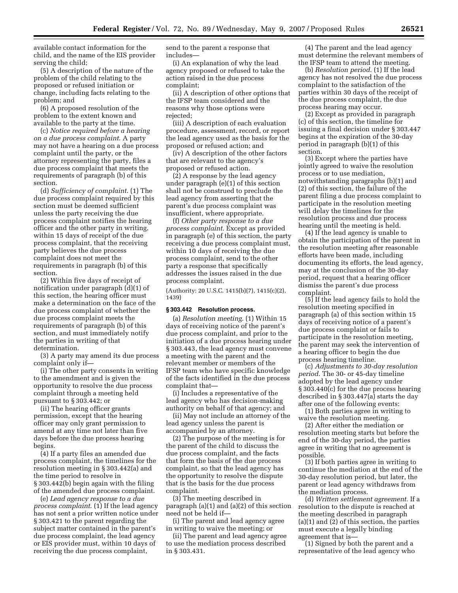available contact information for the child, and the name of the EIS provider serving the child;

(5) A description of the nature of the problem of the child relating to the proposed or refused initiation or change, including facts relating to the problem; and

(6) A proposed resolution of the problem to the extent known and available to the party at the time.

(c) *Notice required before a hearing on a due process complaint*. A party may not have a hearing on a due process complaint until the party, or the attorney representing the party, files a due process complaint that meets the requirements of paragraph (b) of this section.

(d) *Sufficiency of complaint*. (1) The due process complaint required by this section must be deemed sufficient unless the party receiving the due process complaint notifies the hearing officer and the other party in writing, within 15 days of receipt of the due process complaint, that the receiving party believes the due process complaint does not meet the requirements in paragraph (b) of this section.

(2) Within five days of receipt of notification under paragraph (d)(1) of this section, the hearing officer must make a determination on the face of the due process complaint of whether the due process complaint meets the requirements of paragraph (b) of this section, and must immediately notify the parties in writing of that determination.

(3) A party may amend its due process complaint only if—

(i) The other party consents in writing to the amendment and is given the opportunity to resolve the due process complaint through a meeting held pursuant to § 303.442; or

(ii) The hearing officer grants permission, except that the hearing officer may only grant permission to amend at any time not later than five days before the due process hearing begins.

(4) If a party files an amended due process complaint, the timelines for the resolution meeting in § 303.442(a) and the time period to resolve in § 303.442(b) begin again with the filing of the amended due process complaint.

(e) *Lead agency response to a due process complaint*. (1) If the lead agency has not sent a prior written notice under § 303.421 to the parent regarding the subject matter contained in the parent's due process complaint, the lead agency or EIS provider must, within 10 days of receiving the due process complaint,

send to the parent a response that includes—

(i) An explanation of why the lead agency proposed or refused to take the action raised in the due process complaint;

(ii) A description of other options that the IFSP team considered and the reasons why those options were rejected;

(iii) A description of each evaluation procedure, assessment, record, or report the lead agency used as the basis for the proposed or refused action; and

(iv) A description of the other factors that are relevant to the agency's proposed or refused action.

(2) A response by the lead agency under paragraph (e)(1) of this section shall not be construed to preclude the lead agency from asserting that the parent's due process complaint was insufficient, where appropriate.

(f) *Other party response to a due process complaint*. Except as provided in paragraph (e) of this section, the party receiving a due process complaint must, within 10 days of receiving the due process complaint, send to the other party a response that specifically addresses the issues raised in the due process complaint.

(Authority: 20 U.S.C. 1415(b)(7), 1415(c)(2), 1439)

#### **§ 303.442 Resolution process.**

(a) *Resolution meeting*. (1) Within 15 days of receiving notice of the parent's due process complaint, and prior to the initiation of a due process hearing under § 303.443, the lead agency must convene a meeting with the parent and the relevant member or members of the IFSP team who have specific knowledge of the facts identified in the due process complaint that—

(i) Includes a representative of the lead agency who has decision-making authority on behalf of that agency; and

(ii) May not include an attorney of the lead agency unless the parent is accompanied by an attorney.

(2) The purpose of the meeting is for the parent of the child to discuss the due process complaint, and the facts that form the basis of the due process complaint, so that the lead agency has the opportunity to resolve the dispute that is the basis for the due process complaint.

(3) The meeting described in paragraph (a)(1) and (a)(2) of this section need not be held if—

(i) The parent and lead agency agree in writing to waive the meeting; or

(ii) The parent and lead agency agree to use the mediation process described in § 303.431.

(4) The parent and the lead agency must determine the relevant members of the IFSP team to attend the meeting.

(b) *Resolution period*. (1) If the lead agency has not resolved the due process complaint to the satisfaction of the parties within 30 days of the receipt of the due process complaint, the due process hearing may occur.

(2) Except as provided in paragraph (c) of this section, the timeline for issuing a final decision under § 303.447 begins at the expiration of the 30-day period in paragraph (b)(1) of this section.

(3) Except where the parties have jointly agreed to waive the resolution process or to use mediation, notwithstanding paragraphs (b)(1) and (2) of this section, the failure of the parent filing a due process complaint to participate in the resolution meeting will delay the timelines for the resolution process and due process hearing until the meeting is held.

(4) If the lead agency is unable to obtain the participation of the parent in the resolution meeting after reasonable efforts have been made, including documenting its efforts, the lead agency, may at the conclusion of the 30-day period, request that a hearing officer dismiss the parent's due process complaint.

(5) If the lead agency fails to hold the resolution meeting specified in paragraph (a) of this section within 15 days of receiving notice of a parent's due process complaint or fails to participate in the resolution meeting, the parent may seek the intervention of a hearing officer to begin the due process hearing timeline.

(c) *Adjustments to 30-day resolution period*. The 30- or 45-day timeline adopted by the lead agency under § 303.440(c) for the due process hearing described in § 303.447(a) starts the day after one of the following events:

(1) Both parties agree in writing to waive the resolution meeting.

(2) After either the mediation or resolution meeting starts but before the end of the 30-day period, the parties agree in writing that no agreement is possible.

(3) If both parties agree in writing to continue the mediation at the end of the 30-day resolution period, but later, the parent or lead agency withdraws from the mediation process.

(d) *Written settlement agreement*. If a resolution to the dispute is reached at the meeting described in paragraph (a)(1) and (2) of this section, the parties must execute a legally binding agreement that is—

(1) Signed by both the parent and a representative of the lead agency who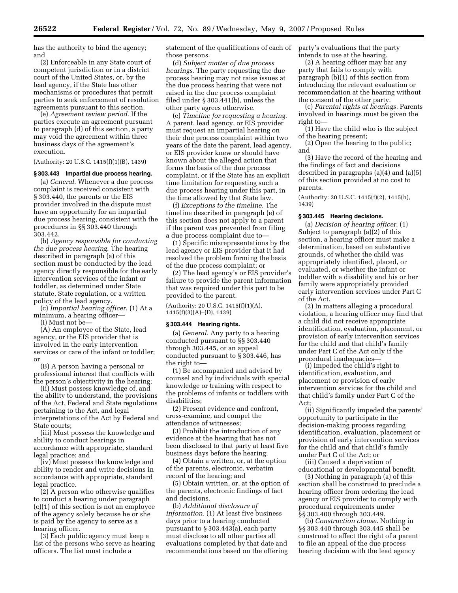has the authority to bind the agency; and

(2) Enforceable in any State court of competent jurisdiction or in a district court of the United States, or, by the lead agency, if the State has other mechanisms or procedures that permit parties to seek enforcement of resolution agreements pursuant to this section.

(e) *Agreement review period*. If the parties execute an agreement pursuant to paragraph (d) of this section, a party may void the agreement within three business days of the agreement's execution.

(Authority: 20 U.S.C. 1415(f)(1)(B), 1439)

# **§ 303.443 Impartial due process hearing.**

(a) *General*. Whenever a due process complaint is received consistent with § 303.440, the parents or the EIS provider involved in the dispute must have an opportunity for an impartial due process hearing, consistent with the procedures in §§ 303.440 through 303.442.

(b) *Agency responsible for conducting the due process hearing*. The hearing described in paragraph (a) of this section must be conducted by the lead agency directly responsible for the early intervention services of the infant or toddler, as determined under State statute, State regulation, or a written policy of the lead agency.

(c) *Impartial hearing officer*. (1) At a minimum, a hearing officer—

(i) Must not be—

(A) An employee of the State, lead agency, or the EIS provider that is involved in the early intervention services or care of the infant or toddler; or

(B) A person having a personal or professional interest that conflicts with the person's objectivity in the hearing;

(ii) Must possess knowledge of, and the ability to understand, the provisions of the Act, Federal and State regulations pertaining to the Act, and legal interpretations of the Act by Federal and State courts;

(iii) Must possess the knowledge and ability to conduct hearings in accordance with appropriate, standard legal practice; and

(iv) Must possess the knowledge and ability to render and write decisions in accordance with appropriate, standard legal practice.

(2) A person who otherwise qualifies to conduct a hearing under paragraph (c)(1) of this section is not an employee of the agency solely because he or she is paid by the agency to serve as a hearing officer.

(3) Each public agency must keep a list of the persons who serve as hearing officers. The list must include a

statement of the qualifications of each of those persons.

(d) *Subject matter of due process hearings*. The party requesting the due process hearing may not raise issues at the due process hearing that were not raised in the due process complaint filed under § 303.441(b), unless the other party agrees otherwise.

(e) *Timeline for requesting a hearing*. A parent, lead agency, or EIS provider must request an impartial hearing on their due process complaint within two years of the date the parent, lead agency, or EIS provider knew or should have known about the alleged action that forms the basis of the due process complaint, or if the State has an explicit time limitation for requesting such a due process hearing under this part, in the time allowed by that State law.

(f) *Exceptions to the timeline*. The timeline described in paragraph (e) of this section does not apply to a parent if the parent was prevented from filing a due process complaint due to—

(1) Specific misrepresentations by the lead agency or EIS provider that it had resolved the problem forming the basis of the due process complaint; or

(2) The lead agency's or EIS provider's failure to provide the parent information that was required under this part to be provided to the parent.

(Authority: 20 U.S.C. 1415(f)(1)(A), 1415(f)(3)(A)–(D), 1439)

#### **§ 303.444 Hearing rights.**

(a) *General.* Any party to a hearing conducted pursuant to §§ 303.440 through 303.445, or an appeal conducted pursuant to § 303.446, has the right to—

(1) Be accompanied and advised by counsel and by individuals with special knowledge or training with respect to the problems of infants or toddlers with disabilities;

(2) Present evidence and confront, cross-examine, and compel the attendance of witnesses;

(3) Prohibit the introduction of any evidence at the hearing that has not been disclosed to that party at least five business days before the hearing;

(4) Obtain a written, or, at the option of the parents, electronic, verbatim record of the hearing; and

(5) Obtain written, or, at the option of the parents, electronic findings of fact and decisions.

(b) *Additional disclosure of information.* (1) At least five business days prior to a hearing conducted pursuant to § 303.443(a), each party must disclose to all other parties all evaluations completed by that date and recommendations based on the offering party's evaluations that the party intends to use at the hearing.

(2) A hearing officer may bar any party that fails to comply with paragraph (b)(1) of this section from introducing the relevant evaluation or recommendation at the hearing without the consent of the other party.

(c) *Parental rights at hearings.* Parents involved in hearings must be given the right to—

(1) Have the child who is the subject of the hearing present;

(2) Open the hearing to the public; and

(3) Have the record of the hearing and the findings of fact and decisions described in paragraphs (a)(4) and (a)(5) of this section provided at no cost to parents.

(Authority: 20 U.S.C. 1415(f)(2), 1415(h), 1439)

#### **§ 303.445 Hearing decisions.**

(a) *Decision of hearing officer.* (1) Subject to paragraph (a)(2) of this section, a hearing officer must make a determination, based on substantive grounds, of whether the child was appropriately identified, placed, or evaluated, or whether the infant or toddler with a disability and his or her family were appropriately provided early intervention services under Part C of the Act.

(2) In matters alleging a procedural violation, a hearing officer may find that a child did not receive appropriate identification, evaluation, placement, or provision of early intervention services for the child and that child's family under Part C of the Act only if the procedural inadequacies—

(i) Impeded the child's right to identification, evaluation, and placement or provision of early intervention services for the child and that child's family under Part C of the Act;

(ii) Significantly impeded the parents' opportunity to participate in the decision-making process regarding identification, evaluation, placement or provision of early intervention services for the child and that child's family under Part C of the Act; or

(iii) Caused a deprivation of educational or developmental benefit.

(3) Nothing in paragraph (a) of this section shall be construed to preclude a hearing officer from ordering the lead agency or EIS provider to comply with procedural requirements under §§ 303.400 through 303.449.

(b) *Construction clause.* Nothing in §§ 303.440 through 303.445 shall be construed to affect the right of a parent to file an appeal of the due process hearing decision with the lead agency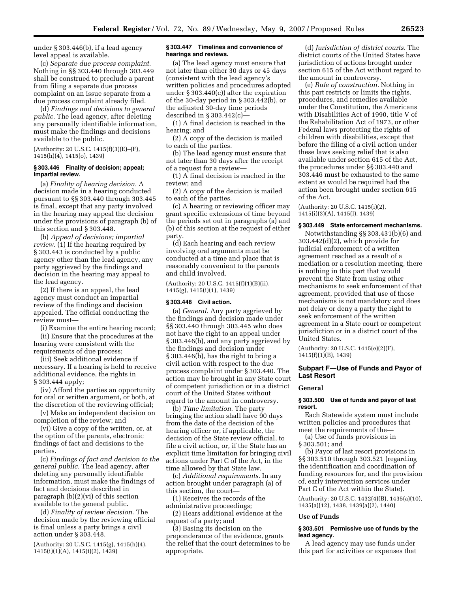under § 303.446(b), if a lead agency level appeal is available.

(c) *Separate due process complaint.*  Nothing in §§ 303.440 through 303.449 shall be construed to preclude a parent from filing a separate due process complaint on an issue separate from a due process complaint already filed.

(d) *Findings and decisions to general public.* The lead agency, after deleting any personally identifiable information, must make the findings and decisions available to the public.

(Authority: 20 U.S.C. 1415(f)(3)(E)–(F), 1415(h)(4), 1415(o), 1439)

## **§ 303.446 Finality of decision; appeal; impartial review.**

(a) *Finality of hearing decision.* A decision made in a hearing conducted pursuant to §§ 303.440 through 303.445 is final, except that any party involved in the hearing may appeal the decision under the provisions of paragraph (b) of this section and § 303.448.

(b) *Appeal of decisions; impartial review.* (1) If the hearing required by § 303.443 is conducted by a public agency other than the lead agency, any party aggrieved by the findings and decision in the hearing may appeal to the lead agency.

(2) If there is an appeal, the lead agency must conduct an impartial review of the findings and decision appealed. The official conducting the review must—

(i) Examine the entire hearing record;

(ii) Ensure that the procedures at the hearing were consistent with the requirements of due process;

(iii) Seek additional evidence if necessary. If a hearing is held to receive additional evidence, the rights in § 303.444 apply;

(iv) Afford the parties an opportunity for oral or written argument, or both, at the discretion of the reviewing official;

(v) Make an independent decision on completion of the review; and

(vi) Give a copy of the written, or, at the option of the parents, electronic findings of fact and decisions to the parties.

(c) *Findings of fact and decision to the general public.* The lead agency, after deleting any personally identifiable information, must make the findings of fact and decisions described in paragraph (b)(2)(vi) of this section available to the general public.

(d) *Finality of review decision.* The decision made by the reviewing official is final unless a party brings a civil action under § 303.448.

(Authority: 20 U.S.C. 1415(g), 1415(h)(4), 1415(i)(1)(A), 1415(i)(2), 1439)

#### **§ 303.447 Timelines and convenience of hearings and reviews.**

(a) The lead agency must ensure that not later than either 30 days or 45 days (consistent with the lead agency's written policies and procedures adopted under § 303.440(c)) after the expiration of the 30-day period in § 303.442(b), or the adjusted 30-day time periods described in § 303.442(c)—

(1) A final decision is reached in the hearing; and

(2) A copy of the decision is mailed to each of the parties.

(b) The lead agency must ensure that not later than 30 days after the receipt of a request for a review—

(1) A final decision is reached in the review; and

(2) A copy of the decision is mailed to each of the parties.

(c) A hearing or reviewing officer may grant specific extensions of time beyond the periods set out in paragraphs (a) and (b) of this section at the request of either party.

(d) Each hearing and each review involving oral arguments must be conducted at a time and place that is reasonably convenient to the parents and child involved.

(Authority: 20 U.S.C. 1415(f)(1)(B)(ii), 1415(g), 1415(i)(1), 1439)

#### **§ 303.448 Civil action.**

(a) *General.* Any party aggrieved by the findings and decision made under §§ 303.440 through 303.445 who does not have the right to an appeal under § 303.446(b), and any party aggrieved by the findings and decision under § 303.446(b), has the right to bring a civil action with respect to the due process complaint under § 303.440. The action may be brought in any State court of competent jurisdiction or in a district court of the United States without regard to the amount in controversy.

(b) *Time limitation.* The party bringing the action shall have 90 days from the date of the decision of the hearing officer or, if applicable, the decision of the State review official, to file a civil action, or, if the State has an explicit time limitation for bringing civil actions under Part C of the Act, in the time allowed by that State law.

(c) *Additional requirements.* In any action brought under paragraph (a) of this section, the court—

(1) Receives the records of the administrative proceedings;

(2) Hears additional evidence at the request of a party; and

(3) Basing its decision on the preponderance of the evidence, grants the relief that the court determines to be appropriate.

(d) *Jurisdiction of district courts.* The district courts of the United States have jurisdiction of actions brought under section 615 of the Act without regard to the amount in controversy.

(e) *Rule of construction.* Nothing in this part restricts or limits the rights, procedures, and remedies available under the Constitution, the Americans with Disabilities Act of 1990, title V of the Rehabilitation Act of 1973, or other Federal laws protecting the rights of children with disabilities, except that before the filing of a civil action under these laws seeking relief that is also available under section 615 of the Act, the procedures under §§ 303.440 and 303.446 must be exhausted to the same extent as would be required had the action been brought under section 615 of the Act.

(Authority: 20 U.S.C. 1415(i)(2), 1415(i)(3)(A), 1415(l), 1439)

#### **§ 303.449 State enforcement mechanisms.**

Notwithstanding §§ 303.431(b)(6) and 303.442(d)(2), which provide for judicial enforcement of a written agreement reached as a result of a mediation or a resolution meeting, there is nothing in this part that would prevent the State from using other mechanisms to seek enforcement of that agreement, provided that use of those mechanisms is not mandatory and does not delay or deny a party the right to seek enforcement of the written agreement in a State court or competent jurisdiction or in a district court of the United States.

(Authority: 20 U.S.C. 1415(e)(2)(F), 1415(f)(1)(B), 1439)

# **Subpart F—Use of Funds and Payor of Last Resort**

#### **General**

#### **§ 303.500 Use of funds and payor of last resort.**

Each Statewide system must include written policies and procedures that meet the requirements of the—

(a) Use of funds provisions in § 303.501; and

(b) Payor of last resort provisions in §§ 303.510 through 303.521 (regarding the identification and coordination of funding resources for, and the provision of, early intervention services under Part C of the Act within the State).

(Authority: 20 U.S.C. 1432(4)(B), 1435(a)(10), 1435(a)(12), 1438, 1439(a)(2), 1440)

#### **Use of Funds**

# **§ 303.501 Permissive use of funds by the lead agency.**

A lead agency may use funds under this part for activities or expenses that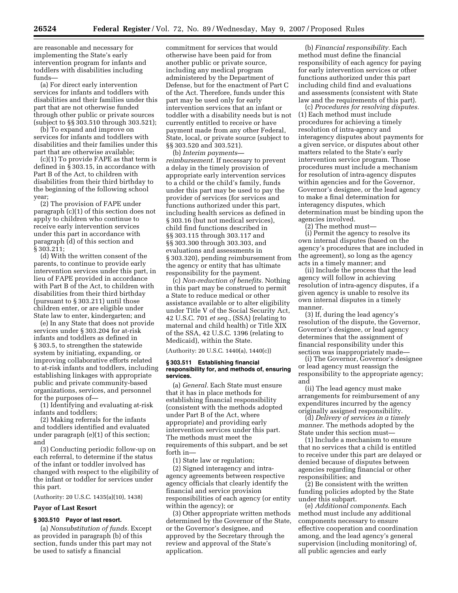are reasonable and necessary for implementing the State's early intervention program for infants and toddlers with disabilities including funds—

(a) For direct early intervention services for infants and toddlers with disabilities and their families under this part that are not otherwise funded through other public or private sources (subject to §§ 303.510 through 303.521);

(b) To expand and improve on services for infants and toddlers with disabilities and their families under this part that are otherwise available;

(c)(1) To provide FAPE as that term is defined in § 303.15, in accordance with Part B of the Act, to children with disabilities from their third birthday to the beginning of the following school year;

(2) The provision of FAPE under paragraph (c)(1) of this section does not apply to children who continue to receive early intervention services under this part in accordance with paragraph (d) of this section and § 303.211;

(d) With the written consent of the parents, to continue to provide early intervention services under this part, in lieu of FAPE provided in accordance with Part B of the Act, to children with disabilities from their third birthday (pursuant to § 303.211) until those children enter, or are eligible under State law to enter, kindergarten; and

(e) In any State that does not provide services under § 303.204 for at-risk infants and toddlers as defined in § 303.5, to strengthen the statewide system by initiating, expanding, or improving collaborative efforts related to at-risk infants and toddlers, including establishing linkages with appropriate public and private community-based organizations, services, and personnel for the purposes of—

(1) Identifying and evaluating at-risk infants and toddlers;

(2) Making referrals for the infants and toddlers identified and evaluated under paragraph (e)(1) of this section; and

(3) Conducting periodic follow-up on each referral, to determine if the status of the infant or toddler involved has changed with respect to the eligibility of the infant or toddler for services under this part.

(Authority: 20 U.S.C. 1435(a)(10), 1438)

# **Payor of Last Resort**

# **§ 303.510 Payor of last resort.**

(a) *Nonsubstitution of funds.* Except as provided in paragraph (b) of this section, funds under this part may not be used to satisfy a financial

commitment for services that would otherwise have been paid for from another public or private source, including any medical program administered by the Department of Defense, but for the enactment of Part C of the Act. Therefore, funds under this part may be used only for early intervention services that an infant or toddler with a disability needs but is not currently entitled to receive or have payment made from any other Federal, State, local, or private source (subject to §§ 303.520 and 303.521).

(b) *Interim payments reimbursement.* If necessary to prevent a delay in the timely provision of appropriate early intervention services to a child or the child's family, funds under this part may be used to pay the provider of services (for services and functions authorized under this part, including health services as defined in § 303.16 (but not medical services), child find functions described in §§ 303.115 through 303.117 and §§ 303.300 through 303.303, and evaluations and assessments in § 303.320), pending reimbursement from the agency or entity that has ultimate responsibility for the payment.

(c) *Non-reduction of benefits.* Nothing in this part may be construed to permit a State to reduce medical or other assistance available or to alter eligibility under Title V of the Social Security Act, 42 U.S.C. 701 *et seq.*, (SSA) (relating to maternal and child health) or Title XIX of the SSA, 42 U.S.C. 1396 (relating to Medicaid), within the State.

(Authority: 20 U.S.C. 1440(a), 1440(c))

#### **§ 303.511 Establishing financial responsibility for, and methods of, ensuring services.**

(a) *General.* Each State must ensure that it has in place methods for establishing financial responsibility (consistent with the methods adopted under Part B of the Act, where appropriate) and providing early intervention services under this part. The methods must meet the requirements of this subpart, and be set forth in—

(1) State law or regulation;

(2) Signed interagency and intraagency agreements between respective agency officials that clearly identify the financial and service provision responsibilities of each agency (or entity within the agency); or

(3) Other appropriate written methods determined by the Governor of the State, or the Governor's designee, and approved by the Secretary through the review and approval of the State's application.

(b) *Financial responsibility.* Each method must define the financial responsibility of each agency for paying for early intervention services or other functions authorized under this part including child find and evaluations and assessments (consistent with State law and the requirements of this part).

(c) *Procedures for resolving disputes.*  (1) Each method must include procedures for achieving a timely resolution of intra-agency and interagency disputes about payments for a given service, or disputes about other matters related to the State's early intervention service program. Those procedures must include a mechanism for resolution of intra-agency disputes within agencies and for the Governor, Governor's designee, or the lead agency to make a final determination for interagency disputes, which determination must be binding upon the agencies involved.

(2) The method must—

(i) Permit the agency to resolve its own internal disputes (based on the agency's procedures that are included in the agreement), so long as the agency acts in a timely manner; and

(ii) Include the process that the lead agency will follow in achieving resolution of intra-agency disputes, if a given agency is unable to resolve its own internal disputes in a timely manner.

(3) If, during the lead agency's resolution of the dispute, the Governor, Governor's designee, or lead agency determines that the assignment of financial responsibility under this section was inappropriately made—

(i) The Governor, Governor's designee or lead agency must reassign the responsibility to the appropriate agency; and

(ii) The lead agency must make arrangements for reimbursement of any expenditures incurred by the agency originally assigned responsibility.

(d) *Delivery of services in a timely manner*. The methods adopted by the State under this section must—

(1) Include a mechanism to ensure that no services that a child is entitled to receive under this part are delayed or denied because of disputes between agencies regarding financial or other responsibilities; and

(2) Be consistent with the written funding policies adopted by the State under this subpart.

(e) *Additional components*. Each method must include any additional components necessary to ensure effective cooperation and coordination among, and the lead agency's general supervision (including monitoring) of, all public agencies and early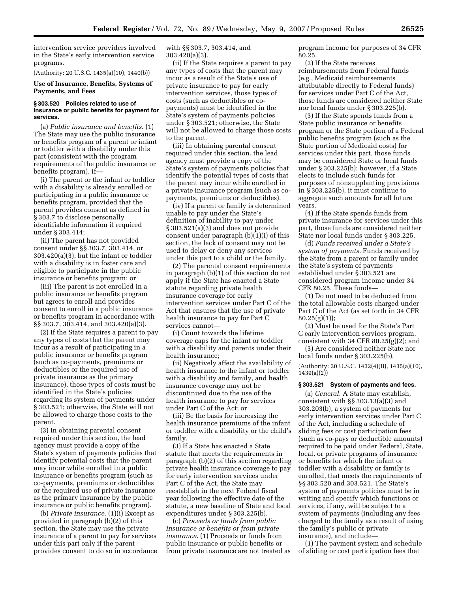intervention service providers involved in the State's early intervention service programs.

(Authority: 20 U.S.C. 1435(a)(10), 1440(b))

# **Use of Insurance, Benefits, Systems of Payments, and Fees**

#### **§ 303.520 Policies related to use of insurance or public benefits for payment for services.**

(a) *Public insurance and benefits*. (1) The State may use the public insurance or benefits program of a parent or infant or toddler with a disability under this part (consistent with the program requirements of the public insurance or benefits program), if—

(i) The parent or the infant or toddler with a disability is already enrolled or participating in a public insurance or benefits program, provided that the parent provides consent as defined in § 303.7 to disclose personally identifiable information if required under § 303.414;

(ii) The parent has not provided consent under §§ 303.7, 303.414, or 303.420(a)(3), but the infant or toddler with a disability is in foster care and eligible to participate in the public insurance or benefits program; or

(iii) The parent is not enrolled in a public insurance or benefits program but agrees to enroll and provides consent to enroll in a public insurance or benefits program in accordance with §§ 303.7, 303.414, and 303.420(a)(3).

(2) If the State requires a parent to pay any types of costs that the parent may incur as a result of participating in a public insurance or benefits program (such as co-payments, premiums or deductibles or the required use of private insurance as the primary insurance), those types of costs must be identified in the State's policies regarding its system of payments under § 303.521; otherwise, the State will not be allowed to charge those costs to the parent.

(3) In obtaining parental consent required under this section, the lead agency must provide a copy of the State's system of payments policies that identify potential costs that the parent may incur while enrolled in a public insurance or benefits program (such as co-payments, premiums or deductibles or the required use of private insurance as the primary insurance by the public insurance or public benefits program).

(b) *Private insurance*. (1)(i) Except as provided in paragraph (b)(2) of this section, the State may use the private insurance of a parent to pay for services under this part only if the parent provides consent to do so in accordance with §§ 303.7, 303.414, and 303.420(a)(3).

(ii) If the State requires a parent to pay any types of costs that the parent may incur as a result of the State's use of private insurance to pay for early intervention services, those types of costs (such as deductibles or copayments) must be identified in the State's system of payments policies under § 303.521; otherwise, the State will not be allowed to charge those costs to the parent.

(iii) In obtaining parental consent required under this section, the lead agency must provide a copy of the State's system of payments policies that identify the potential types of costs that the parent may incur while enrolled in a private insurance program (such as copayments, premiums or deductibles).

(iv) If a parent or family is determined unable to pay under the State's definition of inability to pay under § 303.521(a)(3) and does not provide consent under paragraph (b)(1)(i) of this section, the lack of consent may not be used to delay or deny any services under this part to a child or the family.

(2) The parental consent requirements in paragraph (b)(1) of this section do not apply if the State has enacted a State statute regarding private health insurance coverage for early intervention services under Part C of the Act that ensures that the use of private health insurance to pay for Part C services cannot—

(i) Count towards the lifetime coverage caps for the infant or toddler with a disability and parents under their health insurance;

(ii) Negatively affect the availability of health insurance to the infant or toddler with a disability and family, and health insurance coverage may not be discontinued due to the use of the health insurance to pay for services under Part C of the Act; or

(iii) Be the basis for increasing the health insurance premiums of the infant or toddler with a disability or the child's family.

(3) If a State has enacted a State statute that meets the requirements in paragraph (b)(2) of this section regarding private health insurance coverage to pay for early intervention services under Part C of the Act, the State may reestablish in the next Federal fiscal year following the effective date of the statute, a new baseline of State and local expenditures under § 303.225(b).

(c) *Proceeds or funds from public insurance or benefits or from private insurance*. (1) Proceeds or funds from public insurance or public benefits or from private insurance are not treated as program income for purposes of 34 CFR 80.25.

(2) If the State receives reimbursements from Federal funds (e.g., Medicaid reimbursements attributable directly to Federal funds) for services under Part C of the Act, those funds are considered neither State nor local funds under § 303.225(b).

(3) If the State spends funds from a State public insurance or benefits program or the State portion of a Federal public benefits program (such as the State portion of Medicaid costs) for services under this part, those funds may be considered State or local funds under § 303.225(b); however, if a State elects to include such funds for purposes of nonsupplanting provisions in § 303.225(b), it must continue to aggregate such amounts for all future years.

(4) If the State spends funds from private insurance for services under this part, those funds are considered neither State nor local funds under § 303.225.

(d) *Funds received under a State's system of payments.* Funds received by the State from a parent or family under the State's system of payments established under § 303.521 are considered program income under 34 CFR 80.25. These funds—

(1) Do not need to be deducted from the total allowable costs charged under Part C of the Act (as set forth in 34 CFR  $80.25(g)(1)$ ;

(2) Must be used for the State's Part C early intervention services program, consistent with 34 CFR 80.25(g)(2); and

(3) Are considered neither State nor local funds under § 303.225(b).

(Authority: 20 U.S.C. 1432(4)(B), 1435(a)(10), 1439(a)(2))

#### **§ 303.521 System of payments and fees.**

(a) *General*. A State may establish, consistent with §§ 303.13(a)(3) and 303.203(b), a system of payments for early intervention services under Part C of the Act, including a schedule of sliding fees or cost participation fees (such as co-pays or deductible amounts) required to be paid under Federal, State, local, or private programs of insurance or benefits for which the infant or toddler with a disability or family is enrolled, that meets the requirements of §§ 303.520 and 303.521. The State's system of payments policies must be in writing and specify which functions or services, if any, will be subject to a system of payments (including any fees charged to the family as a result of using the family's public or private insurance), and include—

(1) The payment system and schedule of sliding or cost participation fees that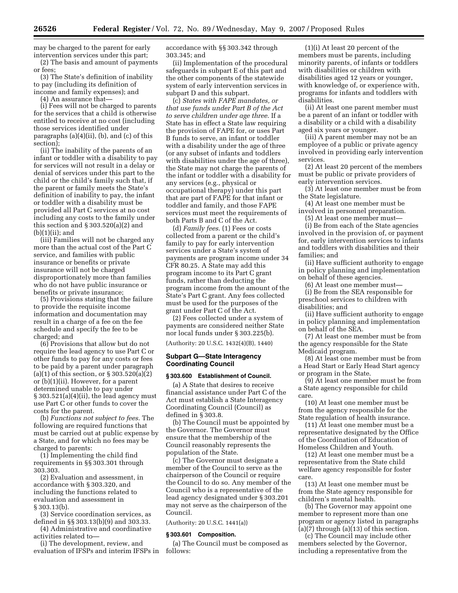may be charged to the parent for early intervention services under this part;

(2) The basis and amount of payments or fees;

(3) The State's definition of inability to pay (including its definition of income and family expenses); and

(4) An assurance that—

(i) Fees will not be charged to parents for the services that a child is otherwise entitled to receive at no cost (including those services identified under paragraphs (a)(4)(ii), (b), and (c) of this section);

(ii) The inability of the parents of an infant or toddler with a disability to pay for services will not result in a delay or denial of services under this part to the child or the child's family such that, if the parent or family meets the State's definition of inability to pay, the infant or toddler with a disability must be provided all Part C services at no cost including any costs to the family under this section and  $\S 303.520(a)(2)$  and (b)(1)(ii); and

(iii) Families will not be charged any more than the actual cost of the Part C service, and families with public insurance or benefits or private insurance will not be charged disproportionately more than families who do not have public insurance or benefits or private insurance;

(5) Provisions stating that the failure to provide the requisite income information and documentation may result in a charge of a fee on the fee schedule and specify the fee to be charged; and

(6) Provisions that allow but do not require the lead agency to use Part C or other funds to pay for any costs or fees to be paid by a parent under paragraph (a)(1) of this section, or  $\S 303.520(a)(2)$ or (b)(1)(ii). However, for a parent determined unable to pay under § 303.521(a)(4)(ii), the lead agency must use Part C or other funds to cover the costs for the parent.

(b) *Functions not subject to fees*. The following are required functions that must be carried out at public expense by a State, and for which no fees may be charged to parents:

(1) Implementing the child find requirements in §§ 303.301 through 303.303.

(2) Evaluation and assessment, in accordance with § 303.320, and including the functions related to evaluation and assessment in § 303.13(b).

(3) Service coordination services, as defined in §§ 303.13(b)(9) and 303.33.

(4) Administrative and coordinative activities related to—

(i) The development, review, and evaluation of IFSPs and interim IFSPs in accordance with §§ 303.342 through 303.345; and

(ii) Implementation of the procedural safeguards in subpart E of this part and the other components of the statewide system of early intervention services in subpart D and this subpart.

(c) *States with FAPE mandates, or that use funds under Part B of the Act to serve children under age three*. If a State has in effect a State law requiring the provision of FAPE for, or uses Part B funds to serve, an infant or toddler with a disability under the age of three (or any subset of infants and toddlers with disabilities under the age of three), the State may not charge the parents of the infant or toddler with a disability for any services (e.g., physical or occupational therapy) under this part that are part of FAPE for that infant or toddler and family, and those FAPE services must meet the requirements of both Parts B and C of the Act.

(d) *Family fees*. (1) Fees or costs collected from a parent or the child's family to pay for early intervention services under a State's system of payments are program income under 34 CFR 80.25. A State may add this program income to its Part C grant funds, rather than deducting the program income from the amount of the State's Part C grant. Any fees collected must be used for the purposes of the grant under Part C of the Act.

(2) Fees collected under a system of payments are considered neither State nor local funds under § 303.225(b).

(Authority: 20 U.S.C. 1432(4)(B), 1440)

### **Subpart G—State Interagency Coordinating Council**

# **§ 303.600 Establishment of Council.**

(a) A State that desires to receive financial assistance under Part C of the Act must establish a State Interagency Coordinating Council (Council) as defined in § 303.8.

(b) The Council must be appointed by the Governor. The Governor must ensure that the membership of the Council reasonably represents the population of the State.

(c) The Governor must designate a member of the Council to serve as the chairperson of the Council or require the Council to do so. Any member of the Council who is a representative of the lead agency designated under § 303.201 may not serve as the chairperson of the Council.

(Authority: 20 U.S.C. 1441(a))

#### **§ 303.601 Composition.**

(a) The Council must be composed as follows:

(1)(i) At least 20 percent of the members must be parents, including minority parents, of infants or toddlers with disabilities or children with disabilities aged 12 years or younger, with knowledge of, or experience with, programs for infants and toddlers with disabilities.

(ii) At least one parent member must be a parent of an infant or toddler with a disability or a child with a disability aged six years or younger.

(iii) A parent member may not be an employee of a public or private agency involved in providing early intervention services.

(2) At least 20 percent of the members must be public or private providers of early intervention services.

(3) At least one member must be from the State legislature.

(4) At least one member must be involved in personnel preparation.

(5) At least one member must— (i) Be from each of the State agencies involved in the provision of, or payment for, early intervention services to infants and toddlers with disabilities and their families; and

(ii) Have sufficient authority to engage in policy planning and implementation on behalf of these agencies.

(6) At least one member must— (i) Be from the SEA responsible for

preschool services to children with disabilities; and

(ii) Have sufficient authority to engage in policy planning and implementation on behalf of the SEA.

(7) At least one member must be from the agency responsible for the State Medicaid program.

(8) At least one member must be from a Head Start or Early Head Start agency or program in the State.

(9) At least one member must be from a State agency responsible for child care.

(10) At least one member must be from the agency responsible for the State regulation of health insurance.

(11) At least one member must be a representative designated by the Office of the Coordination of Education of Homeless Children and Youth.

(12) At least one member must be a representative from the State child welfare agency responsible for foster care.

(13) At least one member must be from the State agency responsible for children's mental health.

(b) The Governor may appoint one member to represent more than one program or agency listed in paragraphs  $(a)(7)$  through  $(a)(13)$  of this section.

(c) The Council may include other members selected by the Governor, including a representative from the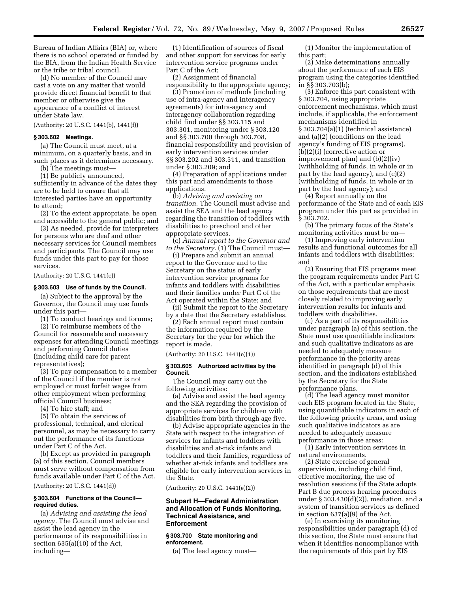Bureau of Indian Affairs (BIA) or, where there is no school operated or funded by the BIA, from the Indian Health Service or the tribe or tribal council.

(d) No member of the Council may cast a vote on any matter that would provide direct financial benefit to that member or otherwise give the appearance of a conflict of interest under State law.

(Authority: 20 U.S.C. 1441(b), 1441(f))

# **§ 303.602 Meetings.**

(a) The Council must meet, at a minimum, on a quarterly basis, and in such places as it determines necessary.

(b) The meetings must—

(1) Be publicly announced, sufficiently in advance of the dates they are to be held to ensure that all interested parties have an opportunity to attend;

(2) To the extent appropriate, be open and accessible to the general public; and

(3) As needed, provide for interpreters for persons who are deaf and other necessary services for Council members and participants. The Council may use funds under this part to pay for those services.

(Authority: 20 U.S.C. 1441(c))

#### **§ 303.603 Use of funds by the Council.**

(a) Subject to the approval by the Governor, the Council may use funds under this part—

(1) To conduct hearings and forums;

(2) To reimburse members of the Council for reasonable and necessary expenses for attending Council meetings and performing Council duties (including child care for parent representatives);

(3) To pay compensation to a member of the Council if the member is not employed or must forfeit wages from other employment when performing official Council business;

(4) To hire staff; and

(5) To obtain the services of professional, technical, and clerical personnel, as may be necessary to carry out the performance of its functions under Part C of the Act.

(b) Except as provided in paragraph (a) of this section, Council members must serve without compensation from funds available under Part C of the Act.

(Authority: 20 U.S.C. 1441(d))

#### **§ 303.604 Functions of the Council required duties.**

(a) *Advising and assisting the lead agency.* The Council must advise and assist the lead agency in the performance of its responsibilities in section 635(a)(10) of the Act, including—

(1) Identification of sources of fiscal and other support for services for early intervention service programs under Part C of the Act;

(2) Assignment of financial responsibility to the appropriate agency;

(3) Promotion of methods (including use of intra-agency and interagency agreements) for intra-agency and interagency collaboration regarding child find under §§ 303.115 and 303.301, monitoring under § 303.120 and §§ 303.700 through 303.708, financial responsibility and provision of early intervention services under §§ 303.202 and 303.511, and transition under § 303.209; and

(4) Preparation of applications under this part and amendments to those applications.

(b) *Advising and assisting on transition.* The Council must advise and assist the SEA and the lead agency regarding the transition of toddlers with disabilities to preschool and other appropriate services.

(c) *Annual report to the Governor and to the Secretary.* (1) The Council must—

(i) Prepare and submit an annual report to the Governor and to the Secretary on the status of early intervention service programs for infants and toddlers with disabilities and their families under Part C of the Act operated within the State; and

(ii) Submit the report to the Secretary by a date that the Secretary establishes.

(2) Each annual report must contain the information required by the Secretary for the year for which the report is made.

(Authority: 20 U.S.C. 1441(e)(1))

#### **§ 303.605 Authorized activities by the Council.**

The Council may carry out the following activities:

(a) Advise and assist the lead agency and the SEA regarding the provision of appropriate services for children with disabilities from birth through age five.

(b) Advise appropriate agencies in the State with respect to the integration of services for infants and toddlers with disabilities and at-risk infants and toddlers and their families, regardless of whether at-risk infants and toddlers are eligible for early intervention services in the State.

(Authority: 20 U.S.C. 1441(e)(2))

# **Subpart H—Federal Administration and Allocation of Funds Monitoring, Technical Assistance, and Enforcement**

#### **§ 303.700 State monitoring and enforcement.**

(a) The lead agency must—

(1) Monitor the implementation of this part;

(2) Make determinations annually about the performance of each EIS program using the categories identified in §§ 303.703(b);

(3) Enforce this part consistent with § 303.704, using appropriate enforcement mechanisms, which must include, if applicable, the enforcement mechanisms identified in § 303.704(a)(1) (technical assistance) and (a)(2) (conditions on the lead agency's funding of EIS programs), (b)(2)(i) (corrective action or improvement plan) and (b)(2)(iv) (withholding of funds, in whole or in part by the lead agency), and (c)(2) (withholding of funds, in whole or in part by the lead agency); and

(4) Report annually on the performance of the State and of each EIS program under this part as provided in § 303.702.

(b) The primary focus of the State's monitoring activities must be on—

(1) Improving early intervention results and functional outcomes for all infants and toddlers with disabilities; and

(2) Ensuring that EIS programs meet the program requirements under Part C of the Act, with a particular emphasis on those requirements that are most closely related to improving early intervention results for infants and toddlers with disabilities.

(c) As a part of its responsibilities under paragraph (a) of this section, the State must use quantifiable indicators and such qualitative indicators as are needed to adequately measure performance in the priority areas identified in paragraph (d) of this section, and the indicators established by the Secretary for the State performance plans.

(d) The lead agency must monitor each EIS program located in the State, using quantifiable indicators in each of the following priority areas, and using such qualitative indicators as are needed to adequately measure performance in those areas:

(1) Early intervention services in natural environments.

(2) State exercise of general supervision, including child find, effective monitoring, the use of resolution sessions (if the State adopts Part B due process hearing procedures under § 303.430(d)(2)), mediation, and a system of transition services as defined in section 637(a)(9) of the Act.

(e) In exercising its monitoring responsibilities under paragraph (d) of this section, the State must ensure that when it identifies noncompliance with the requirements of this part by EIS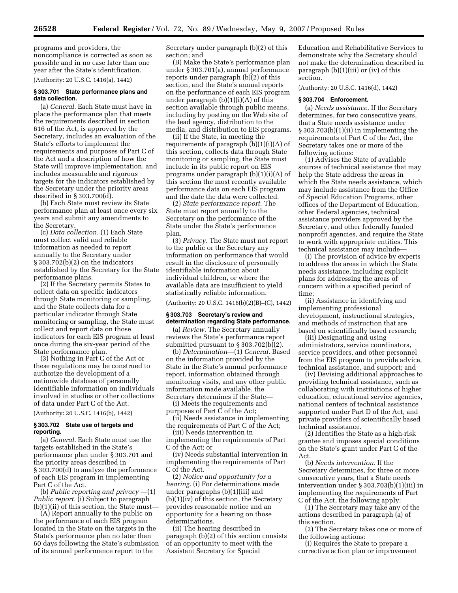programs and providers, the noncompliance is corrected as soon as possible and in no case later than one year after the State's identification.

(Authority: 20 U.S.C. 1416(a), 1442)

## **§ 303.701 State performance plans and data collection.**

(a) *General.* Each State must have in place the performance plan that meets the requirements described in section 616 of the Act, is approved by the Secretary, includes an evaluation of the State's efforts to implement the requirements and purposes of Part C of the Act and a description of how the State will improve implementation, and includes measurable and rigorous targets for the indicators established by the Secretary under the priority areas described in § 303.700(d).

(b) Each State must review its State performance plan at least once every six years and submit any amendments to the Secretary.

(c) *Data collection.* (1) Each State must collect valid and reliable information as needed to report annually to the Secretary under § 303.702(b)(2) on the indicators established by the Secretary for the State performance plans.

(2) If the Secretary permits States to collect data on specific indicators through State monitoring or sampling, and the State collects data for a particular indicator through State monitoring or sampling, the State must collect and report data on those indicators for each EIS program at least once during the six-year period of the State performance plan.

(3) Nothing in Part C of the Act or these regulations may be construed to authorize the development of a nationwide database of personally identifiable information on individuals involved in studies or other collections of data under Part C of the Act.

(Authority: 20 U.S.C. 1416(b), 1442)

# **§ 303.702 State use of targets and reporting.**

(a) *General.* Each State must use the targets established in the State's performance plan under § 303.701 and the priority areas described in § 303.700(d) to analyze the performance of each EIS program in implementing Part C of the Act.

(b) *Public reporting and privacy* —(1) *Public report.* (i) Subject to paragraph (b)(1)(ii) of this section, the State must—

(A) Report annually to the public on the performance of each EIS program located in the State on the targets in the State's performance plan no later than 60 days following the State's submission of its annual performance report to the

Secretary under paragraph (b)(2) of this section; and

(B) Make the State's performance plan under § 303.701(a), annual performance reports under paragraph  $(b)(2)$  of this section, and the State's annual reports on the performance of each EIS program under paragraph (b)(1)(i)(A) of this section available through public means, including by posting on the Web site of the lead agency, distribution to the media, and distribution to EIS programs.

(ii) If the State, in meeting the requirements of paragraph  $(b)(1)(i)(A)$  of this section, collects data through State monitoring or sampling, the State must include in its public report on EIS programs under paragraph (b)(1)(i)(A) of this section the most recently available performance data on each EIS program and the date the data were collected.

(2) *State performance report.* The State must report annually to the Secretary on the performance of the State under the State's performance plan.

(3) *Privacy.* The State must not report to the public or the Secretary any information on performance that would result in the disclosure of personally identifiable information about individual children, or where the available data are insufficient to yield statistically reliable information.

(Authority: 20 U.S.C. 1416(b)(2)(B)–(C), 1442)

# **§ 303.703 Secretary's review and determination regarding State performance.**

(a) *Review.* The Secretary annually reviews the State's performance report submitted pursuant to § 303.702(b)(2).

(b) *Determination*—(1) *General.* Based on the information provided by the State in the State's annual performance report, information obtained through monitoring visits, and any other public information made available, the Secretary determines if the State—

(i) Meets the requirements and purposes of Part C of the Act;

(ii) Needs assistance in implementing the requirements of Part C of the Act;

(iii) Needs intervention in implementing the requirements of Part C of the Act; or

(iv) Needs substantial intervention in implementing the requirements of Part C of the Act.

(2) *Notice and opportunity for a hearing.* (i) For determinations made under paragraphs (b)(1)(iii) and (b)(1)(iv) of this section, the Secretary provides reasonable notice and an opportunity for a hearing on those determinations.

(ii) The hearing described in paragraph (b)(2) of this section consists of an opportunity to meet with the Assistant Secretary for Special

Education and Rehabilitative Services to demonstrate why the Secretary should not make the determination described in paragraph (b)(1)(iii) or (iv) of this section.

(Authority: 20 U.S.C. 1416(d), 1442)

# **§ 303.704 Enforcement.**

(a) *Needs assistance.* If the Secretary determines, for two consecutive years, that a State needs assistance under § 303.703(b)(1)(ii) in implementing the requirements of Part C of the Act, the Secretary takes one or more of the following actions:

(1) Advises the State of available sources of technical assistance that may help the State address the areas in which the State needs assistance, which may include assistance from the Office of Special Education Programs, other offices of the Department of Education, other Federal agencies, technical assistance providers approved by the Secretary, and other federally funded nonprofit agencies, and require the State to work with appropriate entities. This technical assistance may include—

(i) The provision of advice by experts to address the areas in which the State needs assistance, including explicit plans for addressing the areas of concern within a specified period of time;

(ii) Assistance in identifying and implementing professional development, instructional strategies, and methods of instruction that are based on scientifically based research;

(iii) Designating and using administrators, service coordinators, service providers, and other personnel from the EIS program to provide advice, technical assistance, and support; and

(iv) Devising additional approaches to providing technical assistance, such as collaborating with institutions of higher education, educational service agencies, national centers of technical assistance supported under Part D of the Act, and private providers of scientifically based technical assistance.

(2) Identifies the State as a high-risk grantee and imposes special conditions on the State's grant under Part C of the Act.

(b) *Needs intervention.* If the Secretary determines, for three or more consecutive years, that a State needs intervention under § 303.703(b)(1)(iii) in implementing the requirements of Part C of the Act, the following apply:

(1) The Secretary may take any of the actions described in paragraph (a) of this section.

(2) The Secretary takes one or more of the following actions:

(i) Requires the State to prepare a corrective action plan or improvement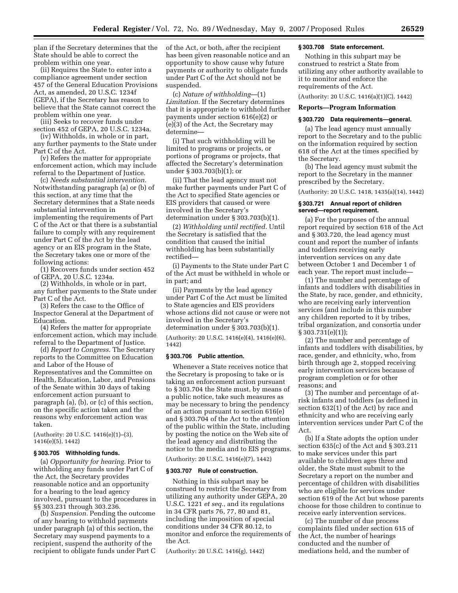plan if the Secretary determines that the State should be able to correct the problem within one year.

(ii) Requires the State to enter into a compliance agreement under section 457 of the General Education Provisions Act, as amended, 20 U.S.C. 1234f (GEPA), if the Secretary has reason to believe that the State cannot correct the problem within one year.

(iii) Seeks to recover funds under section 452 of GEPA, 20 U.S.C. 1234a.

(iv) Withholds, in whole or in part, any further payments to the State under Part C of the Act.

(v) Refers the matter for appropriate enforcement action, which may include referral to the Department of Justice.

(c) *Needs substantial intervention.*  Notwithstanding paragraph (a) or (b) of this section, at any time that the Secretary determines that a State needs substantial intervention in implementing the requirements of Part C of the Act or that there is a substantial failure to comply with any requirement under Part C of the Act by the lead agency or an EIS program in the State, the Secretary takes one or more of the following actions:

(1) Recovers funds under section 452 of GEPA, 20 U.S.C. 1234a.

(2) Withholds, in whole or in part, any further payments to the State under Part C of the Act.

(3) Refers the case to the Office of Inspector General at the Department of Education.

(4) Refers the matter for appropriate enforcement action, which may include referral to the Department of Justice.

(d) *Report to Congress.* The Secretary reports to the Committee on Education and Labor of the House of Representatives and the Committee on Health, Education, Labor, and Pensions of the Senate within 30 days of taking enforcement action pursuant to paragraph (a), (b), or (c) of this section, on the specific action taken and the reasons why enforcement action was taken.

(Authority: 20 U.S.C. 1416(e)(1)–(3), 1416(e)(5), 1442)

# **§ 303.705 Withholding funds.**

(a) *Opportunity for hearing.* Prior to withholding any funds under Part C of the Act, the Secretary provides reasonable notice and an opportunity for a hearing to the lead agency involved, pursuant to the procedures in §§ 303.231 through 303.236.

(b) *Suspension.* Pending the outcome of any hearing to withhold payments under paragraph (a) of this section, the Secretary may suspend payments to a recipient, suspend the authority of the recipient to obligate funds under Part C of the Act, or both, after the recipient has been given reasonable notice and an opportunity to show cause why future payments or authority to obligate funds under Part C of the Act should not be suspended.

(c) *Nature of withholding*—(1) *Limitation.* If the Secretary determines that it is appropriate to withhold further payments under section 616(e)(2) or (e)(3) of the Act, the Secretary may determine—

(i) That such withholding will be limited to programs or projects, or portions of programs or projects, that affected the Secretary's determination under § 303.703(b)(1); or

(ii) That the lead agency must not make further payments under Part C of the Act to specified State agencies or EIS providers that caused or were involved in the Secretary's determination under § 303.703(b)(1).

(2) *Withholding until rectified.* Until the Secretary is satisfied that the condition that caused the initial withholding has been substantially rectified—

(i) Payments to the State under Part C of the Act must be withheld in whole or in part; and

(ii) Payments by the lead agency under Part C of the Act must be limited to State agencies and EIS providers whose actions did not cause or were not involved in the Secretary's determination under § 303.703(b)(1).

(Authority: 20 U.S.C. 1416(e)(4), 1416(e)(6), 1442)

#### **§ 303.706 Public attention.**

Whenever a State receives notice that the Secretary is proposing to take or is taking an enforcement action pursuant to § 303.704 the State must, by means of a public notice, take such measures as may be necessary to bring the pendency of an action pursuant to section 616(e) and § 303.704 of the Act to the attention of the public within the State, including by posting the notice on the Web site of the lead agency and distributing the notice to the media and to EIS programs. (Authority: 20 U.S.C. 1416(e)(7), 1442)

#### **§ 303.707 Rule of construction.**

Nothing in this subpart may be construed to restrict the Secretary from utilizing any authority under GEPA, 20 U.S.C. 1221 *et seq.*, and its regulations in 34 CFR parts 76, 77, 80 and 81, including the imposition of special conditions under 34 CFR 80.12, to monitor and enforce the requirements of the Act.

(Authority: 20 U.S.C. 1416(g), 1442)

# **§ 303.708 State enforcement.**

Nothing in this subpart may be construed to restrict a State from utilizing any other authority available to it to monitor and enforce the requirements of the Act.

(Authority: 20 U.S.C. 1416(a)(1)(C), 1442)

# **Reports—Program Information**

## **§ 303.720 Data requirements—general.**

(a) The lead agency must annually report to the Secretary and to the public on the information required by section 618 of the Act at the times specified by the Secretary.

(b) The lead agency must submit the report to the Secretary in the manner prescribed by the Secretary.

(Authority: 20 U.S.C. 1418, 1435(a)(14), 1442)

# **§ 303.721 Annual report of children served—report requirement.**

(a) For the purposes of the annual report required by section 618 of the Act and § 303.720, the lead agency must count and report the number of infants and toddlers receiving early intervention services on any date between October 1 and December 1 of each year. The report must include—

(1) The number and percentage of infants and toddlers with disabilities in the State, by race, gender, and ethnicity, who are receiving early intervention services (and include in this number any children reported to it by tribes, tribal organization, and consortia under § 303.731(e)(1));

(2) The number and percentage of infants and toddlers with disabilities, by race, gender, and ethnicity, who, from birth through age 2, stopped receiving early intervention services because of program completion or for other reasons; and

(3) The number and percentage of atrisk infants and toddlers (as defined in section 632(1) of the Act) by race and ethnicity and who are receiving early intervention services under Part C of the Act.

(b) If a State adopts the option under section 635(c) of the Act and § 303.211 to make services under this part available to children ages three and older, the State must submit to the Secretary a report on the number and percentage of children with disabilities who are eligible for services under section 619 of the Act but whose parents choose for those children to continue to receive early intervention services.

(c) The number of due process complaints filed under section 615 of the Act, the number of hearings conducted and the number of mediations held, and the number of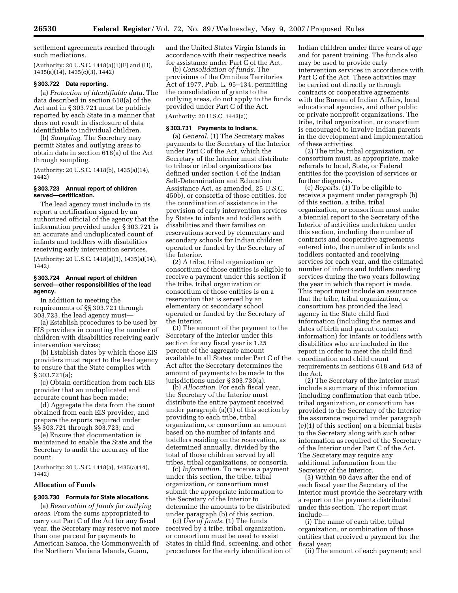settlement agreements reached through such mediations.

(Authority: 20 U.S.C. 1418(a)(1)(F) and (H), 1435(a)(14), 1435(c)(3), 1442)

#### **§ 303.722 Data reporting.**

(a) *Protection of identifiable data.* The data described in section 618(a) of the Act and in § 303.721 must be publicly reported by each State in a manner that does not result in disclosure of data identifiable to individual children.

(b) *Sampling.* The Secretary may permit States and outlying areas to obtain data in section 618(a) of the Act through sampling.

(Authority: 20 U.S.C. 1418(b), 1435(a)(14), 1442)

### **§ 303.723 Annual report of children served—certification.**

The lead agency must include in its report a certification signed by an authorized official of the agency that the information provided under § 303.721 is an accurate and unduplicated count of infants and toddlers with disabilities receiving early intervention services.

(Authority: 20 U.S.C. 1418(a)(3), 1435(a)(14), 1442)

## **§ 303.724 Annual report of children served—other responsibilities of the lead agency.**

In addition to meeting the requirements of §§ 303.721 through 303.723, the lead agency must—

(a) Establish procedures to be used by EIS providers in counting the number of children with disabilities receiving early intervention services;

(b) Establish dates by which those EIS providers must report to the lead agency to ensure that the State complies with § 303.721(a);

(c) Obtain certification from each EIS provider that an unduplicated and accurate count has been made;

(d) Aggregate the data from the count obtained from each EIS provider, and prepare the reports required under §§ 303.721 through 303.723; and

(e) Ensure that documentation is maintained to enable the State and the Secretary to audit the accuracy of the count.

(Authority: 20 U.S.C. 1418(a), 1435(a)(14), 1442)

### **Allocation of Funds**

## **§ 303.730 Formula for State allocations.**

(a) *Reservation of funds for outlying areas*. From the sums appropriated to carry out Part C of the Act for any fiscal year, the Secretary may reserve not more than one percent for payments to American Samoa, the Commonwealth of the Northern Mariana Islands, Guam,

and the United States Virgin Islands in accordance with their respective needs for assistance under Part C of the Act.

(b) *Consolidation of funds*. The provisions of the Omnibus Territories Act of 1977, Pub. L. 95–134, permitting the consolidation of grants to the outlying areas, do not apply to the funds provided under Part C of the Act.

(Authority: 20 U.S.C. 1443(a))

# **§ 303.731 Payments to Indians.**

(a) *General*. (1) The Secretary makes payments to the Secretary of the Interior under Part C of the Act, which the Secretary of the Interior must distribute to tribes or tribal organizations (as defined under section 4 of the Indian Self-Determination and Education Assistance Act, as amended, 25 U.S.C. 450b), or consortia of those entities, for the coordination of assistance in the provision of early intervention services by States to infants and toddlers with disabilities and their families on reservations served by elementary and secondary schools for Indian children operated or funded by the Secretary of the Interior.

(2) A tribe, tribal organization or consortium of those entities is eligible to receive a payment under this section if the tribe, tribal organization or consortium of those entities is on a reservation that is served by an elementary or secondary school operated or funded by the Secretary of the Interior.

(3) The amount of the payment to the Secretary of the Interior under this section for any fiscal year is 1.25 percent of the aggregate amount available to all States under Part C of the Act after the Secretary determines the amount of payments to be made to the jurisdictions under § 303.730(a).

(b) *Allocation*. For each fiscal year, the Secretary of the Interior must distribute the entire payment received under paragraph (a)(1) of this section by providing to each tribe, tribal organization, or consortium an amount based on the number of infants and toddlers residing on the reservation, as determined annually, divided by the total of those children served by all tribes, tribal organizations, or consortia.

(c) *Information*. To receive a payment under this section, the tribe, tribal organization, or consortium must submit the appropriate information to the Secretary of the Interior to determine the amounts to be distributed under paragraph (b) of this section.

(d) *Use of funds*. (1) The funds received by a tribe, tribal organization, or consortium must be used to assist States in child find, screening, and other procedures for the early identification of Indian children under three years of age and for parent training. The funds also may be used to provide early intervention services in accordance with Part C of the Act. These activities may be carried out directly or through contracts or cooperative agreements with the Bureau of Indian Affairs, local educational agencies, and other public or private nonprofit organizations. The tribe, tribal organization, or consortium is encouraged to involve Indian parents in the development and implementation of these activities.

(2) The tribe, tribal organization, or consortium must, as appropriate, make referrals to local, State, or Federal entities for the provision of services or further diagnosis.

(e) *Reports*. (1) To be eligible to receive a payment under paragraph (b) of this section, a tribe, tribal organization, or consortium must make a biennial report to the Secretary of the Interior of activities undertaken under this section, including the number of contracts and cooperative agreements entered into, the number of infants and toddlers contacted and receiving services for each year, and the estimated number of infants and toddlers needing services during the two years following the year in which the report is made. This report must include an assurance that the tribe, tribal organization, or consortium has provided the lead agency in the State child find information (including the names and dates of birth and parent contact information) for infants or toddlers with disabilities who are included in the report in order to meet the child find coordination and child count requirements in sections 618 and 643 of the Act.

(2) The Secretary of the Interior must include a summary of this information (including confirmation that each tribe, tribal organization, or consortium has provided to the Secretary of the Interior the assurance required under paragraph (e)(1) of this section) on a biennial basis to the Secretary along with such other information as required of the Secretary of the Interior under Part C of the Act. The Secretary may require any additional information from the Secretary of the Interior.

(3) Within 90 days after the end of each fiscal year the Secretary of the Interior must provide the Secretary with a report on the payments distributed under this section. The report must include—

(i) The name of each tribe, tribal organization, or combination of those entities that received a payment for the fiscal year;

(ii) The amount of each payment; and